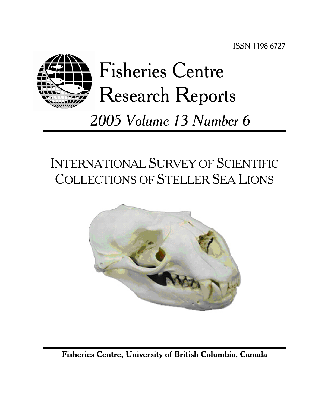

# INTERNATIONAL SURVEY OF SCIENTIFIC COLLECTIONS OF STELLER SEA LIONS



**Fisheries Centre, University of British Columbia, Canada**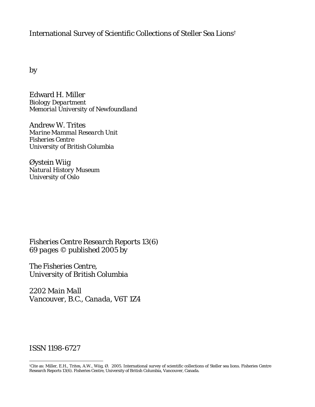## International Survey of Scientific Collections of Steller Sea Lions†

by

Edward H. Miller *Biology Department Memorial University of Newfoundland* 

Andrew W. Trites *Marine Mammal Research Unit Fisheries Centre University of British Columbia* 

Øystein Wiig *Natural History Museum University of Oslo* 

*Fisheries Centre Research Reports 13(6) 69 pages © published 2005 by* 

*The Fisheries Centre, University of British Columbia* 

*2202 Main Mall Vancouver, B.C., Canada, V6T 1Z4* 

## *ISSN 1198-6727*

 $\overline{a}$ 

<sup>†</sup>Cite as: Miller, E.H., Trites, A.W., Wiig, Ø. 2005. International survey of scientific collections of Steller sea lions. Fisheries Centre Research Reports 13(6). Fisheries Centre, University of British Columbia, Vancouver, Canada.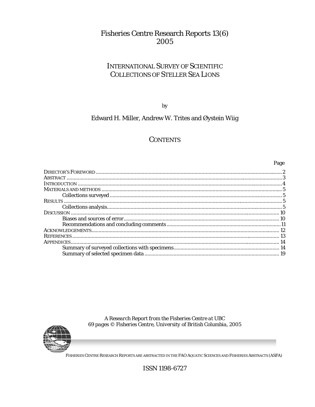## **Fisheries Centre Research Reports 13(6)** 2005

## **INTERNATIONAL SURVEY OF SCIENTIFIC COLLECTIONS OF STELLER SEA LIONS**

by

## Edward H. Miller, Andrew W. Trites and Øystein Wiig

## **CONTENTS**

Page

A Research Report from the Fisheries Centre at UBC<br>69 pages © Fisheries Centre, University of British Columbia, 2005



FISHERIES CENTRE RESEARCH REPORTS ARE ABSTRACTED IN THE FAO AQUATIC SCIENCES AND FISHERIES ABSTRACTS (ASFA)

ISSN 1198-6727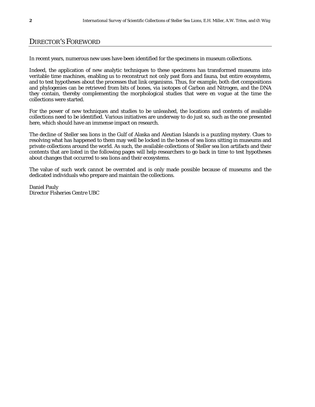## DIRECTOR'S FOREWORD

In recent years, numerous new uses have been identified for the specimens in museum collections.

Indeed, the application of new analytic techniques to these specimens has transformed museums into veritable time machines, enabling us to reconstruct not only past flora and fauna, but entire ecosystems, and to test hypotheses about the processes that link organisms. Thus, for example, both diet compositions and phylogenies can be retrieved from bits of bones, via isotopes of Carbon and Nitrogen, and the DNA they contain, thereby complementing the morphological studies that were *en vogue* at the time the collections were started.

For the power of new techniques and studies to be unleashed, the locations and contents of available collections need to be identified. Various initiatives are underway to do just so, such as the one presented here, which should have an immense impact on research.

The decline of Steller sea lions in the Gulf of Alaska and Aleutian Islands is a puzzling mystery. Clues to resolving what has happened to them may well be locked in the bones of sea lions sitting in museums and private collections around the world. As such, the available collections of Steller sea lion artifacts and their contents that are listed in the following pages will help researchers to go back in time to test hypotheses about changes that occurred to sea lions and their ecosystems.

The value of such work cannot be overrated and is only made possible because of museums and the dedicated individuals who prepare and maintain the collections.

Daniel Pauly *Director Fisheries Centre UBC*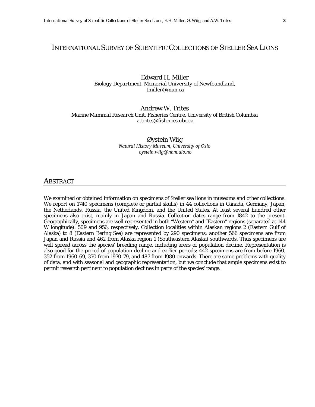#### INTERNATIONAL SURVEY OF SCIENTIFIC COLLECTIONS OF STELLER SEA LIONS

Edward H. Miller *Biology Department, Memorial University of Newfoundland, tmiller@mun.ca* 

#### Andrew W. Trites *Marine Mammal Research Unit, Fisheries Centre, University of British Columbia a.trites@fisheries.ubc.ca*

Øystein Wiig *Natural History Museum, University of Oslo oystein.wiig@nhm.uio.no*

#### ABSTRACT

We examined or obtained information on specimens of Steller sea lions in museums and other collections. We report on 1740 specimens (complete or partial skulls) in 44 collections in Canada, Germany, Japan, the Netherlands, Russia, the United Kingdom, and the United States. At least several hundred other specimens also exist, mainly in Japan and Russia. Collection dates range from 1842 to the present. Geographically, specimens are well represented in both "Western" and "Eastern" regions (separated at 144 W longitude): 509 and 956, respectively. Collection localities within Alaskan regions 2 (Eastern Gulf of Alaska) to 8 (Eastern Bering Sea) are represented by 290 specimens; another 566 specimens are from Japan and Russia and 462 from Alaska region 1 (Southeastern Alaska) southwards. Thus specimens are well spread across the species' breeding range, including areas of population decline. Representation is also good for the period of population decline and earlier periods: 442 specimens are from before 1960, 352 from 1960-69, 370 from 1970-79, and 487 from 1980 onwards. There are some problems with quality of data, and with seasonal and geographic representation, but we conclude that ample specimens exist to permit research pertinent to population declines in parts of the species' range.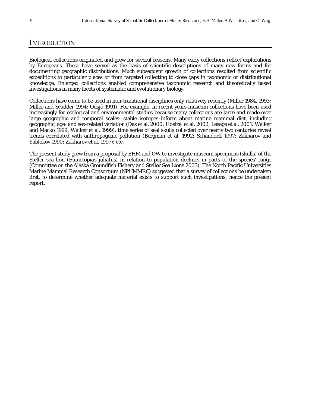#### **INTRODUCTION**

Biological collections originated and grew for several reasons. Many early collections reflect explorations by Europeans. These have served as the basis of scientific descriptions of many new forms and for documenting geographic distributions. Much subsequent growth of collections resulted from scientific expeditions to particular places or from targeted collecting to close gaps in taxonomic or distributional knowledge. Enlarged collections enabled comprehensive taxonomic research and theoretically based investigations in many facets of systematic and evolutionary biology.

Collections have come to be used in non-traditional disciplines only relatively recently (Miller 1984, 1993; Miller and Scudder 1994; Odsjö 1991). For example, in recent years museum collections have been used increasingly for ecological and environmental studies because many collections are large and made over large geographic and temporal scales: stable isotopes inform about marine mammal diet, including geographic, age- and sex-related variation (Das et al. 2000; Hoelzel et al. 2002; Lesage et al. 2001; Walker and Macko 1999; Walker et al. 1999); time series of seal skulls collected over nearly two centuries reveal trends correlated with anthropogenic pollution (Bergman et al. 1992; Schandorff 1997; Zakharov and Yablokov 1990; Zakharov et al. 1997); etc.

The present study grew from a proposal by EHM and ØW to investigate museum specimens (skulls) of the Steller sea lion (*Eumetopias jubatus*) in relation to population declines in parts of the species' range (Committee on the Alaska Groundfish Fishery and Steller Sea Lions 2003). The North Pacific Universities Marine Mammal Research Consortium (NPUMMRC) suggested that a survey of collections be undertaken first, to determine whether adequate material exists to support such investigations; hence the present report.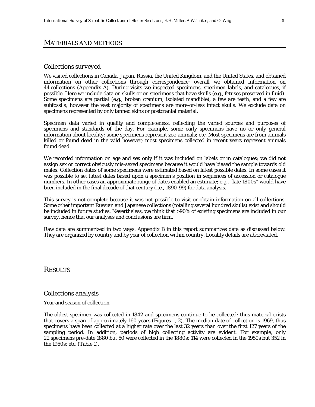#### MATERIALS AND METHODS

#### *Collections surveyed*

We visited collections in Canada, Japan, Russia, the United Kingdom, and the United States, and obtained information on other collections through correspondence; overall we obtained information on 44 collections (Appendix A). During visits we inspected specimens, specimen labels, and catalogues, if possible. Here we include data on skulls or on specimens that have skulls (e.g., fetuses preserved in fluid). Some specimens are partial (e.g., broken cranium; isolated mandible), a few are teeth, and a few are subfossils; however the vast majority of specimens are more-or-less intact skulls. We exclude data on specimens represented by only tanned skins or postcranial material.

Specimen data varied in quality and completeness, reflecting the varied sources and purposes of specimens and standards of the day. For example, some early specimens have no or only general information about locality; some specimens represent zoo animals; etc. Most specimens are from animals killed or found dead in the wild however; most specimens collected in recent years represent animals found dead.

We recorded information on age and sex only if it was included on labels or in catalogues; we did not assign sex or correct obviously mis-sexed specimens because it would have biased the sample towards old males. Collection dates of some specimens were estimated based on latest possible dates. In some cases it was possible to set latest dates based upon a specimen's position in sequences of accession or catalogue numbers. In other cases an approximate range of dates enabled an estimate; e.g., "late 1800s" would have been included in the final decade of that century (i.e., 1890-99) for data analysis.

This survey is not complete because it was not possible to visit or obtain information on all collections. Some other important Russian and Japanese collections (totalling several hundred skulls) exist and should be included in future studies. Nevertheless, we think that >90% of existing specimens are included in our survey, hence that our analyses and conclusions are firm.

Raw data are summarized in two ways. Appendix B in this report summarizes data as discussed below. They are organized by country and by year of collection within country. Locality details are abbreviated.

#### RESULTS

#### *Collections analysis*

#### Year and season of collection

The oldest specimen was collected in 1842 and specimens continue to be collected; thus material exists that covers a span of approximately 160 years (Figures 1, 2). The median date of collection is 1969, thus specimens have been collected at a higher rate over the last 32 years than over the first 127 years of the sampling period. In addition, periods of high collecting activity are evident. For example, only 22 specimens pre-date 1880 but 50 were collected in the 1880s; 114 were collected in the 1950s but 352 in the 1960s; etc. (Table 1).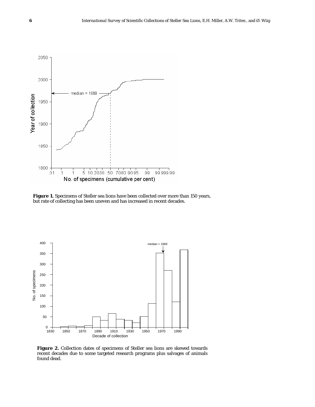

Figure 1. Specimens of Steller sea lions have been collected over more than 150 years, but rate of collecting has been uneven and has increased in recent decades.



**Figure 2.** Collection dates of specimens of Steller sea lions are skewed towards recent decades due to some targeted research programs plus salvages of animals found dead.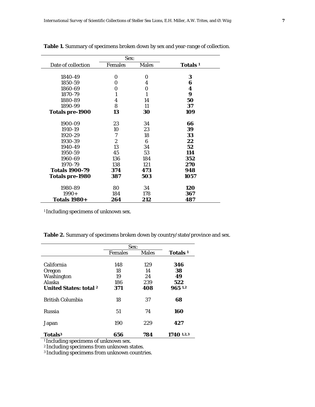|                        | Sex:             |              |                     |
|------------------------|------------------|--------------|---------------------|
| Date of collection     | <b>Females</b>   | <b>Males</b> | Totals <sup>1</sup> |
| 1840-49                | 0                | 0            | 3                   |
| 1850-59                | 0                | 4            | 6                   |
| 1860-69                | 0                | 0            | 4                   |
| 1870-79                | 1                | 1            | 9                   |
| 1880-89                | 4                | 14           | 50                  |
| 1890-99                | 8                | 11           | 37                  |
| <b>Totals pre-1900</b> | 13               | 30           | 109                 |
| 1900-09                | 23               | 34           | 66                  |
| 1910-19                | 10               | 23           | 39                  |
| 1920-29                | 7                | 18           | 33                  |
| 1930-39                | $\boldsymbol{2}$ | 6            | 22                  |
| 1940-49                | 13               | 34           | 52                  |
| 1950-59                | 45               | 53           | 114                 |
| 1960-69                | 136              | 184          | 352                 |
| 1970-79                | 138              | 121          | 270                 |
| <b>Totals 1900-79</b>  | 374              | 473          | 948                 |
| <b>Totals pre-1980</b> | 387              | 503          | 1057                |
| 1980-89                | 80               | 34           | 120                 |
| $1990+$                | 184              | 178          | 367                 |
| <b>Totals 1980+</b>    | 264              | 212          | 487                 |

**Table 1.** Summary of specimens broken down by sex and year-range of collection.

<sup>1</sup> Including specimens of unknown sex.

**Table 2.** Summary of specimens broken down by country/state/province and sex.

|                               | Sex:           |              |                     |
|-------------------------------|----------------|--------------|---------------------|
|                               | <b>Females</b> | <b>Males</b> | Totals <sup>1</sup> |
|                               |                |              |                     |
| California                    | 148            | 129          | 346                 |
| Oregon                        | 18             | 14           | 38                  |
| Washington                    | 19             | 24           | 49                  |
| Alaska                        | 186            | 239          | 522                 |
| <b>United States: total 2</b> | 371            | 408          | 965 1,2             |
| <b>British Columbia</b>       | 18             | 37           | 68                  |
| <b>Russia</b>                 | 51             | 74           | 160                 |
| Japan                         | 190            | 229          | 427                 |
| Totals <sup>3</sup>           | 656            | 784          | 1740 1,2,3          |

<sup>1</sup> Including specimens of unknown sex.

2 Including specimens from unknown states.

<sup>3</sup> Including specimens from unknown countries.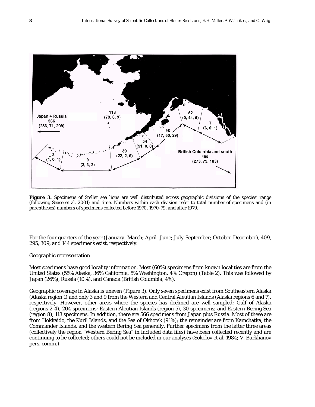

Figure 3. Specimens of Steller sea lions are well distributed across geographic divisions of the species' range (following Sease et al. 2001) and time. Numbers within each division refer to total number of specimens and (in parentheses) numbers of specimens collected before 1970, 1970-79, and after 1979.

For the four quarters of the year (January- March; April- June; July-September; October-December), 409, 295, 309, and 144 specimens exist, respectively.

#### Geographic representation

Most specimens have good locality information. Most (60%) specimens from known localities are from the United States (55% Alaska, 36% California, 5% Washington, 4% Oregon) (Table 2). This was followed by Japan (26%), Russia (10%), and Canada (British Columbia; 4%).

Geographic coverage in Alaska is uneven (Figure 3). Only seven specimens exist from Southeastern Alaska (Alaska region 1) and only 3 and 9 from the Western and Central Aleutian Islands (Alaska regions 6 and 7), respectively. However, other areas where the species has declined are well sampled: Gulf of Alaska (regions 2-4), 204 specimens; Eastern Aleutian Islands (region 5), 30 specimens; and Eastern Bering Sea (region 8), 113 specimens. In addition, there are 566 specimens from Japan plus Russia. Most of these are from Hokkaido, the Kuril Islands, and the Sea of Okhotsk (91%); the remainder are from Kamchatka, the Commander Islands, and the western Bering Sea generally. Further specimens from the latter three areas (collectively the region "Western Bering Sea" in included data files) have been collected recently and are continuing to be collected; others could not be included in our analyses (Sokolov et al. 1984; V. Burkhanov pers. comm.).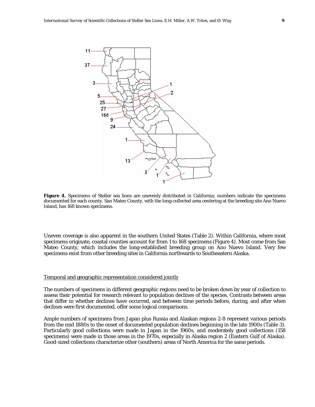

**Figure 4.** Specimens of Steller sea lions are unevenly distributed in California; numbers indicate the specimens documented for each county. San Mateo County, with the long-collected area centering at the breeding site Ano Nuevo Island, has 168 known specimens.

Uneven coverage is also apparent in the southern United States (Table 2). Within California, where most specimens originate, coastal counties account for from 1 to 168 specimens (Figure 4). Most come from San Mateo County, which includes the long-established breeding group on Ano Nuevo Island. Very few specimens exist from other breeding sites in California northwards to Southeastern Alaska.

#### Temporal and geographic representation considered jointly

The numbers of specimens in different geographic regions need to be broken down by year of collection to assess their potential for research relevant to population declines of the species. Contrasts between areas that differ in whether declines have occurred, and between time periods before, during, and after when declines were first documented, offer some logical comparisons.

Ample numbers of specimens from Japan plus Russia and Alaskan regions 2-8 represent various periods from the mid 1880s to the onset of documented population declines beginning in the late 1900s (Table 3). Particularly good collections were made in Japan in the 1960s, and moderately good collections (158 specimens) were made in those areas in the 1970s, especially in Alaska region 2 (Eastern Gulf of Alaska). Good-sized collections characterize other (southern) areas of North America for the same periods.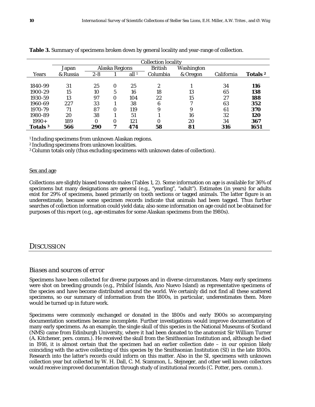|                     |          |         |                |                  | <b>Collection locality</b> |            |            |                     |
|---------------------|----------|---------|----------------|------------------|----------------------------|------------|------------|---------------------|
|                     | Japan    |         | Alaska Regions |                  | <b>British</b>             | Washington |            |                     |
| Years               | & Russia | $2 - 8$ |                | all <sup>1</sup> | Columbia                   | & Oregon   | California | Totals <sup>2</sup> |
|                     |          |         |                |                  |                            |            |            |                     |
| 1840-99             | 31       | 25      | 0              | 25               | 2                          |            | 34         | <b>116</b>          |
| 1900-29             | 15       | 10      | 5              | 16               | 18                         | 13         | 65         | 138                 |
| 1930-59             | 13       | 97      | 0              | 104              | 22                         | 15         | 27         | 188                 |
| 1960-69             | 227      | 33      |                | 38               | 6                          | Η          | 63         | 352                 |
| 1970-79             | 71       | 87      | 0              | 119              | 9                          | 9          | 61         | 370                 |
| 1980-89             | 20       | 38      |                | 51               |                            | 16         | 32         | 120                 |
| $1990+$             | 189      | 0       | 0              | 121              | 0                          | 20         | 34         | 367                 |
| Totals <sup>3</sup> | 566      | 290     | 7              | 474              | 58                         | 81         | 316        | 1651                |

**Table 3.** Summary of specimens broken down by general locality and year-range of collection.

1 Including specimens from unknown Alaskan regions.

2 Including specimens from unknown localities.

3 Column totals only (thus excluding specimens with unknown dates of collection).

#### Sex and age

Collections are slightly biased towards males (Tables 1, 2). Some information on age is available for 36% of specimens but many designations are general (e.g., "yearling", "adult"). Estimates (in years) for adults exist for 29% of specimens, based primarily on tooth sections or tagged animals. The latter figure is an underestimate, because some specimen records indicate that animals had been tagged. Thus further searches of collection information could yield data; also some information on age could not be obtained for purposes of this report (e.g., age estimates for some Alaskan specimens from the 1980s).

### **DISCUSSION**

#### *Biases and sources of error*

Specimens have been collected for diverse purposes and in diverse circumstances. Many early specimens were shot on breeding grounds (e.g., Pribilof Islands, Ano Nuevo Island) as representative specimens of the species and have become distributed around the world. We certainly did not find all these scattered specimens, so our summary of information from the 1800s, in particular, underestimates them. More would be turned up in future work.

Specimens were commonly exchanged or donated in the 1800s and early 1900s so accompanying documentation sometimes became incomplete. Further investigations would improve documentation of many early specimens. As an example, the single skull of this species in the National Museums of Scotland (NMS) came from Edinburgh University, where it had been donated to the anatomist Sir William Turner (A. Kitchener, pers. comm.). He received the skull from the Smithsonian Institution and, although he died in 1916, it is almost certain that the specimen had an earlier collection date – in our opinion likely coinciding with the active collecting of this species by the Smithsonian Institution (SI) in the late 1800s. Research into the latter's records could inform on this matter. Also in the SI, specimens with unknown collection year but collected by W. H. Dall, C. M. Scammon, L. Stejneger, and other well known collectors would receive improved documentation through study of institutional records (C. Potter, pers. comm.).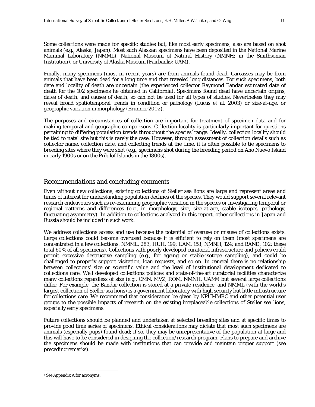Some collections were made for specific studies but, like most early specimens, also are based on shot animals (e.g., Alaska, Japan). Most such Alaskan specimens have been deposited in the National Marine Mammal Laboratory (NMML), National Museum of Natural History (NMNH; in the Smithsonian Institution), or University of Alaska Museum (Fairbanks; UAM).

Finally, many specimens (most in recent years) are from animals found dead. Carcasses may be from animals that have been dead for a long time and that traveled long distances. For such specimens, both date and locality of death are uncertain (the experienced collector Raymond Bandar estimated date of death for the 102 specimens he obtained in California). Specimens found dead have uncertain origins, dates of death, and causes of death, so can not be used for all types of studies. Nevertheless they may reveal broad spatiotemporal trends in condition or pathology (Lucas et al. 2003) or size-at-age, or geographic variation in morphology (Brunner 2002).

The purposes and circumstances of collection are important for treatment of specimen data and for making temporal and geographic comparisons. Collection locality is particularly important for questions pertaining to differing population trends throughout the species' range. Ideally, collection locality should be tied to natal site but this is rarely the case. However, through assessment of collection details such as collector name, collection date, and collecting trends at the time, it is often possible to tie specimens to breeding sites where they were shot (e.g., specimens shot during the breeding period on Ano Nuevo Island in early 1900s or on the Pribilof Islands in the 1800s).

#### *Recommendations and concluding comments*

Even without new collections, existing collections of Steller sea lions are large and represent areas and times of interest for understanding population declines of the species. They would support several relevant research endeavours such as re-examining geographic variation in the species or investigating temporal or regional patterns and differences (e.g., in morphology, size, size-at-age, stable isotopes, pathology, fluctuating asymmetry). In addition to collections analyzed in this report, other collections in Japan and Russia should be included in such work.

We address collections access and use because the potential of overuse or misuse of collections exists. Large collections could become overused because it is efficient to rely on them (most specimens are concentrated in a few collections: NMML, 283; HUH, 199; UAM, 158; NMNH, 124; and BAND; 102; these total 60% of all specimens). Collections with poorly developed curatorial infrastructure and policies could permit excessive destructive sampling (e.g., for ageing or stable-isotope sampling), and could be challenged to properly support visitation, loan requests, and so on. In general there is no relationship between collections' size or scientific value and the level of institutional development dedicated to collections care. Well developed collections policies and state-of-the-art curatorial facilities characterize many collections regardless of size (e.g., CMN, MVZ, ROM, NMNH, UAM<sup>a</sup>) but several large collections differ. For example, the Bandar collection is stored at a private residence, and NMML (with the world's largest collection of Steller sea lions) is a government laboratory with high security but little infrastructure for collections care. We recommend that consideration be given by NPUMMRC and other potential user groups to the possible impacts of research on the existing irreplaceable collections of Steller sea lions, especially early specimens.

Future collections should be planned and undertaken at selected breeding sites and at specific times to provide good time series of specimens. Ethical considerations may dictate that most such specimens are animals (especially pups) found dead; if so, they may be unrepresentative of the population at large and this will have to be considered in designing the collection/research program. Plans to prepare and archive the specimens should be made with institutions that can provide and maintain proper support (see preceding remarks).

<u>.</u>

a See Appendix A for acronyms.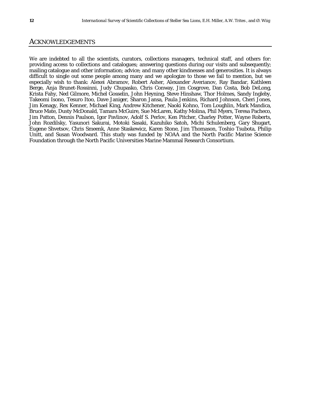#### ACKNOWLEDGEMENTS

We are indebted to all the scientists, curators, collections managers, technical staff, and others for: providing access to collections and catalogues; answering questions during our visits and subsequently; mailing catalogue and other information; advice; and many other kindnesses and generosities. It is always difficult to single out some people among many and we apologize to those we fail to mention, but we especially wish to thank: Alexei Abramov, Robert Asher, Alexander Averianov, Ray Bandar, Kathleen Berge, Anja Brunet-Rossinni, Judy Chupasko, Chris Conway, Jim Cosgrove, Dan Costa, Bob DeLong, Krista Fahy, Ned Gilmore, Michel Gosselin, John Heyning, Steve Hinshaw, Thor Holmes, Sandy Ingleby, Takeomi Isono, Tesuro Itoo, Dave Janiger, Sharon Jansa, Paula Jenkins, Richard Johnson, Cheri Jones, Jim Kenagy, Rex Kenner, Michael King, Andrew Kitchener, Naoki Kohno, Tom Loughlin, Mark Mandica, Bruce Mate, Dusty McDonald, Tamara McGuire, Sue McLaren, Kathy Molina, Phil Myers, Teresa Pacheco, Jim Patton, Dennis Paulson, Igor Pavlinov, Adolf S. Perlov, Ken Pitcher, Charley Potter, Wayne Roberts, John Rozdilsky, Yasunori Sakurai, Motoki Sasaki, Kazuhiko Satoh, Michi Schulenberg, Gary Shugart, Eugene Shvetsov, Chris Smeenk, Anne Staskewicz, Karen Stone, Jim Thomason, Toshio Tsubota, Philip Unitt, and Susan Woodward. This study was funded by NOAA and the North Pacific Marine Science Foundation through the North Pacific Universities Marine Mammal Research Consortium.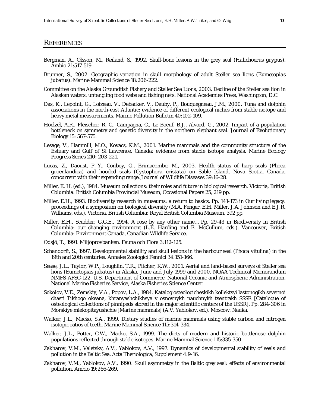#### **REFERENCES**

- Bergman, A., Olsson, M., Reiland, S., 1992. Skull-bone lesions in the grey seal (*Halichoerus grypus*). Ambio 21:517-519.
- Brunner, S., 2002. Geographic variation in skull morphology of adult Steller sea lions (*Eumetopias jubatus*). Marine Mammal Science 18:206-222.
- Committee on the Alaska Groundfish Fishery and Steller Sea Lions, 2003. Decline of the Steller sea lion in Alaskan waters: untangling food webs and fishing nets. National Academies Press, Washington, D.C.
- Das, K., Lepoint, G., Loizeau, V., Debacker, V., Dauby, P., Bouquegneau, J.M., 2000. Tuna and dolphin associations in the north-east Atlantic: evidence of different ecological niches from stable isotope and heavy metal measurements. Marine Pollution Bulletin 40:102-109.
- Hoelzel, A.R., Fleischer, R. C., Campagna, C., Le Boeuf, B.J., Alvord, G., 2002. Impact of a population bottleneck on symmetry and genetic diversity in the northern elephant seal. Journal of Evolutionary Biology 15: 567-575.
- Lesage, V., Hammill, M.O., Kovacs, K.M., 2001. Marine mammals and the community structure of the Estuary and Gulf of St Lawrence, Canada: evidence from stable isotope analysis. Marine Ecology Progress Series 210: 203-221.
- Lucas, Z., Daoust, P.-Y., Conboy, G., Brimacombe, M., 2003. Health status of harp seals (*Phoca groenlandica*) and hooded seals (*Cystophora cristata*) on Sable Island, Nova Scotia, Canada, concurrent with their expanding range. Journal of Wildlife Diseases 39:16-28.
- Miller, E. H. (ed.), 1984. Museum collections: their roles and future in biological research. Victoria, British Columbia: British Columbia Provincial Museum, Occasional Papers 25, 219 pp.
- Miller, E.H., 1993. Biodiversity research in museums: a return to basics. Pp. 141-173 *in* Our living legacy: proceedings of a symposium on biological diversity (M.A. Fenger, E.H. Miller, J.A. Johnson and E.J.R. Williams, eds.). Victoria, British Columbia: Royal British Columbia Museum, 392 pp.
- Miller. E.H., Scudder, G.G.E., 1994. A rose by any other name… Pp. 29-43 *in* Biodiversity in British Columbia: our changing environment (L.E. Harding and E. McCullum, eds.). Vancouver, British Columbia: Environment Canada, Canadian Wildlife Service.
- Odsjö, T., 1991. Miljöprovbanken. Fauna och Flora 3:112-125.
- Schandorff, S., 1997. Developmental stability and skull lesions in the harbour seal (*Phoca vitulina*) in the 19th and 20th centuries. Annales Zoologici Fennici 34:151-166.
- Sease, J.L., Taylor, W.P., Loughlin, T.R., Pitcher, K.W., 2001. Aerial and land-based surveys of Steller sea lions *(Eumetopias jubatu*s) in Alaska, June and July 1999 and 2000. NOAA Technical Memorandum NMFS-AFSC-122. U.S. Department of Commerce, National Oceanic and Atmospheric Administration, National Marine Fisheries Service, Alaska Fisheries Science Center.
- Sokolov, V.E., Zemskiy, V.A., Popov, L.A., 1984. Katalog osteologicheskikh kollektsyi lastonogikh severnoi chasti Tikhogo okeana, khranyashchikhsya v osnovnykh nauchnykh tsentrakh SSSR [Catalogue of osteological collections of pinnipeds stored in the major scientific centers of the USSR]. Pp. 284-306 *in* Morskiye mlekopitayushchie [Marine mammals] (A.V. Yablokov, ed.). Moscow: Nauka.
- Walker, J.L., Macko, S.A., 1999. Dietary studies of marine mammals using stable carbon and nitrogen isotopic ratios of teeth. Marine Mammal Science 115:314-334.
- Walker, J.L., Potter, C.W., Macko, S.A., 1999. The diets of modern and historic bottlenose dolphin populations reflected through stable isotopes. Marine Mammal Science 115:335-350.
- Zakharov, V.M., Valetsky, A.V., Yablokov, A.V., 1997. Dynamics of developmental stability of seals and pollution in the Baltic Sea. Acta Theriologica, Supplement 4:9-16.
- Zakharov, V.M., Yablokov, A.V., 1990. Skull asymmetry in the Baltic grey seal: effects of environmental pollution. Ambio 19:266-269.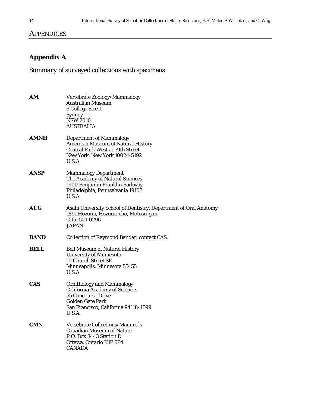## **APPENDICES**

## **Appendix A**

*Summary of surveyed collections with specimens* 

| AM          | Vertebrate Zoology/Mammalogy<br><b>Australian Museum</b><br><b>6 College Street</b><br>Sydney<br><b>NSW 2010</b><br><b>AUSTRALIA</b>                                         |
|-------------|------------------------------------------------------------------------------------------------------------------------------------------------------------------------------|
| <b>AMNH</b> | <b>Department of Mammalogy</b><br><b>American Museum of Natural History</b><br><b>Central Park West at 79th Street</b><br><b>New York, New York 10024-5192</b><br>U.S.A.     |
| <b>ANSP</b> | <b>Mammalogy Department</b><br>The Academy of Natural Sciences<br>1900 Benjamin Franklin Parkway<br>Philadelphia, Pennsylvania 19103<br>U.S.A.                               |
| <b>AUG</b>  | Asahi University School of Dentistry, Department of Oral Anatomy<br>1851 Hozumi, Hozumi-cho, Motosu-gun<br>Gifu, 501-0296<br><b>JAPAN</b>                                    |
| <b>BAND</b> | <b>Collection of Raymond Bandar: contact CAS.</b>                                                                                                                            |
| <b>BELL</b> | <b>Bell Museum of Natural History</b><br><b>University of Minnesota</b><br>10 Church Street SE<br>Minneapolis, Minnesota 55455<br>U.S.A.                                     |
| <b>CAS</b>  | <b>Ornithology and Mammalogy</b><br><b>California Academy of Sciences</b><br><b>55 Concourse Drive</b><br>Golden Gate Park<br>San Francisco, California 94118-4599<br>U.S.A. |
| <b>CMN</b>  | Vertebrate Collections/Mammals<br><b>Canadian Museum of Nature</b><br>P.O. Box 3443 Station D<br>Ottawa, Ontario K1P 6P4<br><b>CANADA</b>                                    |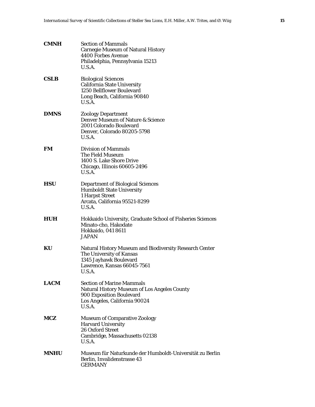| <b>CMNH</b> | <b>Section of Mammals</b><br><b>Carnegie Museum of Natural History</b><br>4400 Forbes Avenue<br>Philadelphia, Pennsylvania 15213<br>U.S.A.                     |
|-------------|----------------------------------------------------------------------------------------------------------------------------------------------------------------|
| <b>CSLB</b> | <b>Biological Sciences</b><br><b>California State University</b><br>1250 Bellflower Boulevard<br>Long Beach, California 90840<br>U.S.A.                        |
| <b>DMNS</b> | <b>Zoology Department</b><br>Denver Museum of Nature & Science<br>2001 Colorado Boulevard<br>Denver, Colorado 80205-5798<br>U.S.A.                             |
| <b>FM</b>   | <b>Division of Mammals</b><br>The Field Museum<br>1400 S. Lake Shore Drive<br>Chicago, Illinois 60605-2496<br>U.S.A.                                           |
| <b>HSU</b>  | <b>Department of Biological Sciences</b><br><b>Humboldt State University</b><br>1 Harpst Street<br>Arcata, California 95521-8299<br>U.S.A.                     |
| HUH         | Hokkaido University, Graduate School of Fisheries Sciences<br>Minato-cho, Hakodate<br>Hokkaido, 041 8611<br>JAPAN                                              |
| KU          | <b>Natural History Museum and Biodiversity Research Center</b><br>The University of Kansas<br>1345 Jayhawk Boulevard<br>Lawrence, Kansas 66045-7561<br>U.S.A.  |
| <b>LACM</b> | <b>Section of Marine Mammals</b><br><b>Natural History Museum of Los Angeles County</b><br>900 Exposition Boulevard<br>Los Angeles, California 90024<br>U.S.A. |
| MCZ.        | <b>Museum of Comparative Zoology</b><br><b>Harvard University</b><br><b>26 Oxford Street</b><br>Cambridge, Massachusetts 02138<br>U.S.A.                       |
| <b>MNHU</b> | Museum für Naturkunde der Humboldt-Universität zu Berlin<br>Berlin, Invalidenstrasse 43<br><b>GERMANY</b>                                                      |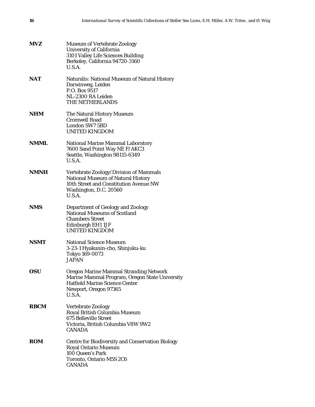| <b>MVZ</b>  | <b>Museum of Vertebrate Zoology</b><br><b>University of California</b><br>3101 Valley Life Sciences Building<br>Berkeley, California 94720-3160<br>U.S.A.                   |
|-------------|-----------------------------------------------------------------------------------------------------------------------------------------------------------------------------|
| NAT         | <b>Naturalis: National Museum of Natural History</b><br>Darwinweg, Leiden<br>P.O. Box 9517<br>NL-2300 RA Leiden<br>THE NETHERLANDS                                          |
| NHM         | The Natural History Museum<br><b>Cromwell Road</b><br>London SW7 5BD<br><b>UNITED KINGDOM</b>                                                                               |
| NMML        | <b>National Marine Mammal Laboratory</b><br>7600 Sand Point Way NE F/AKC3<br>Seattle, Washington 98115-6349<br>U.S.A.                                                       |
| <b>NMNH</b> | Vertebrate Zoology/Division of Mammals<br><b>National Museum of Natural History</b><br>10th Street and Constitution Avenue NW<br>Washington, D.C. 20560<br>U.S.A.           |
| <b>NMS</b>  | <b>Department of Geology and Zoology</b><br><b>National Museums of Scotland</b><br><b>Chambers Street</b><br>Edinburgh EH1 1JF<br><b>UNITED KINGDOM</b>                     |
| NSMT        | <b>National Science Museum</b><br>3-23-1 Hyakunin-cho, Shinjuku-ku<br>Tokyo 169-0073<br><b>JAPAN</b>                                                                        |
| <b>OSU</b>  | <b>Oregon Marine Mammal Stranding Network</b><br>Marine Mammal Program, Oregon State University<br><b>Hatfield Marine Science Center</b><br>Newport, Oregon 97365<br>U.S.A. |
| <b>RBCM</b> | <b>Vertebrate Zoology</b><br>Royal British Columbia Museum<br><b>675 Belleville Street</b><br>Victoria, British Columbia V8W 9W2<br><b>CANADA</b>                           |
| <b>ROM</b>  | <b>Centre for Biodiversity and Conservation Biology</b><br><b>Royal Ontario Museum</b><br>100 Queen's Park<br>Toronto, Ontario M5S 2C6<br><b>CANADA</b>                     |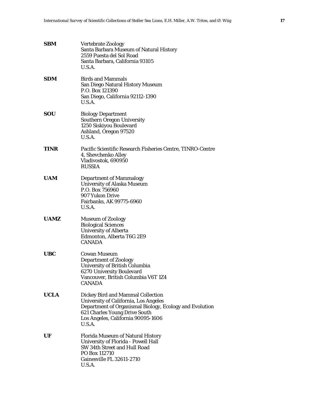| SBM         | <b>Vertebrate Zoology</b><br>Santa Barbara Museum of Natural History<br>2559 Puesta del Sol Road<br>Santa Barbara, California 93105<br>U.S.A.                                                                                 |
|-------------|-------------------------------------------------------------------------------------------------------------------------------------------------------------------------------------------------------------------------------|
| SDM         | <b>Birds and Mammals</b><br>San Diego Natural History Museum<br>P.O. Box 121390<br>San Diego, California 92112-1390<br>U.S.A.                                                                                                 |
| SOU         | <b>Biology Department</b><br><b>Southern Oregon University</b><br>1250 Siskiyou Boulevard<br>Ashland, Oregon 97520<br>U.S.A.                                                                                                  |
| <b>TINR</b> | Pacific Scientific Research Fisheries Centre, TINRO-Centre<br>4, Shevchenko Alley<br>Vladivostok, 690950<br><b>RUSSIA</b>                                                                                                     |
| <b>UAM</b>  | <b>Department of Mammalogy</b><br><b>University of Alaska Museum</b><br>P.O. Box 756960<br>907 Yukon Drive<br>Fairbanks, AK 99775-6960<br>U.S.A.                                                                              |
| <b>UAMZ</b> | <b>Museum of Zoology</b><br><b>Biological Sciences</b><br><b>University of Alberta</b><br>Edmonton, Alberta T6G 2E9<br><b>CANADA</b>                                                                                          |
| UBC         | <b>Cowan Museum</b><br><b>Department of Zoology</b><br>University of British Columbia<br>6270 University Boulevard<br>Vancouver, British Columbia V6T 1Z4<br><b>CANADA</b>                                                    |
| <b>UCLA</b> | Dickey Bird and Mammal Collection<br><b>University of California, Los Angeles</b><br>Department of Organismal Biology, Ecology and Evolution<br>621 Charles Young Drive South<br>Los Angeles, California 90095-1606<br>U.S.A. |
| UF          | <b>Florida Museum of Natural History</b><br>University of Florida - Powell Hall<br>SW 34th Street and Hull Road<br>PO Box 112710<br>Gainesville FL 32611-2710<br>U.S.A.                                                       |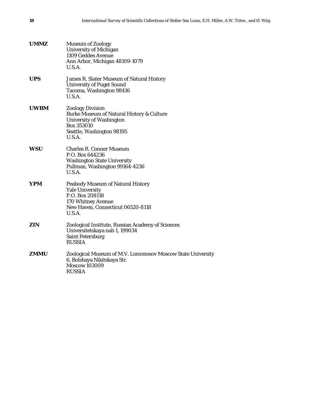| <b>UMMZ</b> | <b>Museum of Zoology</b><br><b>University of Michigan</b><br>1109 Geddes Avenue<br>Ann Arbor, Michigan 48109-1079<br>U.S.A.                                             |
|-------------|-------------------------------------------------------------------------------------------------------------------------------------------------------------------------|
| <b>UPS</b>  | James R. Slater Museum of Natural History<br><b>University of Puget Sound</b><br>Tacoma, Washington 98416<br>U.S.A.                                                     |
| <b>UWBM</b> | <b>Zoology Division</b><br><b>Burke Museum of Natural History &amp; Culture</b><br><b>University of Washington</b><br>Box 353010<br>Seattle, Washington 98195<br>U.S.A. |
| wsu         | <b>Charles R. Conner Museum</b><br>P.O. Box 644236<br><b>Washington State University</b><br>Pullman, Washington 99164-4236<br>U.S.A.                                    |
| YPM         | <b>Peabody Museum of Natural History</b><br><b>Yale University</b><br>P.O. Box 208118<br>170 Whitney Avenue<br>New Haven, Connecticut 06520-8118<br>U.S.A.              |
| ZIN         | Zoological Institute, Russian Academy of Sciences<br>Universitetskaya nab 1, 199034<br><b>Saint Petersburg</b><br><b>RUSSIA</b>                                         |
| ZMMU        | Zoological Museum of M.V. Lomonosov Moscow State University<br>6, Bolshaya Nikitskaya Str.<br><b>Moscow 103009</b><br><b>RUSSIA</b>                                     |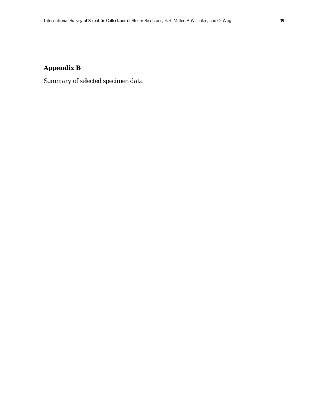## **Appendix B**

*Summary of selected specimen data*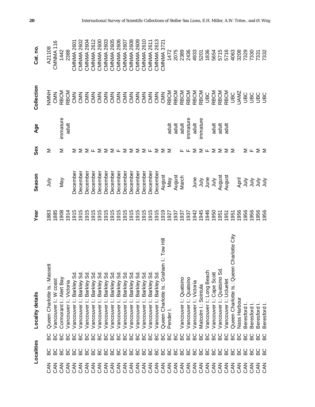|                   | Localities                  | Locality details                                     | Year | Season                     | Sex    | Age         | Collection  | Cat. no              |
|-------------------|-----------------------------|------------------------------------------------------|------|----------------------------|--------|-------------|-------------|----------------------|
| <b>NAC</b>        |                             | Queen Charlotte Is.: Massett<br>ပ္ထ                  | 881  | ∕lul∖                      | Σ      |             | HNNH        | A21108               |
| <b>NAC</b>        | မ္မ                         | Vancouver I: W coast<br>မ္မ                          | 1885 |                            |        |             | CMN         | CMNMA <sub>116</sub> |
| <b>NAC</b>        |                             | Cormorant I.: Alert Bay<br>မိ                        | 1908 | Nay                        | Σ      | immature    | RBCM        | 1442                 |
| <b>NAC</b>        |                             | Vancouver I: Victoria<br>မိ                          | 1914 |                            |        | adult       | <b>RBCM</b> | 2388                 |
| <b>ZAN</b>        |                             | თ<br>ა<br>Vancouver I: Barkley<br>မ္မ                | 1915 | <b>Decembe</b>             | ⋝      |             | CMD         | <b>CMNMA 2601</b>    |
| <b>NAC</b>        |                             | თ<br>ს<br>Vancouver I: Barkley<br>မ္မ                | 1915 | December                   | Σ      |             | CMN         | <b>CMNMA 2602</b>    |
| <b>NAC</b>        | 888888888888888888888888888 | Vancouver I: Barkley Sd<br>မ္မ                       | 1915 | December                   | ∑ ∟    |             |             | <b>CMNMA 2604</b>    |
| <b>NAC</b>        |                             | Vancouver I: Barkley Sd<br>မိ                        | 1915 | December                   |        |             |             | <b>CMNMA 2612</b>    |
| <b>NAC</b>        |                             | ვ<br>ვ<br>Vancouver I: Barkley<br>9S                 | 1915 | December                   | Σ      |             |             | CMNMA 2600           |
| <b>NAC</b>        |                             | Vancouver I: Barkley Sd<br>မိ                        | 1915 | December                   | Σ      |             |             | CMNMA 2603           |
| <b>ZAN</b>        |                             | Vancouver I: Barkley Sd<br>9S                        | 1915 | December                   | Σ∟     |             |             | CMNMA 2605           |
| <b>SAN</b>        |                             | Vancouver I: Barkley Sd<br>9S                        | 1915 | December                   |        |             |             | CMNMA 2606           |
| <b>Z<br/>CAN</b>  |                             | Vancouver I: Barkley Sd<br>မိ                        | 1915 | December                   | Σ      |             |             | <b>CMNMA 2607</b>    |
| <b>Z<br/>CAN</b>  |                             | Vancouver I: Barkley Sd<br>မိ                        | 1915 | December                   | Σ      |             |             | <b>CMNMA 2608</b>    |
| CAN               |                             | Vancouver I: Barkley Sd<br>မိ                        | 1915 | December                   | Σ      |             |             | <b>CMNMA 2609</b>    |
| CAN               |                             | Vancouver I: Barkley Sd<br>မိ                        | 1915 | December                   | ⋝      |             |             | CMNMA 2610           |
| <b>CAN</b>        |                             | Vancouver I: Barkley Sd<br>မိ                        | 1915 | December                   | ட      |             |             | <b>CMNMA 2611</b>    |
| CAN               |                             | Vancouver I: Barkley Sd<br>9G                        | 1915 | December                   | Σ      |             |             | <b>CMNMA 2613</b>    |
| CAN               |                             | Queen Charlotte Is.: Graham I: Tow Hill<br>ЭG        | 1919 | August                     | ⋝      |             | CMD         | CMNMA 3721           |
| <b>SAN</b>        |                             | Pender<br><b>DG</b>                                  | 1927 | Nay                        | Σ      | adult       | RBCM        | 1472                 |
| CAN               |                             | 9C                                                   | 937  | August                     |        | adult       | <b>RBCM</b> | 2075                 |
| <b>Z<br/>CAN</b>  |                             | Vancouver I: Quatsino<br>မိ                          | 937  | March                      | ட      | adult       | <b>RBCM</b> | 2389                 |
| <b>Z<br/>CAN</b>  |                             | Vancouver I: Quatsino<br>9G                          | 1937 |                            |        | immature    | <b>RBCM</b> | 2436                 |
| <b>CAN</b>        |                             | Vancouver I: Victoria<br>မိ                          | 942  | June                       | Σ      | adult       | <b>RBCM</b> | 4933                 |
| CAN               |                             | Malcolm I.: Sointula<br>5C                           | 1945 | $\frac{1}{2}$              | Σ      | inmature    | <b>RBCM</b> | 5201                 |
| <b>NAC</b>        |                             | Vancouver I: Long Beach<br>9G                        | 946  | June                       | Щ      |             | <b>UBC</b>  | 1836                 |
| <b>ZAN</b>        |                             | Vancouver I: Cape Scott<br>မိ                        | 950  | $\frac{\geq}{\frac{1}{2}}$ | Σ      | adult       | <b>RBCM</b> | 5654                 |
| <b>NAC</b>        |                             | Vancouver I.: Quatsino Sd.<br>မိ                     | 951  | August                     | Σ      | adult       | <b>RBCM</b> | 5715                 |
| <b>NAC</b>        | မိ                          | Vancouver I: Ucluelet<br>မိ                          | 951  | August                     | Σ      | $rac{1}{2}$ | <b>RBCM</b> | 5716                 |
| <b>ZAN</b>        | မိ                          | n Charlotte City<br>Queen Charlotte Is.: Queen<br>မိ | 951  |                            | Σ      |             | <b>UBC</b>  | 4063                 |
| <b>NAC</b>        | မိ                          | Nass Harbour<br>မိ                                   | 956  | April                      |        |             | <b>UAMZ</b> | 3208                 |
| <b>NAC</b>        | ပ္ထ                         | Beresford<br>မ္မ                                     | 956  | $\frac{1}{2}$              | Σ      |             | <b>UBC</b>  | 7329                 |
| <b>CAN</b>        | ပ္ထ                         | Beresford<br>မ္မ                                     | 956  | ληλ                        | Щ      |             | <b>SEU</b>  | 7330                 |
|                   | ပ္ထ                         | Beresford<br>မ္မ                                     | 956  |                            | $\geq$ |             | <b>OBU</b>  | 7331                 |
| <b>ZAN</b><br>CAN | ပ္ထ                         | Beresford<br>မ္မ                                     | 1956 | うう                         |        |             | <b>SEL</b>  | 7332                 |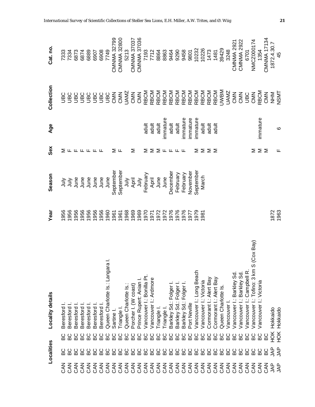|                 | Localities       |              | Locality details                             | Year                                 | Season                                                                                                                                                                                                                                                                                                                                                                                                                     | Sex                                 | Age                     | Collection                                                                | Cat. no.                           |
|-----------------|------------------|--------------|----------------------------------------------|--------------------------------------|----------------------------------------------------------------------------------------------------------------------------------------------------------------------------------------------------------------------------------------------------------------------------------------------------------------------------------------------------------------------------------------------------------------------------|-------------------------------------|-------------------------|---------------------------------------------------------------------------|------------------------------------|
| Μ<br>Ο          | မ္မ              | ပ္ထ          | Beresford                                    | 1956                                 | $\begin{array}{r} \mathsf{JJ} \mathsf{J} \mathsf{J} \mathsf{J} \mathsf{J} \mathsf{J} \mathsf{J} \mathsf{J} \mathsf{J} \mathsf{J} \mathsf{J} \mathsf{J} \mathsf{J} \mathsf{J} \mathsf{J} \mathsf{J} \mathsf{J} \mathsf{J} \mathsf{J} \mathsf{J} \mathsf{J} \mathsf{J} \mathsf{J} \mathsf{J} \mathsf{J} \mathsf{J} \mathsf{J} \mathsf{J} \mathsf{J} \mathsf{J} \mathsf{J} \mathsf{J} \mathsf{J} \mathsf{J} \mathsf{J} \math$ |                                     |                         |                                                                           |                                    |
| <b>NAC</b>      |                  |              | Beresford                                    | 1956                                 |                                                                                                                                                                                                                                                                                                                                                                                                                            |                                     |                         |                                                                           | 7333<br>7334                       |
| M<br>S          |                  |              | Beresford                                    | 1956                                 |                                                                                                                                                                                                                                                                                                                                                                                                                            |                                     |                         |                                                                           | 6873                               |
| <b>NAC</b>      |                  |              | Beresford                                    | 1956                                 |                                                                                                                                                                                                                                                                                                                                                                                                                            |                                     |                         |                                                                           | 6874                               |
| <b>SAN</b>      |                  | 0000<br>8888 | Beresford                                    | 1956                                 |                                                                                                                                                                                                                                                                                                                                                                                                                            | 2 L L L L L L                       |                         |                                                                           | 6889                               |
|                 |                  | 9S           | Beresford I                                  | 1956                                 |                                                                                                                                                                                                                                                                                                                                                                                                                            |                                     |                         |                                                                           |                                    |
|                 | 8888888888888888 | 9C           | Beresford I                                  | 1956                                 |                                                                                                                                                                                                                                                                                                                                                                                                                            |                                     |                         |                                                                           | 6477<br>8069<br>8069               |
|                 |                  | မိ           | Queen Charlotte Is.: Langara I.              | 1960                                 |                                                                                                                                                                                                                                                                                                                                                                                                                            |                                     |                         |                                                                           |                                    |
|                 |                  | မိ           | Sartine                                      |                                      |                                                                                                                                                                                                                                                                                                                                                                                                                            | Σ                                   |                         |                                                                           |                                    |
|                 |                  | 5C           | Triangle I.                                  | 1961<br>1968<br>1969<br>1970<br>1970 |                                                                                                                                                                                                                                                                                                                                                                                                                            | ட                                   |                         |                                                                           | CMNMA 32799<br>CMNMA 32800<br>5213 |
|                 |                  |              | Queen Charlotte Is.:                         |                                      |                                                                                                                                                                                                                                                                                                                                                                                                                            |                                     |                         |                                                                           |                                    |
|                 |                  | 0000<br>8888 | Porcher I. (W coast)                         |                                      | July<br>April<br>July<br>February                                                                                                                                                                                                                                                                                                                                                                                          | Σ                                   |                         |                                                                           | CMNMA 37037<br>CMNMA 37036         |
|                 |                  |              | Prince Rupert: Anian I.                      |                                      |                                                                                                                                                                                                                                                                                                                                                                                                                            |                                     |                         |                                                                           |                                    |
|                 |                  |              | Vancouver I.: Bonilla Pt.                    |                                      |                                                                                                                                                                                                                                                                                                                                                                                                                            | Σ                                   |                         |                                                                           |                                    |
|                 |                  | မိ           | Vancouver I: Ardmore                         | 1971                                 |                                                                                                                                                                                                                                                                                                                                                                                                                            |                                     |                         |                                                                           |                                    |
|                 |                  | မိ           | Triangle I.                                  | 1972                                 | April<br>June                                                                                                                                                                                                                                                                                                                                                                                                              | $\Sigma$ $\Sigma$ $\mu$ $\mu$ $\mu$ | aduit<br>aduit<br>aduit | RR<br>RRABBAR<br>RRABBAR<br>RRABBAR<br>RRABBAR<br>RRABBAR<br>RRABBAR<br>S |                                    |
|                 |                  | 9G           | Triangle I                                   | 1972                                 | June                                                                                                                                                                                                                                                                                                                                                                                                                       |                                     | immature                |                                                                           |                                    |
|                 |                  | 6C           | Barkley Sd.: Folger I.                       | 1976                                 | December                                                                                                                                                                                                                                                                                                                                                                                                                   |                                     | adult<br>adult          |                                                                           |                                    |
|                 | မ္မ              | မိ           | Barkley Sd: Folger                           | 1976                                 | February                                                                                                                                                                                                                                                                                                                                                                                                                   |                                     |                         |                                                                           |                                    |
|                 | မိ               | 9C           | Barkley Sd.: Folger I                        | 1976                                 | February                                                                                                                                                                                                                                                                                                                                                                                                                   |                                     | mmature                 |                                                                           |                                    |
| CAN             | 6C               | 9C           | Port Neville                                 | 1977                                 | November                                                                                                                                                                                                                                                                                                                                                                                                                   |                                     | mmature                 |                                                                           |                                    |
| CAN             | မိ               | မ္မ          | Vancouver I: Long Beach                      | 1979                                 | September                                                                                                                                                                                                                                                                                                                                                                                                                  | Σ                                   | immature                |                                                                           |                                    |
| CAN             | မိ               | မ္မ          | Vancouver I: Victoria                        | 1981                                 | March                                                                                                                                                                                                                                                                                                                                                                                                                      | Σ                                   | adult                   |                                                                           |                                    |
| CAN             | 6C               | မိ           | Cormorant I.: Alert Bay                      |                                      |                                                                                                                                                                                                                                                                                                                                                                                                                            | $\geq$                              | adult                   |                                                                           |                                    |
| CAN             | ВC<br>В          | မိ           | Cormorant I.: Alert Bay                      |                                      |                                                                                                                                                                                                                                                                                                                                                                                                                            |                                     | adult                   |                                                                           |                                    |
| <b>SAN</b>      | 6C               | မိ           | Queen Charlotte Is                           |                                      |                                                                                                                                                                                                                                                                                                                                                                                                                            |                                     |                         |                                                                           |                                    |
| <b>NAC</b>      | 6C               | 9G           | Vancouver                                    |                                      |                                                                                                                                                                                                                                                                                                                                                                                                                            |                                     |                         | UAMZ                                                                      |                                    |
| <b>NAC</b>      | 6C               | မိ           | Barkley Sd.<br>Vancouver I                   |                                      |                                                                                                                                                                                                                                                                                                                                                                                                                            |                                     |                         | CMN                                                                       | <b>CMNMA 2921</b><br>CMNMA 2922    |
| <b>NAC</b>      | 9S               | 9G           | Barkley Sd.<br>Vancouver I                   |                                      |                                                                                                                                                                                                                                                                                                                                                                                                                            |                                     |                         | CMS<br>UBC<br>CMN                                                         |                                    |
| <b>NAC</b>      | 9S               | ВC           | : Campbell R.<br>Vancouver                   |                                      |                                                                                                                                                                                                                                                                                                                                                                                                                            |                                     |                         |                                                                           | 6701                               |
| <b>NAC</b>      | 6G               | <b>DG</b>    | S (Cox Bay)<br>: Tofino: 3 km<br>Vancouver I |                                      |                                                                                                                                                                                                                                                                                                                                                                                                                            | Σ                                   |                         |                                                                           | NMCZ000174                         |
| <b>NAC</b>      | မ္မ              | 9C           | Vancouver I.: Victoria                       |                                      |                                                                                                                                                                                                                                                                                                                                                                                                                            | $\geq$                              | immature                | RBCM<br>CMN                                                               | 1354                               |
| M<br>S          | 9C               | BC           |                                              |                                      |                                                                                                                                                                                                                                                                                                                                                                                                                            |                                     |                         |                                                                           | <b>CMNMA 17134</b>                 |
| 34 <sup>2</sup> | <b>AR</b><br>SAP | НOК          | Hokkaido                                     |                                      |                                                                                                                                                                                                                                                                                                                                                                                                                            |                                     |                         | TARIN<br>NSMT                                                             | 1872.4.30.7<br>45                  |
|                 |                  | HOK          | Hokkaido                                     | 1872<br>1963                         |                                                                                                                                                                                                                                                                                                                                                                                                                            | щ                                   | G                       |                                                                           |                                    |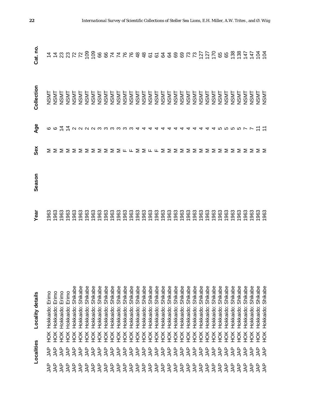|            | Localities |            | Locality details     | Yea                                                    | Season | Sex                                                                                                                                                                 | Age                               | Collection          | Cat. no                                                                                                                                                                                                                                                                                                                                                                                                         |
|------------|------------|------------|----------------------|--------------------------------------------------------|--------|---------------------------------------------------------------------------------------------------------------------------------------------------------------------|-----------------------------------|---------------------|-----------------------------------------------------------------------------------------------------------------------------------------------------------------------------------------------------------------------------------------------------------------------------------------------------------------------------------------------------------------------------------------------------------------|
| g          | ξ          | HOK        | Hokkaido: Erimo      | 1963                                                   |        |                                                                                                                                                                     |                                   |                     |                                                                                                                                                                                                                                                                                                                                                                                                                 |
| <b>AP</b>  | <b>AP</b>  | HOK        | Hokkaido: Erimo      |                                                        |        |                                                                                                                                                                     |                                   | <b>NSMT</b><br>NSMT |                                                                                                                                                                                                                                                                                                                                                                                                                 |
| gAL        | gAL        | HOK        | Erimo<br>Hokkaido:   | 1963<br>1963                                           |        |                                                                                                                                                                     |                                   | <b>NSMT</b>         |                                                                                                                                                                                                                                                                                                                                                                                                                 |
| SNL        | ξÅ         | HOK        | Erimo<br>Hokkaido:   | 963                                                    |        |                                                                                                                                                                     |                                   | <b>NSMT</b>         |                                                                                                                                                                                                                                                                                                                                                                                                                 |
| <b>AP</b>  | <b>AP</b>  | HOK        | Shikabe<br>Hokkaido: | 1963                                                   |        |                                                                                                                                                                     |                                   | <b>NSMT</b>         |                                                                                                                                                                                                                                                                                                                                                                                                                 |
| <b>AP</b>  | <b>AP</b>  | HOK        | Shikabe<br>Hokkaido: | 1963                                                   |        |                                                                                                                                                                     |                                   | <b>NSMT</b>         |                                                                                                                                                                                                                                                                                                                                                                                                                 |
| <b>AP</b>  | <b>AP</b>  | ŘЯ         | Shikabe<br>Hokkaido: | 1963                                                   |        |                                                                                                                                                                     |                                   |                     |                                                                                                                                                                                                                                                                                                                                                                                                                 |
| <b>AP</b>  | <b>AP</b>  | HOK        | Shikabe<br>Hokkaido: | 1963                                                   |        |                                                                                                                                                                     |                                   |                     |                                                                                                                                                                                                                                                                                                                                                                                                                 |
| <b>AP</b>  | <b>AP</b>  | <b>HOK</b> | Shikabe<br>Hokkaido: | 1963                                                   |        |                                                                                                                                                                     |                                   |                     |                                                                                                                                                                                                                                                                                                                                                                                                                 |
| <b>AP</b>  | <b>AP</b>  | ŘЯ         | Shikabe<br>Hokkaido: | 1963<br>1963                                           |        |                                                                                                                                                                     |                                   |                     |                                                                                                                                                                                                                                                                                                                                                                                                                 |
| <b>AP</b>  | <b>AP</b>  | HOK        | Shikabe<br>Hokkaido: |                                                        |        |                                                                                                                                                                     |                                   |                     |                                                                                                                                                                                                                                                                                                                                                                                                                 |
| <b>AP</b>  | <b>AP</b>  | НÖК        | Shikabe<br>Hokkaido: |                                                        |        |                                                                                                                                                                     |                                   |                     |                                                                                                                                                                                                                                                                                                                                                                                                                 |
| <b>AP</b>  | <b>AP</b>  | HOK        | Shikabe<br>Hokkaido: |                                                        |        |                                                                                                                                                                     |                                   |                     |                                                                                                                                                                                                                                                                                                                                                                                                                 |
| <b>AP</b>  | <b>AP</b>  | HOK        | Shikabe<br>Hokkaido: |                                                        |        |                                                                                                                                                                     |                                   |                     |                                                                                                                                                                                                                                                                                                                                                                                                                 |
| <b>AP</b>  | <b>AP</b>  | ЯОК        | Shikabe<br>Hokkaido: |                                                        |        |                                                                                                                                                                     |                                   |                     |                                                                                                                                                                                                                                                                                                                                                                                                                 |
| <b>AP</b>  | <b>AP</b>  | HOK        | Shikabe<br>Hokkaido: |                                                        |        |                                                                                                                                                                     |                                   |                     |                                                                                                                                                                                                                                                                                                                                                                                                                 |
| <b>AP</b>  | <b>AP</b>  | ŘЯ         | Shikabe<br>Hokkaido: |                                                        |        |                                                                                                                                                                     |                                   |                     |                                                                                                                                                                                                                                                                                                                                                                                                                 |
| <b>AP</b>  | <b>AP</b>  | HOK        | Shikabe<br>Hokkaido: |                                                        |        |                                                                                                                                                                     |                                   |                     |                                                                                                                                                                                                                                                                                                                                                                                                                 |
| <b>AP</b>  | <b>AP</b>  | ŘЯ         | Shikabe<br>Hokkaido: |                                                        |        |                                                                                                                                                                     |                                   |                     |                                                                                                                                                                                                                                                                                                                                                                                                                 |
| <b>AP</b>  | <b>AP</b>  | ЯČН        | Shikabe<br>Hokkaido: |                                                        |        |                                                                                                                                                                     |                                   |                     |                                                                                                                                                                                                                                                                                                                                                                                                                 |
| <b>JAP</b> | <b>AP</b>  | ЯCH        | Shikabe<br>Hokkaido: |                                                        |        |                                                                                                                                                                     |                                   |                     |                                                                                                                                                                                                                                                                                                                                                                                                                 |
| <b>AP</b>  | <b>AP</b>  | ЯCH        | Shikabe<br>Hokkaido: |                                                        |        |                                                                                                                                                                     |                                   |                     |                                                                                                                                                                                                                                                                                                                                                                                                                 |
| <b>AP</b>  | <b>AP</b>  | ЯCH        | Shikabe<br>Hokkaido: | <u>9686868686868686868686</u><br>968686966868686868686 |        | $\Sigma \Sigma \Sigma \Sigma \Sigma \Sigma \Sigma \Sigma \vdash \bot \Sigma \Sigma \bot \bot \Sigma \Sigma \Sigma \Sigma \Sigma \Sigma \Sigma \Sigma \Sigma \Sigma$ | cotivuuun muutta aaddaddaddu muut |                     | $\begin{array}{l} \mathbf{\, z\,} \mathbf{\, z\,} \mathbf{\, z\,} \mathbf{\, z\,} \mathbf{\, z\,} \mathbf{\, z\,} \mathbf{\, z\,} \mathbf{\, z\,} \mathbf{\, z\,} \mathbf{\, z\,} \mathbf{\, z\,} \mathbf{\, z\,} \mathbf{\, z\,} \mathbf{\, z\,} \mathbf{\, z\,} \mathbf{\, z\,} \mathbf{\, z\,} \mathbf{\, z\,} \mathbf{\, z\,} \mathbf{\, z\,} \mathbf{\, z\,} \mathbf{\, z\,} \mathbf{\, z\,} \mathbf{\, z$ |
| <b>AP</b>  | <b>AP</b>  | ŘЯ         | Shikabe<br>Hokkaido: |                                                        |        |                                                                                                                                                                     |                                   |                     |                                                                                                                                                                                                                                                                                                                                                                                                                 |
| <b>AP</b>  | <b>AP</b>  | ЯCH        | Shikabe<br>Hokkaido: |                                                        |        |                                                                                                                                                                     |                                   | <b>NSMT</b>         |                                                                                                                                                                                                                                                                                                                                                                                                                 |
| <b>AP</b>  | <b>AP</b>  | ЯCH        | Shikabe<br>Hokkaido: |                                                        |        |                                                                                                                                                                     |                                   | <b>NSMT</b>         |                                                                                                                                                                                                                                                                                                                                                                                                                 |
| <b>AP</b>  | <b>AP</b>  | ЯČН        | Shikabe<br>Hokkaido: |                                                        |        |                                                                                                                                                                     |                                   | <b>NSMT</b>         |                                                                                                                                                                                                                                                                                                                                                                                                                 |
| <b>AP</b>  | <b>AP</b>  | HOK        | Shikabe<br>Hokkaido: | 1963                                                   |        |                                                                                                                                                                     |                                   | <b>NSMT</b>         |                                                                                                                                                                                                                                                                                                                                                                                                                 |
| <b>AP</b>  | 44         | ЯČН        | Shikabe<br>Hokkaido: | 1963                                                   |        | ⋝                                                                                                                                                                   |                                   | <b>NSMT</b>         |                                                                                                                                                                                                                                                                                                                                                                                                                 |
| <b>AP</b>  | <b>AP</b>  | ЯČН        | Shikabe<br>Hokkaido: | 1963                                                   |        | ≅                                                                                                                                                                   |                                   | <b>NSMT</b>         |                                                                                                                                                                                                                                                                                                                                                                                                                 |
| gyr        | 44         | HOK        | Shikabe<br>Hokkaido: | 1963                                                   |        | Σ                                                                                                                                                                   |                                   | <b>NSMT</b>         |                                                                                                                                                                                                                                                                                                                                                                                                                 |
| 44         | gyr        | ŠК         | Shikabe<br>Hokkaido: | 1963                                                   |        | Σ                                                                                                                                                                   |                                   | <b>NSMT</b>         |                                                                                                                                                                                                                                                                                                                                                                                                                 |
| LAP        | LAP        | <b>HOK</b> | Shikabe<br>Hokkaido: | 1963                                                   |        | Σ                                                                                                                                                                   |                                   | <b>NSMT</b>         |                                                                                                                                                                                                                                                                                                                                                                                                                 |
| <b>AP</b>  | LAP        | HOK        | Shikabe<br>Hokkaido: | 963<br>963                                             |        | ∑ ∑                                                                                                                                                                 |                                   | <b>NSMT</b><br>NSMT |                                                                                                                                                                                                                                                                                                                                                                                                                 |
| <b>AP</b>  | <b>AP</b>  | HOK        | Shikabe<br>Hokkaido: |                                                        |        |                                                                                                                                                                     |                                   |                     |                                                                                                                                                                                                                                                                                                                                                                                                                 |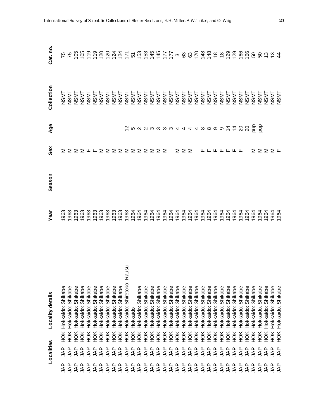|           | Localities                                       |                  | Locality details              | Year | Season | Sex                                                                                                        | Age      | Collection  | Cat. no.                         |
|-----------|--------------------------------------------------|------------------|-------------------------------|------|--------|------------------------------------------------------------------------------------------------------------|----------|-------------|----------------------------------|
| ξ         | <b>AP</b>                                        | НOК              | Hokkaido: Shikabe             | 963  |        | Σ                                                                                                          |          | <b>NSMT</b> |                                  |
| <b>AP</b> | <b>AP</b>                                        | HOK              | Hokkaido: Shikabe             | 1963 |        |                                                                                                            |          | <b>NSMT</b> | <b>75</b>                        |
| gyr       | <b>AP</b>                                        | HOK              | Hokkaido: Shikabe             | 963  |        | $\Sigma \Sigma \vdash \vdash \Sigma \Sigma \Sigma \Sigma \Sigma \Sigma \Sigma \Sigma \Sigma \Sigma \Sigma$ |          | <b>NSMT</b> |                                  |
| gAL       | <b>AP</b>                                        | $\frac{1}{2}$    | Hokkaido: Shikabe             | 963  |        |                                                                                                            |          | <b>NSMT</b> |                                  |
| <b>AP</b> | <b>AP</b>                                        | ŠК               | Hokkaido: Shikabe             | 963  |        |                                                                                                            |          | <b>NSMT</b> |                                  |
| <b>AP</b> | <b>AP</b>                                        | ЯCH              | Hokkaido: Shikabe             | 963  |        |                                                                                                            |          | <b>NSMT</b> |                                  |
| gyr       | <b>AP</b>                                        | ŘЯ               | Hokkaido: Shikabe             | 1963 |        |                                                                                                            |          | <b>NSMT</b> |                                  |
| g         | <b>AP</b>                                        | ŘЯ               | Hokkaido: Shikabe             | 1963 |        |                                                                                                            |          | <b>NSMT</b> |                                  |
| gyr       | $\overline{\mathsf{A}}$                          | НÖК              | Hokkaido: Shikabe             | 1963 |        |                                                                                                            |          | <b>NSMT</b> |                                  |
| <b>AP</b> | <b>AP</b>                                        | ŠК               | Hokkaido: Shikabe             | 1963 |        |                                                                                                            |          | <b>NSMT</b> |                                  |
| <b>AP</b> | <b>AP</b>                                        | ЯCH              | Shiretoko: Rausu<br>Hokkaido: | 1963 |        |                                                                                                            |          | <b>NSMT</b> |                                  |
| <b>AP</b> | 4P                                               | ЯCH              | Hokkaido                      | 1964 |        |                                                                                                            |          | <b>NSMT</b> |                                  |
| <b>AP</b> |                                                  | Ж                | Hokkaido: Shikabe             | 1964 |        |                                                                                                            |          | <b>NSMT</b> |                                  |
| <b>AP</b> |                                                  | ЯCH              | Hokkaido: Shikabe             | 1964 |        |                                                                                                            |          | <b>NSMT</b> |                                  |
| ξÅ        |                                                  | ЯCH              | Shikabe<br>Hokkaido:          | 1964 |        |                                                                                                            |          | <b>NSMT</b> |                                  |
| <b>AP</b> |                                                  | ЯCH              | Shikabe<br>Hokkaido:          | 1964 |        |                                                                                                            |          | <b>NSMT</b> |                                  |
| <b>AP</b> |                                                  | H <sub>O</sub> K | Shikabe<br>Hokkaido:          | 1964 |        |                                                                                                            |          | <b>NSMT</b> |                                  |
| <b>AP</b> |                                                  | ЯCH              | Shikabe<br>Hokkaido:          | 1964 |        |                                                                                                            |          | <b>NSMT</b> |                                  |
| gyr       |                                                  | ЯCH              | Shikabe<br>Hokkaido:          | 1964 |        |                                                                                                            |          | <b>NSMT</b> |                                  |
| gyr       |                                                  | ŠК               | Shikabe<br>Hokkaido:          | 1964 |        | ΣΣΣ                                                                                                        |          | <b>NSMT</b> |                                  |
| <b>AP</b> |                                                  | ŘЯ               | Shikabe<br>Hokkaido:          | 1964 |        |                                                                                                            |          | <b>NSMT</b> |                                  |
| gyr       |                                                  | ŘЯ               | Shikabe<br>Hokkaido:          | 1964 |        |                                                                                                            |          | <b>NSMT</b> |                                  |
| <b>AP</b> | : 2222222222222<br>: 5 5 6 6 6 6 6 6 6 6 6 6 7 6 | ŘЯ               | Shikabe<br>Hokkaido:          | 1964 |        |                                                                                                            |          | <b>NSMT</b> | 59925202425566545553865488888866 |
| 44        |                                                  | ŘЯ               | Shikabe<br>Hokkaido:          | 1964 |        | <b>L L L L L L L</b>                                                                                       |          | <b>NSMT</b> |                                  |
| gyr       |                                                  | ЯCH              | Shikabe<br>Hokkaido:          | 1964 |        |                                                                                                            |          | <b>NSMT</b> |                                  |
| 44        | <b>AP</b>                                        | HOK              | Shikabe<br>Hokkaido:          | 1964 |        |                                                                                                            |          | <b>NSMT</b> |                                  |
| 4N        | <b>AP</b>                                        | ŘЯ               | Shikabe<br>Hokkaido:          | 964  |        |                                                                                                            |          | <b>NSMT</b> |                                  |
| 4Ap       | <b>AP</b>                                        | ŘЯ               | Shikabe<br>Hokkaido:          | 964  |        |                                                                                                            |          | <b>NSMT</b> |                                  |
| ٩A        | <b>AP</b>                                        | HOK              | Shikabe<br>Hokkaido:          | 964  |        |                                                                                                            | 448      | <b>NSMT</b> |                                  |
| g         | 44                                               | HOK              | Shikabe<br>Hokkaido:          | 964  |        |                                                                                                            | $\infty$ | <b>NSMT</b> |                                  |
| g         | 44                                               | HOK              | Shikabe<br>Hokkaido:          | 964  |        | Σ                                                                                                          | 불불       | <b>NSMT</b> | $50\,$                           |
| 44        | 44                                               | HOK              | Shikabe<br>Hokkaido:          | 964  |        | ΣΣ                                                                                                         |          | <b>NSMT</b> |                                  |
| 44        | 44P                                              | HOK              | Shikabe<br>Hokkaido:          | 964  |        |                                                                                                            |          | <b>NSMT</b> | 8554                             |
| ξÅ        | 44                                               | HOK              | Shikabe<br>Hokkaido:          | 964  |        | ∑ ⊔                                                                                                        |          | <b>NSMT</b> |                                  |
| ΑP        | AP                                               | HOK              | Shikabe<br>Hokkaido:          | 964  |        |                                                                                                            |          | <b>NSMT</b> |                                  |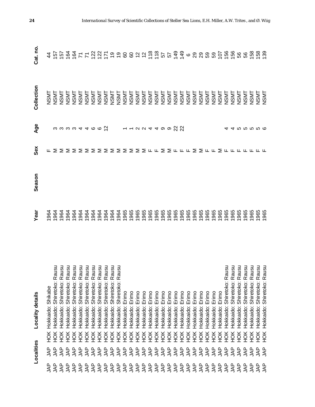|                            | Localities               |     | Locality details                                                                                                                                                                                                            | Yea                                                      | Season | Sex                                        | Age                                                                                                                                                                                                 | Collection            | Cat. no                                                                        |
|----------------------------|--------------------------|-----|-----------------------------------------------------------------------------------------------------------------------------------------------------------------------------------------------------------------------------|----------------------------------------------------------|--------|--------------------------------------------|-----------------------------------------------------------------------------------------------------------------------------------------------------------------------------------------------------|-----------------------|--------------------------------------------------------------------------------|
| ௳<br>ξ                     | g<br>Al                  | HOK | Shikabe<br>Hokkaido:                                                                                                                                                                                                        | 964                                                      |        |                                            |                                                                                                                                                                                                     |                       |                                                                                |
| <b>AP</b>                  | <b>AP</b>                | HOK | Rausu<br>Hokkaido: Shiretoko:                                                                                                                                                                                               |                                                          |        |                                            |                                                                                                                                                                                                     |                       |                                                                                |
| <b>AP</b>                  | <b>AP</b>                | ŘЯ  |                                                                                                                                                                                                                             |                                                          |        |                                            |                                                                                                                                                                                                     |                       |                                                                                |
| <b>AP</b>                  | ξ                        | НÖК |                                                                                                                                                                                                                             |                                                          |        |                                            |                                                                                                                                                                                                     |                       |                                                                                |
| <b>AP</b>                  | <b>AP</b>                | НÖК |                                                                                                                                                                                                                             |                                                          |        |                                            |                                                                                                                                                                                                     |                       |                                                                                |
| <b>AP</b>                  | <b>AP</b>                | НÖК | (Hokkaido: Shiretoko: Rausu<br>1 Hokkaido: Shiretoko: Rausu<br>1 Hokkaido: Shiretoko: Rausu<br>1 Hokkaido: Shiretoko: Rausu<br>1 Hokkaido: Shiretoko: Rausu<br>1 Hokkaido: Shiretoko: Rausu<br>1 Hokkaido: Shiretoko: Rausu | <b>9999999999999</b><br>9999999999999                    |        |                                            |                                                                                                                                                                                                     |                       |                                                                                |
| 44                         | <b>AP</b>                | НÖК |                                                                                                                                                                                                                             |                                                          |        |                                            |                                                                                                                                                                                                     |                       |                                                                                |
| 44                         | <b>AP</b>                | ŘЯ  |                                                                                                                                                                                                                             |                                                          |        |                                            |                                                                                                                                                                                                     |                       |                                                                                |
| 44                         | <b>AP</b>                | ЯČН |                                                                                                                                                                                                                             |                                                          |        |                                            |                                                                                                                                                                                                     |                       |                                                                                |
| 44                         | <b>AP</b>                | НÖК |                                                                                                                                                                                                                             |                                                          |        |                                            |                                                                                                                                                                                                     |                       |                                                                                |
| <b>AP</b>                  | <b>AP</b>                | НÖК |                                                                                                                                                                                                                             |                                                          |        |                                            |                                                                                                                                                                                                     |                       |                                                                                |
| <b>AP</b>                  | <b>AP</b>                | НÖК | <u>nsn</u><br>Hokkaido: Shiretoko: Ra                                                                                                                                                                                       |                                                          |        |                                            |                                                                                                                                                                                                     |                       |                                                                                |
| 44                         | <b>AP</b>                | ŘЯ  | Hokkaido: Erimo                                                                                                                                                                                                             |                                                          |        |                                            |                                                                                                                                                                                                     |                       |                                                                                |
| <b>AP</b>                  | <b>AP</b>                | ŘЯ  | Erimo<br>Hokkaido:                                                                                                                                                                                                          | 8<br>8<br>8<br>8<br>8<br>8<br>8<br>8<br>8<br>8<br>8      |        |                                            |                                                                                                                                                                                                     |                       |                                                                                |
| <b>AP</b>                  | <b>AP</b>                | НÖК | Erimo<br>Hokkaido:                                                                                                                                                                                                          |                                                          |        |                                            |                                                                                                                                                                                                     |                       |                                                                                |
| <b>AP</b>                  | <b>AP</b>                | НÖК | Erimo<br>Hokkaido:                                                                                                                                                                                                          |                                                          |        |                                            |                                                                                                                                                                                                     |                       |                                                                                |
| <b>AP</b>                  | <b>AP</b>                | НÖК | Erimo<br>Hokkaido:                                                                                                                                                                                                          |                                                          |        |                                            |                                                                                                                                                                                                     |                       |                                                                                |
| <b>AP</b>                  | <b>AP</b>                | НÖК | Erimo<br>Hokkaido:                                                                                                                                                                                                          |                                                          |        |                                            |                                                                                                                                                                                                     |                       |                                                                                |
| <b>AP</b>                  | <b>AP</b>                | HOK | Erimo<br>Hokkaido:                                                                                                                                                                                                          | 1965                                                     |        |                                            |                                                                                                                                                                                                     |                       |                                                                                |
| <b>JAP</b>                 | $\overline{\mathcal{A}}$ | HOK | Erimo<br>Hokkaido:                                                                                                                                                                                                          | 1965                                                     |        | <b>ĿΣΣΣΣΣΣΣΣΣΣΣΣΣΣΣΣμμΣΣμμμΣΣμμΣμμμμμμ</b> | $\begin{array}{ccc} \mathfrak{u} & \mathfrak{u} & \mathfrak{u} & \mathfrak{u} & \mathfrak{u} & \mathfrak{u} & \mathfrak{u} & \mathfrak{u} & \mathfrak{u} & \mathfrak{u} & \mathfrak{u} \end{array}$ |                       | ង ច្ចិត្ត ទី ៥ ២ មិត្ត ចិន ១ មិន មិត្ត ចិន មិត្ត សូង មិន មិត្ត មិន មិន មិន មិន |
| <b>JAP</b>                 | <b>AP</b>                | ЯČН | Erimo<br>Hokkaido:                                                                                                                                                                                                          | 1965                                                     |        |                                            |                                                                                                                                                                                                     |                       |                                                                                |
| <b>JAP</b>                 | <b>AP</b>                | НÖК | Erimo<br>Hokkaido:                                                                                                                                                                                                          |                                                          |        |                                            |                                                                                                                                                                                                     |                       |                                                                                |
| $\overline{\mathcal{A}}$ P | $\overline{\mathcal{A}}$ | ĔК  | Erimo<br>Hokkaido:                                                                                                                                                                                                          | 8<br>8<br>8<br>8<br>8<br>8<br>8<br>8<br>8<br>8<br>8<br>8 |        |                                            |                                                                                                                                                                                                     |                       |                                                                                |
| <b>AP</b>                  | <b>AP</b>                | НÖК | Erimo<br>Hokkaido:                                                                                                                                                                                                          |                                                          |        |                                            |                                                                                                                                                                                                     | <b>NSMT</b>           |                                                                                |
| <b>AP</b>                  | <b>AP</b>                | ЯCH | Erimo<br>Hokkaido:                                                                                                                                                                                                          |                                                          |        |                                            |                                                                                                                                                                                                     | NSMT                  |                                                                                |
| <b>AP</b>                  | <b>AP</b>                | ЯCH | Erimo<br>Hokkaido:                                                                                                                                                                                                          |                                                          |        |                                            |                                                                                                                                                                                                     | <b>LINSNL</b><br>NSML |                                                                                |
| <b>AP</b>                  | <b>AP</b>                | ЯCH | Erimo<br>Hokkaido:                                                                                                                                                                                                          |                                                          |        |                                            |                                                                                                                                                                                                     |                       |                                                                                |
| <b>AP</b>                  | <b>AP</b>                | НÖК | Erimo<br>Hokkaido:                                                                                                                                                                                                          | 965                                                      |        |                                            |                                                                                                                                                                                                     | <b>NSMT</b>           |                                                                                |
| <b>AP</b>                  | 44                       | ЖQН | Shiretoko: Rausu<br>Hokkaido:                                                                                                                                                                                               | 965                                                      |        |                                            |                                                                                                                                                                                                     | <b>NSMT</b>           |                                                                                |
| <b>AP</b>                  | <b>AP</b>                | ЖQН | Shiretoko:<br>Hokkaido:                                                                                                                                                                                                     | 965                                                      |        |                                            |                                                                                                                                                                                                     | <b>NSMT</b>           |                                                                                |
| $4^{\circ}$                | <b>AP</b>                | НÖК | Rausu<br>Rausu<br>Rausu<br>Rausu<br>Shiretoko:<br>Hokkaido:                                                                                                                                                                 | 965                                                      |        |                                            |                                                                                                                                                                                                     | <b>NSMT</b>           |                                                                                |
| 44                         | gyr                      | НÖК | Shiretoko:<br>Hokkaido:                                                                                                                                                                                                     | 965                                                      |        |                                            |                                                                                                                                                                                                     | <b>NSMT</b>           |                                                                                |
| 44                         | LAP                      | HOK | Shiretoko:<br>Hokkaido:                                                                                                                                                                                                     | 965                                                      |        |                                            |                                                                                                                                                                                                     | <b>NSMT</b>           |                                                                                |
| 44                         | gyr                      | ЯCH | Hokkaido:                                                                                                                                                                                                                   | 965<br>965                                               |        |                                            |                                                                                                                                                                                                     | NSMT<br>NSMT          |                                                                                |
| <b>AP</b>                  | <b>AP</b>                | Ř   | Shiretoko: Rausu<br>Shiretoko: Rausu<br>Hokkaido:                                                                                                                                                                           |                                                          |        |                                            |                                                                                                                                                                                                     |                       |                                                                                |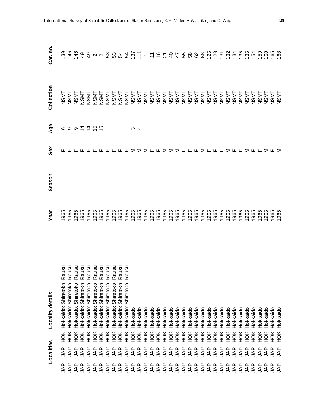|                 | Localities                |     | Locality details                  | yea  | Season | Sex                                      | Age                                                                                                         | Collection                      | Cat. no |
|-----------------|---------------------------|-----|-----------------------------------|------|--------|------------------------------------------|-------------------------------------------------------------------------------------------------------------|---------------------------------|---------|
| 44              | <b>AP</b>                 | HOK | nsn<br>Hokkaido: Shiretoko: Ra    | 965  |        |                                          |                                                                                                             |                                 |         |
| 44              | <b>AP</b>                 | HOK | Hokkaido: Shiretoko: Rausu        | 965  |        |                                          |                                                                                                             |                                 |         |
| <b>AP</b>       | <b>AP</b>                 | ŘЯ  | Hokkaido: Shiretoko: Rausu        | 965  |        |                                          | $\circ$ $\circ$ $\circ$ $\stackrel{1}{\sim}$ $\stackrel{1}{\sim}$ $\stackrel{1}{\sim}$ $\stackrel{1}{\sim}$ | TASNT<br>TASNT<br>NSNT          |         |
| <b>AP</b>       | <b>AP</b>                 | ŘЯ  | nsn<br>Hokkaido: Shiretoko: Ra    | 965  |        |                                          |                                                                                                             | <b>NSMT</b>                     |         |
| g               | <b>AP</b>                 | ЯCH | msn<br>Hokkaido: Shiretoko: Ra    | 965  |        |                                          |                                                                                                             | <b>NSMT</b>                     |         |
| <b>AP</b>       | gyr                       | ЯCH | usu<br>Hokkaido: Shiretoko: Ra    | 965  |        |                                          |                                                                                                             | <b>NSMT</b>                     |         |
| <b>AP</b>       | gyr                       | ŘЯ  | nsn<br>Hokkaido: Shiretoko: Ra    | 965  |        |                                          |                                                                                                             | <b>NSMT</b>                     |         |
| <b>AP</b>       | <b>AP</b>                 | ЭК  | usu<br>Shiretoko: Ra<br>Hokkaido: | 965  |        |                                          |                                                                                                             | <b>NSMT</b>                     |         |
| <b>AP</b>       | <b>AP</b>                 | НÖК | nsn<br>Shiretoko: Ra<br>Hokkaido: | 965  |        |                                          |                                                                                                             |                                 |         |
| <b>AP</b>       | <b>AP</b>                 | НOК | nsn<br>Shiretoko: Ra<br>Hokkaido: | 965  |        |                                          |                                                                                                             |                                 |         |
| <b>AP</b>       | <b>AP</b>                 | НÖК | usu<br>Shiretoko: Ra<br>Hokkaido: | 965  |        |                                          |                                                                                                             |                                 |         |
| <b>AP</b>       | <b>AP</b>                 | НÖК | Hokkaido                          | 965  |        |                                          | ఌ ⊄                                                                                                         | TASMI<br>LASMI<br>LASMI<br>NSMI |         |
| <b>AP</b>       | <b>AP</b>                 | ĔК  | Hokkaido                          | 965  |        |                                          |                                                                                                             |                                 |         |
| $\overline{A}P$ | <b>AP</b>                 | ЯCH | Hokkaido                          | 965  |        |                                          |                                                                                                             |                                 |         |
| <b>AP</b>       | <b>AP</b>                 | ЭК  | Hokkaido                          | 965  |        |                                          |                                                                                                             |                                 |         |
| <b>AP</b>       | <b>AP</b>                 | ЯCH | Hokkaido                          | 965  |        |                                          |                                                                                                             | NSMT<br>TASMT<br>NSMT<br>NSMT   |         |
| <b>AP</b>       | <b>AP</b>                 | НÖК | Hokkaido                          | 965  |        |                                          |                                                                                                             | <b>NSMT</b>                     |         |
| <b>AP</b>       | $\overline{\mathsf{A}}$ P | НÖК | Hokkaido                          | 965  |        |                                          |                                                                                                             | <b>NSMT</b>                     |         |
| <b>AP</b>       | $\overline{\mathcal{A}}$  | НÖК | Hokkaido                          | 965  |        |                                          |                                                                                                             | <b>NSMT</b>                     |         |
| <b>AP</b>       | <b>AP</b>                 | ЯCH | Hokkaido                          | 1965 |        |                                          |                                                                                                             | <b>NSMT</b>                     |         |
| <b>AP</b>       | <b>AP</b>                 | ЯCH | Hokkaido                          | 965  |        |                                          |                                                                                                             | <b>NSMT</b>                     |         |
| <b>AP</b>       | ₹¥                        | ЯCH | Hokkaido                          | 965  |        |                                          |                                                                                                             | <b>NSMT</b>                     |         |
| <b>AP</b>       | <b>AP</b>                 | ЯCH | Hokkaido                          | 965  |        |                                          |                                                                                                             | <b>NSMT</b>                     |         |
| <b>AP</b>       | <b>AP</b>                 | НÖК | Hokkaido                          | 965  |        |                                          |                                                                                                             | <b>NSMT</b>                     |         |
| <b>AP</b>       | <b>AP</b>                 | НÖК | Hokkaido                          | 965  |        |                                          |                                                                                                             | <b>NSMT</b>                     |         |
| <b>AP</b>       | <b>AP</b>                 | ŘЯ  | Hokkaido                          | 965  |        |                                          |                                                                                                             | <b>NSMT</b>                     |         |
| 44              | <b>AP</b>                 | НOК | Hokkaido                          | 965  |        |                                          |                                                                                                             | <b>NSMT</b>                     |         |
| ξ               | 4AP                       | ŘЯ  | Hokkaido                          | 965  |        |                                          |                                                                                                             | <b>NSMT</b>                     |         |
| 44              | <b>AP</b>                 | ЯOК | Hokkaido                          | 965  |        |                                          |                                                                                                             | <b>NSMT</b>                     |         |
| <b>AP</b>       | 4AP                       | НÖК | Hokkaido                          | 965  |        |                                          |                                                                                                             | <b>NSMT</b>                     |         |
| 44              | 44                        | ŘЯ  | Hokkaido                          | 965  |        |                                          |                                                                                                             | <b>NSMT</b>                     |         |
| LAP             | gyr                       | НÖК | Hokkaido                          | 965  |        |                                          |                                                                                                             | <b>NSMT</b>                     |         |
| 49              | LAP                       | ЭК  | Hokkaido                          | 965  |        | <b>╓╓╓╓╓╓╓╓╓╓⋝⋝⋝╓╓⋝⋝⋝╓╓╓⋝╓╓╓⋝╓╓⋝╓╓⋝╓</b> |                                                                                                             | <b>NSMT</b>                     |         |
| <b>AP</b>       | ₹₩                        | НŎК | Hokkaido                          | 965  |        |                                          |                                                                                                             | <b>NSMT</b>                     |         |
| ΑP              | 44                        | ŘЯ  | Hokkaido                          | 965  |        |                                          |                                                                                                             | <b>NSMT</b>                     |         |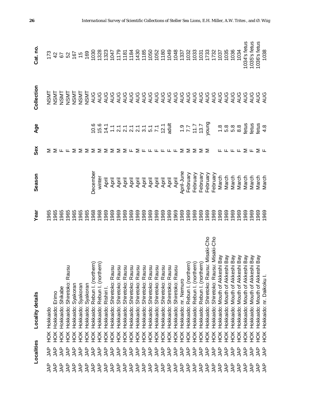|               | Localities |                  | Locality details                                                                                                                                                                                                                                 | Year         | Season                                 | Sex                           | Age          | Collection | Cat. no                                                                                                                                                                                                                                                                                             |
|---------------|------------|------------------|--------------------------------------------------------------------------------------------------------------------------------------------------------------------------------------------------------------------------------------------------|--------------|----------------------------------------|-------------------------------|--------------|------------|-----------------------------------------------------------------------------------------------------------------------------------------------------------------------------------------------------------------------------------------------------------------------------------------------------|
| ௨<br>℥        | ξ          | ЙOК              | Hokkaido                                                                                                                                                                                                                                         |              |                                        |                               |              |            |                                                                                                                                                                                                                                                                                                     |
| <b>AP</b>     | <b>AP</b>  | HOK              | Hokkaido: Erimo                                                                                                                                                                                                                                  |              |                                        |                               |              |            |                                                                                                                                                                                                                                                                                                     |
| <b>AP</b>     | <b>AP</b>  | HOK              | Hokkaido: Shikabe                                                                                                                                                                                                                                |              |                                        |                               |              |            |                                                                                                                                                                                                                                                                                                     |
| <b>JAP</b>    | <b>AP</b>  | ŠК               | Shiretoko: Rausu<br>Hokkaido:                                                                                                                                                                                                                    |              |                                        |                               |              |            |                                                                                                                                                                                                                                                                                                     |
| <b>AP</b>     | <b>AP</b>  | HOK              | Syakoran<br>Hokkaido:                                                                                                                                                                                                                            |              |                                        |                               |              |            |                                                                                                                                                                                                                                                                                                     |
| <b>AP</b>     | <b>AP</b>  | HOK              | Syakoran<br>Hokkaido:                                                                                                                                                                                                                            |              |                                        |                               |              |            |                                                                                                                                                                                                                                                                                                     |
| <b>AP</b>     | <b>AP</b>  | HOK              | Hokkaido: Syakoran                                                                                                                                                                                                                               |              |                                        |                               |              |            |                                                                                                                                                                                                                                                                                                     |
| <b>AP</b>     | <b>AP</b>  | HOK              |                                                                                                                                                                                                                                                  |              | <b>December</b>                        |                               |              |            |                                                                                                                                                                                                                                                                                                     |
| <b>AP</b>     | <b>AP</b>  | H <sub>O</sub> K | Hokkaido: Rebun I. (northern)<br>Hokkaido: Rebun I. (northern)                                                                                                                                                                                   |              | winter                                 | $\Sigma \Sigma \Sigma \Sigma$ |              |            |                                                                                                                                                                                                                                                                                                     |
|               | <b>AP</b>  | HOK              | Hokkaido: Rishiri                                                                                                                                                                                                                                |              |                                        |                               |              |            |                                                                                                                                                                                                                                                                                                     |
|               | <b>AP</b>  | HOK              | Shiretoko: Rausu<br>Hokkaido:                                                                                                                                                                                                                    |              |                                        |                               |              |            |                                                                                                                                                                                                                                                                                                     |
|               | <b>AP</b>  | ЯČН              | Shiretoko: Rausu<br>Hokkaido:                                                                                                                                                                                                                    |              |                                        | Σ                             |              |            |                                                                                                                                                                                                                                                                                                     |
|               | <b>AP</b>  | HOK              | Shiretoko: Rausu<br>Hokkaido:                                                                                                                                                                                                                    |              | न्तु न<br>स्ट्रेन्ट्स्<br>स्ट्रेस्ट्स् | ⋝                             |              |            |                                                                                                                                                                                                                                                                                                     |
|               | <b>AP</b>  | HOK              | Shiretoko: Rausu<br>Hokkaido:                                                                                                                                                                                                                    |              |                                        |                               |              |            |                                                                                                                                                                                                                                                                                                     |
|               | <b>AP</b>  | ЭК               | Shiretoko: Rausu<br>Hokkaido:                                                                                                                                                                                                                    |              |                                        | ⋝                             |              |            |                                                                                                                                                                                                                                                                                                     |
|               | <b>AP</b>  | HOK              | Hokkaido:                                                                                                                                                                                                                                        |              |                                        |                               |              |            |                                                                                                                                                                                                                                                                                                     |
|               | <b>AP</b>  | HOK              | Hokkaido:                                                                                                                                                                                                                                        |              |                                        |                               |              |            |                                                                                                                                                                                                                                                                                                     |
| SSSSSSSSSSSSS | <b>AP</b>  | HOK              | : Shiretoko: Rausu<br>: Shiretoko: Rausu<br>: Shiretoko: Rausu<br>: Shiretoko: Rausu<br>Hokkaido:                                                                                                                                                |              | יבובובובובובו<br>44444444<br>44444444  | <b>LLLLL</b>                  |              |            |                                                                                                                                                                                                                                                                                                     |
|               | <b>AP</b>  | HOK              | Hokkaido:                                                                                                                                                                                                                                        |              |                                        |                               |              |            |                                                                                                                                                                                                                                                                                                     |
|               | <b>AP</b>  | HOK              | Shiretoko: Rausu<br>Hokkaido:                                                                                                                                                                                                                    |              |                                        |                               |              |            |                                                                                                                                                                                                                                                                                                     |
|               | <b>AP</b>  | HOK              | Shiretoko: Rausu<br>Hokkaido:                                                                                                                                                                                                                    |              |                                        |                               |              |            |                                                                                                                                                                                                                                                                                                     |
| <b>AP</b>     | <b>AP</b>  | HOK              | Hokkaido: nr. Nemuro                                                                                                                                                                                                                             |              | April-June                             | Σ                             |              |            |                                                                                                                                                                                                                                                                                                     |
| <b>AP</b>     | <b>AP</b>  | HOK              | Hokkaido: Rebun I. (northern)<br>Hokkaido: Rebun I. (northern)<br>Hokkaido: Rebun I. (northern)                                                                                                                                                  |              | February                               | Σ                             |              |            |                                                                                                                                                                                                                                                                                                     |
| <b>AP</b>     | <b>AP</b>  | HOK              |                                                                                                                                                                                                                                                  |              | February                               | Σ                             |              |            |                                                                                                                                                                                                                                                                                                     |
| <b>AP</b>     | 44         | HOK              |                                                                                                                                                                                                                                                  |              | February                               | $\geq$                        |              |            |                                                                                                                                                                                                                                                                                                     |
| <b>AP</b>     | 44         | <b>HOK</b>       | Shiretoko: Rausu: Misaki-Cho<br>Hokkaido:                                                                                                                                                                                                        |              | February                               |                               |              |            | $\begin{array}{l} 12354 \\ 15469 \\ 16560 \\ 16560 \\ 16560 \\ 16560 \\ 16560 \\ 16560 \\ 16560 \\ 16560 \\ 16560 \\ 16560 \\ 16560 \\ 16560 \\ 16560 \\ 16560 \\ 16560 \\ 16560 \\ 16560 \\ 16560 \\ 16560 \\ 16560 \\ 16560 \\ 16560 \\ 16560 \\ 16560 \\ 16560 \\ 16560 \\ 16560 \\ 16560 \\ 16$ |
| <b>AP</b>     | 44         | HOK              | Shiretoko: Rausu: Misaki-Cho<br>Hokkaido:                                                                                                                                                                                                        |              | February                               |                               |              |            |                                                                                                                                                                                                                                                                                                     |
| <b>AP</b>     | <b>AP</b>  | HOK              |                                                                                                                                                                                                                                                  |              | March                                  |                               |              |            |                                                                                                                                                                                                                                                                                                     |
| <b>AP</b>     | 44         | HOK              |                                                                                                                                                                                                                                                  | 1969         | March                                  |                               |              |            |                                                                                                                                                                                                                                                                                                     |
| <b>AP</b>     | <b>AP</b>  | ЯОК              |                                                                                                                                                                                                                                                  | 1969         | March                                  |                               |              |            |                                                                                                                                                                                                                                                                                                     |
| <b>AP</b>     | 44         | HOK              |                                                                                                                                                                                                                                                  | 1969         | March                                  |                               |              |            |                                                                                                                                                                                                                                                                                                     |
| <b>AP</b>     | <b>AP</b>  | HOK              |                                                                                                                                                                                                                                                  | 1969         | March                                  | ∑ ⊬                           |              |            | 1034's fetus                                                                                                                                                                                                                                                                                        |
| <b>AP</b>     | 44         | HOK              | K Hokkaido: Mouth of Akkeshi Bay<br>K Hokkaido: Mouth of Akkeshi Bay<br>K Hokkaido: Mouth of Akkeshi Bay<br>K Hokkaido: Mouth of Akkeshi Bay<br>K Hokkaido: Mouth of Akkeshi Bay<br>K Hokkaido: Mouth of Akkeshi Bay<br>K Hokkaido: Mouth of Akk | 1969         | March                                  |                               | fetus        |            | 1035's fetus                                                                                                                                                                                                                                                                                        |
| <b>AP</b>     | <b>AP</b>  | HOK              |                                                                                                                                                                                                                                                  | 1969<br>1969 | March<br>March                         | ∑ ⊬                           | fetus<br>4.8 |            | 036's fetus                                                                                                                                                                                                                                                                                         |
| <b>AP</b>     | AR         | HOK              | Hokkaido: nr. Daikoku l                                                                                                                                                                                                                          |              |                                        |                               |              |            | 1038                                                                                                                                                                                                                                                                                                |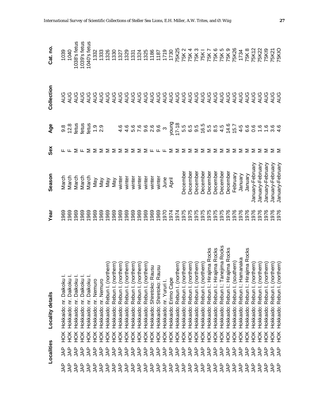|                           | Localities               |            | <b>Locality details</b>                                   | Year         | Season                                   | Sex                                                   | Age                                                                                                                                                         | Collection | Cat. no.                                                                                                                                                                                                                                                                                            |
|---------------------------|--------------------------|------------|-----------------------------------------------------------|--------------|------------------------------------------|-------------------------------------------------------|-------------------------------------------------------------------------------------------------------------------------------------------------------------|------------|-----------------------------------------------------------------------------------------------------------------------------------------------------------------------------------------------------------------------------------------------------------------------------------------------------|
| ξ                         | ௨<br>ξ                   | HOK        | Hokkaido: nr. Daikoku                                     | 969          | March                                    |                                                       |                                                                                                                                                             |            |                                                                                                                                                                                                                                                                                                     |
| 44                        | <b>AP</b>                | HOK        | Hokkaido: nr. Daikoku I.                                  | 1969         | March                                    |                                                       |                                                                                                                                                             |            | 1039<br>1040                                                                                                                                                                                                                                                                                        |
| <b>AP</b>                 | <b>AP</b>                | HOK        | Hokkaido: nr. Daikoku                                     | 1969         | March                                    |                                                       | $\begin{array}{c} 0.025 & 0.000 & 0.000 \\ 0.000 & 0.000 & 0.000 \\ 0.000 & 0.000 & 0.000 \\ 0.000 & 0.000 & 0.000 \\ 0.000 & 0.000 & 0.000 \\ \end{array}$ |            | 1038's fetus                                                                                                                                                                                                                                                                                        |
| 44                        | <b>AP</b>                | ŘЯ         | Hokkaido: nr. Daikoku                                     | 1969         | March                                    | $\Sigma \cup \Sigma$                                  |                                                                                                                                                             |            | 1039's fetus                                                                                                                                                                                                                                                                                        |
| $\overline{\mathsf{A}}$ P | <b>AP</b>                | ŘЯ         | Hokkaido: nr. Daikoku I.                                  | 1969         | March                                    |                                                       |                                                                                                                                                             |            | 1040's fetus                                                                                                                                                                                                                                                                                        |
| <b>AP</b>                 | LAP                      | ЯČК        | Hokkaido: nr. Nemuro                                      | 1969         | Vay                                      |                                                       |                                                                                                                                                             |            | 1332                                                                                                                                                                                                                                                                                                |
| <b>AP</b>                 | <b>AP</b>                | ЙÓК        | Hokkaido: nr. Nemuro                                      | 1969         | Vay                                      | Σ                                                     |                                                                                                                                                             |            | 1333                                                                                                                                                                                                                                                                                                |
| <b>AP</b>                 | <b>AP</b>                | HOK        | Hokkaido: Rebun I. (northern)                             | 1969         |                                          | ≅                                                     |                                                                                                                                                             |            |                                                                                                                                                                                                                                                                                                     |
| <b>AP</b>                 | <b>AP</b>                | Ж          | Hokkaido: Rebun I. (northern)                             | 1969         |                                          | .≥                                                    |                                                                                                                                                             |            |                                                                                                                                                                                                                                                                                                     |
| <b>AP</b>                 | <b>AP</b>                | HOK        | (northern)<br>Hokkaido: Rebun I.                          | 1969         | May<br>May<br>winter<br>winter<br>winter | Σ                                                     | G G G G G G G G<br>G G G G G G G G                                                                                                                          |            | $\begin{array}{l} 33.87 \\ 32.91 \\ 33.92 \\ 34.93 \\ 35.94 \\ 36.95 \\ 37.95 \\ 38.95 \\ 39.95 \\ 30.95 \\ 32.95 \\ 33.95 \\ 34.95 \\ 35.95 \\ 36.95 \\ 37.95 \\ 38.95 \\ 39.95 \\ 39.95 \\ 39.95 \\ 39.95 \\ 39.95 \\ 39.95 \\ 39.95 \\ 39.95 \\ 39.95 \\ 39.95 \\ 39.95 \\ 39.95 \\ 39.95 \\ 39$ |
| <b>AP</b>                 | <b>AP</b>                | ŘЯ         | (northern)<br>Hokkaido: Rebun I.                          | 1969         |                                          | ΣΣΣ                                                   |                                                                                                                                                             |            |                                                                                                                                                                                                                                                                                                     |
| <b>AP</b>                 | <b>AP</b>                | ŘЯ         | Hokkaido: Rebun I. (northern)                             | 1969         |                                          |                                                       |                                                                                                                                                             |            |                                                                                                                                                                                                                                                                                                     |
| <b>AP</b>                 | <b>AP</b>                | HOK        | Hokkaido: Rebun I. (northern)                             |              | winter                                   |                                                       |                                                                                                                                                             |            |                                                                                                                                                                                                                                                                                                     |
| <b>AP</b>                 | <b>AP</b>                | HOK        | Hokkaido: Rebun I. (northern)                             |              | winter                                   | ∑ ⊬                                                   |                                                                                                                                                             |            |                                                                                                                                                                                                                                                                                                     |
| <b>AP</b>                 | <b>AP</b>                | HOK        | SU<br>Hokkaido: Shiretoko: Rau                            |              | winter                                   |                                                       |                                                                                                                                                             |            |                                                                                                                                                                                                                                                                                                     |
| <b>AP</b>                 | <b>AP</b>                | HOK        | <b>CS</b><br>Hokkaido: Shiretoko: Rau                     |              | winter                                   |                                                       |                                                                                                                                                             |            |                                                                                                                                                                                                                                                                                                     |
| <b>AP</b>                 | <b>AP</b>                | HOK        | Hokkaido: nr. Yururi I.                                   |              |                                          |                                                       | $\infty$                                                                                                                                                    |            |                                                                                                                                                                                                                                                                                                     |
| <b>AP</b>                 | <b>AP</b>                | HOK        | Hokkaido: Erimo Cape                                      |              | June<br>April                            | ⋝                                                     | bunok                                                                                                                                                       |            |                                                                                                                                                                                                                                                                                                     |
| <b>AP</b>                 | <b>AP</b>                | ЯČН        | Hokkaido: Rebun I. (northern)                             |              |                                          | ⋝                                                     | $17 - 18$                                                                                                                                                   |            |                                                                                                                                                                                                                                                                                                     |
| <b>AP</b>                 | <b>AP</b>                | HOK        | (northern)<br>Hokkaido: Rebun I.                          |              | <b>December</b>                          |                                                       |                                                                                                                                                             |            |                                                                                                                                                                                                                                                                                                     |
| <b>AP</b>                 | $\overline{\mathcal{A}}$ | HOK        | (northern)<br>Hokkaido: Rebun I.                          |              | <b>Decembe</b>                           |                                                       |                                                                                                                                                             |            |                                                                                                                                                                                                                                                                                                     |
| <b>AP</b>                 | <b>AP</b>                | HOK        | (northern)<br>Rebun I.<br>Hokkaido:                       |              | <b>December</b>                          |                                                       |                                                                                                                                                             |            |                                                                                                                                                                                                                                                                                                     |
| <b>AP</b>                 | <b>AP</b>                | HOK        | (northern)<br>Rebun I.<br>Hokkaido:                       |              | Decembe                                  |                                                       |                                                                                                                                                             |            |                                                                                                                                                                                                                                                                                                     |
| <b>AP</b>                 | <b>AP</b>                | HOK        | Rebun I.: Hiraji<br>Hokkaido:                             |              | Decembe                                  |                                                       |                                                                                                                                                             |            |                                                                                                                                                                                                                                                                                                     |
| <b>AP</b>                 | <b>AP</b>                | HOK        | jima Rocks<br>jima Rocks<br>Rebun I.: Hiraji<br>Hokkaido: |              | Decembe                                  | $\Sigma$ $\Sigma$ $\Sigma$ $\Sigma$ $\Sigma$ $\Sigma$ |                                                                                                                                                             |            |                                                                                                                                                                                                                                                                                                     |
| <b>AP</b>                 | <b>AP</b>                | <b>HOK</b> | Tanejima Rocks<br>Rebun I.:<br>Hokkaido:                  |              | December                                 |                                                       |                                                                                                                                                             |            |                                                                                                                                                                                                                                                                                                     |
| 44                        | <b>AP</b>                | ŘЯ         | ma Rocks<br>Rebun I.: Hiraji<br>Hokkaido:                 |              | Decembe                                  |                                                       |                                                                                                                                                             |            |                                                                                                                                                                                                                                                                                                     |
| <b>AP</b>                 | <b>AP</b>                | ŘЯ         | (southern)<br>Rebun I.<br>Hokkaido:                       |              | February                                 | $\Sigma \Sigma$                                       |                                                                                                                                                             |            |                                                                                                                                                                                                                                                                                                     |
| <b>AP</b>                 | <b>AP</b>                | HOK        | Rebun I.: Hamanaka<br>Hokkaido:                           |              | January                                  |                                                       |                                                                                                                                                             |            | 1734<br>75K 8                                                                                                                                                                                                                                                                                       |
| gyr                       | <b>AP</b>                | HOK        | ma Rocks<br>Rebun I.: Hiraji<br>Hokkaido:                 |              | January                                  | Σ                                                     |                                                                                                                                                             |            |                                                                                                                                                                                                                                                                                                     |
| gyr                       | g                        | HOK        | (northern)<br>Rebun I.<br>Hokkaido:                       |              | January-February                         | Σ                                                     |                                                                                                                                                             |            | <b>75K12</b>                                                                                                                                                                                                                                                                                        |
| gyr                       | g                        | HOK        | (northern)<br>Hokkaido: Rebun I.                          |              | January-February                         | ⋝                                                     |                                                                                                                                                             |            | <b>75K22</b>                                                                                                                                                                                                                                                                                        |
| gyr                       | g                        | HOK        | (northern)<br>Hokkaido: Rebun I.                          |              | January-February                         |                                                       |                                                                                                                                                             |            | 75K19                                                                                                                                                                                                                                                                                               |
| gyr                       | ξÅ                       | HOK        | (northern)<br>(northern)<br>Hokkaido: Rebun I.            | 1976<br>1976 | January-February                         |                                                       |                                                                                                                                                             |            | 75K21<br>75KIO                                                                                                                                                                                                                                                                                      |
| ΑP                        | 49                       | HOK        | Hokkaido: Rebun I.                                        |              | January-February                         |                                                       |                                                                                                                                                             |            |                                                                                                                                                                                                                                                                                                     |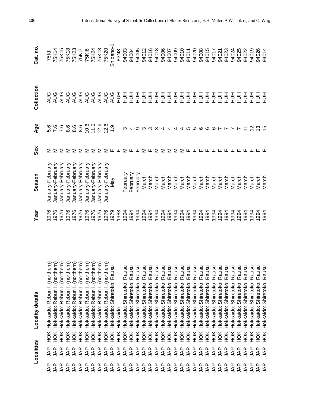|            | Localities      |                   | <b>Locality details</b>           | Year | Season           | Sex                      | <b>Age</b>               | Collection | Cat.no       |
|------------|-----------------|-------------------|-----------------------------------|------|------------------|--------------------------|--------------------------|------------|--------------|
| உ<br>₹     | g<br>AL         | ЙOК               | thern)<br>Hokkaido: Rebun I. (nor | 976  | January-February | Σ                        | 5.6<br>7.6               | <b>AUG</b> | 75KII        |
| <b>AP</b>  | <b>AP</b>       | НOК               | Hokkaido: Rebun I. (northern)     | 1976 | January-February | Σ                        |                          | <b>AUG</b> | 75K14        |
| <b>AP</b>  | <b>AP</b>       | НÖК               | Hokkaido: Rebun I. (northern)     | 1976 | January-February | Σ                        | 7.6                      | AUG        | <b>75K15</b> |
| <b>AP</b>  | <b>AP</b>       | ЭК                | Hokkaido: Rebun I. (northern)     | 976  | January-February | Σ                        | 8.6                      | AUG        | 75K18        |
| <b>AP</b>  | <b>AP</b>       | ЭК                | Hokkaido: Rebun I. (northern)     | 976  | January-February | Σ                        | 8.6                      | AUG        | <b>75K23</b> |
| <b>AP</b>  | <b>AP</b>       | ŘЯ                | Hokkaido: Rebun I. (northern)     | 976  | January-February | Σ                        | 8.6                      | AUG        | 75KI7        |
| <b>AP</b>  | <b>AP</b>       | ŘЯ                | Hokkaido: Rebun I. (northern)     | 976  | January-February | Σ                        | 10.6                     | AUG        | <b>75KI6</b> |
| <b>AP</b>  | <b>AP</b>       | НÖК               | Hokkaido: Rebun I. (northern)     | 976  | January-February | Σ                        | 11.6                     | AUG        | 75K24        |
| <b>AP</b>  | <b>AP</b>       | ЭК                | Hokkaido: Rebun I. (northern)     | 976  | January-February | ⋝                        | 12.6                     | AUG        | <b>75K13</b> |
| <b>AP</b>  | <b>AP</b>       | <b>EEEEEEEEEE</b> | Rebun I. (northern)<br>Hokkaido:  | 1976 | January-February | $\geq$ $\sqcup$ $\sqcup$ | 12.6                     | AUG        | <b>75K20</b> |
| <b>AP</b>  | <b>AP</b>       |                   | Shiretoko: Rausu<br>Hokkaido:     | 1979 | Nay              |                          | $\frac{0}{1}$            | AUG        | Shibano-1    |
| <b>AP</b>  | <b>AP</b>       |                   | Hokkaido                          | 1983 |                  |                          |                          | 三          | 83N8         |
| <b>AP</b>  | <b>AP</b>       |                   | Shiretoko: Rausu<br>Hokkaido:     | 1994 | February         | Σ                        |                          | 三          | 94003        |
| <b>AP</b>  | <b>AP</b>       |                   | Shiretoko: Rausu<br>Hokkaido:     | 1994 | February         | டட                       |                          | 三          | 94004        |
| <b>AP</b>  | <b>AP</b>       |                   | Shiretoko: Rausu<br>Hokkaido:     | 1994 | February         |                          | တ                        | 三          | 94005        |
| <b>AP</b>  | <b>AP</b>       |                   | Rausu<br>Shiretoko:<br>Hokkaido:  | 1994 | March            | Σ                        |                          | 三          | 94012        |
| <b>JAP</b> | <b>AP</b>       |                   | Rausu<br>Shiretoko:<br>Hokkaido:  | 1994 | March            | ட                        |                          | 三          | 94016        |
| <b>JAP</b> | <b>AP</b>       |                   | Rausu<br>Shiretoko:<br>Hokkaido:  | 1994 | March            | Σ                        |                          | 三          | 94018        |
| <b>AP</b>  | <b>AP</b>       |                   | Rausu<br>Shiretoko:<br>Hokkaido:  | 1994 | March            | Σ                        | 4                        | 三          | 94006        |
| <b>AP</b>  | <b>AP</b>       | НOК               | Rausu<br>Shiretoko:<br>Hokkaido:  | 1994 | March            | Σ                        | 4                        | 三          | 94007        |
| <b>AP</b>  | <b>AP</b>       | НOК               | Rausu<br>Shiretoko:<br>Hokkaido:  | 1994 | March            | Σ                        | 4                        | 三          | 94009        |
| <b>AP</b>  | <b>AP</b>       | НÖК               | Rausu<br>Shiretoko:<br>Hokkaido:  | 1994 | March            |                          | 4                        | 三          | 94010        |
| <b>AP</b>  | <b>AP</b>       | ĔК                | Rausu<br>Shiretoko:<br>Hokkaido:  | 1994 | March            | ∑ և                      |                          | 三          | 94011        |
| <b>AP</b>  | <b>AP</b>       | НÖК               | Rausu<br>Shiretoko:<br>Hokkaido:  | 1994 | March            | ட                        | տ տ                      | 三          | 94020        |
| gyr        | <b>AP</b>       | НÖК               | Rausu<br>Shiretoko:<br>Hokkaido:  | 1994 | March            | ட                        | ဖ                        | 三          | 94008        |
| <b>AP</b>  | <b>AP</b>       | НÖК               | Shiretoko: Rausu<br>Hokkaido:     | 1994 | March            | ட                        | ဖ                        | 즐          | 94015        |
| <b>AP</b>  | <b>AP</b>       | ЭК                | Shiretoko: Rausu<br>Hokkaido:     | 1994 | March            | ட                        | ဖ                        | 즐          | 94017        |
| 44         | <b>AP</b>       | $\frac{1}{2}$     | Shiretoko: Rausu<br>Hokkaido:     | 1994 | March            | ட                        | $\overline{\phantom{0}}$ | 三          | 94021        |
| 44         | 44              | HOK               | Shiretoko: Rausu<br>Hokkaido:     | 1994 | March            | ட                        |                          | 三          | 94023        |
| gyr        | <b>AP</b>       | ŘЯ                | Shiretoko: Rausu<br>Hokkaido:     | 1994 | March            | ட                        |                          | 三          | 94024        |
| 44         | 44              | ŘЯ                | Shiretoko: Rausu<br>Hokkaido:     | 1994 | March            | ட                        |                          | 三          | 94025        |
| gyr        | <b>AP</b>       | <b>HOK</b>        | Shiretoko: Rausu<br>Hokkaido:     | 1994 | March            | ட                        |                          | 三          | 94022        |
| 44         | 4A <sup>P</sup> | HOK               | Shiretoko: Rausu<br>Hokkaido:     | 1994 | March            |                          | $\frac{2}{3}$            | 三          | 94019        |
| <b>AP</b>  | <b>AP</b>       | HOK               | Shiretoko: Rausu<br>Hokkaido:     | 1994 | March            |                          |                          | 三          | 94026        |
| <b>AP</b>  | <b>AP</b>       | HOK               | Shiretoko: Rausu<br>Hokkaido:     | 1994 | March            |                          |                          | 三          | 94014        |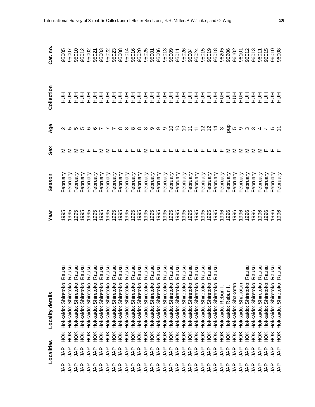|                         | Localities                |            | Locality details                                                                                                | Year | Season               | Sex                                       | Age                     | Collection    | Cat. no. |
|-------------------------|---------------------------|------------|-----------------------------------------------------------------------------------------------------------------|------|----------------------|-------------------------------------------|-------------------------|---------------|----------|
| 44                      | <b>AP</b>                 | НÖК        | nsne<br>œ<br>Hokkaido: Shiretoko:                                                                               | 995  | February             |                                           |                         | 三             | 95005    |
| <b>AP</b>               | <b>AP</b>                 | HOK        | Hokkaido: Shiretoko: R                                                                                          | 995  | February             |                                           |                         | $\frac{1}{2}$ | 95007    |
| <b>AP</b>               | <b>JAP</b>                | ŘЯ         | ausu<br>ausu<br>œ<br>Shiretoko:<br>Hokkaido:                                                                    | 995  | -ebruary             |                                           |                         |               | 95010    |
| <b>AP</b>               | <b>AP</b>                 | НOК        | ausu<br>$\propto$<br>Shiretoko:<br>Hokkaido:                                                                    | 995  | <sup>=</sup> ebruary |                                           |                         |               | 95012    |
| <b>AP</b>               | <b>AP</b>                 | HOK        | ausu<br>$\propto$<br>Shiretoko:<br>Hokkaido:                                                                    | 995  | February             |                                           |                         |               | 95002    |
| gAL                     | <b>AP</b>                 | HOK        | ausu<br>œ<br>Shiretoko:<br>Hokkaido:                                                                            | 995  | <sup>=</sup> ebruary |                                           |                         |               | 95021    |
| <b>AP</b>               | <b>AP</b>                 | HOK        | ausu<br>œ<br>Shiretoko:<br>Hokkaido:                                                                            | 995  | -ebruary             |                                           |                         |               | 95003    |
| <b>AP</b>               | <b>AP</b>                 | HOK        | ausu<br>Shiretoko: R<br>Hokkaido:                                                                               | 995  | February             |                                           |                         |               | 95022    |
| <b>AP</b>               | <b>AP</b>                 | HOK        | ausu<br>Shiretoko: R<br>Hokkaido:                                                                               | 995  | -ebruary             |                                           |                         |               | 95023    |
| <b>AP</b>               | <b>AP</b>                 | ŠК         | ausu<br>Shiretoko: R<br>Hokkaido:                                                                               | 995  | -ebruary             | $\Sigma$ $\Sigma$ $\mu$ $\mu$ $\mu$ $\mu$ |                         |               | 95008    |
| <b>AP</b>               | <b>AP</b>                 | HOK        | ausu<br>Shiretoko: R<br>Hokkaido:                                                                               | 995  | February             |                                           |                         |               | 95014    |
| $\overline{\mathsf{A}}$ | <b>AP</b>                 | ŘЯ         | ausu<br>Shiretoko: R<br>Hokkaido:                                                                               | 1995 | February             |                                           |                         |               | 95016    |
| <b>AP</b>               | $\overline{\mathsf{A}}$ P | ŘЯ         | ausu<br>Shiretoko: R<br>Hokkaido:                                                                               | 1995 | February             |                                           |                         |               | 95020    |
| JAP                     | <b>AP</b>                 | HOK        | usu<br>Shiretoko: R<br>Hokkaido:                                                                                | 1995 | February             | ⋝                                         |                         |               | 95025    |
| <b>AP</b>               | <b>AP</b>                 | ŘЯ         | usu<br>Shiretoko: R<br>Hokkaido:                                                                                | 1995 | February             | டடடட                                      |                         |               | 95001    |
|                         | <b>AP</b>                 | ŘЯ         | ausu<br>Shiretoko: R<br>Hokkaido:                                                                               | 1995 | February             |                                           |                         |               | 95006    |
|                         | <b>AP</b>                 | ЯČН        | ausu<br>Shiretoko: R<br>Hokkaido:                                                                               | 1995 | February             |                                           |                         |               | 95013    |
|                         | <b>AP</b>                 | HOK        | ausu<br>Shiretoko: R<br>Hokkaido:                                                                               | 1995 | February             |                                           |                         |               | 95009    |
|                         | <b>AP</b>                 | НOК        | ausu<br>Shiretoko: R<br>Hokkaido:                                                                               | 1995 | February             | ட ட                                       |                         |               | 95011    |
|                         | <b>AP</b>                 | ЯČН        | usu<br>Hokkaido:                                                                                                | 1995 | <sup>=</sup> ebruary |                                           |                         |               | 95026    |
|                         | <b>AP</b>                 | ŠК         | ausu<br>Hokkaido:                                                                                               | 1995 | February             | ட                                         |                         |               | 95004    |
|                         | <b>AP</b>                 | ŘЯ         | ausu<br>Hokkaido:                                                                                               | 1995 | Tebruary             | ட                                         |                         |               | 95024    |
|                         | <b>AP</b>                 | HOK        | usu<br>: Shiretoko: Ra<br>: Shiretoko: Ra<br>: Shiretoko: Ra<br>: Shiretoko: Ra<br>: Shiretoko: Ra<br>Hokkaido: | 1995 | February             |                                           | <b>DDDHTDDH</b>         |               | 95015    |
|                         | <b>AP</b>                 | ЯČН        | ausu<br>Hokkaido:                                                                                               | 1995 | February             |                                           |                         |               | 95019    |
|                         | <b>AP</b>                 | ЯČН        | ausu<br>Hokkaido:                                                                                               | 1995 | February             |                                           |                         |               | 95018    |
| <b>AP</b>               | <b>AP</b>                 | HOK        | Rebun I.<br>Hokkaido:                                                                                           | 1996 | February             |                                           | $\infty$                |               | 96205    |
| 44                      | <b>AP</b>                 | ЯČН        | Rebun I.<br>Hokkaido:                                                                                           | 1996 | February             | Σ                                         |                         |               | 96206    |
| 49                      | <b>AP</b>                 | HOK        | Shakotan<br>Hokkaido:                                                                                           | 1996 | February             | Σ                                         |                         |               | 96102    |
| 44                      | <b>AP</b>                 | ЯČН        | Shakotan<br>Hokkaido:                                                                                           | 1996 | February             | ⋝                                         |                         | $\frac{1}{2}$ | 96101    |
| <b>AP</b>               | gyr                       | HOK        | ausu<br>œ<br>Shiretoko:<br>Hokkaido:                                                                            | 1996 | February             | ⋝                                         |                         | 蔓             | 96012    |
| gyr                     | <b>AP</b>                 | HOK        | ausu<br>ausu<br>Shiretoko: R<br>Hokkaido:                                                                       | 1996 | February             | Σ                                         | $\frac{1}{2}$ ທ່ວນພ $4$ | 蔓             | 96013    |
| g                       | <b>AP</b>                 | HOK        | Shiretoko: R<br>Hokkaido:                                                                                       | 1996 | February             | Σ                                         |                         | 크<br>도        | 96011    |
| Ψŕ                      | LAP                       | HOK        | ausu<br>Shiretoko: Ra<br>Hokkaido:                                                                              | 996  | February             |                                           | $\overline{4}$          | 蔓             | 96015    |
| gyr                     | <b>AP</b>                 | <b>HOK</b> | Shiretoko: Rausu<br>Shiretoko: Rausu<br>Hokkaido:                                                               | 1996 | February             |                                           |                         | 蔓             | 96010    |
| <b>AP</b>               | <b>AP</b>                 | ŘЯ         | Hokkaido:                                                                                                       | 1996 | February             |                                           |                         |               | 96008    |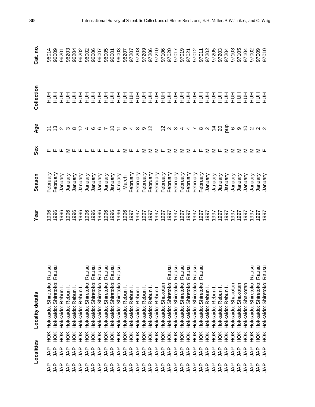|                         | Localities        |                  | Locality details                                                                                                        | Year        | Season   | Sex                                    | Age | Collection                                          | Cat.no         |
|-------------------------|-------------------|------------------|-------------------------------------------------------------------------------------------------------------------------|-------------|----------|----------------------------------------|-----|-----------------------------------------------------|----------------|
| ൨<br>₹                  | g<br>AL           | HOK              |                                                                                                                         | 1996        | February |                                        |     |                                                     |                |
| <b>AP</b>               | <b>AP</b>         | HOK              | Hokkaido: Shiretoko: Rausu<br>Hokkaido: Shiretoko: Rausu                                                                | 1996        | -ebruary |                                        |     | 호로                                                  | 96014<br>96009 |
|                         | <b>AP</b>         | ЯCH              | Rebun<br>Hokkaido:                                                                                                      | 996         | January  |                                        |     | $\begin{array}{c}\n\Xi \Xi \Xi \Xi \Xi \end{array}$ | 96201          |
|                         | <b>AP</b>         | H <sub>O</sub> K | Rebun<br>Hokkaido:                                                                                                      | 1996        | January  |                                        |     |                                                     | 96203          |
|                         | <b>AP</b>         | НÖК              | Rebun I<br>Hokkaido:                                                                                                    | 996         | January  |                                        |     |                                                     | 96204          |
|                         | <b>AP</b>         | НÖК              | Rebun I<br>Hokkaido:                                                                                                    | 996         | January  |                                        |     |                                                     | 96202          |
| SZZZZZZ<br>Frantr       | <b>AP</b>         | НÖК              | : Shiretoko: Rausu<br>: Shiretoko: Rausu<br>: Shiretoko: Rausu<br>: Shiretoko: Rausu<br>Hokkaido:                       | 996         | January  | <b>╓╓╓⋝╓╓╓╓╓╓╓。⋝╓╓⋝⋝⋝╓⋝⋝⋝⋝╓╓⋝⋝╓⋝⋝⋝</b> |     |                                                     | 96002          |
|                         | <b>AP</b>         | ЯCH              | Hokkaido:                                                                                                               | 996         | January  |                                        |     | $rac{1}{2}$                                         | 96006          |
|                         | <b>AP</b>         | ЯCH              | Hokkaido:                                                                                                               | 996         | January  |                                        |     | 蔓                                                   | 96007          |
| <b>AP</b>               | <b>JAP</b>        | ЯCH              | Hokkaido:                                                                                                               | 996         | January  |                                        |     | 三                                                   | 96005          |
| <b>AP</b>               |                   | ЭК               | Hokkaido:                                                                                                               | 996         | January  |                                        |     | 蔓                                                   | 96001          |
| <b>AP</b>               | <b>ARA</b><br>SAR | НÖК              | Rausu<br>Shiretoko:<br>Hokkaido:                                                                                        | 996         | January  |                                        |     | 三                                                   | 96003          |
| <b>AP</b>               |                   | НÖК              | Hokkaido: Rebun                                                                                                         | 996         | March    |                                        |     | 蔓                                                   | 96207          |
| <b>AP</b>               |                   | ŘЯ               | Hokkaido: Rebun                                                                                                         | 997         | February |                                        |     | 蔓                                                   | 97207          |
| <b>JAP</b>              | <b>AP</b><br>AP   | ŘЯ               | Hokkaido: Rebun                                                                                                         | 1997        | February |                                        |     | 골<br>모                                              | 97208          |
| $\overline{\mathbb{R}}$ |                   | НÖК              | Hokkaido: Rebun                                                                                                         | 1997        | February |                                        |     | 蔓                                                   | 97209          |
| <b>AP</b>               |                   | НÖК              | Hokkaido: Rebun                                                                                                         | 1997        | February |                                        |     | 蔓                                                   | 97206          |
| <b>JAP</b>              | 334               | НÖК              | Hokkaido: Rebun I                                                                                                       | 1997        | February |                                        |     | 폴<br>도                                              | 97210          |
| $\overline{A}P$         | <b>AP</b>         | H <sub>O</sub> K | Hokkaido: Shakotan                                                                                                      | 1997        | February |                                        |     | 蔓                                                   | 97106          |
| <b>AP</b>               | <b>JAP</b>        | НÖК              | nsne<br>Hokkaido: Shiretoko: R                                                                                          | 1997        | February |                                        |     | 들                                                   | 97020          |
| <b>AP</b>               |                   | НÖК              | Hokkaido:                                                                                                               | 997         | February |                                        |     | 놀<br>모                                              | 97017          |
| <b>AAP</b>              |                   | НÖК              | Hokkaido:                                                                                                               | 997         | February |                                        |     | 蔓                                                   | 97019          |
| <b>AP</b>               | 3333              | ЯÓН              | : Shiretoko: Rausu<br>: Shiretoko: Rausu<br>: Shiretoko: Rausu<br>: Shiretoko: Rausu<br>: Shiretoko: Rausu<br>Hokkaido: | 997         | February |                                        |     | 蔓                                                   | 97021          |
| <b>AP</b>               |                   | НÖК              | Hokkaido:                                                                                                               | 997         | February |                                        |     | 蔓                                                   | 97012          |
| 3333                    | <b>AP</b>         | НÖК              | Hokkaido:                                                                                                               | 1997        | February |                                        |     | 蔓                                                   | 97011          |
|                         | <b>AP</b>         | ЯОК              | Rebun<br>Hokkaido:                                                                                                      | 1997        | January  |                                        |     | 蔓                                                   | 97202          |
|                         | <b>JAP</b>        | ЯОК              | Rebun<br>Hokkaido:                                                                                                      | 1997        | January  |                                        |     | 蔓                                                   | 97205          |
|                         | <b>AP</b>         | ЯОК              | Rebun<br>Hokkaido:                                                                                                      | 1997        | January  |                                        |     | 蔓                                                   | 97203          |
| <b>JAP</b>              | <b>AP</b>         | НÖК              | Rebun I.<br>Hokkaido:                                                                                                   | 1997        | January  |                                        |     | 三                                                   | 97204          |
| <b>AP</b>               | <b>AP</b>         | ЯCH              | Shakotan<br>Hokkaido:                                                                                                   | 1997        | January  |                                        |     | 三                                                   | 97103          |
| <b>AP</b>               | <b>AP</b>         | ЯCH              | Shakotan<br>Hokkaido:                                                                                                   | 1997        | January  |                                        |     | 三                                                   | 97105          |
| <b>AP</b>               | 44                | НÖК              | Shakotan<br>Hokkaido:                                                                                                   | 1997        | January  |                                        |     | 三                                                   | 97104          |
| g                       | 44                | <b>HOK</b>       | Shiretoko: Rausu<br>Hokkaido:                                                                                           | 1997        | January  | ⋝                                      |     | 三                                                   | 97002          |
| gyr                     | ٩A                | HOK              | Shiretoko: Rausu<br>Shiretoko: Rausu<br>Hokkaido:                                                                       | 1997<br>766 | January  | ∑ ய                                    |     | 蔓                                                   | 97009          |
| <b>AP</b>               | <b>JAP</b>        | Ř                | Hokkaido:                                                                                                               |             | January  |                                        |     |                                                     | 97010          |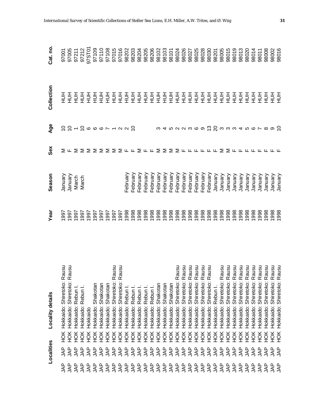|           | Localities                        |            | Locality details                                         | Year                        | Season   | Sex                                           | Age                  | Collection    | Cat. no.                |
|-----------|-----------------------------------|------------|----------------------------------------------------------|-----------------------------|----------|-----------------------------------------------|----------------------|---------------|-------------------------|
| ௨<br>ξ    | ൨<br>℥                            | HOK        | ausu                                                     | 1997                        | January  |                                               |                      | 王<br>三        | 97001                   |
| <b>AP</b> | <b>AP</b>                         | HOK        | ausu<br>Hokkaido: Shiretoko: R<br>Hokkaido: Shiretoko: R | 1997                        | January  |                                               |                      | $\frac{1}{2}$ | 97005                   |
| <b>AP</b> | <b>AP</b>                         | <b>HOK</b> | Hokkaido: Rebun                                          | 1997                        | March    |                                               |                      |               | 97211                   |
| <b>AP</b> | <b>AP</b>                         | <b>HOK</b> | Rebun<br>Hokkaido:                                       | 1997                        | March    |                                               |                      |               | 97212                   |
| <b>AP</b> | <b>AP</b>                         | <b>HOK</b> | Hokkaido                                                 | 1997                        |          |                                               | 1241066712           |               | 97ST01                  |
| <b>AP</b> | <b>AP</b>                         | <b>HOK</b> | Hokkaido: Shakotan                                       | 1997                        |          |                                               |                      |               | 97109                   |
| SAL       | <b>AP</b>                         | <b>HOK</b> | Hokkaido: Shakotan                                       | 1997                        |          | ⋝                                             |                      |               | 97110                   |
| SAL       | <b>AP</b>                         | HOK        | Shakotan<br>Hokkaido:                                    | 1997                        |          | $\Sigma \Sigma \Sigma \pi \pi \Sigma \pi \pi$ |                      |               | 97108<br>97015          |
| <b>AP</b> | <b>AP</b>                         | HOK        | ausu<br>Hokkaido: Shiretoko: R                           | 1997                        |          |                                               |                      |               |                         |
| <b>AP</b> | <b>AP</b>                         | HOK        | ausu<br>Shiretoko: R<br>Hokkaido:                        | 1997                        |          |                                               |                      |               | 97016                   |
| <b>AP</b> | <b>AP</b>                         | <b>HOK</b> | Hokkaido: Rebun                                          | 1998                        | February |                                               |                      |               | 98202                   |
| <b>AP</b> | <b>AP</b>                         | <b>HOK</b> | Hokkaido: Rebun                                          | 1998                        | February |                                               |                      |               | 98203                   |
| <b>AP</b> | <b>AP</b>                         | HOK        | Hokkaido: Rebun                                          | 1998                        | February |                                               |                      |               |                         |
| <b>AP</b> | <b>AP</b>                         | HOK        | Hokkaido: Rebun                                          | 1998                        | February |                                               |                      |               |                         |
| <b>AP</b> | <b>AP</b>                         | HOK        | Hokkaido: Rebun                                          | 888<br>1998<br>1998<br>1998 | February |                                               |                      |               | 98204<br>98205<br>98206 |
| 34P       | <b>AP</b>                         | ЯČН        | Hokkaido: Shakotan                                       |                             | February | Σ                                             |                      |               | 98102                   |
|           | $\overline{\mathsf{A}}\mathsf{P}$ | HOK        | Shakotan<br>Hokkaido:                                    |                             | February | Σ                                             |                      |               | 98103<br>98101          |
| 34P       | <b>AP</b>                         | НÖК        | Shakotan<br>Hokkaido:                                    |                             | February |                                               |                      |               |                         |
|           | <b>AP</b>                         | HOK        | ausu<br>≃<br>Shiretoko:<br>Hokkaido:                     |                             | February |                                               |                      |               | 98024                   |
| <b>AP</b> | <b>AP</b>                         | ЯСH        | ausu<br>Shiretoko: R<br>Hokkaido:                        | 888888888888888888          | February | $\Sigma$ $\Sigma$ $\mu$ $\mu$ $\mu$           | る4522369 C S 3334567 |               | 98026                   |
| 34P       | <b>AP</b>                         | ЯОК        | Shiretoko: Rausu<br>Hokkaido:                            |                             | February |                                               |                      |               | 98027                   |
|           | <b>AP</b>                         | ЯČН        | Shiretoko: Rausu<br>Hokkaido:                            |                             | February |                                               |                      |               | 98025                   |
| 34P       | <b>AP</b>                         | ŘЯ         | ausu<br>Shiretoko: R<br>Hokkaido:                        |                             | February | ட                                             |                      |               | 98028                   |
|           | <b>AP</b>                         | ЯČН        | ausu<br>$\tilde{\alpha}$<br>Shiretoko:<br>Hokkaido:      |                             | February |                                               |                      |               | 98030                   |
| <b>AP</b> | <b>AP</b>                         | ЯČН        | Rebun I.<br>Hokkaido:                                    |                             | January  | ட                                             |                      |               | 98201                   |
| <b>AP</b> | <b>AP</b>                         | HOK        | ausu<br>œ<br>Shiretoko:<br>Hokkaido:                     | 1998                        | January  | Σ                                             |                      |               | 98005                   |
| <b>AP</b> | <b>AP</b>                         | ŘЯ         | ausu<br>œ<br>Shiretoko:<br>Hokkaido:                     | 1998                        | January  |                                               |                      |               | 98015                   |
| <b>AP</b> | 44                                | ЯČН        | ausu<br>œ<br>Shiretoko:<br>Hokkaido:                     | 1998                        | January  | $\geq$ $\sqcup$ $\sqcup$                      |                      |               | 98019                   |
| <b>AP</b> | <b>AP</b>                         | <b>HOK</b> | nsne<br>œ<br>Shiretoko:<br>Hokkaido:                     | 1998                        | January  |                                               |                      |               | 98013                   |
| SAL       | <b>AP</b>                         | HOK        | usu<br>œ<br>Shiretoko:<br>Hokkaido:                      | 1998                        | January  |                                               |                      | $\frac{1}{2}$ | 98020                   |
| gyr       | ΑP                                | <b>HOK</b> | ausu<br>œ<br>Shiretoko:<br>Hokkaido:                     | 1998                        | January  |                                               |                      | $\frac{1}{2}$ | 98014                   |
| <b>AP</b> | ΑP                                | <b>HOK</b> | nsne<br>œ<br>Shiretoko:<br>Hokkaido:                     | 1998                        | January  |                                               |                      | 블를            | 98011                   |
| gyr       | LAP                               | НOК        | ausu<br>Shiretoko: R<br>Hokkaido:                        | 1998                        | January  |                                               |                      |               | 98008                   |
| ξÅ        | <b>AP</b>                         | HOK        | nsne<br>Shiretoko: R<br>Hokkaido:                        | 1998                        | January  |                                               |                      | 蔓             | 98002                   |
| ΑP        | 44                                | HOK        | ausu<br>Shiretoko: R<br>Hokkaido:                        |                             | January  |                                               |                      |               | 98016                   |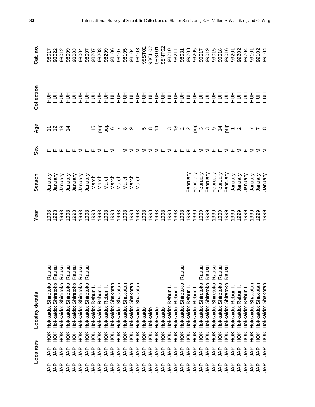|           | Localities                         |     | Locality details              | Year | Season                                             | Sex                  | Age                      | Collection    | Cat. no                          |
|-----------|------------------------------------|-----|-------------------------------|------|----------------------------------------------------|----------------------|--------------------------|---------------|----------------------------------|
| ௨<br>℥    | g<br>A                             | HOK | Shiretoko: Rausu<br>Hokkaido: | 1998 | Vienuary                                           |                      |                          | 를를            | 98017                            |
| gAL       | <b>AP</b>                          | HOK | Hokkaido: Shiretoko: Rausu    | 1998 | Visnuary                                           |                      |                          |               | 98022                            |
| <b>AP</b> | <b>AP</b>                          | ЯCH | Shiretoko: Rausu<br>Hokkaido: | 1998 | Visnuary                                           |                      | けいおは                     | 蔓             | 98012                            |
| <b>AP</b> | <b>AP</b>                          | НÖК | Shiretoko: Rausu<br>Hokkaido: | 1998 | Vienuary                                           |                      |                          | $\frac{1}{2}$ | 98009                            |
| <b>AP</b> | <b>AP</b>                          | НÖК | Shiretoko: Rausu<br>Hokkaido: | 998  | Vienuary                                           |                      |                          | $\frac{1}{2}$ | 98003                            |
| <b>AP</b> | <b>AP</b>                          | Ж   | Shiretoko: Rausu<br>Hokkaido: | 998  | Vienuary                                           |                      |                          |               | 98004                            |
| <b>AP</b> | $\overline{\mathsf{A}}^\mathsf{P}$ | НÖК | Hokkaido: Shiretoko: Rausu    | 998  | Vienuary                                           | <b>LLLΣLLΣLΣ</b>     |                          |               | 98007                            |
| <b>AP</b> | $\overline{\mathsf{A}}^\mathsf{P}$ | ЯCH | Rebun<br>Hokkaido:            | 1998 | March<br>March<br>March<br>March<br>March<br>March |                      |                          |               | 98207                            |
| <b>AP</b> | <b>AP</b>                          | ŘЯ  | Hokkaido: Rebun               |      |                                                    |                      |                          |               | 98208                            |
| <b>AP</b> | <b>AP</b>                          | ŘЯ  | Rebun I<br>Hokkaido:          | 1998 |                                                    |                      |                          |               | 98209                            |
| <b>AP</b> | <b>AP</b>                          | НÖК | Shakotan<br>Hokkaido:         | 1998 |                                                    |                      |                          |               | 98106                            |
| <b>AP</b> | <b>AP</b>                          | ŘЯ  | Shakotan<br>Hokkaido:         | 1998 |                                                    |                      |                          |               | 88107<br>88105<br>88108<br>88108 |
| ¶∕⊾       | $\overline{\mathcal{A}}$ P         | ŘЯ  | Shakotan<br>Hokkaido:         | 1998 |                                                    | Σ                    |                          |               |                                  |
| <b>AP</b> | $\overline{\mathcal{A}}$ P         | ŘЯ  | Shakotan<br>Hokkaido:         | 1998 | March                                              | $\Sigma$             |                          |               |                                  |
| ¶∕⊾       | <b>AP</b>                          | ŘЯ  | Shakotan<br>Hokkaido:         | 1998 | March                                              |                      |                          |               |                                  |
| <b>AP</b> | $\overline{\mathcal{A}}$ P         | НÖК | Hokkaido                      | 1998 |                                                    | ≅                    |                          |               | 98ST02                           |
| <b>AP</b> | <b>AP</b>                          | ЯCH | Hokkaido                      | 1998 |                                                    | Σ                    |                          |               | 98CH02                           |
| <b>AP</b> | $\overline{A}P$                    | ЯCH | Hokkaido                      | 1998 |                                                    | ∑ ⊬                  |                          |               | 98ST01                           |
| <b>AP</b> | $\overline{\mathsf{A}}$            | НÖК | Hokkaido                      | 1998 |                                                    |                      |                          |               | 98NT02                           |
| <b>AP</b> | <b>AP</b>                          | НÖК | Rebun I.<br>Hokkaido:         | 1998 |                                                    |                      |                          |               | 98210                            |
| <b>AP</b> |                                    | ЯCH | Hokkaido: Rebun I.            | 1998 |                                                    |                      |                          |               | 98211                            |
| <b>AP</b> | <b>AP</b>                          | Ж   | Shiretoko: Rausu<br>Hokkaido: | 1998 |                                                    |                      |                          |               | 98031                            |
| <b>AP</b> | 334P                               | Ж   | Rebun<br>Hokkaido:            | 1999 | February                                           | $\Sigma$ L L L L     |                          |               | 99203                            |
| <b>AP</b> |                                    | ЯCH | Rebun I.<br>Hokkaido:         | 1999 | February                                           |                      |                          |               | 99205                            |
| <b>AP</b> |                                    | ŘЯ  | Shiretoko: Rausu<br>Hokkaido: | 1999 | February                                           | ⋝                    |                          |               | 99017                            |
| gyr       | <b>JAP</b>                         | ŘЯ  | Shiretoko: Rausu<br>Hokkaido: | 1999 | February                                           |                      |                          |               | 99019                            |
| <b>AP</b> |                                    | ŘЯ  | Shiretoko: Rausu<br>Hokkaido: | 1999 | February                                           |                      |                          |               | 99015                            |
| <b>AP</b> | <b>AP</b>                          | ŘЯ  | Shiretoko: Rausu<br>Hokkaido: | 1999 | February                                           | $\Sigma$ $\mu$ $\mu$ |                          |               | 99018                            |
| <b>AP</b> | <b>AP</b>                          | ŘЯ  | Shiretoko: Rausu<br>Hokkaido: | 1999 | February                                           |                      |                          |               | 99016                            |
| 4AP       | <b>AP</b>                          | Ж   | Rebun<br>Hokkaido:            | 999  | January                                            | ∑ ட                  |                          |               | 99201                            |
| <b>AP</b> | 44                                 | ŠК  | Rebun I.<br>Hokkaido:         | 999  | January                                            | $\sum$ L             |                          |               | 99202                            |
| ₹¥        | <b>AP</b>                          | ŘЯ  | Rebun I.<br>Hokkaido:         | 999  | January                                            |                      |                          | $\frac{1}{2}$ | 99204                            |
| gyr       | 44                                 | HOK | Shakotan<br>Hokkaido:         | 1999 | January                                            | Σ                    | $\sim \; \sim \; \infty$ | 蔓             | 99101                            |
| gyr       | gyr                                | HOK | Shakotan<br>Hokkaido:         | 1999 | January                                            | $\geq$               |                          | 블를            | 99102<br>99104                   |
| ΑP        | <b>AP</b>                          | HOK | Shakotan<br>Hokkaido:         | 1999 | January                                            |                      |                          |               |                                  |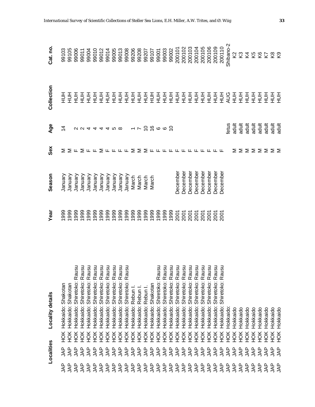|           | Localities               |               | <b>Locality details</b>                      | Year         | Season   | Sex                                 | Age              | Collection    | Cat. no       |
|-----------|--------------------------|---------------|----------------------------------------------|--------------|----------|-------------------------------------|------------------|---------------|---------------|
| <b>AP</b> | g<br>Al                  | HOK           | Shakotan<br>Hokkaido:                        | 999          | January  |                                     | $\dot{4}$        | 王<br>三        | 99103         |
| 44        | <b>AP</b>                | HOK           | Hokkaido: Shakotan                           | 1999         | January  |                                     |                  | 蔓             | 99105         |
| <b>AP</b> | <b>AP</b>                | HOK           | nsn<br>Ra<br>Hokkaido: Shiretoko:            | 999          | January  |                                     |                  | $\frac{1}{2}$ | 99006         |
| <b>AP</b> | <b>AP</b>                | HOK           | nsn<br>Shiretoko: Ra<br>Hokkaido:            | 999          | January  |                                     |                  | 莫             | 99011         |
| <b>AP</b> | <b>AP</b>                | <b>HOK</b>    | nsn<br>Shiretoko: Ra<br>Hokkaido:            | 999          | January  |                                     |                  |               | 99004         |
| <b>AP</b> | <b>AP</b>                | HOK           | nsn<br>Hokkaido: Shiretoko: Ra               | 999          | January  |                                     | 00444468         | <u> 를 클 플</u> | 99010         |
| <b>AP</b> | <b>AP</b>                | <b>HOK</b>    | $\frac{1}{2}$<br>Shiretoko: Ra<br>Hokkaido:  | 999          | January  |                                     |                  |               | 99012         |
| <b>AP</b> | <b>AP</b>                | ŠК            | Shiretoko: Ra<br>Hokkaido:                   | 999          | January  |                                     |                  |               | 99014         |
| <b>AP</b> | <b>AP</b>                | ŘЯ            | <u>ទី ទី</u><br>Shiretoko: Ra<br>Hokkaido:   | 999          | January  |                                     |                  |               | 99005         |
| <b>AP</b> | <b>AP</b>                | ŘЯ            | nsn<br>Rā<br>Shiretoko:<br>Hokkaido:         | 999          | January  |                                     |                  | 로로로           | 99013         |
| <b>AP</b> | <b>AP</b>                | $\frac{1}{2}$ | usu<br>Rā<br><b>Shiretoko:</b><br>Hokkaido:  | 1999         | January  |                                     |                  | 크<br>모        | 99008         |
| <b>AP</b> | <b>AP</b>                | $\frac{1}{2}$ | Hokkaido: Rebun                              | 1999         | March    |                                     |                  | $\frac{1}{2}$ | 99206         |
| <b>AP</b> | <b>AP</b>                | ŘЯ            | Hokkaido: Rebun                              | 1999         | March    |                                     |                  | 들             | 99208         |
| <b>AP</b> | <b>AP</b>                | ŘЯ            | Hokkaido: Rebun I.                           | 1999         | March    |                                     | $-0.99902 - 0.7$ | $\frac{1}{2}$ | 99207         |
| <b>AP</b> | <b>AP</b>                | НÖК           | Shakotan<br>Hokkaido:                        | 1999         | March    |                                     |                  | 蔓             | 99107         |
| <b>AP</b> | <b>AP</b>                | НÖК           | nsn<br>Ra<br>Shiretoko:<br>Hokkaido:         | 1999<br>1999 |          |                                     |                  | 놀<br>모        | 99001         |
| <b>AP</b> | <b>AP</b>                | НÖК           | usu<br>Shiretoko: Ra<br>Hokkaido:            |              |          |                                     |                  | 蔓             | 99003         |
| <b>AP</b> | <b>AP</b>                | НÖК           | Rausu<br>Shiretoko:<br>Hokkaido:             | 1999         |          |                                     |                  | 蔓             | 99002         |
| <b>AP</b> | $\overline{\mathcal{A}}$ | ЯCH           | Rausu<br>Shiretoko:<br>Hokkaido:             | 2001         | December |                                     |                  | 蔓             | 200101        |
| <b>AP</b> | <b>AP</b>                | НÖК           | Rausu<br>Shiretoko:<br>Hokkaido:             | 2001         | December |                                     |                  | 크<br>모        | 200102        |
| <b>AP</b> | <b>AP</b>                | ĔК            | nsn<br><u>ក្ថ</u><br>Shiretoko:<br>Hokkaido: | 2001         | December |                                     |                  | 클클            | 200103        |
| <b>AP</b> | <b>AP</b>                | НÖК           | nsn<br>Rā<br>Shiretoko:<br>Hokkaido:         | 2001         | December |                                     |                  |               | 200104        |
| <b>AP</b> | <b>AP</b>                | НÖК           | Rausu<br>Shiretoko:<br>Hokkaido:             | <b>2001</b>  | December |                                     |                  | $\frac{1}{2}$ | 200105        |
| <b>AP</b> | <b>AP</b>                | НÖК           | Rausu<br>Shiretoko:<br>Hokkaido:             | 2001         | December |                                     |                  | $\frac{1}{2}$ | 200106        |
| <b>AP</b> | <b>AP</b>                | ЭК            | Rausu<br>Shiretoko:<br>Hokkaido:             | <b>2001</b>  | December |                                     |                  | $\frac{1}{2}$ | 200109        |
| 44        | <b>AP</b>                | ЭК            | nsn<br>Rā<br>Shiretoko:<br>Hokkaido:         | 2001         | December |                                     |                  | 들             | 200110        |
| 44        | <b>AP</b>                | HOK           | Hokkaido                                     |              |          |                                     | fetus            | AUG           | Shibano-2     |
| 44        | <b>AP</b>                | ŠК            | Hokkaido                                     |              |          |                                     | adult            | 三             | 2             |
| 44        | 44                       | HOK           | Hokkaido                                     |              |          | Σ                                   | adult            | 三             | S             |
| 44        | 44                       | ŘЯ            | Hokkaido                                     |              |          | ⋝                                   | adult            | 三             | ₹             |
| 44        | 44                       | HOK           | Hokkaido                                     |              |          | $\Sigma$ $\Sigma$ $\Sigma$ $\Sigma$ | adult            | 三             | Κ5            |
| LAP       | <b>AP</b>                | НOК           | Hokkaido                                     |              |          |                                     | adult            | 三             | $rac{6}{2}$   |
| gNL       | 44                       | HOK           | Hokkaido                                     |              |          |                                     | adult            | 蔓             |               |
| <b>AP</b> | LAP                      | HOK           | Hokkaido                                     |              |          |                                     | adult            | 三             | $\frac{8}{2}$ |
| 44        | ЪĄР                      | HOK           | Hokkaido                                     |              |          |                                     | adult            | 三             |               |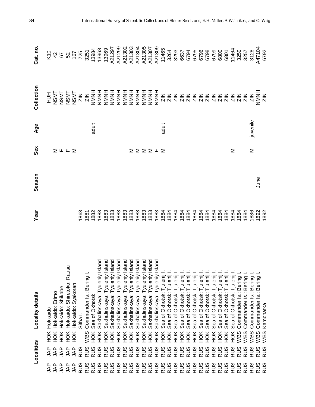|               | Localities |                  | Locality details                     | <b>Near</b>          | Season | Sex                                         | Age      | Collection  | Cat. no                                                                                                                                                                                                                                                                                                     |
|---------------|------------|------------------|--------------------------------------|----------------------|--------|---------------------------------------------|----------|-------------|-------------------------------------------------------------------------------------------------------------------------------------------------------------------------------------------------------------------------------------------------------------------------------------------------------------|
| <u>n</u><br>ξ | <b>AP</b>  | HOK              | Hokkaido                             |                      |        |                                             |          | 三           |                                                                                                                                                                                                                                                                                                             |
| LAP           | <b>AP</b>  | HOK              | Hokkaido: Erimo                      |                      |        |                                             |          |             |                                                                                                                                                                                                                                                                                                             |
| <b>AP</b>     | <b>AP</b>  | <b>HOK</b>       | Hokkaido: Shikabe                    |                      |        | $\Sigma$ $\mathsf{L}$ $\mathsf{L}$ $\Sigma$ |          |             | $\frac{2}{3}$ 4 6 8 9 6 7 8 9 7 8 9 7 9 7 9 7 9 9 1 0 $\frac{2}{3}$                                                                                                                                                                                                                                         |
| ξÅ            | <b>AP</b>  | ŘЯ               | Hokkaido: Shiretoko: Rausu           |                      |        |                                             |          |             |                                                                                                                                                                                                                                                                                                             |
| gyr           | <b>AP</b>  | HOK              | Hokkaido: Syakoran                   |                      |        |                                             |          |             |                                                                                                                                                                                                                                                                                                             |
| RUS           | <b>RUS</b> |                  | Sitha                                |                      |        |                                             |          |             |                                                                                                                                                                                                                                                                                                             |
| <b>RUS</b>    | RUS        | WBS              | Commander Is.: Bering                |                      |        |                                             |          |             |                                                                                                                                                                                                                                                                                                             |
| RUS           | <b>RUS</b> | НOК              | Sea of Okhotsk                       |                      |        |                                             | adult    |             |                                                                                                                                                                                                                                                                                                             |
| RUS           | <b>RUS</b> | ЯÓН              | Island<br>Sakhalinskaya: Tyuleniy    |                      |        |                                             |          |             |                                                                                                                                                                                                                                                                                                             |
| <b>RUS</b>    | <b>RUS</b> | ЯČН              | Island<br>Tyuleniy<br>Sakhalinskaya: |                      |        |                                             |          |             | $\begin{array}{l} 1398 \\ 13968 \\ 13969 \\ 13969 \\ 13969 \\ 1397 \\ 1390 \\ 1390 \\ 1390 \\ 1303 \\ 1303 \\ 1303 \\ 1304 \\ 1305 \\ 1307 \\ 1309 \\ 1309 \\ 1309 \\ 1309 \\ 1309 \\ 1309 \\ 1309 \\ 1309 \\ 1309 \\ 1309 \\ 1309 \\ 1309 \\ 1309 \\ 1309 \\ 1309 \\ 1309 \\ 1309 \\ 1309 \\ 1309 \\ 1309$ |
| <b>RUS</b>    | <b>RUS</b> | H <sub>O</sub> K | Island<br>Tyuleniy<br>Sakhalinskaya: |                      |        |                                             |          |             |                                                                                                                                                                                                                                                                                                             |
| RUS           | <b>RUS</b> | H <sub>O</sub> K | Island<br>Tyuleniy<br>Sakhalinskaya: |                      |        |                                             |          |             |                                                                                                                                                                                                                                                                                                             |
| RUS           | <b>RUS</b> | H <sub>O</sub> K | Island<br>Tyuleniy<br>Sakhalinskaya: | 1883                 |        |                                             |          |             |                                                                                                                                                                                                                                                                                                             |
| RUS           | <b>RUS</b> | ЭX               | Island<br>Tyuleniy<br>Sakhalinskaya: | 1883                 |        | Σ                                           |          |             |                                                                                                                                                                                                                                                                                                             |
| <b>RUS</b>    | <b>RUS</b> | ŘЖ               | Island<br>Tyuleniy<br>Sakhalinskaya: | 1883<br>1883<br>1883 |        |                                             |          |             |                                                                                                                                                                                                                                                                                                             |
| RUS           | <b>RUS</b> | ŠК               | Island<br>Tyuleniy<br>Sakhalinskaya: |                      |        |                                             |          |             |                                                                                                                                                                                                                                                                                                             |
| RUS           | <b>RUS</b> | ЯOК              | Island<br>Tyuleniy<br>Sakhalinskaya: |                      |        | $\Sigma$ $\Sigma$ $\Sigma$ $\mu$ $\Sigma$   |          |             |                                                                                                                                                                                                                                                                                                             |
| RUS           | <b>RUS</b> | ЯČК              | Island<br>Sakhalinskaya: Tyuleniy    | 1883                 |        |                                             |          |             |                                                                                                                                                                                                                                                                                                             |
| RUS           | <b>RUS</b> | ЯÓН              | Sea of Okhotsk: Tjulenij             | 1884                 |        |                                             | adult    |             | 11465                                                                                                                                                                                                                                                                                                       |
| RUS           | <b>RUS</b> | ЯOК              | Sea of Okhotsk: Tjulenij             | 1884                 |        |                                             |          |             |                                                                                                                                                                                                                                                                                                             |
| RUS           | <b>RUS</b> | й<br>Э           | Sea of Okhotsk: Tjulenij             | 1884<br>1884         |        |                                             |          |             |                                                                                                                                                                                                                                                                                                             |
| RUS           | <b>RUS</b> | ЯČ               | Sea of Okhotsk: Tjulenij             |                      |        |                                             |          |             |                                                                                                                                                                                                                                                                                                             |
| RUS           | <b>RUS</b> | й<br>Э           | Sea of Okhotsk: Tjulenij             | 1884                 |        |                                             |          |             |                                                                                                                                                                                                                                                                                                             |
| RUS           | RUS<br>RUS | й<br>Э           | of Okhotsk: Tjulenij<br>Sea          | 1884                 |        |                                             |          |             |                                                                                                                                                                                                                                                                                                             |
| RUS           |            | У<br>Э           | of Okhotsk: Tjulenij<br>Sea          | 1884                 |        |                                             |          |             |                                                                                                                                                                                                                                                                                                             |
| RUS           | <b>RUS</b> | ЯČК              | Sea of Okhotsk: Tjuleni              | 1884                 |        |                                             |          |             |                                                                                                                                                                                                                                                                                                             |
| <b>RUS</b>    | <b>RUS</b> | ЯČК              | Sea of Okhotsk: Tjulenij             | 1884                 |        |                                             |          |             |                                                                                                                                                                                                                                                                                                             |
| RUS           | <b>RUS</b> | ЯÓН              | of Okhotsk: Tjulenij<br>Sea          | 1884                 |        |                                             |          |             |                                                                                                                                                                                                                                                                                                             |
| RUS           | RUS        | ŘЯ               | Sea of Okhotsk: Tjulenij             | 1884                 |        |                                             |          |             |                                                                                                                                                                                                                                                                                                             |
| RUS           | <b>RUS</b> | HOK              | Sea of Okhotsk: Tjulenij             | 1884                 |        | Σ                                           |          |             | 11464                                                                                                                                                                                                                                                                                                       |
| RUS           | <b>RUS</b> | WBS              | Commander Is.: Bering                | 1884                 |        |                                             |          |             | 3250                                                                                                                                                                                                                                                                                                        |
| RUS           | <b>RUS</b> | WBS              | Commander Is.: Bering                | 1884                 |        |                                             |          |             | 3257                                                                                                                                                                                                                                                                                                        |
| RUS           | <b>RUS</b> | WBS              | Commander Is.: Bering                | 886                  |        | Σ                                           | juvenile |             | 3128                                                                                                                                                                                                                                                                                                        |
| RUS           | RUS        | WBS<br>WBS       | Commander Is.: Bering                | 892                  | June   |                                             |          | NMNH<br>ZIN | A47104<br>6792                                                                                                                                                                                                                                                                                              |
| RUS           | <b>RUS</b> |                  | Kamchatka                            | 1892                 |        |                                             |          |             |                                                                                                                                                                                                                                                                                                             |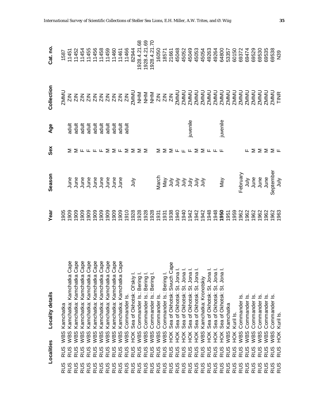|            | Localities        | Locality details                                                                                                                                                                                                                  | Year | Season                                   | Sex                                                                | Age                                                                                                                                                                                                                                                                                                                                                                                                            | Collection          | Cat. no. |
|------------|-------------------|-----------------------------------------------------------------------------------------------------------------------------------------------------------------------------------------------------------------------------------|------|------------------------------------------|--------------------------------------------------------------------|----------------------------------------------------------------------------------------------------------------------------------------------------------------------------------------------------------------------------------------------------------------------------------------------------------------------------------------------------------------------------------------------------------------|---------------------|----------|
| <b>RUS</b> | WBS<br><b>RUS</b> | Kamchatka                                                                                                                                                                                                                         |      |                                          |                                                                    |                                                                                                                                                                                                                                                                                                                                                                                                                |                     |          |
| <b>RUS</b> | <b>RUS</b>        | ape<br>WBS Kamchatka: Kamchatka                                                                                                                                                                                                   |      |                                          |                                                                    |                                                                                                                                                                                                                                                                                                                                                                                                                |                     |          |
| RUS        | WBS<br><b>RUS</b> | Kamchatka: Kamchatka                                                                                                                                                                                                              |      |                                          |                                                                    | $\begin{array}{cccccccccc} \frac{1}{2} & \frac{1}{2} & \frac{1}{2} & \frac{1}{2} & \frac{1}{2} & \frac{1}{2} & \frac{1}{2} & \frac{1}{2} & \frac{1}{2} & \frac{1}{2} & \frac{1}{2} & \frac{1}{2} & \frac{1}{2} & \frac{1}{2} & \frac{1}{2} & \frac{1}{2} & \frac{1}{2} & \frac{1}{2} & \frac{1}{2} & \frac{1}{2} & \frac{1}{2} & \frac{1}{2} & \frac{1}{2} & \frac{1}{2} & \frac{1}{2} & \frac{1}{2} & \frac{$ |                     |          |
| RUS        | WBS<br><b>RUS</b> | Kamchatka: Kamchatka                                                                                                                                                                                                              |      |                                          |                                                                    |                                                                                                                                                                                                                                                                                                                                                                                                                |                     |          |
| RUS        | WBS<br><b>RUS</b> | Kamchatka: Kamchatka                                                                                                                                                                                                              |      |                                          |                                                                    |                                                                                                                                                                                                                                                                                                                                                                                                                |                     |          |
| RUS        | WBS<br><b>RUS</b> | Kamchatka: Kamchatka                                                                                                                                                                                                              |      |                                          |                                                                    |                                                                                                                                                                                                                                                                                                                                                                                                                |                     |          |
| <b>RUS</b> | WBS<br><b>RUS</b> | Kamchatka: Kamchatka                                                                                                                                                                                                              |      |                                          |                                                                    |                                                                                                                                                                                                                                                                                                                                                                                                                |                     |          |
| <b>RUS</b> | WBS<br><b>RUS</b> | Kamchatka: Kamchatka                                                                                                                                                                                                              |      |                                          |                                                                    |                                                                                                                                                                                                                                                                                                                                                                                                                |                     |          |
| RUS        | WBS<br><b>RUS</b> | ape:<br>Kamchatka: Kamchatka                                                                                                                                                                                                      |      |                                          | $\Sigma$ Fr $\pi$ F $\Sigma$ $\Sigma$ F $\Sigma$ $\Sigma$ $\Sigma$ |                                                                                                                                                                                                                                                                                                                                                                                                                |                     |          |
| <b>RUS</b> | WBS<br><b>RUS</b> | ape<br>Kamchatka: Kamchatka                                                                                                                                                                                                       |      |                                          |                                                                    |                                                                                                                                                                                                                                                                                                                                                                                                                |                     |          |
| <b>RUS</b> | WBS<br><b>RUS</b> | Commander Is                                                                                                                                                                                                                      |      |                                          |                                                                    |                                                                                                                                                                                                                                                                                                                                                                                                                |                     |          |
| RUS        | HOK<br><b>RUS</b> | Sea of Okhotsk: Ol'skiy I.                                                                                                                                                                                                        |      | χlul                                     |                                                                    |                                                                                                                                                                                                                                                                                                                                                                                                                |                     |          |
| RUS        | WBS<br><b>RUS</b> | Commander Is.: Bering I.                                                                                                                                                                                                          |      |                                          |                                                                    |                                                                                                                                                                                                                                                                                                                                                                                                                |                     |          |
| RUS        | WBS<br><b>RUS</b> | Commander Is.: Bering I.                                                                                                                                                                                                          |      |                                          |                                                                    |                                                                                                                                                                                                                                                                                                                                                                                                                |                     |          |
| RUS        | WBS<br><b>RUS</b> | Commander Is.: Bering I.                                                                                                                                                                                                          |      |                                          |                                                                    |                                                                                                                                                                                                                                                                                                                                                                                                                |                     |          |
| RUS        | WBS<br><b>RUS</b> |                                                                                                                                                                                                                                   |      |                                          | Σ                                                                  |                                                                                                                                                                                                                                                                                                                                                                                                                |                     |          |
| RUS        | WBS<br><b>RUS</b> |                                                                                                                                                                                                                                   |      |                                          | Σ                                                                  |                                                                                                                                                                                                                                                                                                                                                                                                                |                     |          |
| RUS        | HOK<br><b>RUS</b> |                                                                                                                                                                                                                                   |      |                                          |                                                                    |                                                                                                                                                                                                                                                                                                                                                                                                                |                     |          |
| RUS        | HOK<br><b>RUS</b> |                                                                                                                                                                                                                                   |      |                                          |                                                                    |                                                                                                                                                                                                                                                                                                                                                                                                                |                     |          |
| RUS        | HOK<br><b>RUS</b> |                                                                                                                                                                                                                                   |      |                                          |                                                                    |                                                                                                                                                                                                                                                                                                                                                                                                                |                     |          |
| RUS        | ЙЯ<br><b>RUS</b>  |                                                                                                                                                                                                                                   |      |                                          |                                                                    | juvenile                                                                                                                                                                                                                                                                                                                                                                                                       |                     |          |
| RUS        | HOK<br><b>RUS</b> |                                                                                                                                                                                                                                   |      |                                          |                                                                    |                                                                                                                                                                                                                                                                                                                                                                                                                |                     |          |
| <b>RUS</b> | WBS<br><b>RUS</b> | Comman John Comman Commander Is: Berling .<br>Sommander Is: Berling .<br>K Sea of Okhotsk: Sivuch Cape<br>K Sea of Okhotsk: St. Jona I.<br>X Sea of Okhotsk: St. Jona I.<br>DK Sea of Okhotsk: St. Jona I.<br>The St. St. Jona I. |      | ture<br>로그 그 그 그 그 그<br>동물 그 그 그 그 그 그   | $\Sigma \cup \dots \cup \Sigma \subseteq \dots \cup \dots$         |                                                                                                                                                                                                                                                                                                                                                                                                                |                     |          |
| <b>RUS</b> | HOK<br><b>RUS</b> | Sea of Okhotsk: St. Jona                                                                                                                                                                                                          |      |                                          |                                                                    |                                                                                                                                                                                                                                                                                                                                                                                                                |                     |          |
| <b>RUS</b> | HOK<br><b>RUS</b> | Sea of Okhotsk: St. Jona                                                                                                                                                                                                          |      |                                          |                                                                    |                                                                                                                                                                                                                                                                                                                                                                                                                |                     |          |
| <b>RUS</b> | HOK<br><b>RUS</b> | Sea of Okhotsk: St. Jona                                                                                                                                                                                                          |      | May                                      |                                                                    | juvenile                                                                                                                                                                                                                                                                                                                                                                                                       |                     |          |
| RUS        | WBS<br><b>RUS</b> | Kamchatka                                                                                                                                                                                                                         |      |                                          |                                                                    |                                                                                                                                                                                                                                                                                                                                                                                                                |                     |          |
| RUS        | HOK<br><b>RUS</b> | Kuril Is                                                                                                                                                                                                                          |      |                                          |                                                                    |                                                                                                                                                                                                                                                                                                                                                                                                                |                     |          |
| RUS        | WBS<br><b>SCR</b> | Commander Is                                                                                                                                                                                                                      |      |                                          |                                                                    |                                                                                                                                                                                                                                                                                                                                                                                                                |                     |          |
| RUS        | WBS<br><b>RUS</b> | <u>ഗ</u><br>Commander                                                                                                                                                                                                             |      |                                          |                                                                    |                                                                                                                                                                                                                                                                                                                                                                                                                |                     |          |
| RUS        | WBS<br><b>RUS</b> | <u>ທ</u><br>Commander                                                                                                                                                                                                             |      |                                          |                                                                    |                                                                                                                                                                                                                                                                                                                                                                                                                |                     |          |
| <b>RUS</b> | WBS<br><b>RUS</b> | <u>ဟ</u><br>Commander                                                                                                                                                                                                             |      |                                          |                                                                    |                                                                                                                                                                                                                                                                                                                                                                                                                |                     |          |
| <b>RUS</b> | WBS<br>RUS        | <u>ທ່</u><br>Commander                                                                                                                                                                                                            |      | February<br>July<br>June<br>June<br>June | ╙⋝⋝⋝⋝╙                                                             |                                                                                                                                                                                                                                                                                                                                                                                                                |                     |          |
| RUS        | WBS<br>RUS        | <u>vi</u><br>Commander                                                                                                                                                                                                            |      | September<br>July                        |                                                                    |                                                                                                                                                                                                                                                                                                                                                                                                                | <b>ZMMU</b><br>TINR |          |
| <b>RUS</b> | HOK<br><b>RUS</b> | Kuril Is.                                                                                                                                                                                                                         |      |                                          |                                                                    |                                                                                                                                                                                                                                                                                                                                                                                                                |                     |          |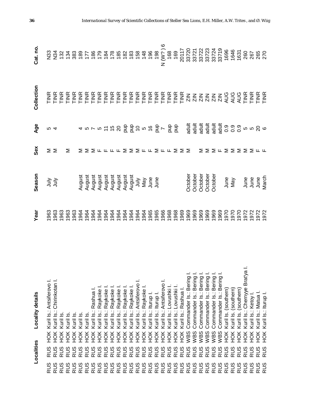|            | Localities |                  | Locality details                  | Year | Season                                                                                                                                                                                                                                                 | Sex | Age  | Collection | Cat. no. |
|------------|------------|------------------|-----------------------------------|------|--------------------------------------------------------------------------------------------------------------------------------------------------------------------------------------------------------------------------------------------------------|-----|------|------------|----------|
| RUS        | <b>RUS</b> | H <sub>O</sub> K | Kuril Is.: Antsiferovo I.         |      | うう                                                                                                                                                                                                                                                     | ΣΣ  |      |            |          |
| RUS        | <b>RUS</b> | H <sub>O</sub> K | Kuril Is.: Chirinkotan I.         |      |                                                                                                                                                                                                                                                        |     | ro 4 |            |          |
| RUS        | RUS        | HOK              | Kuril Is                          |      |                                                                                                                                                                                                                                                        |     |      |            |          |
| RUS        | <b>RUS</b> | HOK              | Kuril Is.                         |      |                                                                                                                                                                                                                                                        | Σ   |      |            |          |
| RUS        | <b>RUS</b> | HOK              | Kuril Is.                         |      |                                                                                                                                                                                                                                                        |     |      |            |          |
| RUS        | <b>RUS</b> | ŠК               | Kuril Is                          |      |                                                                                                                                                                                                                                                        |     |      |            |          |
| RUS        | <b>RUS</b> | ŠК               | Kuril Is                          |      |                                                                                                                                                                                                                                                        |     |      |            |          |
| RUS        | <b>RUS</b> | HOK              | Kuril Is.: Rashua I               |      |                                                                                                                                                                                                                                                        |     |      |            |          |
| RUS        | <b>RUS</b> | ŘЯ               | Kuril Is.: Raykoke I              |      | August<br>August Islam Sangust<br>August Islam Sangust<br>August Islam Sangust<br>August Islam Sangust<br>Sangust Islam Sangust<br>Sangust Islam Sangust<br>Sangust Islam Sangust Islam Sangust<br>Sangust Islam Sangust Islam Sangust Islam Sangust I |     |      |            |          |
| RUS        | <b>RUS</b> | ЙÓК              | Kuril Is.: Raykoke                |      |                                                                                                                                                                                                                                                        |     |      |            |          |
| <b>RUS</b> | <b>RUS</b> | ŘЯ               | Kuril Is.: Raykoke                |      |                                                                                                                                                                                                                                                        |     |      |            |          |
| RUS        | <b>RUS</b> | HOK              | Kuril Is.: Raykoke                |      |                                                                                                                                                                                                                                                        |     |      |            |          |
| <b>RUS</b> | <b>RUS</b> | НÖК              | Kuril Is.: Raykoke                |      |                                                                                                                                                                                                                                                        |     |      |            |          |
| <b>RUS</b> | <b>RUS</b> | ЙОК              | Kuril Is.: Raykoke                |      |                                                                                                                                                                                                                                                        |     |      |            |          |
| RUS        | <b>RUS</b> | HOK              | Kuril Is.: Antsiferovo            |      |                                                                                                                                                                                                                                                        |     |      |            |          |
| RUS        | <b>RUS</b> | ŘЯ               | Kuril Is.: Raykoke                |      |                                                                                                                                                                                                                                                        |     |      |            |          |
| RUS        | <b>RUS</b> | ŘЯ               | Kuril Is.: Iturup I.              |      |                                                                                                                                                                                                                                                        |     |      |            |          |
| <b>RUS</b> | <b>RUS</b> | НOК              | Kuril Is.: Iturup I.              |      |                                                                                                                                                                                                                                                        |     |      |            |          |
| RUS        | <b>RUS</b> | HOK              | Kuril Is.: Antsiferovo            |      |                                                                                                                                                                                                                                                        |     |      |            |          |
| RUS        | RUS        | ŘЯ               | Kuril Is.: Lovushki               |      |                                                                                                                                                                                                                                                        |     |      |            |          |
| <b>RUS</b> | <b>RUS</b> | ĔК               | Kuril Is.: Lovushki               |      |                                                                                                                                                                                                                                                        |     |      |            |          |
| RUS        | <b>RUS</b> |                  | Kuril Is.: Rashua I.              |      |                                                                                                                                                                                                                                                        |     |      |            |          |
| <b>RUS</b> | <b>RUS</b> | NOK<br>ADR       | Commander Is.: Bering             |      | October<br>October<br>October<br>October<br>October                                                                                                                                                                                                    |     |      |            |          |
| RUS        | <b>RUS</b> | WBS              | Commander Is.: Bering             |      |                                                                                                                                                                                                                                                        |     |      |            |          |
| RUS        | <b>RUS</b> | WBS              | Commander Is.: Bering             |      |                                                                                                                                                                                                                                                        |     |      |            |          |
| RUS        | <b>RUS</b> | WBS              | $\equiv$<br>Commander Is.: Bering |      |                                                                                                                                                                                                                                                        |     |      |            |          |
| RUS        | <b>RUS</b> | WBS              | Commander Is.: Bering             |      |                                                                                                                                                                                                                                                        |     |      |            |          |
| <b>RUS</b> | <b>RUS</b> | WBS              | Commander Is.: Bering             |      |                                                                                                                                                                                                                                                        |     |      |            |          |
| <b>RUS</b> | <b>RUS</b> | HOK              | Kuril Is. (southern)              |      |                                                                                                                                                                                                                                                        |     |      |            |          |
| RUS        | <b>RUS</b> | <b>HOK</b>       | Kuril Is. (southern)              |      |                                                                                                                                                                                                                                                        |     |      |            |          |
| RUS        | <b>RUS</b> | HOK              | Kuril Is. (southern)              |      |                                                                                                                                                                                                                                                        |     |      |            |          |
| RUS        | <b>RUS</b> | HOK              | Kuril Is.: Chernyye Brat'ya       |      |                                                                                                                                                                                                                                                        |     |      |            |          |
| RUS        | <b>RUS</b> | HOK              | Kuril Is.: Ketoy                  |      | June<br>May<br>June e e<br>June 1<br>June 10                                                                                                                                                                                                           |     |      |            |          |
| RUS        | <b>RUS</b> | Ř                | Kuril Is.: Matua                  |      |                                                                                                                                                                                                                                                        |     |      |            |          |
| RUS        | RUS        | HOK              | Kuril Is.: Iturup I.              |      |                                                                                                                                                                                                                                                        |     |      |            |          |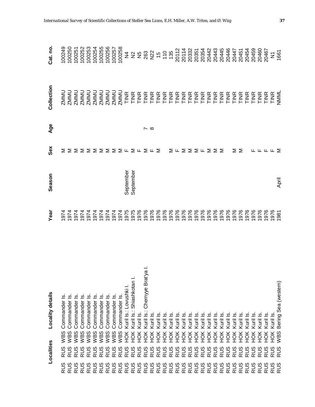|            | Localities | Locality details                           | Year                                      | Season    | Sex                                                                                                                                                  | Age             | Collection | Cat. no                 |
|------------|------------|--------------------------------------------|-------------------------------------------|-----------|------------------------------------------------------------------------------------------------------------------------------------------------------|-----------------|------------|-------------------------|
| <b>RUS</b> | <b>RUS</b> | <u>ო</u><br>Commander<br>WBS               |                                           |           | ⋝                                                                                                                                                    |                 |            | 100249                  |
| <b>RUS</b> | <b>RUS</b> | Commander Is<br>WBS                        |                                           |           |                                                                                                                                                      |                 |            | 100250                  |
| <b>RUS</b> | <b>RUS</b> | Commander Is<br>WBS                        |                                           |           |                                                                                                                                                      |                 |            | 100251                  |
| <b>RUS</b> | <b>RUS</b> | Commander Is<br>WBS                        |                                           |           |                                                                                                                                                      |                 |            | 100252                  |
| <b>RUS</b> | <b>RUS</b> | Commander Is<br>WBS                        |                                           |           |                                                                                                                                                      |                 |            | 100253                  |
| <b>RUS</b> | <b>RUS</b> | Commander Is<br>WBS                        |                                           |           |                                                                                                                                                      |                 |            | 100254                  |
| <b>RUS</b> | <b>RUS</b> | Commander Is<br>WBS                        | 77777777777<br>00000000000<br>00000000000 |           |                                                                                                                                                      |                 |            | 100255                  |
| <b>RUS</b> | <b>RUS</b> | Commander Is<br>WBS                        |                                           |           |                                                                                                                                                      |                 |            | 100256                  |
| <b>RUS</b> | RUS        | Commander Is<br>WBS                        |                                           |           |                                                                                                                                                      |                 |            | 100257                  |
| <b>RUS</b> | <b>RUS</b> | Commander Is<br>WBS                        |                                           |           |                                                                                                                                                      |                 |            | 100258                  |
| <b>RUS</b> | <b>RUS</b> | Kuril Is.: Lovushki I<br>HOK               |                                           | September |                                                                                                                                                      |                 |            | $\frac{4}{5}$           |
| RUS        | RUS        | Kuril Is.: Shiashkotan I.<br>HOK           | 1975                                      | September | $\Sigma \Sigma \Sigma \Sigma \Sigma \Sigma \Sigma \Sigma \Sigma \mathrel{\mathsf{L}} \Sigma \mathrel{\mathsf{L}} \Sigma \mathrel{\mathsf{L}} \Sigma$ |                 |            |                         |
| <b>RUS</b> | RUS        | Kuril Is.<br>HOK                           | 1976                                      |           |                                                                                                                                                      |                 |            |                         |
| <b>RUS</b> | <b>RUS</b> | _i<br>ج<br>Kuril Is.: Chernyye Brat<br>ЯČН | 1976                                      |           |                                                                                                                                                      | $\sim$ $\infty$ |            |                         |
| RUS        | <b>RUS</b> | Kuril Is.<br>ЯСH                           | 1976                                      |           |                                                                                                                                                      |                 |            |                         |
| RUS        | <b>RUS</b> | Kuril Is.<br>ЯČН                           | 1976                                      |           |                                                                                                                                                      |                 |            |                         |
| RUS        | <b>RUS</b> | Kuril Is<br>ŘЯ                             | 1976                                      |           |                                                                                                                                                      |                 |            |                         |
| <b>RUS</b> | <b>RUS</b> | Kuril Is.<br>ŘЯ                            | 1976                                      |           |                                                                                                                                                      |                 |            |                         |
| <b>RUS</b> | <b>RUS</b> | Kuril Is<br>ŘЯ                             | 1976                                      |           | $\Sigma$ U $\Sigma$ $\Sigma$ $\Sigma$ U $\Sigma$ $\Sigma$ $\Sigma$                                                                                   |                 |            |                         |
| RUS        | RUS        | Kuril Is<br>ŠК                             |                                           |           |                                                                                                                                                      |                 |            |                         |
| RUS        | <b>RUS</b> | Kuril Is.<br>ŘЯ                            | 976<br>1976<br>1976<br>1976               |           |                                                                                                                                                      |                 |            |                         |
| <b>RUS</b> | <b>RUS</b> | Kuril Is<br>ŠК                             |                                           |           |                                                                                                                                                      |                 |            |                         |
| <b>RUS</b> | <b>RUS</b> | Kuril Is<br>ŘЯ                             |                                           |           |                                                                                                                                                      |                 |            |                         |
| <b>RUS</b> | <b>RUS</b> | Kuril Is.<br>ŠК                            | 1976                                      |           |                                                                                                                                                      |                 |            |                         |
| <b>RUS</b> | <b>RUS</b> | Kuril Is.<br>ŘЯ                            | 1976                                      |           |                                                                                                                                                      |                 |            |                         |
| <b>RUS</b> | <b>RUS</b> | Kuril Is.<br>ŠК                            | 1976                                      |           |                                                                                                                                                      |                 |            |                         |
| <b>RUS</b> | <b>RUS</b> | Kuril Is.<br>ŘЯ                            | 1976                                      |           |                                                                                                                                                      |                 |            |                         |
| <b>RUS</b> | <b>RUS</b> | Kuril Is.<br>ŠК                            | 1976                                      |           | ΣΣ                                                                                                                                                   |                 |            |                         |
| <b>RUS</b> | <b>RUS</b> | Kuril Is.<br>HOK                           | 1976                                      |           |                                                                                                                                                      |                 |            |                         |
| RUS        | <b>RUS</b> | Kuril Is.<br>HOK                           | 1976                                      |           |                                                                                                                                                      |                 |            | 20451<br>20454<br>20459 |
| RUS        | <b>RUS</b> | Kuril Is.<br>HOK                           | 1976                                      |           |                                                                                                                                                      |                 |            |                         |
| <b>RUS</b> | <b>RUS</b> | Kuril Is.<br>HOK                           | 1976                                      |           | ட                                                                                                                                                    |                 |            | 20460                   |
| <b>RUS</b> | <b>RUS</b> | Kuril Is.<br>НOК                           | 1976                                      |           | ட                                                                                                                                                    |                 |            | 20467                   |
| <b>RUS</b> | RUS        | Kuril Is<br>НOК                            | 1976                                      |           | ட ≥                                                                                                                                                  |                 |            | $\overline{z}$          |
| <b>RUS</b> | <b>RUS</b> | Bering Sea (western)<br>WBS                | 1981                                      | April     |                                                                                                                                                      |                 |            | 1661                    |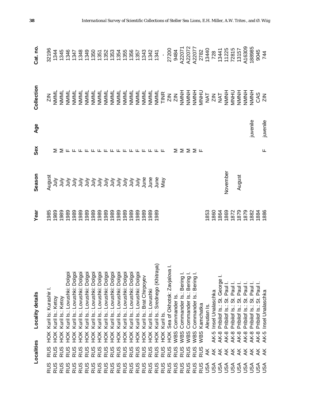|                      | Localities     |                  | Locality details                                                                                                                                                                                                                                    | Year                                                                                                                                                                                                                                                                                                          | Season                                                                                              | Sex                                                                                                                                                                                                                                                                                                                                                                         | Age      | Collection | Cat. no |
|----------------------|----------------|------------------|-----------------------------------------------------------------------------------------------------------------------------------------------------------------------------------------------------------------------------------------------------|---------------------------------------------------------------------------------------------------------------------------------------------------------------------------------------------------------------------------------------------------------------------------------------------------------------|-----------------------------------------------------------------------------------------------------|-----------------------------------------------------------------------------------------------------------------------------------------------------------------------------------------------------------------------------------------------------------------------------------------------------------------------------------------------------------------------------|----------|------------|---------|
| RUS                  |                | ЙOК              | Kuril Is: Kurashir I.                                                                                                                                                                                                                               |                                                                                                                                                                                                                                                                                                               |                                                                                                     |                                                                                                                                                                                                                                                                                                                                                                             |          |            |         |
| RUS                  | <b>RUS</b>     | Н <sub>О</sub> К | Kuril Is.: Ketoy                                                                                                                                                                                                                                    |                                                                                                                                                                                                                                                                                                               |                                                                                                     |                                                                                                                                                                                                                                                                                                                                                                             |          |            |         |
| RUS                  | <b>RUS</b>     | HOK              | Kuril Is.: Ketoy                                                                                                                                                                                                                                    |                                                                                                                                                                                                                                                                                                               |                                                                                                     |                                                                                                                                                                                                                                                                                                                                                                             |          |            |         |
| <b>RUS</b>           | <b>RUS</b>     | HOK              |                                                                                                                                                                                                                                                     |                                                                                                                                                                                                                                                                                                               |                                                                                                     |                                                                                                                                                                                                                                                                                                                                                                             |          |            |         |
| RUS                  | <b>RUS</b>     | HOK              |                                                                                                                                                                                                                                                     |                                                                                                                                                                                                                                                                                                               |                                                                                                     |                                                                                                                                                                                                                                                                                                                                                                             |          |            |         |
| RUS                  | <b>RUS</b>     | HOK              |                                                                                                                                                                                                                                                     |                                                                                                                                                                                                                                                                                                               |                                                                                                     |                                                                                                                                                                                                                                                                                                                                                                             |          |            |         |
| RUS                  | <b>RUS</b>     | HOK              |                                                                                                                                                                                                                                                     |                                                                                                                                                                                                                                                                                                               |                                                                                                     |                                                                                                                                                                                                                                                                                                                                                                             |          |            |         |
| RUS                  | RUS            | HOK              | : Kuril Is.: Lovushki: Dolgoi<br>: Kuril Is.: Lovushki: Dolgoi<br>: Kuril Is.: Lovushki: Dolgoi<br>: Kuril Is.: Lovushki: Dolgoi<br>: Kuril Is.: Lovushki: Dolgoi<br>: Kuril Is.: Lovushki: Dolgoi<br>: Kuril Is.: Lovushki: Dolgoi<br>: Kuril Is.: |                                                                                                                                                                                                                                                                                                               | មិនមានមិនមិនមិនមិនមិនមិនមិនមិន<br>រាំមិនមិនមិនមិនមិនមិនមិនមិនមិត្ត<br>ដូនមិនមិនមិនមិនមិនមិនមិនមិត្ត | $\geq$ $\geq$ $\lfloor$ $\lfloor$ $\lfloor$ $\lfloor$ $\lfloor$ $\lfloor$ $\lfloor$ $\lfloor$ $\lfloor$ $\lfloor$ $\lfloor$ $\lfloor$ $\lfloor$ $\lfloor$ $\lfloor$ $\lfloor$ $\lfloor$ $\lfloor$ $\lfloor$ $\lfloor$ $\lfloor$ $\lfloor$ $\lfloor$ $\lfloor$ $\lfloor$ $\lfloor$ $\lfloor$ $\lfloor$ $\lfloor$ $\lfloor$ $\lfloor$ $\lfloor$ $\lfloor$ $\lfloor$ $\lfloor$ |          |            |         |
| RUS                  | <b>RUS</b>     | ŘЯ               |                                                                                                                                                                                                                                                     |                                                                                                                                                                                                                                                                                                               |                                                                                                     |                                                                                                                                                                                                                                                                                                                                                                             |          |            |         |
| <b>RUS</b>           | RUS            | ЭК               |                                                                                                                                                                                                                                                     |                                                                                                                                                                                                                                                                                                               |                                                                                                     |                                                                                                                                                                                                                                                                                                                                                                             |          |            |         |
| RUS                  | RUS            | ŘЯ               |                                                                                                                                                                                                                                                     |                                                                                                                                                                                                                                                                                                               |                                                                                                     |                                                                                                                                                                                                                                                                                                                                                                             |          |            |         |
|                      | RUS            | НÖК              |                                                                                                                                                                                                                                                     |                                                                                                                                                                                                                                                                                                               |                                                                                                     |                                                                                                                                                                                                                                                                                                                                                                             |          |            |         |
| RUS<br>RUS           | RUS            | НÖК              |                                                                                                                                                                                                                                                     |                                                                                                                                                                                                                                                                                                               |                                                                                                     |                                                                                                                                                                                                                                                                                                                                                                             |          |            |         |
| <b>RUS</b>           | RUS            | HOK              |                                                                                                                                                                                                                                                     |                                                                                                                                                                                                                                                                                                               |                                                                                                     |                                                                                                                                                                                                                                                                                                                                                                             |          |            |         |
| <b>RUS</b>           | <b>RUS</b>     | Ж                |                                                                                                                                                                                                                                                     |                                                                                                                                                                                                                                                                                                               |                                                                                                     |                                                                                                                                                                                                                                                                                                                                                                             |          |            |         |
| <b>RUS</b>           | <b>RUS</b>     | Ж                | Kuril Is.: Brat Chirpoyev                                                                                                                                                                                                                           |                                                                                                                                                                                                                                                                                                               |                                                                                                     |                                                                                                                                                                                                                                                                                                                                                                             |          |            |         |
| RUS                  | <b>RUS</b>     | НÖК              | Kuril Is.: Lovushki                                                                                                                                                                                                                                 |                                                                                                                                                                                                                                                                                                               |                                                                                                     |                                                                                                                                                                                                                                                                                                                                                                             |          |            |         |
| <b>RUS</b>           | <b>RUS</b>     | НÖК              | Srednego (Khitraya)<br>Kuril Is.:                                                                                                                                                                                                                   |                                                                                                                                                                                                                                                                                                               |                                                                                                     |                                                                                                                                                                                                                                                                                                                                                                             |          |            |         |
| <b>RUS</b>           | <b>RUS</b>     | НÖК              | Kuril Is                                                                                                                                                                                                                                            |                                                                                                                                                                                                                                                                                                               |                                                                                                     | ட                                                                                                                                                                                                                                                                                                                                                                           |          |            |         |
| RUS                  | <b>RUS</b>     | ŘЯ               | Sea of Okhotsk: Zavjalova I                                                                                                                                                                                                                         |                                                                                                                                                                                                                                                                                                               |                                                                                                     |                                                                                                                                                                                                                                                                                                                                                                             |          |            |         |
| RUS                  |                | WBS              | Commander Is                                                                                                                                                                                                                                        |                                                                                                                                                                                                                                                                                                               |                                                                                                     |                                                                                                                                                                                                                                                                                                                                                                             |          |            |         |
| RUS                  | RUS<br>RUS     | WBS              | Commander Is.: Bering                                                                                                                                                                                                                               |                                                                                                                                                                                                                                                                                                               |                                                                                                     |                                                                                                                                                                                                                                                                                                                                                                             |          |            |         |
| RUS                  | <b>RUS</b>     | WBS              | فبالقبائص<br>Commander Is.: Bering                                                                                                                                                                                                                  |                                                                                                                                                                                                                                                                                                               |                                                                                                     | ∑∑∑∑щ                                                                                                                                                                                                                                                                                                                                                                       |          |            |         |
| RUS                  | RUS            | WBS              | Bering<br><u>vi</u><br>Commander                                                                                                                                                                                                                    |                                                                                                                                                                                                                                                                                                               |                                                                                                     |                                                                                                                                                                                                                                                                                                                                                                             |          |            |         |
| RUS                  | RUS            | WBS              | Kamchatka                                                                                                                                                                                                                                           |                                                                                                                                                                                                                                                                                                               |                                                                                                     |                                                                                                                                                                                                                                                                                                                                                                             |          |            |         |
|                      | ¥              |                  | Aleutian Is                                                                                                                                                                                                                                         |                                                                                                                                                                                                                                                                                                               |                                                                                                     |                                                                                                                                                                                                                                                                                                                                                                             |          |            |         |
|                      | $\forall$      | AK-5             | Insel Unalaschka                                                                                                                                                                                                                                    |                                                                                                                                                                                                                                                                                                               |                                                                                                     |                                                                                                                                                                                                                                                                                                                                                                             |          |            |         |
|                      |                | <b>AK-8</b>      | George<br>Pribilof Is.: St.                                                                                                                                                                                                                         |                                                                                                                                                                                                                                                                                                               |                                                                                                     |                                                                                                                                                                                                                                                                                                                                                                             |          |            |         |
|                      |                | <b>AK-8</b>      | St. Paul<br>Pribilof Is.:                                                                                                                                                                                                                           |                                                                                                                                                                                                                                                                                                               | November                                                                                            |                                                                                                                                                                                                                                                                                                                                                                             |          |            |         |
| P<br>SARARA<br>ARARA | <b>ERRK</b>    | <b>AK-8</b>      | St. Paul<br>Pribilof Is.:                                                                                                                                                                                                                           | $\begin{array}{l} 1853 \\ 1860 \\ 1860 \\ 1860 \\ 1860 \\ 1870 \\ 1880 \\ 1880 \\ 1880 \\ 1880 \\ 1880 \\ 1880 \\ 1880 \\ 1880 \\ 1880 \\ 1880 \\ 1880 \\ 1880 \\ 1880 \\ 1880 \\ 1880 \\ 1880 \\ 1880 \\ 1880 \\ 1880 \\ 1880 \\ 1880 \\ 1880 \\ 1880 \\ 1880 \\ 1880 \\ 1880 \\ 1880 \\ 1880 \\ 1880 \\ 18$ |                                                                                                     |                                                                                                                                                                                                                                                                                                                                                                             |          |            |         |
|                      |                | AK-8             | St. Paul<br>Pribilof Is.:                                                                                                                                                                                                                           |                                                                                                                                                                                                                                                                                                               | August                                                                                              |                                                                                                                                                                                                                                                                                                                                                                             |          |            |         |
| JSA                  | $\overline{X}$ | <b>AK-8</b>      | St. Paul<br>Pribilof Is.:                                                                                                                                                                                                                           |                                                                                                                                                                                                                                                                                                               |                                                                                                     |                                                                                                                                                                                                                                                                                                                                                                             |          |            |         |
| <b>ASU</b>           | ¥              | $AK-8$           | Pribilof Is.: St. Paul                                                                                                                                                                                                                              |                                                                                                                                                                                                                                                                                                               |                                                                                                     |                                                                                                                                                                                                                                                                                                                                                                             | juvenile |            |         |
| <b>ASU</b>           | き<br>笑         | <b>AK-8</b>      | Pribilof Is.: St. Paul                                                                                                                                                                                                                              |                                                                                                                                                                                                                                                                                                               |                                                                                                     |                                                                                                                                                                                                                                                                                                                                                                             |          |            |         |
|                      |                | AK-5             | Insel Unalaschka                                                                                                                                                                                                                                    |                                                                                                                                                                                                                                                                                                               |                                                                                                     | Щ                                                                                                                                                                                                                                                                                                                                                                           | juvenile |            |         |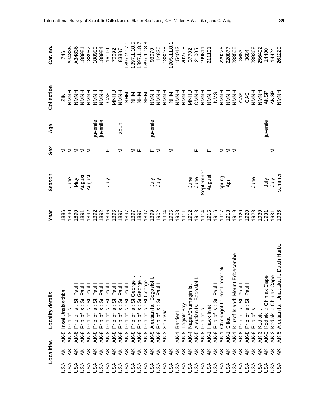|                   | Localities              | <b>Locality details</b>                                            | Year         | Season           | Sex | Age      | Collection                       | Cat. no.         |
|-------------------|-------------------------|--------------------------------------------------------------------|--------------|------------------|-----|----------|----------------------------------|------------------|
| <b>USA</b>        | ¥                       | Insel Unalaschka<br>AK-5                                           | 1886         |                  | ⋝   |          | $\frac{Z}{2N}$                   | 746              |
| JSA               | $\overline{\mathsf{X}}$ | Pribilof Is<br>AK-8                                                | 1890         | June             | Σ   |          | HNNH                             | A34835           |
| USA               | $\overline{\mathsf{X}}$ | Paul<br>.<br>ග්<br>Pribilof Is.:<br><b>AK-8</b>                    | 1890         | Vay              | ΣΣ  |          | HNNH                             | A34836           |
| USA               | $\overline{X}$          | Paul I.<br>Pribilof Is.: St.<br><b>AK-8</b>                        | 1891         |                  |     |          | <b>HNNNH</b>                     | 188981           |
| USA               | ¥                       | Paul I.<br>$\ddot{\tilde{\sigma}}$<br>Pribilof Is.:<br><b>AK-8</b> | 1892         | August<br>August | ⋝   |          | HNNN                             | 188982           |
| USA               | $\overline{\mathsf{X}}$ | Paul I.<br>5<br>Pribilof Is.:<br><b>AK-8</b>                       | 1892         |                  |     | uvenile  | NMNH                             | 188983           |
| JSA               | $\overline{X}$          | Paul I<br>.<br>ಬ<br>Pribilof Is.:<br><b>AK-8</b>                   | 1892         |                  |     | juvenile | NMNH                             | 188984           |
| USA               | $\overline{X}$          | Paul I<br>$\ddot{\circ}$<br>Pribilof Is.:<br><b>AK-8</b>           | 1896         | ∖iuL             | ட   |          | CAS                              | 16110            |
| USA               |                         | St. Paul I<br>Pribilof Is.:<br><b>AK-8</b>                         | 1896         |                  |     |          | <b>UHNW</b>                      | 70692            |
|                   | <i><b>ARRAKA</b></i>    | Pribilof Is.: St. Paul I<br><b>AK-8</b>                            | 1897         |                  | ⋝   | adult    | HNNH                             | 83887            |
|                   |                         | Pribilof Is.: St. Paul I.<br><b>AK-8</b>                           | 1897         |                  |     |          | MHZ                              | 1897.2.17.1      |
|                   |                         | Pribilof Is.: St. George I.<br><b>AK-8</b>                         | 1897         |                  | Σ   |          | N<br>HI<br>Z<br>Z<br>Z<br>Z<br>Z | 1897.1.18.5      |
|                   |                         | Pribilof Is.: St.George I.<br><b>AK-8</b>                          | 1897         |                  | ட   |          |                                  | 1897.1.18.7      |
|                   |                         | Pribilof Is.: St.George I.<br><b>AK-8</b>                          | 1897         |                  |     |          |                                  | 1897.1.18.8      |
|                   | $\overline{X}$          | Aleutian Is.: Bogoslof I.<br>AK-5                                  | 1899         |                  | щ   | juvenile | <b>HNNNH</b>                     | 98070            |
|                   | $\forall$               | Pribilof Is.: St. Paul I.<br><b>AK-8</b>                           | 1902         | うう               | Σ   |          | <b>NMNH</b>                      | 114830           |
|                   | $\forall$               | Seldovia<br>AK-3                                                   | 1904         |                  |     |          | HNNH                             | 133235           |
|                   | $\overline{X}$          |                                                                    | 1905         |                  | Σ   |          | MHN                              | 1905.11.8.1      |
|                   | ¥                       | Barrier <sup>1</sup><br>AK-1                                       | 1908         |                  |     |          | HNNH                             | 154013           |
|                   | ¥                       | Togiak Bay<br><b>AK-8</b>                                          | 1911         |                  |     |          | HNNNH                            | 202705           |
|                   | $\forall$               | Nagai/Shumagin Is.<br><b>AK-4</b>                                  | 1912         | June             |     |          | <b>UHNM</b>                      | 37702            |
|                   | $\forall$               | Aleutian Is.: Bogoslof I.<br>AK-5                                  | 1913         | June             | ட   |          | CMNH                             | 21005            |
|                   | $\frac{1}{2}$           | Pribilof Is.<br><b>AK-8</b>                                        | 1914         | September        |     |          | HNNN                             |                  |
|                   | $\frac{1}{2}$           | Hawk Inlet<br>AK-1                                                 |              | August           | ட   |          | HNNH                             | 199611<br>211101 |
|                   | $\frac{1}{2}$           | Pribilof Is.: St. Paul I.<br><b>AK-8</b>                           | 1915<br>1916 |                  |     |          | NINS                             |                  |
|                   | $\frac{1}{2}$           | Chichagof I.: Port Frederick<br>AK-1                               | 1917         |                  | Σ   |          | <b>NMNH</b>                      | 229226           |
|                   | ¥                       | Sitka<br>AK-1                                                      | 1918         | spring<br>April  | ΣΣ  |          | HNNH                             | 228877           |
| D<br>Page<br>Page | $\frac{1}{2}$           | ecombe<br>Kruzof Island: Mount Edg<br>AK-1                         | 1919         |                  |     |          | HNNH                             | 233505           |
|                   | ¥                       | Pribilof Is.: St. Paul I.<br><b>AK-8</b>                           | 1920         |                  |     |          | CAS                              | 3683             |
| JSA               | $\overline{\mathsf{X}}$ | Paul I<br>Pribilof Is.: St.<br><b>AK-8</b>                         | 1920         |                  |     |          | CAS                              | 3684             |
| <b>ASU</b>        | $\frac{1}{2}$           | Pribilof Is.<br><b>AK-8</b>                                        | 1923         | June             |     |          | HNNNH                            | 239368           |
| <b>ASU</b>        | ¥                       | AK-3 Kodiak I.                                                     | 1930         |                  |     |          | HNNH                             | 256492           |
| <b>ASU</b>        | $\overline{A}$          | Kodiak I.: Chiniak Cape<br><b>AK-3</b>                             | 1931         | うづ               |     | juvenile | <b>ANSP</b>                      | 14400            |
| <b>ASH</b>        | ¥                       | Kodiak I.: Chiniak Cape<br>AK-3                                    | 1931         | <b>SIDC</b>      | Σ   |          | <b>ANSP</b>                      | 14424            |
|                   | ⋇                       | Aleutian Is.: Unalaska I.: Dutch Harbor<br>AK-5                    | 1936         | summer           |     |          | HNNH                             | 261229           |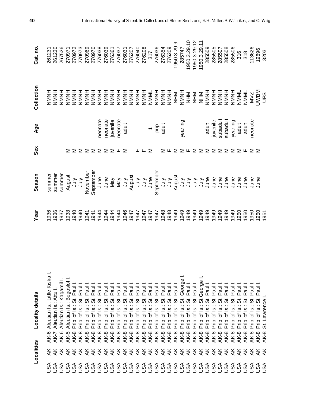|                        | Localities              | Locality details                                                  | Year                        | Season | Sex                                                                  | Age                          | Collection               | Cat. no.                                       |
|------------------------|-------------------------|-------------------------------------------------------------------|-----------------------------|--------|----------------------------------------------------------------------|------------------------------|--------------------------|------------------------------------------------|
| ⋖<br>ر<br>3            |                         | Aleutian Is.: Little Kiska I.<br>AK-6                             | 1936                        | summer |                                                                      |                              | HNNH                     | 261231                                         |
| <b>ASU</b>             | द रू                    | Aleutian Is.: Attu I<br><b>AK-7</b>                               |                             | summer |                                                                      |                              | HNNH                     | 261230                                         |
|                        |                         | Aleutian Is.: Kagamil<br>AK-6                                     | 036<br>0937<br>0940<br>0940 | summer |                                                                      |                              | HNNNH                    | 267526                                         |
|                        |                         | Aleutian Is.: Bogoslof<br>AK-5                                    |                             | August | ⋝                                                                    |                              | HNNN                     |                                                |
|                        |                         | Paul<br><br>თ<br>Pribilof Is.:<br><b>AK-8</b>                     |                             |        | Σ                                                                    |                              | HNNH                     |                                                |
|                        |                         | Paul<br>$\ddot{\tilde{\sigma}}$<br>Pribilof Is.:<br><b>AK-8</b>   |                             |        |                                                                      |                              | HNNN                     |                                                |
|                        |                         | Paul<br>.<br>ග්<br>Pribilof Is.:<br>AK-8                          |                             |        |                                                                      |                              | H<br>NMNH<br>Z<br>Z<br>Z | 270971<br>270972<br>270973<br>270969<br>270970 |
|                        |                         | Paul<br>$\vec{\varpi}$<br>Pribilof Is.:<br><b>AK-8</b>            |                             |        |                                                                      |                              |                          |                                                |
|                        |                         | Paul I<br>.<br>ශ්<br>Pribilof Is.:<br>AK-8                        |                             |        | $\Sigma$ $\Sigma$ $\Sigma$ $\Sigma$ $\Sigma$ $\Sigma$ $\mu$ $\Sigma$ | neonate                      | <b>HNNH</b>              | 276038                                         |
|                        |                         | Paul I<br>.<br>ග්<br>Pribilof Is.<br><b>AK-8</b>                  |                             |        |                                                                      | neonate                      |                          | 276039                                         |
|                        |                         | Paul I<br>.<br>ශ්<br>Pribilof Is.<br>AK-8                         | 1944                        |        |                                                                      | juvenile                     |                          | 276361                                         |
|                        |                         | Paul I<br>.<br>თ<br>Pribilof Is.:<br><b>AK-8</b>                  |                             |        |                                                                      |                              |                          | 276037                                         |
|                        |                         | Paul I<br><br>თ<br>Pribilof Is.<br>AK-8                           | 1945<br>1946<br>1947        |        |                                                                      | neonate<br>adult             |                          | 276031<br>276207<br>276040<br>276208<br>317    |
|                        |                         | Paul I<br><br>ವ<br>Pribilof Is.:<br>AK-8                          |                             |        |                                                                      |                              |                          |                                                |
|                        | ¥                       | Paul I<br>$\ddot{\tilde{\sigma}}$<br>Pribilof Is.:<br>AK-8        | 1947                        |        | щ                                                                    |                              |                          |                                                |
|                        | ¥                       | Paul I<br>$\ddot{\tilde{\sigma}}$<br>Pribilof Is.:<br><b>AK-8</b> |                             |        |                                                                      |                              |                          |                                                |
|                        | ¥                       | Paul I<br>$\vec{\varpi}$<br>Pribilof Is.<br><b>AK-8</b>           |                             |        | ⋝                                                                    | $ \frac{1}{2}$ $\frac{1}{8}$ |                          |                                                |
|                        | ¥                       | Paul I<br>$\vec{\varpi}$<br>Pribilof Is.<br>$AK-8$                |                             |        |                                                                      |                              |                          | 276036<br>276354                               |
|                        | ¥                       | Paul I<br>5.<br>Pribilof Is.:<br>$AK-8$                           |                             |        | ∑ ⊬                                                                  |                              |                          |                                                |
|                        | ¥                       | Paul I<br>5<br>Pribilof Is.:<br>AK-8                              | 847<br>1947<br>1947<br>1948 |        |                                                                      |                              |                          | 276209                                         |
|                        | ¥                       | Paul I.<br>$\ddot{\vec{\delta}}$<br>Pribilof Is.:<br>$AK-8$       | 1949                        |        | Σ                                                                    |                              | HNNH<br>NAMH             | 1950.3.29.9                                    |
|                        | ¥                       | St. George<br>Pribilof Is.:<br>AK-8                               | 1949                        |        |                                                                      | yearling                     |                          | 285747                                         |
|                        | ¥                       | Paul I.<br>.<br>ಬ<br>Pribilof Is.:<br>AK-8                        | 1949                        |        |                                                                      |                              |                          | 1950.3.29.10                                   |
|                        | ¥                       | Paul I.<br><br>ಐ<br>Pribilof Is.:<br><b>AK-8</b>                  | 1949                        |        | $\Sigma \cup \Sigma$                                                 |                              |                          | 1950.3.29.12                                   |
|                        | ¥                       | St.George<br>Pribilof Is.:<br><b>AK-8</b>                         | 1949                        |        |                                                                      |                              |                          | 1950.3.29.                                     |
|                        | ¥                       | Paul I<br>.<br>თ<br>Pribilof Is.:<br><b>AK-8</b>                  | 1949                        |        | Σ                                                                    | adult                        | HNNH                     | 285509                                         |
|                        | ¥                       | Paul<br>.<br>ವ<br>Pribilof Is.:<br><b>AK-8</b>                    | 1949                        |        | ⋝                                                                    | juvenile                     | HNNH                     | 285505                                         |
| USA                    | ¥                       | Paul<br>.<br>თ<br>Pribilof Is.:<br><b>AK-8</b>                    | 1949                        |        | ⋝                                                                    | subadult                     | HNNH                     | 285507                                         |
| <b>ASU</b>             | ¥                       | Paul<br>5i<br>Pribilof Is.:<br><b>AK-8</b>                        | 1949                        |        | ⋝                                                                    | subadult                     | HNNN                     | 285508                                         |
| <b>ASU</b>             | ¥                       | Paul<br><br>თ<br>Pribilof Is.<br><b>AK-8</b>                      | 949                         |        | ⋝                                                                    | yearling                     | HNNH                     | 285506                                         |
|                        | ¥                       | Paul<br>5.<br>Pribilof Is.<br><b>AK-8</b>                         | 050                         |        | ∑ ய                                                                  | adult                        | NMML                     | 316                                            |
|                        | ¥                       | St. Paul<br>Pribilof Is.:<br><b>AK-8</b>                          | 1950                        |        |                                                                      | adult                        | NMML                     | $\frac{318}{3}$                                |
| <b>DOODO</b><br>RAKKKK | ¥                       | Pauli<br>5<br>Pribilof Is.:<br><b>AK-8</b>                        | 1950                        |        | $>$ $>$                                                              | neonate                      | MVZ                      | 113626                                         |
|                        | $\overline{\mathsf{X}}$ | Paul I.<br>5<br>Pribilof Is.:<br><b>AK-8</b>                      | 1950                        |        |                                                                      |                              | <b>NBM</b><br>UPS        | 19896                                          |
|                        | $\overline{A}$          | St. Lawrence<br><b>AK-8</b>                                       | 951                         |        |                                                                      |                              |                          | 3203                                           |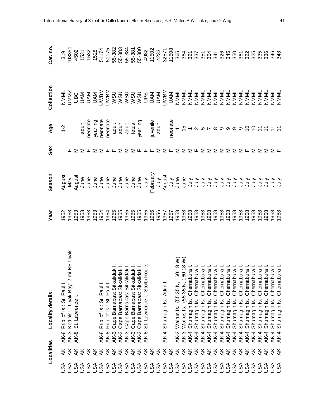|            | Localities                 | <b>Locality details</b>                                                                                                                                                                                                                                       | Year | Season                                                                                                                                                                                                                           | Sex                                                                         | Age                                                                                                                                                                                                                           | Collection | Cat. no.                                                                                                                                                                                                                         |
|------------|----------------------------|---------------------------------------------------------------------------------------------------------------------------------------------------------------------------------------------------------------------------------------------------------------|------|----------------------------------------------------------------------------------------------------------------------------------------------------------------------------------------------------------------------------------|-----------------------------------------------------------------------------|-------------------------------------------------------------------------------------------------------------------------------------------------------------------------------------------------------------------------------|------------|----------------------------------------------------------------------------------------------------------------------------------------------------------------------------------------------------------------------------------|
| <b>ASL</b> | ≹                          | Pribilof Is.: St. Paul I.<br>AK-8                                                                                                                                                                                                                             |      | <br>Bay a line and a line and a line and a line and a line and a line and a line and a line and a line and a line<br>Bay a line and a line and a line and a line and a line and a line and a line and a line and a line and a li |                                                                             | $1 - 2$                                                                                                                                                                                                                       |            | ទី និង ដូន ដូច ម៉ូ និង ម៉ូ និង ម៉ូ និង ដូច ម៉ូ និង អូ ដូច ម៉ូ និង អូ ដូច ម៉ូ និង អូ ដូច ម៉ូ និង ម៉ូ និង ម៉ូ និ<br>ស្ថិត ម៉ូ កូ ដូច ម៉ូ និង ម៉ូ និង ម៉ូ និង ម៉ូ និង អូ ដូច ម៉ូ និង អូ ដូច ម៉ូ និង អូ ដូច ម៉ូ និង អូ ដូច ម៉ូ និង អ |
| JSA        | $\breve{\mathsf{K}}$       | mi NE Uyak<br>Kodiak I.: Uyak Bay: 2<br><b>AK-3</b>                                                                                                                                                                                                           |      |                                                                                                                                                                                                                                  |                                                                             |                                                                                                                                                                                                                               |            |                                                                                                                                                                                                                                  |
| Asu        | ₹                          | St. Lawrence<br><b>AK-8</b>                                                                                                                                                                                                                                   |      |                                                                                                                                                                                                                                  |                                                                             |                                                                                                                                                                                                                               |            |                                                                                                                                                                                                                                  |
| JSA        | ₹                          |                                                                                                                                                                                                                                                               |      |                                                                                                                                                                                                                                  |                                                                             |                                                                                                                                                                                                                               |            |                                                                                                                                                                                                                                  |
| JSA        | ₹                          |                                                                                                                                                                                                                                                               |      |                                                                                                                                                                                                                                  |                                                                             | supervisors and the set of the set of the set of the set of the set of the set of the set of the set of the set of the set of the set of the set of the set of the set of the set of the set of the set of the set of the set |            |                                                                                                                                                                                                                                  |
| JSA        | ₹                          |                                                                                                                                                                                                                                                               |      |                                                                                                                                                                                                                                  |                                                                             |                                                                                                                                                                                                                               |            |                                                                                                                                                                                                                                  |
| JSA        |                            | Pribilof Is.: St. Paul<br>AK-8                                                                                                                                                                                                                                |      |                                                                                                                                                                                                                                  |                                                                             |                                                                                                                                                                                                                               |            |                                                                                                                                                                                                                                  |
|            |                            | Pribilof Is.: St. Paul I.<br>AK-8                                                                                                                                                                                                                             |      |                                                                                                                                                                                                                                  |                                                                             |                                                                                                                                                                                                                               |            |                                                                                                                                                                                                                                  |
|            |                            | <b>AK-3</b>                                                                                                                                                                                                                                                   |      |                                                                                                                                                                                                                                  |                                                                             |                                                                                                                                                                                                                               |            |                                                                                                                                                                                                                                  |
|            | <b>そそそそそそそそ</b><br>そくえええええ | 3 Cape Barnabas: Sitkalidak I.<br>3 Cape Barnabas: Sitkalidak I.<br>3 Cape Barnabas: Sitkalidak I.<br>3 Cape Barnabas: Sitkalidak I.<br>3 Cape Barnabas: Sitkalidak I.<br>3 St. Lawrence I.: Stolbi Rocks<br><b>AK-3</b>                                      |      |                                                                                                                                                                                                                                  | ⋝                                                                           |                                                                                                                                                                                                                               |            |                                                                                                                                                                                                                                  |
|            |                            | <b>AK-3</b>                                                                                                                                                                                                                                                   |      |                                                                                                                                                                                                                                  |                                                                             |                                                                                                                                                                                                                               |            |                                                                                                                                                                                                                                  |
| JSA        |                            | <b>AK-3</b>                                                                                                                                                                                                                                                   |      |                                                                                                                                                                                                                                  |                                                                             |                                                                                                                                                                                                                               |            |                                                                                                                                                                                                                                  |
| JSA        |                            | <b>AK-3</b>                                                                                                                                                                                                                                                   |      |                                                                                                                                                                                                                                  |                                                                             |                                                                                                                                                                                                                               |            |                                                                                                                                                                                                                                  |
| JSA        |                            | <b>AK-8</b>                                                                                                                                                                                                                                                   |      |                                                                                                                                                                                                                                  |                                                                             |                                                                                                                                                                                                                               |            |                                                                                                                                                                                                                                  |
| JSA        | ₹                          |                                                                                                                                                                                                                                                               |      |                                                                                                                                                                                                                                  | $\Sigma$ $\Sigma$ $\mu$ $\mu$ $\mu$ $\Sigma$ $\Sigma$ $\mu$ $\Sigma$        |                                                                                                                                                                                                                               |            |                                                                                                                                                                                                                                  |
| USA        | ¥                          |                                                                                                                                                                                                                                                               |      |                                                                                                                                                                                                                                  |                                                                             |                                                                                                                                                                                                                               |            |                                                                                                                                                                                                                                  |
| USA        |                            | Shumagin Is.: Atkin I.<br>$AK-4$                                                                                                                                                                                                                              |      |                                                                                                                                                                                                                                  |                                                                             |                                                                                                                                                                                                                               |            |                                                                                                                                                                                                                                  |
| USA        | र<br>र                     |                                                                                                                                                                                                                                                               |      |                                                                                                                                                                                                                                  |                                                                             |                                                                                                                                                                                                                               |            |                                                                                                                                                                                                                                  |
| JSA        |                            | <b>AK-3</b>                                                                                                                                                                                                                                                   |      |                                                                                                                                                                                                                                  |                                                                             |                                                                                                                                                                                                                               |            |                                                                                                                                                                                                                                  |
| USA        | र<br>स                     | AK-3                                                                                                                                                                                                                                                          |      |                                                                                                                                                                                                                                  | ⋝                                                                           |                                                                                                                                                                                                                               |            |                                                                                                                                                                                                                                  |
| USA        | ¥                          | AK-4                                                                                                                                                                                                                                                          |      |                                                                                                                                                                                                                                  |                                                                             |                                                                                                                                                                                                                               |            |                                                                                                                                                                                                                                  |
| USA        | ¥                          | $AK-4$                                                                                                                                                                                                                                                        |      |                                                                                                                                                                                                                                  |                                                                             |                                                                                                                                                                                                                               |            |                                                                                                                                                                                                                                  |
| USA        | ¥                          | 3 Walrus Is.: (55 35 N, 160 18 W)<br>3 Walrus Is.: (55 35 N, 160 18 W)<br>4 Shumagin Is.: Chernabura I.<br>4 Shumagin Is.: Chernabura I.<br>4 Shumagin Is.: Chernabura I.<br>4 Shumagin Is.: Chernabura I.<br>4 Shumagin Is.: Chernabura I.<br>4 Sh<br>$AK-4$ |      |                                                                                                                                                                                                                                  | $\Sigma$ L $\Sigma$ $\Sigma$ $\Sigma$ $\Sigma$ $\Sigma$ $\Sigma$ $\Sigma$ L |                                                                                                                                                                                                                               |            |                                                                                                                                                                                                                                  |
| USA        | ¥                          | $AK-4$                                                                                                                                                                                                                                                        |      |                                                                                                                                                                                                                                  |                                                                             |                                                                                                                                                                                                                               |            |                                                                                                                                                                                                                                  |
| USA        | ¥                          | AK-4                                                                                                                                                                                                                                                          |      |                                                                                                                                                                                                                                  |                                                                             |                                                                                                                                                                                                                               |            |                                                                                                                                                                                                                                  |
|            | ¥                          | <b>AK-4</b>                                                                                                                                                                                                                                                   |      |                                                                                                                                                                                                                                  |                                                                             |                                                                                                                                                                                                                               |            |                                                                                                                                                                                                                                  |
|            | ¥                          | AK-4                                                                                                                                                                                                                                                          |      |                                                                                                                                                                                                                                  |                                                                             |                                                                                                                                                                                                                               |            |                                                                                                                                                                                                                                  |
|            | ¥                          | <b>AK-4</b>                                                                                                                                                                                                                                                   |      |                                                                                                                                                                                                                                  |                                                                             |                                                                                                                                                                                                                               |            |                                                                                                                                                                                                                                  |
| <b>ASU</b> | ¥                          | AK-4                                                                                                                                                                                                                                                          |      |                                                                                                                                                                                                                                  |                                                                             |                                                                                                                                                                                                                               |            |                                                                                                                                                                                                                                  |
| <b>ASU</b> | ¥                          | AK-4                                                                                                                                                                                                                                                          |      |                                                                                                                                                                                                                                  |                                                                             |                                                                                                                                                                                                                               |            |                                                                                                                                                                                                                                  |
| <b>ASU</b> | ¥                          | <b>AK-4</b>                                                                                                                                                                                                                                                   |      |                                                                                                                                                                                                                                  | Σ                                                                           |                                                                                                                                                                                                                               |            |                                                                                                                                                                                                                                  |
| <b>ASU</b> | ¥                          | AK-4                                                                                                                                                                                                                                                          |      |                                                                                                                                                                                                                                  | ⋝                                                                           |                                                                                                                                                                                                                               |            |                                                                                                                                                                                                                                  |
| SSU        | ¥                          | AK-4                                                                                                                                                                                                                                                          |      |                                                                                                                                                                                                                                  | ⋝                                                                           |                                                                                                                                                                                                                               |            |                                                                                                                                                                                                                                  |
| <b>ASH</b> | ¥                          | AK-4                                                                                                                                                                                                                                                          |      |                                                                                                                                                                                                                                  | ∑ ⊞                                                                         |                                                                                                                                                                                                                               |            |                                                                                                                                                                                                                                  |
|            | ≹                          | Shumagin Is.:<br>AK-4                                                                                                                                                                                                                                         |      |                                                                                                                                                                                                                                  |                                                                             |                                                                                                                                                                                                                               |            |                                                                                                                                                                                                                                  |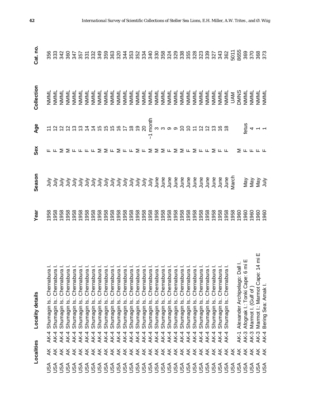|                                                                                                                      | Localities              |             | Locality details                                                                                                                                                                                                                                                          | Year         | Season | Sex                                                                                                                                | Age                                                                                       | Collection | Cat. no. |
|----------------------------------------------------------------------------------------------------------------------|-------------------------|-------------|---------------------------------------------------------------------------------------------------------------------------------------------------------------------------------------------------------------------------------------------------------------------------|--------------|--------|------------------------------------------------------------------------------------------------------------------------------------|-------------------------------------------------------------------------------------------|------------|----------|
| <b>USA</b>                                                                                                           | ¥.                      | $AK-4$      | Chernabura<br>Shumagin Is.:                                                                                                                                                                                                                                               |              |        |                                                                                                                                    |                                                                                           |            |          |
| JSA                                                                                                                  | ¥                       | AK-4        | Shumagin Is.:                                                                                                                                                                                                                                                             |              |        |                                                                                                                                    |                                                                                           |            |          |
| JSA                                                                                                                  | ¥                       | AK-4        | Shumagin Is.:                                                                                                                                                                                                                                                             |              |        |                                                                                                                                    |                                                                                           |            |          |
| S <b< td=""><td>¥</td><td>AK-4</td><td>Shumagin Is.:</td><td></td><td></td><td></td><td></td><td></td><td></td></b<> | ¥                       | AK-4        | Shumagin Is.:                                                                                                                                                                                                                                                             |              |        |                                                                                                                                    |                                                                                           |            |          |
| JSA                                                                                                                  | ¥                       | AK-4        | Shumagin Is.:                                                                                                                                                                                                                                                             |              |        |                                                                                                                                    |                                                                                           |            |          |
| <b>ASU</b>                                                                                                           | $\overline{X}$          | AK-4        | : Chernabura I.<br>: Chernabura I.<br>: Chernabura I.<br>: Chernabura I.<br>: Chernabura I.<br>: Chernabura I.<br>: Chernabura I.<br>: Chernabura I.<br>: Chernabura I.<br>: Chernabura I.<br>: Chernabura I.<br>: Chernabura I.<br>: Chernabura I.<br>:<br>Shumagin Is.: |              |        | $\Sigma \geq \pi \pi \pi \pi \Sigma \geq \pi \geq \pi \pi \geq \pi \geq \Sigma \geq \pi \geq \Sigma \pi \geq \pi \pi \geq \pi \pi$ | r なななおななはおおおおけるのの g w w w w わ い な な お お お お お お は は お お お お の の g w w w w わ の r け な な お お |            |          |
| USA                                                                                                                  | $\overline{X}$          | AK-4        | Shumagin Is.:                                                                                                                                                                                                                                                             |              |        |                                                                                                                                    |                                                                                           |            |          |
| JSA                                                                                                                  | $\overline{X}$          | AK-4        | Shumagin Is.:                                                                                                                                                                                                                                                             |              |        |                                                                                                                                    |                                                                                           |            |          |
| JSA                                                                                                                  | $\overline{X}$          | <b>AK-4</b> | Shumagin Is.:                                                                                                                                                                                                                                                             |              |        |                                                                                                                                    |                                                                                           |            |          |
| JSA                                                                                                                  | <i><b>ARRAKA</b></i>    | <b>AK-4</b> | Shumagin Is.:                                                                                                                                                                                                                                                             |              |        |                                                                                                                                    |                                                                                           |            |          |
| <b>PSPSS</b><br>RAK<br>RAK                                                                                           |                         | $AK-4$      | Shumagin Is.:                                                                                                                                                                                                                                                             |              |        |                                                                                                                                    |                                                                                           |            |          |
|                                                                                                                      |                         | $AK-4$      | Shumagin Is.:                                                                                                                                                                                                                                                             |              |        |                                                                                                                                    |                                                                                           |            |          |
|                                                                                                                      |                         | $AK-4$      | Shumagin Is.:                                                                                                                                                                                                                                                             |              |        |                                                                                                                                    |                                                                                           |            |          |
|                                                                                                                      |                         | <b>AK-4</b> | Shumagin Is.:                                                                                                                                                                                                                                                             |              |        |                                                                                                                                    |                                                                                           |            |          |
|                                                                                                                      |                         | <b>AK-4</b> | Shumagin Is.:                                                                                                                                                                                                                                                             |              |        |                                                                                                                                    |                                                                                           |            |          |
|                                                                                                                      | $\overline{X}$          | <b>AK-4</b> | Shumagin Is.:                                                                                                                                                                                                                                                             |              |        |                                                                                                                                    |                                                                                           |            |          |
|                                                                                                                      | $\overline{X}$          | <b>AK-4</b> | Shumagin Is.:                                                                                                                                                                                                                                                             |              |        |                                                                                                                                    | 7                                                                                         |            |          |
|                                                                                                                      | $\overline{X}$          | $AK-4$      | Shumagin Is.:                                                                                                                                                                                                                                                             |              |        |                                                                                                                                    |                                                                                           |            |          |
|                                                                                                                      | $\overline{X}$          | $AK-4$      | Shumagin Is.:                                                                                                                                                                                                                                                             |              |        |                                                                                                                                    |                                                                                           |            |          |
|                                                                                                                      | $\overline{X}$          | <b>AK-4</b> | $\frac{1}{2}$<br>Shumagin                                                                                                                                                                                                                                                 |              |        |                                                                                                                                    |                                                                                           |            |          |
|                                                                                                                      | $\overline{X}$          | $AK-4$      | $\frac{1}{2}$<br>Shumagin                                                                                                                                                                                                                                                 |              |        |                                                                                                                                    |                                                                                           |            |          |
|                                                                                                                      | $\overline{\mathsf{X}}$ | <b>AK-4</b> | ة<br>Shumagin                                                                                                                                                                                                                                                             |              |        |                                                                                                                                    |                                                                                           |            |          |
|                                                                                                                      | $\overline{X}$          | AK-4        | ة<br>Shumagin                                                                                                                                                                                                                                                             |              |        |                                                                                                                                    |                                                                                           |            |          |
|                                                                                                                      | $\overline{X}$          | AK-4        | $\frac{1}{2}$<br>Shumagin                                                                                                                                                                                                                                                 |              |        |                                                                                                                                    |                                                                                           |            |          |
| USA                                                                                                                  | ¥                       | AK-4        | <u>ن</u><br>Shumagin                                                                                                                                                                                                                                                      |              |        |                                                                                                                                    |                                                                                           |            |          |
| JSA                                                                                                                  | ¥                       | AK-4        | Shumagin Is.:                                                                                                                                                                                                                                                             |              |        |                                                                                                                                    |                                                                                           |            |          |
| JSA                                                                                                                  | ¥                       | AK-4        | Shumagin Is.:                                                                                                                                                                                                                                                             |              |        |                                                                                                                                    |                                                                                           |            |          |
| JSA                                                                                                                  | ¥                       | AK-4        | Shumagin Is.:                                                                                                                                                                                                                                                             |              |        |                                                                                                                                    |                                                                                           |            |          |
| JSA                                                                                                                  | ¥                       | AK-4        | <u>نه</u><br>Shumagin                                                                                                                                                                                                                                                     |              |        |                                                                                                                                    |                                                                                           |            |          |
| <b>ASU</b>                                                                                                           | ¥                       |             |                                                                                                                                                                                                                                                                           |              |        |                                                                                                                                    |                                                                                           |            |          |
| <b>ASU</b>                                                                                                           | $\overline{X}$          | AK-1        | Dall I.<br>6 mi E<br>Alexander Archipelago:                                                                                                                                                                                                                               |              |        |                                                                                                                                    |                                                                                           |            |          |
| JSA                                                                                                                  | $\overline{\mathsf{X}}$ | <b>AK-3</b> | Afognak I.: Tonki Cape.                                                                                                                                                                                                                                                   |              |        |                                                                                                                                    |                                                                                           |            |          |
| As∪                                                                                                                  | $\overline{X}$          | <b>AK-3</b> | Marmot I. (Gulf of                                                                                                                                                                                                                                                        |              |        | ∑ ᄔ ᄔ ᄔ ᄔ                                                                                                                          | $\frac{1}{2}$ d $\frac{1}{2}$                                                             |            |          |
| <b>ASH</b>                                                                                                           | $\overline{\mathsf{X}}$ | <b>AK-3</b> | : $14 \text{ mi}$<br>Cape:<br>Marmot I.: Marmot                                                                                                                                                                                                                           | 1960<br>1960 |        |                                                                                                                                    |                                                                                           |            |          |
|                                                                                                                      | $\frac{1}{2}$           | AK-4        | Bering Sea: Amak                                                                                                                                                                                                                                                          |              |        |                                                                                                                                    |                                                                                           |            |          |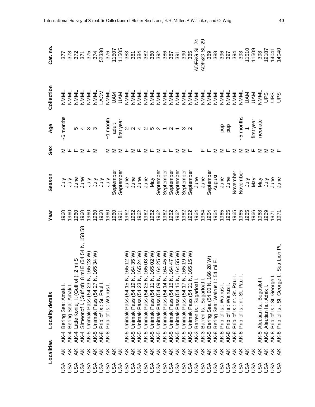|            | Localities              | Locality details                                                                                                                                                                                                                                        | Year                       | Season                                                                            | Sex                              | Age                                                                                                  | Collection                                                                                                                                                       | Cat. no                    |
|------------|-------------------------|---------------------------------------------------------------------------------------------------------------------------------------------------------------------------------------------------------------------------------------------------------|----------------------------|-----------------------------------------------------------------------------------|----------------------------------|------------------------------------------------------------------------------------------------------|------------------------------------------------------------------------------------------------------------------------------------------------------------------|----------------------------|
| <b>USA</b> | ₹.                      | Bering Sea: Amak I.<br>$AK-4$                                                                                                                                                                                                                           | 960                        |                                                                                   |                                  | -6 months                                                                                            | NMML                                                                                                                                                             |                            |
| As∪        | ₹                       | Bering Sea: Amak I.<br>AK-4                                                                                                                                                                                                                             | 960                        |                                                                                   |                                  |                                                                                                      | NMML                                                                                                                                                             |                            |
| Se∪        |                         | 2 mi S<br>ii E (54 54 N, 158 58<br>65 23 W)<br>65 34 W)<br>Little Koniuji I. (Gulf of ): 2<br>AK-4                                                                                                                                                      | 1960                       | 1 July<br>1 July e e e e discriment<br>1 July 9 Andrews<br>September<br>September | $\Sigma$ L L $\Sigma$ L $\Sigma$ |                                                                                                      | NMML                                                                                                                                                             |                            |
| As∪        | रू रू                   | Simeonof I. (Gulf of): 8 mi<br><b>AK-4</b>                                                                                                                                                                                                              | 1960                       |                                                                                   |                                  |                                                                                                      | NMML                                                                                                                                                             |                            |
| <b>ASU</b> | ¥                       | AK-5                                                                                                                                                                                                                                                    | 1960                       |                                                                                   |                                  | r<br>ro de co                                                                                        | NNNI<br>NNNI<br>NNNI<br>NNNI<br>NNNI                                                                                                                             |                            |
| <b>ASU</b> | ¥                       | Unimak Pass (54 23 N, 16<br>Unimak Pass (54 27 N, 16<br>AK-5                                                                                                                                                                                            | 1960                       |                                                                                   |                                  |                                                                                                      |                                                                                                                                                                  |                            |
| <b>ASU</b> | き<br>笑                  | Pribilof Is.: St. Paul I<br><b>AK-8</b>                                                                                                                                                                                                                 | 1960                       |                                                                                   |                                  |                                                                                                      |                                                                                                                                                                  |                            |
| <b>ASU</b> |                         | Pribilof Is.: Walrus I.<br><b>AK-8</b>                                                                                                                                                                                                                  | 960                        |                                                                                   |                                  |                                                                                                      |                                                                                                                                                                  |                            |
| As∪        | $\overline{\mathsf{X}}$ |                                                                                                                                                                                                                                                         | 960                        |                                                                                   |                                  |                                                                                                      |                                                                                                                                                                  |                            |
| As∪        | $\overline{X}$          |                                                                                                                                                                                                                                                         | 961                        |                                                                                   | <b>SSSFSFSFSFFSSF</b>            | T<br>Forms A<br>Forms A<br>The Extend A Director<br>The Extend A Director<br>The Extended A Director | U D S S S S S S S S S S S S S S S<br>O V V S S S S S S S S S S S S S S S S S<br>O D S S S S S S S S S S S S S S S S S S<br>O D S S S S S S S S S S S S S S S S S |                            |
| As∪        |                         | 5 Unimak Pass (54 15 N, 165 12 W)<br>5 Unimak Pass (54 19 N, 164 35 W)<br>5 Unimak Pass (54 23 N, 165 24 W)<br>5 Unimak Pass (54 25 N, 165 03 W)<br>5 Unimak Pass (54 11 N, 165 02 W)<br>5 Unimak Pass (54 15 N, 164 45 W)<br>5 Unimak Pass (54<br>AK-5 |                            | June<br>June<br>June<br>June<br>May<br>September                                  |                                  |                                                                                                      |                                                                                                                                                                  |                            |
| JSA        |                         | AK-5                                                                                                                                                                                                                                                    |                            |                                                                                   |                                  |                                                                                                      |                                                                                                                                                                  |                            |
| As∪        |                         | AK-5                                                                                                                                                                                                                                                    |                            |                                                                                   |                                  |                                                                                                      |                                                                                                                                                                  |                            |
| JSA        |                         | AK-5                                                                                                                                                                                                                                                    |                            |                                                                                   |                                  |                                                                                                      |                                                                                                                                                                  |                            |
| JSA        |                         | AK-5                                                                                                                                                                                                                                                    |                            |                                                                                   |                                  |                                                                                                      |                                                                                                                                                                  |                            |
| USA        |                         | AK-5                                                                                                                                                                                                                                                    |                            |                                                                                   |                                  |                                                                                                      |                                                                                                                                                                  |                            |
| JSA        |                         | AK-5                                                                                                                                                                                                                                                    |                            | September                                                                         |                                  |                                                                                                      |                                                                                                                                                                  |                            |
| USA        |                         | AK-5                                                                                                                                                                                                                                                    |                            | September                                                                         |                                  |                                                                                                      |                                                                                                                                                                  |                            |
| JSA        |                         | AK-5                                                                                                                                                                                                                                                    |                            | September                                                                         |                                  |                                                                                                      |                                                                                                                                                                  |                            |
| JSA        | $\overline{\mathsf{X}}$ | AK-5                                                                                                                                                                                                                                                    |                            | September                                                                         |                                  |                                                                                                      |                                                                                                                                                                  |                            |
| JSA        | ¥                       | AK-5                                                                                                                                                                                                                                                    |                            | September                                                                         |                                  |                                                                                                      |                                                                                                                                                                  |                            |
| JSA        | $\overline{\mathsf{X}}$ | Barren Is.: Sugarloaf I.<br>AK-3                                                                                                                                                                                                                        |                            |                                                                                   |                                  |                                                                                                      |                                                                                                                                                                  | ADF&G SL 24<br>ADF&G SL 29 |
| <b>ASU</b> | ¥                       | Barren Is.: Sugarloaf I.<br>AK-3                                                                                                                                                                                                                        |                            | June<br>June                                                                      |                                  |                                                                                                      | NMML                                                                                                                                                             |                            |
| <b>ASU</b> | ¥                       | $\begin{array}{c} 28 \text{ W} \\ \text{m i E} \end{array}$<br>Bering Sea (54 00 N, 166<br>AK-5                                                                                                                                                         | 88<br>88<br>98<br>98<br>98 | September                                                                         |                                  |                                                                                                      | NMML                                                                                                                                                             | 389                        |
| ASU        | ¥                       | 54<br>Bering Sea: Walrus<br>AK-8                                                                                                                                                                                                                        |                            | August                                                                            | Σ                                |                                                                                                      | NMML                                                                                                                                                             | 388                        |
| USA        | ¥                       | Pribilof Is.: Walrus<br><b>AK-8</b>                                                                                                                                                                                                                     | 1965                       | June                                                                              |                                  |                                                                                                      | NMML                                                                                                                                                             | 396                        |
| USA        | $\forall$               | Pribilof Is.: Walrus I.<br><b>AK-8</b>                                                                                                                                                                                                                  | 1965                       | June                                                                              | $\geq$ $\sqcup$                  | and<br>B<br>Ta                                                                                       | NMML                                                                                                                                                             | 397                        |
| <b>ASU</b> | ¥                       | Pribilof Is.: nr. St. Paul<br><b>AK-8</b>                                                                                                                                                                                                               | 1965                       | November                                                                          | Σ                                |                                                                                                      | NMML                                                                                                                                                             | 394                        |
| <b>ASU</b> | ¥                       | Pribilof Is.: nr. St. Paul<br><b>AK-8</b>                                                                                                                                                                                                               | 1965                       | November                                                                          | $\Sigma$                         |                                                                                                      | NMML                                                                                                                                                             | 393                        |
| <b>ASU</b> | ¥                       |                                                                                                                                                                                                                                                         |                            |                                                                                   |                                  | $-5$ months                                                                                          | <b>NAN</b>                                                                                                                                                       |                            |
| <b>ASU</b> | ¥                       |                                                                                                                                                                                                                                                         | 1965<br>1968<br>1969       | ann Salam<br>Nava<br>Nava<br>Nava Salam                                           | ட                                | first year<br>neonate                                                                                | <b>NVN</b>                                                                                                                                                       | 11510<br>11509             |
| SA         | ¥                       | Aleutian Is.: Bogoslof<br>AK-5                                                                                                                                                                                                                          |                            |                                                                                   | Σ                                |                                                                                                      | NNNL                                                                                                                                                             | 398                        |
| SSU        | $\breve{\preceq}$       | Aleutian Is.: Adak I.<br>AK-6                                                                                                                                                                                                                           |                            |                                                                                   | Σ                                |                                                                                                      | <b>SESS</b>                                                                                                                                                      | 19187                      |
| JSA        | ¥                       | Pribilof Is.: St. George I.<br>AK-8                                                                                                                                                                                                                     | L261<br>L261               |                                                                                   | ∑ ய                              |                                                                                                      |                                                                                                                                                                  |                            |
| JSA        | $\frac{1}{2}$           | Pribilof Is.: St. George I.: Sea Lion Pt.<br><b>AK-8</b>                                                                                                                                                                                                |                            |                                                                                   |                                  |                                                                                                      |                                                                                                                                                                  | 14041<br>14040             |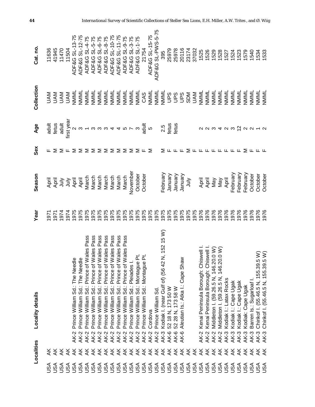|            | Localities              | <b>Locality details</b>                                                                                                            | Year | Season                              | Sex                  | Age                                                            | Collection | Cat. no.          |
|------------|-------------------------|------------------------------------------------------------------------------------------------------------------------------------|------|-------------------------------------|----------------------|----------------------------------------------------------------|------------|-------------------|
| JSA        | ¥                       |                                                                                                                                    | 95   |                                     | ட                    | adult                                                          |            | 11636             |
| <b>ASU</b> |                         |                                                                                                                                    | 1971 | April<br>April                      |                      | fetus                                                          |            | 41945             |
| As∪        | $\overline{\mathsf{X}}$ |                                                                                                                                    | 1974 | ylnr                                | Σ                    | adult                                                          |            | 11470             |
| As∪        | $\overline{X}$          |                                                                                                                                    | 1974 |                                     | ட                    | first year                                                     |            | 11504             |
| As∪        | $\overline{\mathsf{X}}$ | Ф<br>The Need<br>Prince William Sd.:<br><b>AK-2</b>                                                                                | 1975 |                                     | Σ                    |                                                                | NMML       | ADF&G SL-13-75    |
| JSA        | $\overline{X}$          | Φ<br>Prince William Sd.: The Need<br><b>AK-2</b>                                                                                   | 1975 | i sy ri<br>April<br>A Rend<br>March | Σ                    |                                                                | NMML       | ADF&G SL-12-75    |
| USA        | $\frac{1}{2}$           | Wales Pass<br>Prince William Sd.: Prince of<br>AK-2                                                                                | 1975 |                                     | Σ                    |                                                                | NNNL       | ADF&G SL-4-75     |
| USA        | $\overline{\mathsf{X}}$ | <b>Nales Pass</b><br>Prince William Sd.: Prince of<br>AK-2                                                                         | 1975 | March                               | $\geq$               |                                                                | NNNL       | ADF&G SL-5-75     |
| USA        | $\overline{\mathsf{X}}$ | <b>Nales Pass</b><br>Prince William Sd.: Prince of<br>AK-2                                                                         | 1975 | March                               | ⋝                    |                                                                | NNNL       | ADF&G SL-6-75     |
| USA        | $\frac{1}{\sqrt{2}}$    | <b>Nales Pass</b><br>Prince William Sd.: Prince of<br><b>AK-2</b>                                                                  | 1975 | March                               | 2                    |                                                                | NMML       | ADF&G SL-8-75     |
| USA        | $\frac{1}{2}$           | <b>Nales Pass</b><br>Prince William Sd.: Prince of<br>$AK-2$                                                                       | 1975 | March                               | ⋝                    |                                                                | NNNL       | ADF&G SL-10-75    |
| USA        | $\frac{1}{2}$           | <b>Nales Pass</b><br>Prince William Sd.: Prince of<br>AK-2                                                                         | 1975 | March                               | ⋝                    |                                                                | NNNL       | ADF&G SL-11-75    |
| ASU<br>USA | $\frac{1}{2}$           | Pass<br>Wales F<br>Prince William Sd.: Prince of \<br><b>AK-2</b>                                                                  | 1975 | March                               | $\Sigma$             |                                                                | NMML       | ADF&G SL-9-75     |
|            | $\breve{\mathbf{x}}$    | Prince William Sd.: Pleiades I<br><b>AK-2</b>                                                                                      | 1975 | November                            |                      |                                                                | NNNL       | ADF&G SL-3-75     |
| JSA        | $\frac{1}{\sqrt{2}}$    | Prince William Sd.: Montague<br><b>AK-2</b>                                                                                        | 1975 | October                             | $\Sigma \cup \Sigma$ |                                                                | NNNL       | ADF&G SL-1-75     |
| JSA        | $\overline{\mathsf{X}}$ | ه هٔ<br>Prince William Sd.: Montague<br><b>AK-2</b>                                                                                | 975  | October                             |                      |                                                                | CAS        | 21754             |
| <b>ASU</b> | $\overline{\mathsf{X}}$ | Cordova<br><b>AK-2</b>                                                                                                             | 975  |                                     |                      |                                                                | NMML       | ADF&G SL-15-75    |
| USA        | $\overline{\mathsf{X}}$ | Prince William Sd<br><b>AK-2</b>                                                                                                   | 1975 |                                     |                      |                                                                | NMML       | ADF&G SL-PWS-5-75 |
| USA        | $\overline{\mathsf{X}}$ | N, 152 15 W)<br>Kodiak I. (near Gulf of) (56 42<br><b>AK-3</b>                                                                     | 975  | February                            | Σ                    |                                                                | NNNL       | 395               |
| JSA        | ¥                       | 52 18 N, 173 50 W<br>AK-6                                                                                                          | 975  | January                             |                      | $2.5$<br>fetus                                                 |            | 25979             |
| USA        | $\overline{\mathsf{X}}$ | 52 28 N, 173 58 W<br>AK-6                                                                                                          | 975  | January                             |                      | fetus                                                          |            | 25978             |
| JSA        | $\breve{\mathbf{x}}$    | Aleutian Is.: Atka I.: Cape Shaw<br>AK-6                                                                                           | 975  | January                             |                      |                                                                |            | 20116             |
| JSA        | $\frac{1}{2}$           |                                                                                                                                    | 975  | VInr                                | ⋝                    |                                                                | <b>SDM</b> | 23174             |
| USA        | <i><b>FREFERE</b></i>   |                                                                                                                                    | 975  |                                     |                      |                                                                | <b>NAU</b> | 37032             |
| JSA        |                         | iswell I.<br>Kenai Peninsula Borough: Chi<br><b>AK-2</b>                                                                           | 976  | April<br>April<br>May               |                      |                                                                | NNNI       | 1525              |
| USA        |                         | <b>AK-2</b>                                                                                                                        | 976  |                                     |                      |                                                                | NNNL       | 1526              |
| USA        |                         | Kenai Peninsula Borough: Chiswell I<br>Middleton I. (59.26.5 N, 146.20.0 W)<br>Middleton I. (59.26.5 N, 146.20.0 W)<br><b>AK-2</b> | 976  |                                     |                      |                                                                | NMML       | 1529              |
| JSA        |                         | <b>AK-2</b>                                                                                                                        | 976  | May                                 |                      |                                                                | NMML       | 1528              |
| USA        |                         | Kodiak I.: Latax Rocks<br><b>AK-3</b>                                                                                              | 976  | April                               | <b>LLLLLL</b>        | $\alpha$ $\alpha$ $\alpha$ $\alpha$ $\alpha$ $\alpha$ $\alpha$ | NMML       | 1527              |
| JSA        |                         | Kodiak I.: Cape Ugak<br><b>AK-3</b>                                                                                                | 1976 | February                            |                      |                                                                | NMML       | 1524              |
| USA        | $\overline{\mathsf{X}}$ | Kodiak I.: Cape Ugak<br><b>AK-3</b>                                                                                                | 1976 | February                            |                      |                                                                | NMML       | 1523              |
| JSA        | ¥                       | Kodiak: Cape Ugak<br>AK-3                                                                                                          | 1976 | February                            | Σ                    | $N$ $N$                                                        | NMML       | 1579              |
| As∪        | ¥                       | Barren Is.: Sugarloaf I<br>AK-3                                                                                                    | 1976 | October                             |                      |                                                                | NMML       | 1540              |
| <b>ASH</b> | ¥                       | Chirikof I. (55.46.5 N, 155.39.5 W)<br>Chirikof I. (55.46.5 N, 155.39.5 W)<br><b>AK-3</b>                                          | 1976 | October                             |                      |                                                                | NMML       | 1534              |
|            | $\frac{1}{2}$           | AK-3                                                                                                                               | 976  | October                             |                      |                                                                | NMML       | 1533              |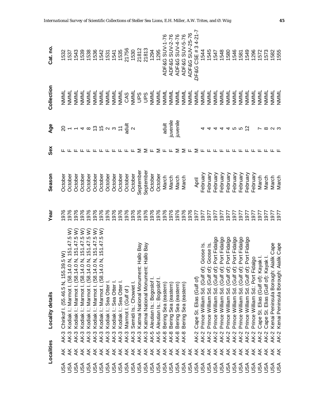|            | Localities              | Locality details                                                              | Year | Season    | Sex        | Age                                                                  | Collection | Cat.no              |
|------------|-------------------------|-------------------------------------------------------------------------------|------|-----------|------------|----------------------------------------------------------------------|------------|---------------------|
| JSA        |                         | Chirikof I. (55.46.5 N, 155.39.5<br><b>AK-3</b>                               | 1976 | Octobe    |            |                                                                      | NMML       | 1532                |
| USA        | ₹                       | 151.47.5W<br>Kodiak I.: Marmot I. (58.14.0 N<br>AK-3                          | 976  | October   |            |                                                                      | NMML       | 1537                |
| USA        | $\overline{\mathsf{X}}$ | 151.47.5 W<br>Kodiak I.: Marmot I. (58.14.0 N<br>AK-3                         | 976  | October   |            | $9 - 4$ $\infty$ $5$ $\infty$ $\infty$ $2 \pm \frac{3}{24}$ $\infty$ | NMML       | 1543                |
| JSA        | $\breve{\mathsf{x}}$    | 151.47.5 W)<br>Kodiak I.: Marmot I. (58.14.0 N<br>AK-3                        | 976  | October   |            |                                                                      | NMML       | 1539                |
| USA        | $\overline{\mathsf{x}}$ | 151.47.5 W)<br>151.47.5 W)<br>Kodiak I.: Marmot I. (58.14.0 N,<br><b>AK-3</b> | 976  | October   |            |                                                                      | NMML       | 1538                |
| USA        | $\overline{\mathsf{x}}$ | Kodiak I.: Marmot I. (58.14.0 N,<br><b>AK-3</b>                               | 976  | October   |            |                                                                      | NMML       | 1536                |
| USA        |                         | 151.47.5 W)<br>Kodiak I.: Marmot I. (58.14.0 N,<br><b>AK-3</b>                | 976  | October   |            |                                                                      | NNNL       | 1542                |
|            |                         | Kodiak I.: Sea Otter I<br><b>AK-3</b>                                         | 976  | October   |            |                                                                      | NMML       | 1531                |
|            |                         | Kodiak I.: Sea Otter I.<br><b>AK-3</b>                                        | 976  | October   |            |                                                                      | NMML       | 1541                |
|            |                         | Kodiak I.: Sea Otter I.<br>AK-3<br>AK-3<br>AK-3                               | 976  | October   |            |                                                                      | NMML       | 1535                |
|            |                         | Marmot I. (Gulf of)                                                           | 1976 | October   |            |                                                                      | CAS        | 21756               |
|            |                         | Semidi Is.: Chowiet I.                                                        | 1976 | October   |            |                                                                      | NMML       | 1530                |
|            |                         | Katmai National Monument: Hallo Bay<br><b>AK-3</b>                            | 1976 | September | Σ          |                                                                      | San        | 21812               |
|            |                         | Katmai National Monument: Hallo Bay<br><b>AK-3</b>                            | 1976 | September | ∑ ட        |                                                                      | <b>San</b> | 21813               |
|            |                         | Aleutian Is.: Bogoslof<br>AK-5                                                | 1976 | October   |            |                                                                      | NNNNL      | 1294                |
|            |                         | Aleutian Is.: Bogoslof<br>AK-5                                                | 1976 | October   | $\sum$ L L |                                                                      | NNNI       | 1295                |
|            |                         | Bering Sea (eastern)<br>$AK-8$                                                | 1976 | March     |            | adult                                                                | NMML       | ADF&G SUV-1-76      |
|            |                         | (eastern)<br>Bering Sea<br>$AK-8$                                             | 1976 | March     |            | juvenile                                                             | NMML       | ADF&G SUV-2-76      |
|            |                         | (eastern)<br>Bering Sea<br>AK-8                                               | 1976 | March     | ⋝          | juvenile                                                             | NMML       | ADF&G SUV-4-76      |
|            |                         | (eastern)<br>Sea<br>Bering<br>AK-8                                            | 1976 | March     | Σ          |                                                                      | NMML       | ADF&G SUV-5-76      |
|            |                         |                                                                               | 1976 |           | ட          |                                                                      | NMML       | ADF&G SUV-25-76     |
|            |                         | Cape St. Elias (Gulf of)<br><b>AK-2</b>                                       | 1977 | April     | Σ          |                                                                      | NMML       | DF&G CSE # 3 4-21-7 |
|            |                         | oose Is.<br>Prince William Sd. (Gulf of): G<br><b>AK-2</b>                    | 1977 | February  | ட          |                                                                      | NMML       | 1544                |
|            |                         | Prince William Sd. (Gulf of): Goose Is.<br><b>AK-2</b>                        | 1977 | February  |            |                                                                      | NMML       | 545                 |
|            |                         | Prince William Sd. (Gulf of): Port Fidalgo<br><b>AK-2</b>                     | 1977 | February  |            |                                                                      | NMML       | 548<br>748          |
|            |                         | Prince William Sd. (Gulf of): Port Fidalgo<br><b>AK-2</b>                     | 1977 | February  |            |                                                                      | NMML       |                     |
|            |                         | Sd. (Gulf of): Port Fidalgo<br>Prince William<br><b>AK-2</b>                  | 1977 | February  |            |                                                                      | NMML       | 580                 |
|            |                         | Prince William Sd. (Gulf of): Port Fidalgo<br><b>AK-2</b>                     | 1977 | February  |            | <u> ဟ</u> က                                                          | NMML       | 546                 |
|            |                         | Prince William Sd. (Gulf of): Port Fidalgo<br><b>AK-2</b>                     | 1977 | February  |            |                                                                      | NMML       | 581                 |
|            |                         | Prince William Sd. (Gulf of): Port Fidalgo<br><b>AK-2</b>                     | 1977 | February  |            | $\bar{5}$                                                            | NMML       | 549                 |
|            | $\overline{\mathsf{X}}$ | Prince William Sd.: Port Fidalgo<br><b>AK-2</b>                               | 1977 | Tebruary  |            |                                                                      | NMML       | 296                 |
|            | $\breve{\preceq}$       | Cape St. Elias (Gulf of): Kayak I.<br>AK-2<br>AK-2                            | 1977 | March     |            |                                                                      | NMML       | 572                 |
|            | ¥                       | Cape St. Elias (Gulf of): Kayak I                                             | 1977 | March     |            | ∞                                                                    | NMML       | 1573                |
| <b>ASH</b> | ¥                       | ik Cape<br>Kenai Peninsula Borough: Aial<br>AK-2<br>AK-2                      | 1977 | March     |            | ് പ                                                                  | NMML       | 1582                |
|            | ¥                       | lik Cape<br>Kenai Peninsula Borough: Aial                                     | 977  | March     |            |                                                                      | NMML       | 1555                |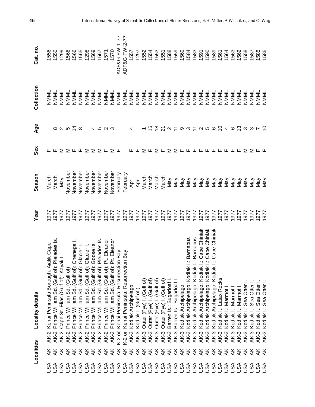|                   | Localities                                      | Locality details                                                   | Year | Season   | Sex                                                                     | Age                                           | Collection | Cat. no.                 |
|-------------------|-------------------------------------------------|--------------------------------------------------------------------|------|----------|-------------------------------------------------------------------------|-----------------------------------------------|------------|--------------------------|
| USA               |                                                 | ialik Cape<br>Kenai Peninsula Borough: A<br><b>AK-2</b>            | 1977 | March    |                                                                         |                                               | NMML       | 1556                     |
|                   |                                                 | Pleiades Is.<br>Prince William Sd. (Gulf of):<br><b>AK-2</b>       | 1977 | March    | ட்ட                                                                     |                                               | NMML       | 1550                     |
|                   | ¥                                               | ak I.<br>Cape St. Elias (Gulf of): Kay<br><b>AK-2</b>              | 1977 | Vay      |                                                                         | $\infty$ $\sim$ $\infty$ $\frac{1}{\sqrt{1}}$ | NMML       | 1299                     |
|                   | ¥                                               | Prince William Sd. (Gulf of)<br><b>AK-2</b>                        | 1977 | November |                                                                         |                                               | NMML       | 1568                     |
|                   | ¥                                               | Chenega I<br>Prince William Sd. (Gulf of):<br><b>AK-2</b>          | 1977 | November |                                                                         |                                               | NMML       | 1566                     |
|                   |                                                 | Glacier I<br>Prince William Sd. (Gulf of):<br><b>AK-2</b>          | 577  | November |                                                                         | $\infty$                                      | NMML       | 1565                     |
|                   | <b>∡∡∡∡∡</b> ∡₹₹₹₹∡∡∡ <i></i><br>∡≠∡××≠≠≠≠≠≠≠≠≠ | Glacier I<br>Prince William Sd. (Gulf of):<br><b>AK-2</b>          | 577  | November | $\Sigma$ $\Sigma$ $\mu$ $\mu$ $\Sigma$ $\Sigma$ $\Sigma$ $\mu$ $\Sigma$ |                                               | NMML       | 1298                     |
|                   |                                                 | Goose Is.<br>Prince William Sd. (Gulf of):<br><b>AK-2</b>          | 977  | November |                                                                         |                                               | NMML       | 1569                     |
|                   |                                                 | Pleiades Is<br>Prince William Sd. (Gulf of):<br><b>AK-2</b>        | 977  | November |                                                                         | ທ N                                           | NMML       | 1567                     |
|                   |                                                 | Pt. Eleanor<br>Prince William Sd. (Gulf of):<br><b>AK-2</b>        | 977  | November |                                                                         |                                               | NMML       | 1571                     |
|                   |                                                 | Pt. Eleanor<br>Prince William Sd. (Gulf of):<br><b>AK-2</b>        | 977  | November |                                                                         | ఌ                                             | NMML       | 1570                     |
|                   |                                                 | on Bay<br>Kenai Peninsula: Resurrecti<br>K-2 or                    | 1977 | February | ட                                                                       |                                               | NMML       | <b>ADF&amp;G FW-1-77</b> |
|                   |                                                 | ion Bay<br>Kenai Peninsula: Resurrecti<br>K-2 or                   | 1977 | February |                                                                         |                                               | NMML       | ADF&G FW-2-77            |
|                   |                                                 | Kodiak Archipelago<br><b>AK-3</b>                                  | 1977 | April    | ட                                                                       | 4                                             | NMML       | 1557                     |
|                   |                                                 | Kodiak I. (Gulf of<br><b>AK-3</b>                                  | 1977 | April    |                                                                         |                                               | NMML       | 1297                     |
|                   |                                                 | Outer (Pye) I. (Gulf of<br><b>AK-3</b>                             | 1977 | March    |                                                                         |                                               | NMML       | 1552                     |
|                   |                                                 | Outer (Pye) I. (Gulf of<br><b>AK-3</b>                             | 977  | March    |                                                                         |                                               | NMML       | 554                      |
|                   |                                                 | Outer (Pye) I. (Gulf of<br><b>AK-3</b>                             | 1977 | March    |                                                                         |                                               | NMML       | 553                      |
|                   |                                                 | Outer (Pye) I. (Gulf of<br><b>AK-3</b>                             | 977  | March    |                                                                         | 997                                           | NMML       | 551                      |
|                   | ¥                                               | Barren Is.: Sugarloaf I<br><b>AK-3</b>                             | 977  | Vay      |                                                                         |                                               | NMML       | 588                      |
|                   | ¥                                               | Barren Is.: Sugarloaf I.<br><b>AK-3</b>                            | 977  | Vay      |                                                                         |                                               | NMML       | 559                      |
|                   | ¥                                               | Kodiak Archipelago<br><b>AK-3</b>                                  | 977  | Vay      |                                                                         |                                               | NNNI       | 560                      |
|                   | ¥                                               | I.: Barnabus<br>Kodiak Archipelago: Kodiak<br><b>AK-3</b>          | 977  | Nay      |                                                                         |                                               | NMML       | 1584                     |
|                   | ¥                                               | I.: Barnabus<br>Kodiak Archipelago: Kodiak<br><b>AK-3</b>          | 977  | Мay      |                                                                         | 2 1 9 3 1 2 5 6                               | NMML       | 583                      |
|                   | ¥                                               | I.: Cape Chiniak<br>Kodiak Archipelago: Kodiak<br><b>AK-3</b>      | 1977 | Мay      |                                                                         |                                               | NMML       | 591                      |
|                   | ≹                                               | Chiniak<br>I.: Cape (<br>Kodiak Archipelago: Kodiak<br><b>AK-3</b> | 1977 | Vay      |                                                                         |                                               | NMML       | 590                      |
|                   | ≹                                               | Chiniak<br>: Cape<br>Kodiak Archipelago: Kodiak<br><b>AK-3</b>     | 1977 | Nay      |                                                                         |                                               | NMML       | 1589                     |
|                   | ¥                                               | Kodiak I.: Latax Rocks<br><b>AK-3</b>                              | 577  | Vay      |                                                                         | $\tilde{=}$                                   | NMML       | 1561                     |
|                   | ¥                                               | Kodiak I.: Marmot<br><b>AK-3</b>                                   | 977  | Vay      |                                                                         | $\overline{4}$                                | NMML       | 1564                     |
|                   | ₹                                               | Kodiak I.: Marmot<br><b>AK-3</b>                                   | 977  | Vay      |                                                                         | ဖ ဗို                                         | NMML       | 563                      |
|                   | ≹                                               | I.: Marmot<br>Kodiak I<br><b>AK-3</b>                              | 1977 | Vay      |                                                                         |                                               | NMML       | 562                      |
|                   | ¥                                               | : Sea Otter<br>Kodiak<br><b>AK-3</b>                               | 1977 | Vay      | Σ                                                                       | $\infty$                                      | NMML       | 1558                     |
| D<br>2020<br>2020 | ≹                                               | l: Sea Otter<br>Kodiak<br><b>AK-3</b>                              | 1977 | Vay      | ∑ և և                                                                   | S                                             | NMML       | 1587                     |
| <b>ASA</b>        | ≹                                               | Sea Otter<br>Kodiak<br><b>AK-3</b>                                 | 1977 | Vay      |                                                                         |                                               | NMML       | 1585                     |
|                   |                                                 | Sea Otter I.<br>Kodiak I.:<br><b>AK-3</b>                          | 977  | Мay      |                                                                         | $\Xi$                                         | NMML       | 1586                     |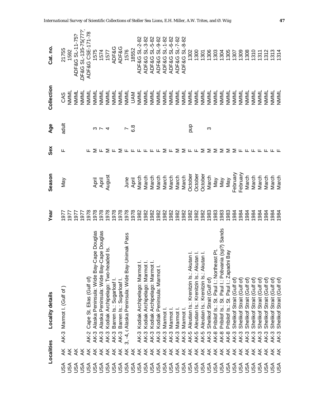|                  | Localities     | <b>Locality details</b>                                                                                                            | year | Season   | Sex | Age                      | Collection | Cat. no             |
|------------------|----------------|------------------------------------------------------------------------------------------------------------------------------------|------|----------|-----|--------------------------|------------|---------------------|
| <b>ASU</b>       | ₹              | AK-3 Marmot I. (Gulf of                                                                                                            | 1977 | Мay      | ட   | adult                    | CAS        | 21755               |
| <b>ASU</b>       | ₹              |                                                                                                                                    | 1977 |          |     |                          | NMML       | 1592                |
| <b>ASA</b>       | ¥              |                                                                                                                                    | 1977 |          |     |                          | NMML       | ADF&G SL-11-75?     |
|                  | ¥              |                                                                                                                                    | 1977 |          |     |                          | NMML       | DF&G SL-135-75(77?) |
| 000000<br>RAKKKK | ¥              | Cape St. Elias (Gulf of)<br><b>AK-2</b>                                                                                            | 1978 |          |     |                          | NININIL    | ADF&G CSE-171-78    |
|                  | $\overline{X}$ | AK-3 Alaska Peninsula: Wide Bay-Cape Douglas                                                                                       | 1978 | April    |     |                          | NNNL       | 1575                |
|                  |                | AK-3 Alaska Peninsula: Wide Bay-Cape Douglas                                                                                       | 1978 | April    |     | ຕ ∼                      | NMML       | 1574                |
|                  |                | AK-3 Kodiak Archipelago: Two-headed Is.                                                                                            | 1978 | August   | ∑ ய |                          | NMML       | 1577                |
|                  |                | AK-3 Barren Is.: Sugarloaf I.                                                                                                      | 1978 |          |     |                          | NMML       | <b>ADF&amp;G</b>    |
| JSA              |                | AK-3 Barren Is.: Sugarloaf I.                                                                                                      | 1978 |          | Σ   |                          | NMML       | ADF&G               |
| JSA              |                | 3, -4, c Alaska Peninsula: Wide Bay-Unimak Pass                                                                                    | 1978 | June     |     | $\overline{\phantom{0}}$ | NMML       | 1576                |
| USA              |                |                                                                                                                                    | 1978 | April    |     | 8.g                      | <b>NAV</b> | 18552               |
|                  | K<br>X<br>X    | AK-3 Kodiak Archipelago: Marmot I.                                                                                                 | 1982 | March    |     |                          | NININIL    | ADF&G SL-2-82       |
|                  |                | AK-3 Kodiak Archipelago: Marmot I.                                                                                                 | 1982 | March    |     |                          | NININIL    | ADF&G SL-3-82       |
|                  |                | Kodiak Archipelago: Marmot I.<br><b>AK-3</b>                                                                                       | 1982 | March    |     |                          | NININIL    | ADF&G SL-5-82       |
|                  |                | Kodiak Peninsula: Marmot I.<br><b>AK-3</b>                                                                                         | 1982 | March    |     |                          | NNNI       | ADF&G SL-9-82       |
|                  |                | AK-3 Marmot                                                                                                                        | 1982 | March    | ∑ ⊬ |                          | NININIL    | ADF&G SL-1-82       |
|                  |                | Marmot<br>$AK-31$                                                                                                                  | 1982 | March    |     |                          | NNNL       | ADF&G SL-6-82       |
|                  | $\overline{X}$ | Marmot<br>AK-3                                                                                                                     | 1982 | March    | Σ   |                          | NMML       | ADF&G SL-7-82       |
|                  | ¥              | Marmot  <br><b>AK-3</b>                                                                                                            | 1982 | March    | Σ   |                          | NNNL       | ADF&G SL-8-82       |
|                  | ¥              | AK-5                                                                                                                               | 1982 | October  | 山山  | quo                      | NMML       | 1302                |
|                  | $\overline{X}$ | AK-5                                                                                                                               | 1982 | October  |     |                          | NININIL    | $\frac{300}{200}$   |
|                  | ¥              | Aleutian Is.: Krenitzin Is.: Akutan I.<br>Aleutian Is.: Krenitzin Is.: Akutan I.<br>Aleutian Is.: Krenitzin Is.: Akutan I.<br>AK-5 | 1982 | October  | ⋝   |                          | NMML       | 1301                |
|                  | ¥              | Shelikof Strait (Gulf of)<br><b>AK-3</b>                                                                                           | 1983 | March    | Σ   | က                        | NNNI       | 1306                |
|                  | ¥              | Pribilof Is.: St. Paul I.: Northeast Pt.<br><b>AK-8</b>                                                                            | 1983 | Nay      | Σ   |                          | NMML       | 1303                |
| JSA              | ¥              | Paul I: Pobvania (sp?) Sands<br>Pribilof Is.: St.<br>$AK-8$                                                                        | 1983 | Nay      | Σ   |                          | NMML       | 304                 |
| JSA              | ¥              | Bay<br>Pribilof Is.: St. Paul I.: Zapadni<br><b>AK-8</b>                                                                           | 1983 | Vay      | Σ   |                          | NMML       | 1305                |
| JSA              | ¥              | Shelikof Strait (Gulf of)<br><b>AK-3</b>                                                                                           | 1984 | February | Σ   |                          | NMML       | 1307                |
| JSA              | ¥              | Shelikof Strait (Gulf of)<br><b>AK-3</b>                                                                                           | 1984 | February | ட   |                          | NMML       | 1309                |
| JSA              | ¥              | Shelikof Strait (Gulf of)<br><b>AK-3</b>                                                                                           | 1984 | March    |     |                          | NMML       | 1308                |
| JSA              | ¥              | Shelikof Strait (Gulf of<br><b>AK-3</b>                                                                                            | 1984 | March    |     |                          | NMML       | 1310                |
| <b>ASU</b>       | ¥              | Shelikof Strait (Gulf of<br><b>AK-3</b>                                                                                            | 1984 | March    |     |                          | NMML       | 1311                |
| JSA              | $\overline{X}$ | Shelikof Strait (Gulf of<br><b>AK-3</b>                                                                                            | 1984 | March    |     |                          | NMML       | 1312                |
| <b>ASA</b>       | ₹              | Shelikof Strait (Gulf of)<br><b>AK-3</b>                                                                                           | 1984 | March    |     |                          | NNNI       | <b>313</b>          |
|                  | ⋇              | Shelikof Strait (Gulf of)<br><b>AK-3</b>                                                                                           | 1984 | March    |     |                          | NMML       | 314                 |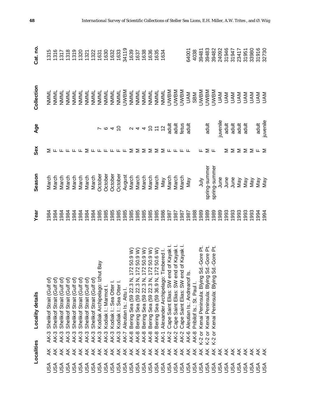|            | Localities                |                                        | Locality details                                               | Year | Season        | Sex                             | Age                                    | Collection                 | Cat.no |
|------------|---------------------------|----------------------------------------|----------------------------------------------------------------|------|---------------|---------------------------------|----------------------------------------|----------------------------|--------|
| USA        |                           | AK-3                                   | Shelikof Strait (Gulf of)                                      | 1984 | March         |                                 |                                        | NMML                       | 1315   |
| <b>ASU</b> |                           | AK-3                                   | Shelikof Strait (Gulf of)                                      | 1984 | March         |                                 |                                        | NNNNL                      | 1316   |
| JSA        | ⋖⋖⋖⋖⋖⋖⋖⋖⋖⋖⋖⋖⋖⋖⋖⋖⋖⋖⋖⋖⋖⋖⋖⋖⋖ | <b>AK-3</b>                            | Shelikof Strait (Gulf of                                       | 1984 | March         |                                 |                                        | NMML                       | 1317   |
| <b>ASU</b> |                           | <b>AK-3</b>                            | Shelikof Strait (Gulf of                                       | 1984 | March         |                                 |                                        | NMML                       | 1318   |
|            |                           | <b>AK-3</b>                            | Shelikof Strait (Gulf of)                                      | 1984 | March         |                                 |                                        | NMML                       | 1319   |
|            |                           | <b>AK-3</b>                            | Shelikof Strait (Gulf of)                                      | 1984 | March         |                                 |                                        | NNNL                       | 1320   |
|            |                           | <b>AK-3</b>                            | Shelikof Strait (Gulf of)                                      | 1984 | March         | Σ                               |                                        | NININIL                    | 1321   |
|            |                           | <b>AK-3</b>                            | Shelikof Strait (Gulf of)                                      | 1984 | March         |                                 |                                        | NININIL                    | 1322   |
|            |                           | <b>AK-3</b>                            | ut Bay<br>Kodiak Archipelago: Izh                              | 1985 | October       |                                 |                                        | NNNL                       | 1631   |
|            |                           | <b>AK-3</b>                            | Kodiak I.: Marmot I                                            | 985  | October       | <b>LLLLLL</b>                   | $r \circ 45$ $\circ$ $4455\frac{6}{5}$ | NNNL                       | 1630   |
|            |                           | <b>AK-3</b>                            | Kodiak I.: Sea Otter I.                                        | 985  | October       |                                 |                                        | NMML                       | 1632   |
|            |                           | <b>AK-3</b>                            | Kodiak I.: Sea Otter I.                                        | 985  | October       |                                 |                                        | NMML                       | 1633   |
|            |                           | <b>AK-7</b>                            | Aleutian Is.: Attu I.                                          | 985  | August        |                                 |                                        | <b>UWBM</b>                | 34119  |
|            |                           | $AK-8$                                 | 50.9 W)<br>$\overline{2}$<br>Bering Sea (59 22.3 N,            | 985  | March         | Σ                               |                                        | NMML                       | 1639   |
|            |                           | $AK-8$                                 | 72 50.9 W)                                                     | 985  | March         | Σ                               |                                        | NININIL                    | 1637   |
|            |                           | $AK-8$                                 | 72 50.9 W)<br>Bering Sea (59 22.3 N,<br>Bering Sea (59 22.3 N, | 985  | March         | Σ                               |                                        | NININIL                    | 1638   |
|            |                           | $AK-8$                                 | 7250.9W)<br>Bering Sea (59 22.3 N,                             | 985  | March         | Σ                               |                                        | NNNL                       | 1636   |
|            |                           | <b>AK-8</b>                            | 172 50.6 W)<br>Bering Sea (59 36.9 N,                          | 985  | March         | Σ                               |                                        | NNNL                       | 1635   |
|            |                           | $AK-1$                                 | Timbered I.<br>Alexander Archipelago:                          | 986  | <b>May</b>    |                                 |                                        | NMML                       | 1634   |
|            |                           | <b>AK-2</b>                            | Cape Saint Elias: SW end of Kayak                              | 1987 | March         | $\Sigma$ L L L                  |                                        | <b>UWBM</b>                |        |
|            |                           | AK-2                                   | nd of Kayak<br>Cape Saint Elias: SW er                         | 1987 | March         |                                 | adult                                  | <b>NBMD</b>                |        |
|            |                           | <b>AK-2</b>                            | nd of Kayak<br>Cape Saint Elias: SW er                         | 1987 | March         |                                 |                                        | <b>NBMD</b>                |        |
|            |                           | AK-6                                   | Aleutian Is.: Andreanof Is.                                    | 987  | <b>May</b>    | ட                               | fetus<br>adult                         | <b>NAN</b>                 | 64001  |
|            |                           | <b>AK-8</b>                            | Pribilof Is.: St. Paul I.                                      | 988  |               |                                 |                                        | SBM                        | 4038   |
|            | ₹                         | K-2 or                                 | Sd.-Gore Pt.<br>Kenai Peninsula: Blying                        | 1989 | <b>Surt</b>   | ட                               |                                        | <b>UWBM</b>                | 39481  |
|            |                           | $\overleftarrow{\sigma}$<br>K-2<br>K-2 | Sd.-Gore Pt.<br>Sd.-Gore Pt.<br>Kenai Peninsula: Blying        | 1989 | spring-summer | ∑ ⊬                             | adult                                  | <b>UWBM</b>                | 39483  |
|            |                           | $\overline{\sigma}$                    | Sd.-Gore<br>Kenai Peninsula: Blying                            | 1989 | spring-summer |                                 |                                        | <b>UWBM</b>                | 39482  |
|            |                           |                                        |                                                                | 989  | June          |                                 | juvenile                               | <b>NAU</b>                 | 24092  |
|            | 555                       |                                        |                                                                | 993  | June          | Σ                               | adult                                  | <b>NAU</b>                 | 31946  |
|            | ¥                         |                                        |                                                                | 1993 | June          | Σ                               | adult                                  | NAU                        | 31947  |
|            | ¥                         |                                        |                                                                | 993  | Vay           | Σ                               | adult<br>adult                         | NAU                        | 23417  |
| JSA        | ¥                         |                                        |                                                                | 1993 | Vay           | Σ                               |                                        | <b>NAN</b>                 | 31951  |
| <b>ASU</b> | ¥                         |                                        |                                                                | 993  | Vay           |                                 |                                        |                            | 33980  |
| <b>ASH</b> | र्<br>स्र                 |                                        |                                                                | 994  | Vay           | $\Sigma \nightharpoonup \Sigma$ | adult                                  | <b>NAVAN</b><br>ANG<br>DAM | 31916  |
|            |                           |                                        |                                                                | 1994 | Vay           |                                 | juvenile                               |                            | 32730  |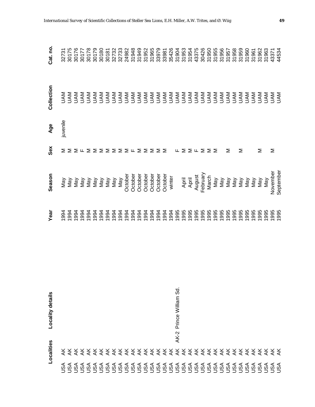| Season<br><b>Vany</b><br>Nay<br>Nay<br>1994<br>1994<br>Year<br>Locality details<br>Localities |  |  | Sex<br>Σ<br>Σ                                                                                                              | juvenile<br>Age | Collection | Cat. no.<br>30175<br>32731       |
|-----------------------------------------------------------------------------------------------|--|--|----------------------------------------------------------------------------------------------------------------------------|-----------------|------------|----------------------------------|
| 1994<br>1994                                                                                  |  |  |                                                                                                                            |                 |            | 30176                            |
| Vay                                                                                           |  |  |                                                                                                                            |                 |            | 30177                            |
| Vay<br>Vay<br>1994<br>1994                                                                    |  |  | $\Sigma \cup \Sigma \subseteq \Sigma \subseteq \Sigma \subseteq \Sigma \subseteq \Sigma \subseteq \Sigma \subseteq \Sigma$ |                 |            | 30178<br>30179<br>30180<br>30181 |
| Vay<br>1994                                                                                   |  |  |                                                                                                                            |                 |            |                                  |
| Vay<br>1994                                                                                   |  |  |                                                                                                                            |                 |            |                                  |
| Vay<br>1994                                                                                   |  |  |                                                                                                                            |                 |            | 32732                            |
| Vay<br>1994                                                                                   |  |  |                                                                                                                            |                 |            | 32733                            |
| October<br>1994                                                                               |  |  |                                                                                                                            |                 |            | 24982                            |
| October                                                                                       |  |  |                                                                                                                            |                 |            | 31948                            |
| October                                                                                       |  |  |                                                                                                                            |                 |            | 31949                            |
| October                                                                                       |  |  |                                                                                                                            |                 |            |                                  |
| October                                                                                       |  |  |                                                                                                                            |                 |            | 31952<br>31965                   |
| October                                                                                       |  |  |                                                                                                                            |                 |            | 33979                            |
| October                                                                                       |  |  |                                                                                                                            |                 |            | 33981                            |
| winter                                                                                        |  |  |                                                                                                                            |                 |            | 35426                            |
| Prince William Sd.<br>AK-2                                                                    |  |  | щ                                                                                                                          |                 |            | 31904                            |
| April<br>April                                                                                |  |  | $\Sigma \Sigma$ $\mathsf{L}$ $\Sigma \Sigma$ $\Sigma$                                                                      |                 |            | 31953                            |
|                                                                                               |  |  |                                                                                                                            |                 |            | 31954                            |
| August                                                                                        |  |  |                                                                                                                            |                 |            | 43375                            |
| February                                                                                      |  |  |                                                                                                                            |                 |            | 30426                            |
| March                                                                                         |  |  |                                                                                                                            |                 |            | 31950                            |
| Nay<br>1995                                                                                   |  |  |                                                                                                                            |                 |            | 31955                            |
| Vay<br>1995                                                                                   |  |  |                                                                                                                            |                 |            | 31956                            |
| Vay<br>1995                                                                                   |  |  | Σ                                                                                                                          |                 |            | 31957                            |
| Vay<br>1995                                                                                   |  |  |                                                                                                                            |                 |            | 31958                            |
| Vay<br>1995                                                                                   |  |  | Σ                                                                                                                          |                 |            | 31959                            |
| Vay<br>1995                                                                                   |  |  |                                                                                                                            |                 |            | 31960                            |
| Vay<br>1995                                                                                   |  |  |                                                                                                                            |                 |            | 31961                            |
| Vay<br>1995                                                                                   |  |  | Σ                                                                                                                          |                 |            | 31962                            |
| May<br>1995                                                                                   |  |  |                                                                                                                            |                 |            | 31963                            |
| November<br>1995                                                                              |  |  | Σ                                                                                                                          |                 |            | 43371                            |
| September                                                                                     |  |  |                                                                                                                            |                 |            | 44534                            |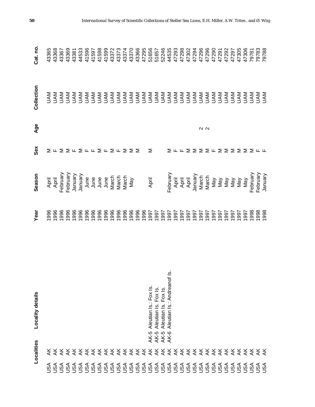|                   | Localities | Locality details                     | Year       | Season                                  | Sex                                                                                                      | Age           | Collection         | Cat. no. |
|-------------------|------------|--------------------------------------|------------|-----------------------------------------|----------------------------------------------------------------------------------------------------------|---------------|--------------------|----------|
| ASL               |            |                                      | 996        | April                                   |                                                                                                          |               | <b>NAU</b>         | 43365    |
| JSA               |            |                                      | 996        | April                                   | ∑ ட                                                                                                      |               | <b>NAL</b>         | 43368    |
|                   |            |                                      | 996        | February                                |                                                                                                          |               |                    | 43367    |
|                   |            |                                      | 996        | February                                |                                                                                                          |               |                    | 43369    |
|                   |            |                                      | 996        | January                                 |                                                                                                          |               |                    | 43381    |
|                   |            |                                      | 996        | January                                 |                                                                                                          |               |                    | 44533    |
|                   |            |                                      | 996        | June                                    |                                                                                                          |               |                    | 41596    |
|                   |            |                                      | 996        | June                                    |                                                                                                          |               |                    | 41597    |
|                   |            |                                      | 996        |                                         |                                                                                                          |               |                    | 41598    |
|                   |            |                                      | 996        |                                         |                                                                                                          |               |                    | 41599    |
|                   |            |                                      | 996        | June<br>June<br>Jarch<br>March<br>March | $\Sigma \Sigma \vdash \Sigma \vdash \top \Sigma \vdash \Sigma \vdash \Sigma \vdash \Sigma \Sigma \Sigma$ |               |                    | 43372    |
|                   |            |                                      | 996        |                                         |                                                                                                          |               |                    | 43373    |
|                   |            |                                      | 996        |                                         |                                                                                                          |               |                    | 43374    |
|                   |            |                                      | 996        | May                                     |                                                                                                          |               |                    | 43370    |
|                   |            |                                      | 996        |                                         |                                                                                                          |               |                    | 43366    |
|                   |            |                                      | 996        |                                         |                                                                                                          |               |                    | 47295    |
|                   |            | Aleutian Is.: Fox Is.<br>AK-5        | 997        | April                                   | Σ                                                                                                        |               |                    | 51656    |
|                   |            | Aleutian Is. Fox Is.<br>AK-5         | 1997       |                                         |                                                                                                          |               |                    | 51657    |
|                   |            | Fox Is.<br>Aleutian Is.<br>AK-5      | 1997       |                                         |                                                                                                          |               |                    | 52246    |
|                   |            | ౨<br>Aleutian Is.: Andreanof<br>AK-6 | 1997       | February                                |                                                                                                          |               |                    | 44535    |
|                   |            |                                      | 1997       | April                                   |                                                                                                          |               |                    | 47293    |
|                   |            |                                      | 1997       | April                                   |                                                                                                          |               |                    | 47298    |
|                   |            |                                      | 1997       | April                                   | ΣΗΗΣΣΣΣΗΣΣΣΣΣΣ                                                                                           |               |                    | 47302    |
|                   |            |                                      | 1997       | January                                 |                                                                                                          |               |                    | 47294    |
|                   |            |                                      | 1997       | March                                   |                                                                                                          | $\sim \infty$ |                    | 47296    |
|                   |            |                                      | 1997       | March                                   |                                                                                                          |               | <b>NAN</b>         | 47296    |
|                   |            |                                      | 1997       | Nay                                     |                                                                                                          |               | <b>NAU</b>         | 47290    |
|                   |            |                                      | 1997       | Vay                                     |                                                                                                          |               | <b>NAU</b>         | 47291    |
|                   |            |                                      | 1997       | Vay                                     |                                                                                                          |               | <b>NAU</b>         | 47292    |
| USA               |            |                                      | 1997       | Vay                                     |                                                                                                          |               | <b>NAU</b>         | 47297    |
| JSA               |            |                                      | 1997       | Vay                                     |                                                                                                          |               | <b>NAU</b>         | 47305    |
| <b>ASU</b>        |            |                                      | 1997       | Vay                                     |                                                                                                          |               | <b>NAU</b>         | 47306    |
| <b>ASU</b>        |            |                                      | 998        | February                                |                                                                                                          |               | <b>NAU</b>         | 79781    |
| <b>ASL</b><br>USA |            |                                      | 998<br>998 | February                                | டட                                                                                                       |               | <b>NAV<br/>NAV</b> | 79783    |
|                   |            |                                      |            | January                                 |                                                                                                          |               |                    | 79788    |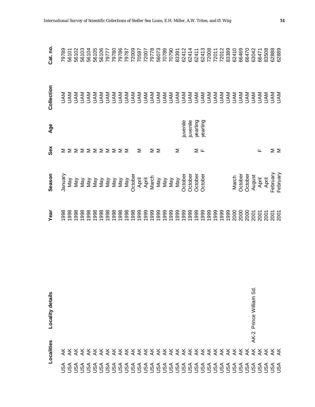| Cat. no.         | 79789   |     | 56101<br>56102 | 56103 |  |  |                                           |                |   |                         |     |     |     |     |          |          |          |                    |  |  |       | 66469   | 66470   | 63042                   | 66471 | 83508 | 62888    |          |
|------------------|---------|-----|----------------|-------|--|--|-------------------------------------------|----------------|---|-------------------------|-----|-----|-----|-----|----------|----------|----------|--------------------|--|--|-------|---------|---------|-------------------------|-------|-------|----------|----------|
| Collection       |         |     |                |       |  |  |                                           |                |   |                         |     |     |     |     |          |          |          |                    |  |  |       |         |         |                         |       |       |          |          |
| Age              |         |     |                |       |  |  |                                           |                |   |                         |     |     |     |     | juvenile | juvenile | yearling | yearling           |  |  |       |         |         |                         |       |       |          |          |
| Sex              | Σ       | ⋝   |                |       |  |  | ΣΣΣΣΣΣΣΣ                                  |                | Σ | Σ                       | ⋝   |     |     | Σ   |          |          | ∑ ட      |                    |  |  |       |         |         |                         | ட     |       | ∑ ≥      |          |
| Season           | January | Vay | Vay            | Vay   |  |  | Key<br>Key<br>Sa Sa Sa<br>Key<br>Sa Sa Sa | May<br>October |   | April<br>April<br>March | Nay | Nay | May | Nay | October  | October  |          | October<br>October |  |  | March | October | October | August                  | April | April | February | February |
| Year             | 1998    |     |                |       |  |  |                                           |                |   |                         |     |     |     |     |          |          |          |                    |  |  |       |         |         |                         |       |       |          |          |
| Locality details |         |     |                |       |  |  |                                           |                |   |                         |     |     |     |     |          |          |          |                    |  |  |       |         |         | AK-2 Prince William Sd. |       |       |          |          |
| Localities       |         |     |                |       |  |  |                                           |                |   |                         |     |     |     |     |          |          |          |                    |  |  |       |         |         |                         |       |       |          |          |
|                  | ASL     |     |                |       |  |  |                                           |                |   |                         |     |     |     |     |          |          |          |                    |  |  |       |         |         |                         |       |       |          |          |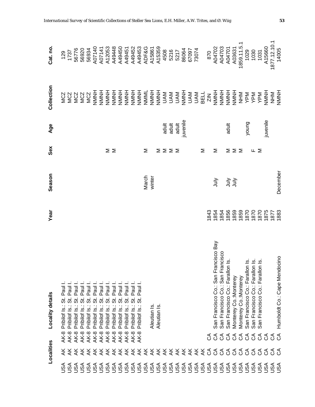|            | Localities            | <b>Locality details</b>                                                  | Year         | Season   | Sex             | Age      | Collection                                    | Cat.no                                        |
|------------|-----------------------|--------------------------------------------------------------------------|--------------|----------|-----------------|----------|-----------------------------------------------|-----------------------------------------------|
| USA        |                       | Paul<br><br>თ<br>Pribilof Is.:<br><b>AK-8</b>                            |              |          |                 |          | N N N N N H<br>U Q Q N N N H<br>S S S S S S N | 129<br>1737<br>56776<br>56920                 |
| USA        |                       | Paul I.<br>5<br>Pribilof Is.:<br>AK-8                                    |              |          |                 |          |                                               |                                               |
| USA        |                       | Paul I<br>5<br>Pribilof Is.:<br><b>AK-8</b>                              |              |          |                 |          |                                               |                                               |
| USA        |                       | Paul I<br>5.<br>Pribilof Is.:<br>$AK-8$                                  |              |          |                 |          |                                               |                                               |
| JSA        |                       | Paul I<br>$\ddot{\circ}$<br>Pribilof Is.:<br>$AK-8$                      |              |          |                 |          |                                               | 56934                                         |
| JSA        |                       | Paul I<br>ι.<br>Θ<br>Pribilof Is.:<br>$AK-8$                             |              |          |                 |          |                                               | A07140                                        |
| JSA        |                       | Paul I<br>5.<br>Pribilof Is.:<br>$AK-8$                                  |              |          |                 |          |                                               | A07141                                        |
|            | <b>さささえさくさえさくさくさく</b> | Paul I<br>5<br>Pribilof Is.:<br><b>AK-8</b>                              |              |          | Σ               |          |                                               | A12053                                        |
|            |                       | Paul I<br>5i<br>Pribilof Is.:<br><b>AK-8</b>                             |              |          | Σ               |          |                                               | A49448                                        |
|            |                       | Paul I<br><br>თ<br>Pribilof Is.:<br>$AK-8$                               |              |          |                 |          |                                               |                                               |
|            |                       | Paul I.<br><br>თ<br>Pribilof Is.:<br><b>AK-8</b>                         |              |          |                 |          |                                               | A49450<br>A49451<br>A49452<br>A49453<br>ADF&G |
|            |                       | Paul I.<br><br>თ<br>Pribilof Is.:<br><b>AK-8</b>                         |              |          |                 |          |                                               |                                               |
|            |                       | Paul I.<br>5<br>Pribilof Is.:<br><b>AK-8</b>                             |              |          |                 |          |                                               |                                               |
|            |                       |                                                                          |              | March    | Σ               |          |                                               |                                               |
|            |                       | Aleutian Is                                                              |              | winter   |                 |          |                                               | A15861                                        |
|            |                       | Aleutian Is                                                              |              |          | Σ               |          |                                               | A15359                                        |
|            |                       |                                                                          |              |          | $\Sigma \Sigma$ | adult    |                                               | 4508                                          |
|            |                       |                                                                          |              |          |                 | adult    |                                               | 5216                                          |
|            |                       |                                                                          |              |          |                 | adult    |                                               |                                               |
|            |                       |                                                                          |              |          |                 | juvenile |                                               | 5217<br>86064<br>67097<br>73074               |
|            |                       |                                                                          |              |          |                 |          |                                               |                                               |
|            |                       |                                                                          |              |          |                 |          |                                               |                                               |
|            |                       |                                                                          |              |          | Σ               |          |                                               |                                               |
|            |                       | రే                                                                       | 843          |          |                 |          |                                               | 870                                           |
|            | ききききききききょくひょくり        | San Francisco Co.: San Francisco Bay<br>ర                                | 1854         | July     | Σ               |          |                                               | A04702<br>A04703                              |
|            |                       | San Francisco Co.: San Francisco<br>రే                                   | 1854         |          |                 |          |                                               |                                               |
| USA        |                       | San Francisco Co.: Farallon Is.<br>ర్                                    | 1856         |          | Σ               | adult    |                                               | A04701                                        |
| USA        |                       | Monterey Co.: Monterey                                                   | 1859         | うう       | ΣΣ              |          |                                               | A03631                                        |
| JSA        |                       | Monterey Co.: Monterey<br>క క క                                          | 1859         |          |                 |          |                                               | 1859.11.5.1                                   |
| JSA        | E                     | San Francisco Co.: Farallon Is.                                          | 1870         |          |                 | young    |                                               | 1029                                          |
| <b>ASU</b> | ర                     | San Francisco Co.: Farallon Is.<br>San Francisco Co.: Farallon Is.<br>ర్ | 1870         |          | ⊥ ≥             |          |                                               | 1030                                          |
| <b>ASU</b> | ర                     | రే                                                                       | 1870         |          |                 |          |                                               | 1031                                          |
| As∪        | ర                     | రే                                                                       | 1875         |          |                 | juvenile |                                               | A15660                                        |
| nsu<br>Pag | ర్ ర                  | ర్                                                                       | 1877<br>1883 |          |                 |          | NHM<br>NMNH                                   | 1877.12.10.1<br>14005                         |
|            |                       | Humboldt Co.: Cape Mendocino<br>ි                                        |              | December |                 |          |                                               |                                               |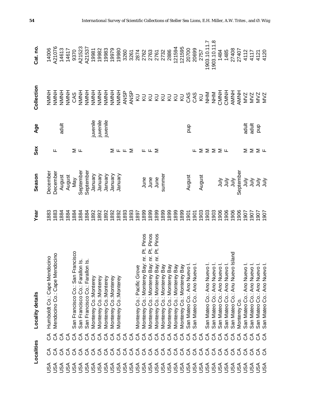|            | Localities    |                | <b>Locality details</b>                                                                   | Year         | Season               | Sex                                         | Age      | Collection                                                                                                                                                                                                                                                                                                                                                                                                                                                                                                                                                 | Cat. no.                   |
|------------|---------------|----------------|-------------------------------------------------------------------------------------------|--------------|----------------------|---------------------------------------------|----------|------------------------------------------------------------------------------------------------------------------------------------------------------------------------------------------------------------------------------------------------------------------------------------------------------------------------------------------------------------------------------------------------------------------------------------------------------------------------------------------------------------------------------------------------------------|----------------------------|
| USA        | ర్            | ర్             | Humboldt Co.: Cape Mendocino                                                              | 883          | Decembe              |                                             |          | <b>NMNH</b>                                                                                                                                                                                                                                                                                                                                                                                                                                                                                                                                                | 14006                      |
| <b>ASU</b> |               | රි             | ndocino<br>Mendocino Co.: Cape Mei                                                        | 1883         | December             | ட                                           |          | HNNNH                                                                                                                                                                                                                                                                                                                                                                                                                                                                                                                                                      | 21076                      |
| <b>ASU</b> |               | రే             |                                                                                           | 1884         | August               |                                             | adult    | HNNNH                                                                                                                                                                                                                                                                                                                                                                                                                                                                                                                                                      | 14613                      |
| <b>ASU</b> |               | ర              |                                                                                           | 1884         | August               |                                             |          | HNNN                                                                                                                                                                                                                                                                                                                                                                                                                                                                                                                                                       | 14617                      |
| <b>ASU</b> |               | $\Im$          | rancisco<br>San Francisco Co.: San Fi                                                     | 1884         | Vay                  | $\geq$ L                                    |          | CAS                                                                                                                                                                                                                                                                                                                                                                                                                                                                                                                                                        | 9370                       |
| <b>ASU</b> |               | $\mathcal{L}$  |                                                                                           | 1884         | September            |                                             |          | HNNH                                                                                                                                                                                                                                                                                                                                                                                                                                                                                                                                                       | A21523                     |
| <b>ASU</b> |               | රි             | San Francisco Co.: Farallon Is.<br>San Francisco Co.: Farallon Is.                        | 1884         | September            |                                             |          | <b>HNNNH</b>                                                                                                                                                                                                                                                                                                                                                                                                                                                                                                                                               | A21537                     |
| <b>ASU</b> |               | $\Im$          | Monterey Co.:Monterey                                                                     | 1892         | January              |                                             | juvenile | <b>HNNNH</b>                                                                                                                                                                                                                                                                                                                                                                                                                                                                                                                                               | 19981                      |
| JSA        |               | $\mathcal{L}$  | Monterey Co.: Monterey                                                                    | 1892         | January              |                                             | juvenile | <b>HNNH</b>                                                                                                                                                                                                                                                                                                                                                                                                                                                                                                                                                | 19982                      |
| JSA        |               | $\mathcal{L}$  | Monterey Co.: Monterey                                                                    | 1892         | January              |                                             | juvenile |                                                                                                                                                                                                                                                                                                                                                                                                                                                                                                                                                            | 19983                      |
| JSA        |               | 38             | Monterey Co.: Monterey                                                                    | 1892         | January              |                                             |          |                                                                                                                                                                                                                                                                                                                                                                                                                                                                                                                                                            | 19979<br>19980             |
| JSA        |               |                | Monterey Co.: Monterey                                                                    | 1892         | Vienuary             | $\Sigma$ $\mathsf{L}$ $\mathsf{L}$ $\Sigma$ |          |                                                                                                                                                                                                                                                                                                                                                                                                                                                                                                                                                            |                            |
| JSA        |               |                |                                                                                           | 1893         |                      |                                             |          |                                                                                                                                                                                                                                                                                                                                                                                                                                                                                                                                                            |                            |
| JSA        |               | 38             |                                                                                           | 1893         |                      |                                             |          |                                                                                                                                                                                                                                                                                                                                                                                                                                                                                                                                                            |                            |
| JSA        |               |                | Monterey Co.: Pacific Grove                                                               | 1897         |                      |                                             |          |                                                                                                                                                                                                                                                                                                                                                                                                                                                                                                                                                            |                            |
| JSA        |               | 999999         | Pinos<br>Monterey Co.: Monterey Bay: nr. Pt.                                              | 1899         |                      |                                             |          | $\begin{array}{c}\n\widetilde{\Delta} \; \widetilde{\Delta} \; \widetilde{\Delta} \; \widetilde{\Delta} \; \widetilde{\Delta} \; \widetilde{\Delta} \; \widetilde{\Delta} \; \widetilde{\Delta} \; \widetilde{\Delta} \; \widetilde{\Delta} \; \widetilde{\Delta} \; \widetilde{\Delta} \; \widetilde{\Delta} \; \widetilde{\Delta} \; \widetilde{\Delta} \; \widetilde{\Delta} \; \widetilde{\Delta} \; \widetilde{\Delta} \; \widetilde{\Delta} \; \widetilde{\Delta} \; \widetilde{\Delta} \; \widetilde{\Delta} \; \widetilde{\Delta} \; \widetilde{\$ |                            |
| <b>ASU</b> |               |                | Pinos                                                                                     | 1899         | June<br>June<br>June | ᄔᄔᅙ                                         |          |                                                                                                                                                                                                                                                                                                                                                                                                                                                                                                                                                            |                            |
| USA        |               |                | Pinos<br>Monterey Co.: Monterey Bay: nr. Pt.<br>Monterey Co.: Monterey Bay: nr. Pt.       | 1899         |                      |                                             |          |                                                                                                                                                                                                                                                                                                                                                                                                                                                                                                                                                            |                            |
| <b>ASU</b> |               |                | Monterey Co.: Monterey Bay                                                                | 1899         | summer               |                                             |          |                                                                                                                                                                                                                                                                                                                                                                                                                                                                                                                                                            |                            |
| JSA        |               |                | Monterey Co.: Monterey Bay                                                                | 1899         |                      |                                             |          |                                                                                                                                                                                                                                                                                                                                                                                                                                                                                                                                                            |                            |
| JSA        |               | $\Im$          | Monterey Co.: Monterey Bay                                                                | 1899         |                      |                                             |          |                                                                                                                                                                                                                                                                                                                                                                                                                                                                                                                                                            | 121594<br>121595           |
| As∪        |               | $\mathfrak{S}$ | Monterey Co.: Monterey Bay                                                                | 1899         |                      |                                             |          |                                                                                                                                                                                                                                                                                                                                                                                                                                                                                                                                                            |                            |
| JSA        |               | 999999         | San Mateo Co.: Ano Nuevo I.<br>San Mateo Co.: Ano Nuevo I.                                | 1901         | August               |                                             | qnd      |                                                                                                                                                                                                                                                                                                                                                                                                                                                                                                                                                            | 20700                      |
| JSA        |               |                |                                                                                           | 1901         |                      |                                             |          |                                                                                                                                                                                                                                                                                                                                                                                                                                                                                                                                                            | 20699                      |
| USA        |               |                |                                                                                           | 1903         | August               | $\Sigma$ $\Sigma$ $\Sigma$ $\Sigma$ $\mu$   |          |                                                                                                                                                                                                                                                                                                                                                                                                                                                                                                                                                            | 2757                       |
| <b>ASU</b> |               |                |                                                                                           | 1903         |                      |                                             |          |                                                                                                                                                                                                                                                                                                                                                                                                                                                                                                                                                            | 1903.10.11.7               |
| <b>ASU</b> |               |                |                                                                                           | 1903         |                      |                                             |          |                                                                                                                                                                                                                                                                                                                                                                                                                                                                                                                                                            | $\frac{8}{1}$<br>1903.10.1 |
| JSA        |               |                | San Mateo Co.: Ano Nuevo I.<br>San Mateo Co.: Ano Nuevo I.<br>San Mateo Co.: Ano Nuevo I. | 1906         |                      |                                             |          | <b>CMNH</b>                                                                                                                                                                                                                                                                                                                                                                                                                                                                                                                                                | 1484                       |
| <b>USA</b> |               | ర్             | Nuevo <sub>1</sub><br>San Mateo Co.: Ano                                                  | 1906         |                      |                                             |          | CMNH                                                                                                                                                                                                                                                                                                                                                                                                                                                                                                                                                       | 1485                       |
| <b>ASU</b> |               | ర              | Nuevo Island<br>Anu<br>San Mateo Co.:                                                     | 1906         | ううう                  |                                             |          | HNNA                                                                                                                                                                                                                                                                                                                                                                                                                                                                                                                                                       | 27408                      |
| <b>ASU</b> |               | రే             | Monterey Co.                                                                              | 1906         | September            |                                             |          | HNNA                                                                                                                                                                                                                                                                                                                                                                                                                                                                                                                                                       | 27407                      |
| <b>ASU</b> | $\mathcal{L}$ | రే             | San Mateo Co.: Ano Nuevo I                                                                | 1907         |                      | Σ                                           | adult    | <b>MVZ</b>                                                                                                                                                                                                                                                                                                                                                                                                                                                                                                                                                 | 4112                       |
| JSA        | ర             | రే             | San Mateo Co.: Ano Nuevo I<br>San Mateo Co.: Ano Nuevo I<br>San Mateo Co.: Ano Nuevo I    | 1907         | うううう                 | Σ                                           | adult    | MVZ                                                                                                                                                                                                                                                                                                                                                                                                                                                                                                                                                        | 4117<br>4121<br>4120       |
| JSA        | ర్ ర          | రే             |                                                                                           | 1907<br>2061 |                      | ∑ ⊔                                         | ghd      | NVZ<br>NVZ                                                                                                                                                                                                                                                                                                                                                                                                                                                                                                                                                 |                            |
| JSA        |               | ි              |                                                                                           |              |                      |                                             |          |                                                                                                                                                                                                                                                                                                                                                                                                                                                                                                                                                            |                            |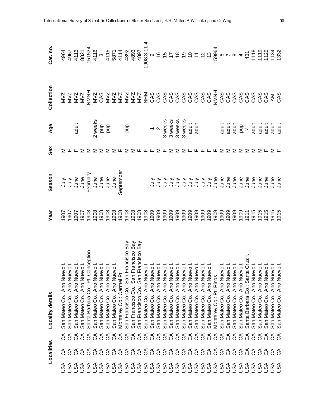|            | Localities                        |      | Locality details                                                                                                                                                                                                                               | Year | Season | Sex                                                              | Age                                                                                                                                                                                                                                                                                                                                                                                          | Collection | Cat. no. |
|------------|-----------------------------------|------|------------------------------------------------------------------------------------------------------------------------------------------------------------------------------------------------------------------------------------------------|------|--------|------------------------------------------------------------------|----------------------------------------------------------------------------------------------------------------------------------------------------------------------------------------------------------------------------------------------------------------------------------------------------------------------------------------------------------------------------------------------|------------|----------|
| JSA        |                                   |      | N San Mateo Co: Ano Nuevo !<br>N San Mateo Co: Ano Nuevo !<br>San Mateo Co: Ano Nuevo !<br>San Mateo Co: Ano Nuevo !<br>San Mateo Co: Ano Nuevo !<br>San Mateo Co: Ano Nuevo !<br>San Mateo Co: Ano Nuevo !<br>San Mateo Co: Ano Nuevo !<br>Sa |      |        |                                                                  |                                                                                                                                                                                                                                                                                                                                                                                              |            |          |
| JSA        |                                   |      |                                                                                                                                                                                                                                                |      |        |                                                                  |                                                                                                                                                                                                                                                                                                                                                                                              |            |          |
|            |                                   |      |                                                                                                                                                                                                                                                |      |        |                                                                  | adult                                                                                                                                                                                                                                                                                                                                                                                        |            |          |
|            |                                   |      |                                                                                                                                                                                                                                                |      |        |                                                                  |                                                                                                                                                                                                                                                                                                                                                                                              |            |          |
|            |                                   |      |                                                                                                                                                                                                                                                |      |        |                                                                  |                                                                                                                                                                                                                                                                                                                                                                                              |            |          |
|            | 888888888888888888888888888888888 |      |                                                                                                                                                                                                                                                |      |        |                                                                  |                                                                                                                                                                                                                                                                                                                                                                                              |            |          |
|            |                                   |      |                                                                                                                                                                                                                                                |      |        |                                                                  |                                                                                                                                                                                                                                                                                                                                                                                              |            |          |
|            |                                   |      |                                                                                                                                                                                                                                                |      |        |                                                                  |                                                                                                                                                                                                                                                                                                                                                                                              |            |          |
|            |                                   |      |                                                                                                                                                                                                                                                |      |        |                                                                  |                                                                                                                                                                                                                                                                                                                                                                                              |            |          |
|            |                                   |      |                                                                                                                                                                                                                                                |      |        |                                                                  |                                                                                                                                                                                                                                                                                                                                                                                              |            |          |
|            |                                   |      |                                                                                                                                                                                                                                                |      |        | $\Sigma \Sigma \Sigma \Gamma \Sigma \Sigma \Gamma \Gamma \Gamma$ |                                                                                                                                                                                                                                                                                                                                                                                              |            |          |
|            |                                   |      |                                                                                                                                                                                                                                                |      |        |                                                                  |                                                                                                                                                                                                                                                                                                                                                                                              |            |          |
|            |                                   |      |                                                                                                                                                                                                                                                |      |        |                                                                  |                                                                                                                                                                                                                                                                                                                                                                                              |            |          |
|            |                                   |      |                                                                                                                                                                                                                                                |      |        |                                                                  |                                                                                                                                                                                                                                                                                                                                                                                              |            |          |
|            |                                   |      |                                                                                                                                                                                                                                                |      |        |                                                                  |                                                                                                                                                                                                                                                                                                                                                                                              |            |          |
|            |                                   |      |                                                                                                                                                                                                                                                |      |        | Σ                                                                |                                                                                                                                                                                                                                                                                                                                                                                              |            |          |
|            |                                   |      |                                                                                                                                                                                                                                                |      |        |                                                                  |                                                                                                                                                                                                                                                                                                                                                                                              |            |          |
|            |                                   |      |                                                                                                                                                                                                                                                |      |        | ⋝                                                                |                                                                                                                                                                                                                                                                                                                                                                                              |            |          |
|            |                                   |      |                                                                                                                                                                                                                                                |      |        |                                                                  |                                                                                                                                                                                                                                                                                                                                                                                              |            |          |
|            |                                   |      |                                                                                                                                                                                                                                                |      |        |                                                                  |                                                                                                                                                                                                                                                                                                                                                                                              |            |          |
|            |                                   |      |                                                                                                                                                                                                                                                |      |        |                                                                  |                                                                                                                                                                                                                                                                                                                                                                                              |            |          |
|            |                                   |      |                                                                                                                                                                                                                                                |      |        |                                                                  |                                                                                                                                                                                                                                                                                                                                                                                              |            |          |
|            |                                   |      |                                                                                                                                                                                                                                                |      |        | $\Sigma \Sigma \vdash \vdash \vdash \vdash \vdash \vdash$        |                                                                                                                                                                                                                                                                                                                                                                                              |            |          |
|            |                                   |      |                                                                                                                                                                                                                                                |      |        |                                                                  |                                                                                                                                                                                                                                                                                                                                                                                              |            |          |
|            |                                   |      |                                                                                                                                                                                                                                                |      |        |                                                                  | $\begin{array}{cccccccccc} \frac{11}{2} & \frac{11}{2} & \frac{11}{2} & \frac{11}{2} & \frac{11}{2} & \frac{11}{2} & \frac{11}{2} & \frac{11}{2} & \frac{11}{2} & \frac{11}{2} & \frac{11}{2} & \frac{11}{2} & \frac{11}{2} & \frac{11}{2} & \frac{11}{2} & \frac{11}{2} & \frac{11}{2} & \frac{11}{2} & \frac{11}{2} & \frac{11}{2} & \frac{11}{2} & \frac{11}{2} & \frac{11}{2} & \frac{1$ |            |          |
|            |                                   |      |                                                                                                                                                                                                                                                |      |        | Σ                                                                |                                                                                                                                                                                                                                                                                                                                                                                              |            |          |
|            |                                   |      |                                                                                                                                                                                                                                                |      |        | Σ                                                                |                                                                                                                                                                                                                                                                                                                                                                                              |            |          |
|            |                                   |      |                                                                                                                                                                                                                                                |      |        |                                                                  |                                                                                                                                                                                                                                                                                                                                                                                              |            |          |
|            |                                   |      |                                                                                                                                                                                                                                                |      |        |                                                                  |                                                                                                                                                                                                                                                                                                                                                                                              |            |          |
|            |                                   |      |                                                                                                                                                                                                                                                |      |        |                                                                  |                                                                                                                                                                                                                                                                                                                                                                                              |            |          |
|            |                                   |      |                                                                                                                                                                                                                                                |      |        | $\Sigma$ $\Sigma$ $\Sigma$ $\Sigma$ $\Sigma$ $\mu$               |                                                                                                                                                                                                                                                                                                                                                                                              |            |          |
|            |                                   |      |                                                                                                                                                                                                                                                |      |        |                                                                  |                                                                                                                                                                                                                                                                                                                                                                                              |            |          |
|            |                                   |      |                                                                                                                                                                                                                                                |      |        |                                                                  |                                                                                                                                                                                                                                                                                                                                                                                              |            |          |
| <b>ASH</b> | 38                                | ర్ ర |                                                                                                                                                                                                                                                |      |        |                                                                  |                                                                                                                                                                                                                                                                                                                                                                                              |            |          |
|            |                                   |      |                                                                                                                                                                                                                                                |      |        |                                                                  |                                                                                                                                                                                                                                                                                                                                                                                              |            |          |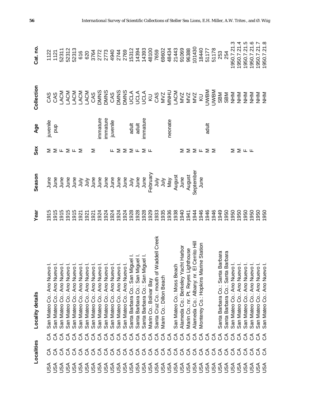|            | Localities |                                                                                                             | Locality details                                                                                                                                                                                                                                    | Year         | Season   | Sex                                             | Age            | Collection | Cat. no.                |
|------------|------------|-------------------------------------------------------------------------------------------------------------|-----------------------------------------------------------------------------------------------------------------------------------------------------------------------------------------------------------------------------------------------------|--------------|----------|-------------------------------------------------|----------------|------------|-------------------------|
| USA        | ర          | రే                                                                                                          | San Mateo Co.: Ano Nuevo I.<br>San Mateo Co.: Ano Nuevo I.<br>San Mateo Co.: Ano Nuevo I.<br>San Mateo Co.: Ano Nuevo I.<br>San Mateo Co.: Ano Nuevo I.<br>San Mateo Co.: Ano Nuevo I.<br>San Mateo Co.: Ano Nuevo I.<br>San Mateo Co.: Ano Nuevo I | 1915         |          | Σ                                               | juvenile       |            |                         |
| As∪        |            | రే                                                                                                          |                                                                                                                                                                                                                                                     |              |          |                                                 | ghd            |            |                         |
| JSA        |            | రే                                                                                                          |                                                                                                                                                                                                                                                     |              |          | $\Sigma \cup \Sigma \cup \Sigma$                |                |            |                         |
| JSA        |            | $\mathcal{L}$                                                                                               |                                                                                                                                                                                                                                                     |              |          |                                                 |                |            |                         |
| JSA        |            |                                                                                                             |                                                                                                                                                                                                                                                     |              |          |                                                 |                |            |                         |
| JSA        |            |                                                                                                             |                                                                                                                                                                                                                                                     |              |          |                                                 |                |            |                         |
| JSA        |            |                                                                                                             |                                                                                                                                                                                                                                                     |              |          |                                                 |                |            |                         |
|            |            |                                                                                                             |                                                                                                                                                                                                                                                     |              |          | Σ                                               |                |            |                         |
|            |            | 99999999999                                                                                                 |                                                                                                                                                                                                                                                     |              |          |                                                 | mmature        |            |                         |
|            |            |                                                                                                             |                                                                                                                                                                                                                                                     |              |          |                                                 | immature       |            |                         |
|            |            |                                                                                                             |                                                                                                                                                                                                                                                     |              |          | Щ                                               | juvenile       |            |                         |
|            |            |                                                                                                             |                                                                                                                                                                                                                                                     |              |          |                                                 |                |            |                         |
|            |            |                                                                                                             |                                                                                                                                                                                                                                                     |              |          |                                                 |                |            |                         |
|            |            |                                                                                                             | Santa Barbara Co.: San Miguel I<br>Santa Barbara Co.: San Miguel I<br>Santa Barbara Co.: San Miguel I                                                                                                                                               |              |          | $\Sigma$ $\Sigma$ $\Sigma$ $\mu$ $\Sigma$ $\mu$ |                |            |                         |
|            |            |                                                                                                             |                                                                                                                                                                                                                                                     |              |          |                                                 | adult<br>adult |            |                         |
|            |            |                                                                                                             |                                                                                                                                                                                                                                                     |              |          |                                                 | immature       |            |                         |
|            |            |                                                                                                             | Marin Co.: Bolivar Bay                                                                                                                                                                                                                              |              |          |                                                 |                |            |                         |
|            |            | 99999                                                                                                       | Waddell Creek<br>Santa Cruz Co.: mouth of                                                                                                                                                                                                           |              |          |                                                 |                |            |                         |
|            |            |                                                                                                             | Marin Co.: Dillon Beach                                                                                                                                                                                                                             |              |          |                                                 |                |            | 69602                   |
|            |            |                                                                                                             |                                                                                                                                                                                                                                                     |              | Nay      |                                                 | neonate        |            |                         |
|            |            | $\mathfrak{S}% _{A}^{\ast}(\mathcal{M}_{A})\simeq\mathfrak{S}_{A}\!\!\left( \mathcal{M}_{A}\right) ^{\ast}$ | San Mateo Co.: Moss Beach                                                                                                                                                                                                                           |              | August   |                                                 |                |            | 48434<br>21443<br>91069 |
|            |            | $\mathcal{L}$                                                                                               | Alameda Co.: Berkeley Yacht Harbor                                                                                                                                                                                                                  |              | June     | Σ                                               |                |            |                         |
|            |            | $\mathfrak{S}% _{A}^{\ast}(\mathcal{M}_{A})\simeq\mathfrak{S}_{A}\!\!\left( \mathcal{M}_{A}\right) ^{\ast}$ | ighthouse<br>Marin Co.: nr. Pt. Reyes L                                                                                                                                                                                                             | 1941         | August   |                                                 |                |            | 96388                   |
| JSA        |            | $\Im$                                                                                                       | El Cerrito Hill<br>Alameda Co.: Albany: nr.                                                                                                                                                                                                         | 1944         | Septembe | $\Sigma \Sigma \cup \Sigma \Sigma$              |                |            | 101430                  |
| <b>ASU</b> |            | ర                                                                                                           | Monterey Co.: Hopkins Marine Station                                                                                                                                                                                                                | 1946         | June     |                                                 |                |            | 18440                   |
| <b>ASU</b> |            | ర                                                                                                           |                                                                                                                                                                                                                                                     | 1946         |          |                                                 | adult          |            | 51177                   |
| <b>ASU</b> |            | $\Im$                                                                                                       |                                                                                                                                                                                                                                                     | 1946         |          |                                                 |                |            | 51178                   |
| JSA        |            | $\mathcal{L}$                                                                                               | Barbara<br>Santa Barbara Co.: Santa                                                                                                                                                                                                                 | 1949         |          |                                                 |                |            | 253                     |
| JSA        |            | $\mathcal{L}$                                                                                               | Barbara<br>Santa Barbara Co.: Santa                                                                                                                                                                                                                 | 1950         |          |                                                 |                |            | 254                     |
| JSA        |            | $\mathcal{L}$                                                                                               | $\frac{1}{\circ}$<br>San Mateo Co.: Ano Nuev                                                                                                                                                                                                        | 1950         |          | Σ                                               |                |            | 1950.7.21.3             |
| JSA        |            | $\mathcal{L}$                                                                                               | $\overline{Q}$<br>San Mateo Co.: Ano Nuev                                                                                                                                                                                                           | 1950         |          | ∑ щ щ                                           |                |            | 1950.7.21.4             |
| <b>ASU</b> |            | $\mathcal{L}$                                                                                               | $\overline{\circ}$<br>San Mateo Co.: Ano Nuev                                                                                                                                                                                                       | 1950         |          |                                                 |                |            | 950.7.21.5              |
| SSU        | రే         | రే                                                                                                          |                                                                                                                                                                                                                                                     | 1950         |          |                                                 |                |            | 950.7.21.6              |
| <b>ASH</b> | 38         | $\Im$                                                                                                       | San Mateo Co.: Ano Nuevo I<br>San Mateo Co.: Ano Nuevo I<br>San Mateo Co.: Ano Nuevo I                                                                                                                                                              | 1950<br>1950 |          |                                                 |                |            | 950.7.21.7              |
|            |            | රි                                                                                                          |                                                                                                                                                                                                                                                     |              |          |                                                 |                |            | 1950.7.21.8             |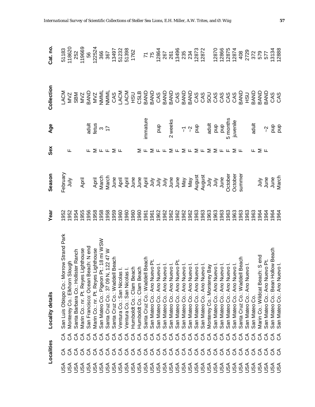|            | Localities    |                | Locality details                                                                                                                                                                                                                             | Year           | Season                        | Sex                                                                                                                                                                                                                                                                                                                                                                                                                                                                                                                | Age                                                           | Collection                                                                                                                                                                                                                                                                                                                                                                                                                                                                                                                                                                                                             | Cat.no                                                  |
|------------|---------------|----------------|----------------------------------------------------------------------------------------------------------------------------------------------------------------------------------------------------------------------------------------------|----------------|-------------------------------|--------------------------------------------------------------------------------------------------------------------------------------------------------------------------------------------------------------------------------------------------------------------------------------------------------------------------------------------------------------------------------------------------------------------------------------------------------------------------------------------------------------------|---------------------------------------------------------------|------------------------------------------------------------------------------------------------------------------------------------------------------------------------------------------------------------------------------------------------------------------------------------------------------------------------------------------------------------------------------------------------------------------------------------------------------------------------------------------------------------------------------------------------------------------------------------------------------------------------|---------------------------------------------------------|
| USA        |               | ర్             | orrow Strand Park<br>San Luis Obispo Co.: M                                                                                                                                                                                                  | 952            | February                      |                                                                                                                                                                                                                                                                                                                                                                                                                                                                                                                    |                                                               |                                                                                                                                                                                                                                                                                                                                                                                                                                                                                                                                                                                                                        |                                                         |
| JSA        |               | ర              | Slough<br>Monterey Co.: Elkhom                                                                                                                                                                                                               | 1952           | ylul                          | ட                                                                                                                                                                                                                                                                                                                                                                                                                                                                                                                  |                                                               |                                                                                                                                                                                                                                                                                                                                                                                                                                                                                                                                                                                                                        | 51183<br>118620                                         |
| USA        |               | $\mathcal{L}$  | ister Ranch<br>Santa Barbara Co.: Holl                                                                                                                                                                                                       | 954            |                               |                                                                                                                                                                                                                                                                                                                                                                                                                                                                                                                    |                                                               |                                                                                                                                                                                                                                                                                                                                                                                                                                                                                                                                                                                                                        |                                                         |
|            |               |                | Marin Co.: nr. Pt. Reyes Lighthouse                                                                                                                                                                                                          | 1955           | April                         |                                                                                                                                                                                                                                                                                                                                                                                                                                                                                                                    |                                                               |                                                                                                                                                                                                                                                                                                                                                                                                                                                                                                                                                                                                                        | 252<br>119669                                           |
|            |               |                | San Francisco: Ocean Beach: N end                                                                                                                                                                                                            |                |                               |                                                                                                                                                                                                                                                                                                                                                                                                                                                                                                                    |                                                               |                                                                                                                                                                                                                                                                                                                                                                                                                                                                                                                                                                                                                        | 56                                                      |
|            |               |                |                                                                                                                                                                                                                                              |                |                               |                                                                                                                                                                                                                                                                                                                                                                                                                                                                                                                    |                                                               |                                                                                                                                                                                                                                                                                                                                                                                                                                                                                                                                                                                                                        | 122524                                                  |
|            |               |                | oan i ruiwwww.<br>Marin Co.: nr. Pt. Reyes Lighthouse<br><an 18="" co.:="" mateo="" mi="" pigeon="" pt.:="" td="" wsw<=""><td></td><td></td><td>╙⅀╙╙⅀╙</td><td>adult<br/>fetus<br/>17</td><td></td><td>366</td></an>                         |                |                               | ╙⅀╙╙⅀╙                                                                                                                                                                                                                                                                                                                                                                                                                                                                                                             | adult<br>fetus<br>17                                          |                                                                                                                                                                                                                                                                                                                                                                                                                                                                                                                                                                                                                        | 366                                                     |
|            |               |                | Santa Cruz Co.: 37 09 N, 122 47 W<br>Santa Cruz Co.: Waddell Beach                                                                                                                                                                           |                |                               |                                                                                                                                                                                                                                                                                                                                                                                                                                                                                                                    |                                                               |                                                                                                                                                                                                                                                                                                                                                                                                                                                                                                                                                                                                                        | 367                                                     |
|            |               |                |                                                                                                                                                                                                                                              |                |                               |                                                                                                                                                                                                                                                                                                                                                                                                                                                                                                                    |                                                               |                                                                                                                                                                                                                                                                                                                                                                                                                                                                                                                                                                                                                        |                                                         |
|            |               |                | Ventura Co.: San Nicolas I.<br>Ventura Co.: San Nicolas I.<br>Humboldt Co.: Clam Beach<br>Humboldt Co.: Clam Beach<br>Santa Cruz Co.: Waddell Beach<br>San Mateo Co.: Ano Nuevo I.<br>San Mateo Co.: Ano Nuevo I.<br>San Mateo Co.: Ano Nuev | 88<br>88<br>88 |                               |                                                                                                                                                                                                                                                                                                                                                                                                                                                                                                                    |                                                               | $\begin{array}{l} \prec & \prec & \prec & \prec \\ \prec & \prec & \prec & \prec & \prec \\ \prec & \prec & \prec & \prec & \prec \\ \prec & \prec & \prec & \prec & \prec \\ \prec & \prec & \prec & \prec & \prec \\ \prec & \prec & \prec & \prec & \prec \\ \prec & \prec & \prec & \prec & \prec & \prec \\ \prec & \prec & \prec & \prec & \prec & \prec \\ \prec & \prec & \prec & \prec & \prec & \prec \\ \prec & \prec & \prec & \prec & \prec & \prec & \prec \\ \prec & \prec & \prec & \prec & \prec & \prec & \prec \\ \prec & \prec & \prec & \prec & \prec & \prec & \prec \\ \prec & \prec & \prec &$ | 13497<br>51232<br>51398<br>1762                         |
|            |               |                |                                                                                                                                                                                                                                              |                |                               |                                                                                                                                                                                                                                                                                                                                                                                                                                                                                                                    |                                                               |                                                                                                                                                                                                                                                                                                                                                                                                                                                                                                                                                                                                                        |                                                         |
|            |               |                |                                                                                                                                                                                                                                              |                |                               |                                                                                                                                                                                                                                                                                                                                                                                                                                                                                                                    |                                                               |                                                                                                                                                                                                                                                                                                                                                                                                                                                                                                                                                                                                                        |                                                         |
|            |               |                |                                                                                                                                                                                                                                              | 960            |                               | Σ                                                                                                                                                                                                                                                                                                                                                                                                                                                                                                                  |                                                               |                                                                                                                                                                                                                                                                                                                                                                                                                                                                                                                                                                                                                        |                                                         |
|            |               |                |                                                                                                                                                                                                                                              | 961            |                               |                                                                                                                                                                                                                                                                                                                                                                                                                                                                                                                    | mmature                                                       |                                                                                                                                                                                                                                                                                                                                                                                                                                                                                                                                                                                                                        |                                                         |
|            |               |                |                                                                                                                                                                                                                                              | 1961           |                               |                                                                                                                                                                                                                                                                                                                                                                                                                                                                                                                    |                                                               |                                                                                                                                                                                                                                                                                                                                                                                                                                                                                                                                                                                                                        |                                                         |
|            |               |                |                                                                                                                                                                                                                                              | 1962           |                               |                                                                                                                                                                                                                                                                                                                                                                                                                                                                                                                    | ghd                                                           |                                                                                                                                                                                                                                                                                                                                                                                                                                                                                                                                                                                                                        |                                                         |
|            |               |                |                                                                                                                                                                                                                                              | 1962           |                               |                                                                                                                                                                                                                                                                                                                                                                                                                                                                                                                    |                                                               |                                                                                                                                                                                                                                                                                                                                                                                                                                                                                                                                                                                                                        |                                                         |
|            |               |                |                                                                                                                                                                                                                                              | 1962           |                               |                                                                                                                                                                                                                                                                                                                                                                                                                                                                                                                    | 2 weeks                                                       |                                                                                                                                                                                                                                                                                                                                                                                                                                                                                                                                                                                                                        | 77<br>12864<br>12864<br>1287<br>12872<br>12872<br>12872 |
|            |               |                |                                                                                                                                                                                                                                              | 1962           |                               |                                                                                                                                                                                                                                                                                                                                                                                                                                                                                                                    |                                                               |                                                                                                                                                                                                                                                                                                                                                                                                                                                                                                                                                                                                                        |                                                         |
|            |               |                |                                                                                                                                                                                                                                              | 1962           |                               |                                                                                                                                                                                                                                                                                                                                                                                                                                                                                                                    | $\overline{\gamma} \overset{\sim}{\gamma} \frac{\Theta}{\Xi}$ |                                                                                                                                                                                                                                                                                                                                                                                                                                                                                                                                                                                                                        |                                                         |
|            |               |                |                                                                                                                                                                                                                                              | 1962           |                               |                                                                                                                                                                                                                                                                                                                                                                                                                                                                                                                    |                                                               |                                                                                                                                                                                                                                                                                                                                                                                                                                                                                                                                                                                                                        |                                                         |
|            |               |                |                                                                                                                                                                                                                                              | 1963           |                               |                                                                                                                                                                                                                                                                                                                                                                                                                                                                                                                    |                                                               |                                                                                                                                                                                                                                                                                                                                                                                                                                                                                                                                                                                                                        |                                                         |
|            |               |                |                                                                                                                                                                                                                                              | 1963           |                               |                                                                                                                                                                                                                                                                                                                                                                                                                                                                                                                    |                                                               |                                                                                                                                                                                                                                                                                                                                                                                                                                                                                                                                                                                                                        |                                                         |
|            |               |                |                                                                                                                                                                                                                                              | 1963           |                               | $\mathbb{r}\,\, \texttt{\textcolor{red}{\geq}\,}\,\texttt{\textcolor{red}{\geq}\,}\,\texttt{\textcolor{red}{\geq}\,}\,\texttt{\textcolor{red}{\geq}\,}\,\texttt{\textcolor{red}{\geq}\,}\,\texttt{\textcolor{red}{\geq}\,}\,\texttt{\textcolor{red}{\geq}\,}\,\texttt{\textcolor{red}{\geq}\,}\,\texttt{\textcolor{red}{\geq}\,}\,\texttt{\textcolor{red}{\geq}\,}\,\texttt{\textcolor{red}{\geq}\,}\,\texttt{\textcolor{red}{\geq}\,}\,\texttt{\textcolor{red}{\geq}\,}\,\texttt{\textcolor{red}{\geq}\,}\,\text$ | adult<br>pup<br>pup<br>5 months<br>juvenile                   |                                                                                                                                                                                                                                                                                                                                                                                                                                                                                                                                                                                                                        |                                                         |
|            |               |                |                                                                                                                                                                                                                                              | 1963           |                               |                                                                                                                                                                                                                                                                                                                                                                                                                                                                                                                    |                                                               |                                                                                                                                                                                                                                                                                                                                                                                                                                                                                                                                                                                                                        |                                                         |
|            |               |                |                                                                                                                                                                                                                                              | 1963           | June                          |                                                                                                                                                                                                                                                                                                                                                                                                                                                                                                                    |                                                               |                                                                                                                                                                                                                                                                                                                                                                                                                                                                                                                                                                                                                        |                                                         |
|            |               |                |                                                                                                                                                                                                                                              | 1963           | October                       |                                                                                                                                                                                                                                                                                                                                                                                                                                                                                                                    |                                                               |                                                                                                                                                                                                                                                                                                                                                                                                                                                                                                                                                                                                                        |                                                         |
|            |               | $\mathfrak{S}$ |                                                                                                                                                                                                                                              | 1963           | October                       | ∑ ⊬                                                                                                                                                                                                                                                                                                                                                                                                                                                                                                                |                                                               |                                                                                                                                                                                                                                                                                                                                                                                                                                                                                                                                                                                                                        |                                                         |
|            |               | ర              |                                                                                                                                                                                                                                              | 1963           | summe                         |                                                                                                                                                                                                                                                                                                                                                                                                                                                                                                                    |                                                               |                                                                                                                                                                                                                                                                                                                                                                                                                                                                                                                                                                                                                        | 12870<br>12866<br>12874<br>408<br>408<br>2729           |
|            |               | $\Im$          |                                                                                                                                                                                                                                              | 1963           |                               |                                                                                                                                                                                                                                                                                                                                                                                                                                                                                                                    |                                                               |                                                                                                                                                                                                                                                                                                                                                                                                                                                                                                                                                                                                                        |                                                         |
|            |               | రే             | San Mateo Co.                                                                                                                                                                                                                                | 1963           |                               |                                                                                                                                                                                                                                                                                                                                                                                                                                                                                                                    | adult                                                         |                                                                                                                                                                                                                                                                                                                                                                                                                                                                                                                                                                                                                        | 372                                                     |
| <b>ASU</b> | $\mathcal{L}$ | రే             | Marin Co.: Wildcat Beach: S end                                                                                                                                                                                                              | 1964           |                               | ∑ ய                                                                                                                                                                                                                                                                                                                                                                                                                                                                                                                |                                                               |                                                                                                                                                                                                                                                                                                                                                                                                                                                                                                                                                                                                                        |                                                         |
| <b>ASU</b> | రే            | ర              | Jevo Pt.<br>San Mateo Co.: Ano Nu                                                                                                                                                                                                            | 964            | July<br>June<br>June<br>March |                                                                                                                                                                                                                                                                                                                                                                                                                                                                                                                    |                                                               |                                                                                                                                                                                                                                                                                                                                                                                                                                                                                                                                                                                                                        | 579<br>577                                              |
| <b>ASL</b> | ర్ ర          | ర్ ర           | Hollow Beach<br>Jevo I.<br>San Mateo Co.: Bean H                                                                                                                                                                                             | 1964<br>1964   |                               |                                                                                                                                                                                                                                                                                                                                                                                                                                                                                                                    | $\frac{1}{2}$ $\frac{1}{2}$ $\frac{1}{2}$                     |                                                                                                                                                                                                                                                                                                                                                                                                                                                                                                                                                                                                                        | 13134<br>12888                                          |
|            |               |                | San Mateo Co.: Ano Nu                                                                                                                                                                                                                        |                |                               |                                                                                                                                                                                                                                                                                                                                                                                                                                                                                                                    |                                                               |                                                                                                                                                                                                                                                                                                                                                                                                                                                                                                                                                                                                                        |                                                         |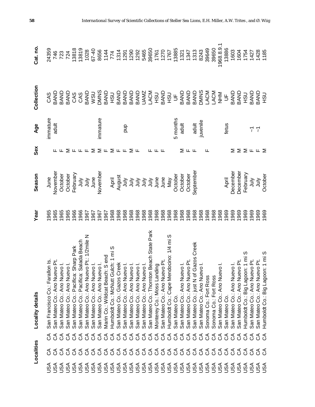|            | Localities |                       | <b>Locality details</b>                                                                                | Year | Season          | Sex                                                      | Age                      | Collection                                                                       | Cat. no             |
|------------|------------|-----------------------|--------------------------------------------------------------------------------------------------------|------|-----------------|----------------------------------------------------------|--------------------------|----------------------------------------------------------------------------------|---------------------|
| USA        |            |                       | lon Is.<br>San Francisco Co.: Fara                                                                     | 965  | June            |                                                          | immature                 | CAS                                                                              | 24359               |
| USA        |            |                       | San Mateo Co.: Ano Nuevo Pt.                                                                           | 1965 | November        |                                                          | adult                    |                                                                                  | 746                 |
|            |            | 999999999999999999999 | San Mateo Co.: Ano Nuevo I.                                                                            | 1965 | October         |                                                          |                          | <b>ONVB</b><br>QNVB                                                              | 723                 |
|            |            |                       | San Mateo Co.: Ano Nuevo I.                                                                            | 1965 | October         |                                                          |                          |                                                                                  | 724                 |
|            |            |                       | Sharp Park<br>San Mateo Co.: Pacifica:                                                                 | 966  | February        |                                                          |                          |                                                                                  | 13818               |
|            |            |                       | Salada Beach<br>San Mateo Co.: Pacifica:                                                               | 966  | $\frac{1}{2}$   | ∑ ╙ ╙ ╙                                                  |                          | BAND<br>CAS<br>CAS                                                               | 13819               |
|            |            |                       | vo Pt.: 1/2mile N<br>San Mateo Co.: Ano Nue                                                            | 967  | $\frac{1}{2}$   |                                                          |                          | BAND                                                                             | 1028                |
|            |            |                       | San Mateo Co.: Ano Nuevo I.                                                                            | 967  | June            | ⋝                                                        |                          | <b>WSU</b><br>DIMNS                                                              |                     |
|            |            |                       | San Mateo Co.: Ano Nuevo I.                                                                            | 967  | November        | $\Sigma$ $\mathsf{L}$ $\Sigma$ $\mathsf{L}$ $\mathsf{L}$ | immature                 |                                                                                  |                     |
|            |            |                       | Marin Co.: Wildcat Beach: Send                                                                         | 967  |                 |                                                          |                          | <b>ONAB</b><br>CINVB                                                             |                     |
|            |            |                       | ulch: 1 miS<br>Humboldt Co.: McNutt Gu                                                                 | 968  | April<br>August |                                                          |                          |                                                                                  |                     |
|            |            |                       | reek<br>San Mateo Co.: Gazos C                                                                         | 968  |                 |                                                          |                          |                                                                                  |                     |
|            |            |                       | San Mateo Co.: Ano Nuevo I.                                                                            | 968  |                 |                                                          | qnd                      |                                                                                  |                     |
|            |            |                       | San Mateo Co.: Ano Nuevo I.                                                                            | 1968 |                 | ⋝                                                        |                          |                                                                                  |                     |
|            |            |                       |                                                                                                        | 1968 |                 | ட                                                        |                          |                                                                                  |                     |
|            |            |                       |                                                                                                        | 1968 |                 |                                                          |                          |                                                                                  |                     |
|            |            |                       | San Mateo Co.: Ano Nuevo I.<br>San Mateo Co.: Ano Nuevo I.<br>San Mateo Co.: Thornton Beach State Park | 1968 | ミミミミミ           |                                                          |                          | <b>RAND<br/>BAND DASA<br/>BAND DASA<br/>BAND DASA<br/>BAND DASA</b><br>BAND DASA | 39650               |
|            |            |                       | Monterey Co.: Moss Landing                                                                             | 968  |                 |                                                          |                          |                                                                                  | 1761                |
|            |            |                       | San Mateo Co.: Ano Nuevo Pt.                                                                           | 968  |                 |                                                          |                          | <b>CRH</b><br>GNB                                                                | 1270                |
|            |            |                       | Humboldt Co.: Cape Mendocino: 1/4 mi S                                                                 | 1968 | May             |                                                          |                          |                                                                                  | 1767                |
|            |            |                       | San Mateo Co.                                                                                          | 968  | October         |                                                          | 5 months                 | $\overline{5}$                                                                   | 13885               |
|            |            | $\mathcal{L}$         | San Mateo Co.: Ano Nuevo I.                                                                            | 968  | October         | ⋝                                                        | adult                    |                                                                                  | 1321                |
|            |            | $\mathcal{L}$         | San Mateo Co.: Ano Nuevo Pt.                                                                           | 968  | October         | ட ட                                                      |                          |                                                                                  | 1347                |
|            |            | $\mathcal{L}$         | Gazos Creek<br>San Mateo Co.: just N of                                                                | 968  | September       |                                                          |                          |                                                                                  | <b>1313</b><br>8243 |
|            |            | $\mathcal{L}$         | San Mateo Co.: Ano Nuevo I.                                                                            | 968  |                 |                                                          | adult<br>juvenile        |                                                                                  |                     |
|            |            | $\mathcal{L}$         | Sonoma Co.: Fort Ross                                                                                  | 968  |                 |                                                          |                          |                                                                                  | 39649               |
|            |            | $\Im$                 | Sonoma Co.: Fort Ross                                                                                  | 968  |                 |                                                          |                          |                                                                                  | 39650               |
|            |            | రే                    | San Mateo Co.: Ano Nuevo I.                                                                            | 968  |                 |                                                          |                          | NHN                                                                              | 1968.8.9.1          |
|            |            | ర                     | San Mateo Co.                                                                                          | 969  | April           |                                                          | fetus                    | $\overline{5}$                                                                   | 13886               |
|            |            | ర                     | San Mateo Co.: Ano Nuevo I.                                                                            | 969  | December        | Σ                                                        |                          | BAND                                                                             | 1603                |
|            |            | ర                     | San Mateo Co.: Ano Nuevo Pt.                                                                           | 969  | December        | Σ                                                        |                          | <b>ORH</b><br>GNB                                                                | 1604                |
|            | ర్         | ర                     | Humboldt Co.: Big Lagoon: 1 mi S                                                                       | 969  | February        | Σ                                                        |                          |                                                                                  | 1754                |
| <b>ASU</b> | రే         | ర                     | San Mateo Co.: Ano Nuevo Pt.                                                                           | 969  | $\frac{1}{2}$   | Щ.                                                       | 7                        | BAND                                                                             | 1427                |
|            | ర్ ర       | ర్ ర                  | San Mateo Co.: Ano Nuevo Pt.                                                                           | 1969 | <b>SIDC</b>     | $L \geq$                                                 | $\overline{\mathcal{L}}$ |                                                                                  |                     |
| <b>ASU</b> |            |                       | Humboldt Co.: Big Lagoon: 1 mi S                                                                       | 1969 | October         |                                                          |                          | <b>ONAB</b>                                                                      | 1428<br>1185        |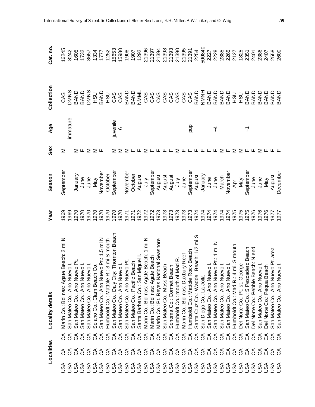|                   | Localities                   |                                    | <b>Locality details</b>                      | Year | Season       | Sex   | Age      | Collection                                               | Cat. no.               |
|-------------------|------------------------------|------------------------------------|----------------------------------------------|------|--------------|-------|----------|----------------------------------------------------------|------------------------|
|                   |                              |                                    | Marin Co.: Bolinas: Agate Beach: 2 mi N      | 1969 | September    | ⋝     |          | CAS                                                      | 16245                  |
|                   |                              |                                    | uevo <sub>l</sub><br>San Mateo Co.: Ano N    | 1969 |              |       | immature | <b>DMNS</b>                                              | 8242                   |
|                   | 8888888888888888888888888888 | 8888888888888888888888888888888888 | uevo Pt.<br>San Mateo Co.: Ano N             | 1970 | Vienuary     |       |          | BAND<br>BAND<br>DMNS                                     | 1605                   |
|                   |                              |                                    | uevo I.<br>San Mateo Co.: Ano N              | 1970 |              |       |          |                                                          | 1732                   |
|                   |                              |                                    | uevo I.<br>San Mateo Co.: Ano Ni             | 1970 | June<br>June |       |          |                                                          | 8657                   |
|                   |                              |                                    | Solano Co.: Clam Beach Co.                   | 1970 | Nay          | ⋝╙⋝⋝╙ |          | <b>USH</b>                                               | 1334                   |
|                   |                              |                                    | uevo Pt.: 1.5 mi N<br>San Mateo Co.: Ano N   | 1970 | November     |       |          | BAND                                                     | 1777<br>1252           |
|                   |                              |                                    | R.: 3 mi S mouth<br>Humboldt Co.: Mattole    | 1970 | October      |       |          |                                                          |                        |
|                   |                              |                                    | San Mateo Co.: Daly City: Thornton Beach     | 1970 | September    | Σ     | juvenile | <b>DOS</b><br>CAS<br>CAS                                 | 15653                  |
|                   |                              |                                    | uevo <sub>I</sub> .<br>San Mateo Co.: Ano Ni | 1970 |              |       | $\circ$  |                                                          | 15980                  |
|                   |                              |                                    | luevo Pt.<br>San Mateo Co.: Ano Ni           | 1971 | November     | ≅     |          |                                                          | 1908                   |
|                   |                              |                                    | Beach<br>San Mateo Co.: Pacific              | 1971 | October      |       |          | ទ្ធម្ភ<br>មាន និងសំសំសំសំសំសំសំ<br>មិន និងសំសំសំសំសំសំសំ | 1907                   |
|                   |                              |                                    | n Miguel I.<br>Santa Barbara Co.: Sa         | 1972 | August       |       |          |                                                          | 1292                   |
|                   |                              |                                    | Marin Co.: Bolinas: Agate Beach: 1 mi N      | 1972 | ylnr         | ∑ ⊬   |          |                                                          | 21396                  |
|                   |                              |                                    | Marin Co.: Bolinas: Agate Beach              | 1972 | September    |       |          |                                                          | 21397                  |
|                   |                              |                                    | Marin Co.: Pt. Reyes National Seashore       | 1973 | August       |       |          |                                                          | 21394                  |
|                   |                              |                                    | San Mateo Co.: Moss Beach                    | 1973 | August       |       |          |                                                          | 21398                  |
|                   |                              |                                    | Sonoma Co.: Cormet Beach                     | 1973 | August       |       |          |                                                          | 21393                  |
|                   |                              |                                    | Humboldt Co.: mouth of Mad R.                | 1973 | ylnr         | ⋝     |          |                                                          | 21390                  |
|                   |                              |                                    | Marin Co.: Bolinas: Duxbury Reef             | 1973 | June         |       |          |                                                          |                        |
|                   |                              |                                    | Rock Beach<br>Humboldt Co.: Mattole          | 1973 | September    | டடெட  | qnd      |                                                          | 21395<br>21391<br>2254 |
|                   |                              |                                    | ell Beach: 1/2 mi<br>Santa Cruz Co.: Wadd    | 1974 | August       |       |          | BAND                                                     |                        |
|                   |                              |                                    | San Diego Co.: La Jolla                      | 1974 | January      |       |          | HNNH                                                     | 500840                 |
|                   |                              |                                    | San Mateo Co.: Ano Nuevo I.                  | 1974 | June         |       |          | BAND                                                     | 2227                   |
|                   |                              |                                    | uevo Pt.: 1 mi N<br>San Mateo Co.: Ano Nu    | 1974 | June         |       | 7        | BAND                                                     | 2228                   |
|                   |                              |                                    | San Mateo Co.: Ano Nuevo I.                  | 1974 | March        | Σ     |          | BAND                                                     | 2385                   |
|                   |                              |                                    | San Mateo Co.: Ano Nuevo I                   | 1974 | November     | ட     |          | BAND                                                     | 2265                   |
|                   |                              |                                    | 4 mi. S mouth<br>Humboldt Co.: Mad R.:       | 1975 | April        | Σ     |          | <b>USH</b>                                               | 2127                   |
|                   | $\mathcal{L}$                |                                    | Del Norte Co.: Pt. st. George                | 1975 | <b>May</b>   | Σ     |          | <b>USH</b>                                               | 1825                   |
|                   | $\Im$                        |                                    | San Mateo Co.: S Pescadero Beach             | 1975 | September    | 匡     | 7        | BAND                                                     | 2351                   |
|                   | $\mathcal{L}$                |                                    | Beach: N end<br>Del Norte Co.: Pebble        | 1976 | June         |       |          | BAND                                                     | 2401                   |
|                   | $\Im$                        |                                    | uevo I.<br>San Mateo Co.: Ano N              | 1976 | June         | Σ     |          | BAND                                                     | 2386                   |
|                   | $\delta$                     |                                    | Del Norte Co.: Pequa Beach                   | 1976 | Vay          |       |          | BAND                                                     | 2407                   |
| <b>ASA</b><br>NSA | 35                           | 35                                 | uevo Pt. area<br>San Mateo Co.: Ano Nu       | 1977 | August       |       |          | BAND                                                     | 2558                   |
|                   |                              |                                    | uevo <sub>l</sub><br>San Mateo Co.: Ano N    | 1977 | December     |       |          | BAND                                                     | 2600                   |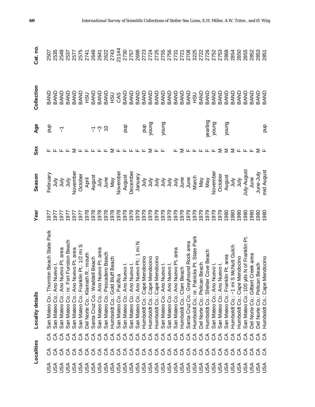|     | Localities                    |               | Locality details                             | Year | Season                                                                                                                                                                                                                                                                                                                      | Sex                                          | Age                      | Collection | Cat. no.     |
|-----|-------------------------------|---------------|----------------------------------------------|------|-----------------------------------------------------------------------------------------------------------------------------------------------------------------------------------------------------------------------------------------------------------------------------------------------------------------------------|----------------------------------------------|--------------------------|------------|--------------|
| USA |                               |               | San Mateo Co.: Thomton Beach State Park      | 1977 | February                                                                                                                                                                                                                                                                                                                    |                                              | gnd                      | BAND       | 2507         |
|     |                               | రర            | $\frac{1}{2}$<br>San Mateo Co.: Ano Nu       | 1977 |                                                                                                                                                                                                                                                                                                                             |                                              |                          | BAND       | 2535         |
|     |                               | $\mathcal{L}$ | evo Pt. area<br>San Mateo Co.: Ano Nu        | 1977 |                                                                                                                                                                                                                                                                                                                             |                                              | $\overline{\mathcal{L}}$ | BAND       | 2548         |
|     |                               | $\mathcal{L}$ | Funston Beach<br>San Mateo Co.: nr. Fort     | 1977 | ミミミ<br>ミミミ                                                                                                                                                                                                                                                                                                                  | ட                                            |                          | BAND       | 2537         |
|     |                               |               | evo Pt. area<br>an Mateo Co.: Ano Nu         | 1977 | November                                                                                                                                                                                                                                                                                                                    |                                              |                          | BAND       | 2577         |
|     |                               |               | 1 Pt.: 1/2 mi S<br>an Mateo Co.: Franklin    | 1977 | October                                                                                                                                                                                                                                                                                                                     |                                              |                          | BAND       | 2575<br>2741 |
|     |                               |               | R.: mouth<br>Del Norte Co.: Klamath          | 1978 | April                                                                                                                                                                                                                                                                                                                       |                                              |                          | <b>CSH</b> |              |
|     |                               |               | Il Beach<br>Santa Cruz Co.: Wadde            | 1978 | August                                                                                                                                                                                                                                                                                                                      |                                              |                          | BAND       | 2648         |
|     |                               |               | evo Pt. area<br>San Mateo Co.: Ano Nu        | 1978 | July                                                                                                                                                                                                                                                                                                                        |                                              | 7 ?                      | BAND       | 2641         |
|     | 88888888888888888888888888888 |               | ero Beach<br>San Mateo Co.: Pescad           | 1978 | June                                                                                                                                                                                                                                                                                                                        | $\Sigma$ IL IL IL IL $\Sigma$ IL IL IL IL IL | $\tilde{c}$              | BAND       | 2622         |
|     |                               |               | ff Beach<br>Humboldt Co.: Gold Blu           | 1978 | Nay                                                                                                                                                                                                                                                                                                                         |                                              |                          | <b>USH</b> | 2743         |
|     |                               |               | San Mateo Co.: Pacifica                      | 1978 | November                                                                                                                                                                                                                                                                                                                    |                                              |                          | CAS        | 21144        |
|     |                               |               | levo <sub>1</sub> .<br>San Mateo Co.: Ano Nu | 1979 | August                                                                                                                                                                                                                                                                                                                      |                                              | qua                      | BAND       | 2730         |
|     |                               |               | evo <sub>1</sub><br>San Mateo Co.: Ano Nu    | 1979 | December                                                                                                                                                                                                                                                                                                                    |                                              |                          | BAND       | 2757         |
|     |                               |               | evo Pt.: 1 mi N<br>San Mateo Co.: Ano Nu     | 1979 | January                                                                                                                                                                                                                                                                                                                     |                                              |                          | BAND       | 2698         |
|     |                               |               | Humboldt Co.: Cape Mendocino                 | 1979 | ylnr                                                                                                                                                                                                                                                                                                                        |                                              | qnd                      | BAND       | 2723         |
|     |                               |               | Humboldt Co.: Cape Mendocino                 | 1979 |                                                                                                                                                                                                                                                                                                                             | Σ                                            | young                    | BAND       | 2724         |
|     |                               |               | Humboldt Co.: Cape Mendocino                 | 1979 |                                                                                                                                                                                                                                                                                                                             |                                              |                          | BAND       | 2725         |
|     |                               |               | evol.<br>San Mateo Co.: Ano Nu               | 1979 | $\begin{array}{cccccc} \frac{1}{2} & \frac{1}{2} & \frac{1}{2} & \frac{1}{2} & \frac{1}{2} & \frac{1}{2} \\ \frac{1}{2} & \frac{1}{2} & \frac{1}{2} & \frac{1}{2} & \frac{1}{2} & \frac{1}{2} & \frac{1}{2} \\ \frac{1}{2} & \frac{1}{2} & \frac{1}{2} & \frac{1}{2} & \frac{1}{2} & \frac{1}{2} & \frac{1}{2} \end{array}$ | ட                                            | young                    | BAND       | 2755         |
|     |                               |               | evo <sub>l</sub><br>San Mateo Co.: Ano Nu    | 1979 |                                                                                                                                                                                                                                                                                                                             |                                              |                          | BAND       | 2756         |
|     |                               |               | evo Pt. area<br>San Mateo Co.: Ano Nu        | 1979 |                                                                                                                                                                                                                                                                                                                             |                                              |                          | BAND       | 2731         |
|     |                               |               | Humboldt Co.: Clam Beach                     | 1979 |                                                                                                                                                                                                                                                                                                                             | ⋝                                            |                          | BAND       | 2721         |
|     |                               |               | Santa Cruz Co.: Greyhound Rock area          | 1979 | June                                                                                                                                                                                                                                                                                                                        | ட                                            |                          | BAND       | 2708         |
|     |                               |               | Humboldt Co.: nr. Patricks Pt. State Park    | 1979 | March                                                                                                                                                                                                                                                                                                                       | ட                                            |                          | <b>USH</b> | 3225         |
|     |                               |               | Del Norte Co.: Pelican Beach                 | 1979 | Vay                                                                                                                                                                                                                                                                                                                         | ட                                            |                          | BAND       | 2722         |
|     |                               |               | Cove Beach<br>Humboldt Co.: Shelter          | 1979 | <b>May</b>                                                                                                                                                                                                                                                                                                                  | ட                                            | yearling                 | BAND       | 2726         |
|     |                               |               | San Mateo Co.: Ano Nuevo I.                  | 1979 | November                                                                                                                                                                                                                                                                                                                    | ட                                            | young                    | BAND       | 2752         |
|     |                               |               | evo <sub>1</sub> .<br>San Mateo Co.: Ano Nu  | 1979 | October                                                                                                                                                                                                                                                                                                                     | Σ                                            |                          | BAND       | 2753         |
|     |                               | ర             | Co.: Franklin Pt. area<br>San Mateo          | 1980 | August                                                                                                                                                                                                                                                                                                                      | Σ                                            | young                    | BAND       | 2868         |
|     | $\delta$                      | ర             | Humboldt Co.: ~1 mi S McNutt Gulch           | 1980 | ∖lul                                                                                                                                                                                                                                                                                                                        |                                              |                          | BAND       | 2854         |
|     | $\mathcal{L}$                 | రే            | Humboldt Co.: Cape Mendocino                 | 1980 | ylnr                                                                                                                                                                                                                                                                                                                        | $\Sigma$ $\mu$ $\mu$                         |                          | BAND       | 2850         |
|     | $\mathcal{L}$                 | రే            | San Mateo Co.: 100 yds N of Franklin Pt      | 080  | July-August                                                                                                                                                                                                                                                                                                                 |                                              |                          | BAND       | 2855         |
|     | ర                             | ర             | reek area<br>Del Norte Co.: Gilbert C        | 980  | June                                                                                                                                                                                                                                                                                                                        | ட                                            |                          | BAND       | 2852         |
|     | ర్ ర                          | ర్ ర          | Del Norte Co.: Pelican Beach                 | 980  | June-July                                                                                                                                                                                                                                                                                                                   | ∑ ய                                          |                          | BAND       | 2853         |
|     |                               |               | Humboldt Co.: Cape Mendocino                 | 1980 | mid August                                                                                                                                                                                                                                                                                                                  |                                              | qnd                      | BAND       | 2851         |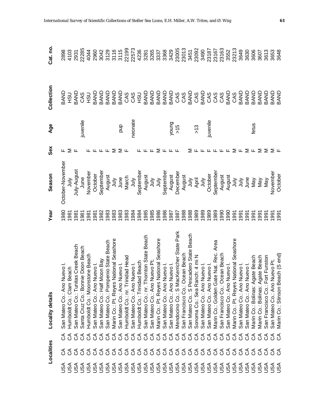|            | Localities |                       | Locality details                             | Year             | Season                                     | Sex   | <b>Age</b>           | Collection                                                  | Cat. no.                              |
|------------|------------|-----------------------|----------------------------------------------|------------------|--------------------------------------------|-------|----------------------|-------------------------------------------------------------|---------------------------------------|
| <b>USA</b> |            | రే                    | San Mateo Co.: Ano Nuevo I.                  | 980              | October-November                           | ட     |                      | <b>USH</b><br>GNVB                                          | 2898                                  |
| <b>ASU</b> |            | రే                    | Humboldt Co.: Clam Beach                     | 1981             | ∕i⊔Č                                       | Σ     |                      |                                                             | 4103                                  |
| S<br>      |            | ర                     | Creek Beach<br>San Mateo Co.: Tunitas        | 1981             | July-August                                | ட     |                      | <b>BAND<br/>CAS<br/>HSU</b>                                 | 2931                                  |
| <b>ASU</b> |            | రే                    | Santa Cruz Co.: Bonnie Doon Beach            | 1981             | June                                       |       | juvenile             |                                                             | 22285                                 |
| <b>ASU</b> |            | రే                    | Humboldt Co.: Moonstone Beach                |                  | November                                   | Щ.    |                      |                                                             | 4044                                  |
| <b>ASU</b> |            | $\mathcal{L}$         | Jevo <sub>I</sub> .<br>San Mateo Co.: Ano Nu | 88<br>88<br>98   | October                                    |       |                      |                                                             | 2960                                  |
| <b>ASU</b> |            | $\mathcal{L}$         | San Mateo Co.: Half Moon Bay                 |                  | September                                  | ட்டட  |                      |                                                             |                                       |
|            |            |                       | San Mateo Co.: Pompenio State Beach          | 983              | August                                     |       |                      |                                                             |                                       |
|            |            |                       | Marin Co.: Pt. Reyes National Seashore       | 983              | July<br>June<br>March<br>July<br>September | ∑ ∑ ⊬ |                      |                                                             | 3042<br>3129<br>3115<br>3119<br>22573 |
|            |            |                       | Jevo <sub>L</sub><br>San Mateo Co.: Ano Nu   | 983              |                                            |       | qnd                  |                                                             |                                       |
|            |            |                       | Humboldt Co.: nr. Trinidad Head              | 983              |                                            |       |                      |                                                             |                                       |
|            |            |                       | Jevo <sub>L</sub><br>San Mateo Co.: Ano Nu   | 984              |                                            |       | neonate              |                                                             |                                       |
|            |            |                       | <b>Beach</b><br>Humboldt Co.: Trinidad       | 984              |                                            |       |                      |                                                             | 4236                                  |
|            |            |                       | San Mateo Co.: nr. Thornton State Beach      | 1985             | August                                     |       |                      |                                                             |                                       |
|            |            |                       | uevo Pt.<br>San Mateo Co.: Ano Nu            | 1985             | Š                                          |       |                      |                                                             |                                       |
|            |            |                       | Marin Co.: Pt. Reyes National Seashore       | 986              | $\frac{1}{2}$                              | Σ     |                      |                                                             | 3281<br>3265<br>3337<br>3368          |
|            |            |                       | San Mateo Co.: Ano Nuevo I.                  | 986              | September                                  |       |                      |                                                             |                                       |
|            |            |                       | San Mateo Co.: Ano Nuevo I                   | 1987             | August                                     |       |                      |                                                             | 3429                                  |
|            |            |                       | Mendocino Co.: S MacKerricher State Park     | 1987             | December                                   | ட     | $\frac{5}{2}$<br>>15 |                                                             | 23005<br>23013                        |
|            |            |                       | San Francisco Co.: Ocean Beach               | 1988             | August                                     |       |                      |                                                             |                                       |
|            |            |                       | San Mateo Co.: S Pescadero State Beach       | 1988             | $\frac{1}{2}$                              | ⋝     |                      |                                                             | 3451                                  |
|            |            |                       | Sonoma Co.: Sea Ranch: 4 mi N                | 989              | April                                      |       | $\frac{1}{2}$        |                                                             | 23092                                 |
|            |            |                       | San Mateo Co.: Ano Nuevo I.                  | 1989             | <b>∖</b>                                   |       |                      |                                                             | 3490                                  |
|            |            |                       | San Mateo Co.: Ano Nuevo                     | 1989             | October                                    |       | juvenile             |                                                             | 23187                                 |
|            |            | 999999999999999999999 | Marin Co.: Golden Gate Nat. Rec. Area        | 1989             | September                                  |       |                      | OOTREARESCOROROOG<br>SSPERSESSESSESSES<br>SSPERSESSESSESSES | 23167                                 |
|            |            |                       | San Francisco Co.: Ocean Beach               | 1990             | August                                     |       |                      |                                                             | 23163                                 |
| JSA        |            |                       | San Mateo Co.: Ano Nuevo I.                  | 1990             | August                                     |       |                      |                                                             | 3552                                  |
| JSA        |            | ర                     | Marin Co.: Pt. Reyes National Seashore       | 1991             | <b>∖</b>                                   | Σ     |                      | CAS                                                         | 23213                                 |
| JSA        |            | రే                    | San Mateo Co.: Ano Nuevo I.                  | 1991             | <b>Anr</b>                                 | Щ     |                      | BAND                                                        | 3649                                  |
| JSA        |            | రే                    | San Mateo Co.: Ano Nuevo I.                  | 1991             | June                                       | Σ     |                      | BAND                                                        | 3630                                  |
| <b>ASU</b> |            | రే                    | Marin Co.: Bolinas: Agate Beach              | 1991             | Vay                                        | ட     | fetus                | BAND                                                        | 3606                                  |
| JSA        |            | රි                    | Marin Co.: Bolinas: Agate Beach              | 1991             | Vay                                        | Σ     |                      | BAND                                                        | 3607                                  |
| SA         | රි         | రే                    | San Francisco Co.: Fort Funston              | $\overline{991}$ | Vay                                        | Σ     |                      | BAND                                                        | 3613                                  |
| JSA        | ర్ ర       | రే                    | San Mateo Co.: Ano Nuevo Pt.                 | 1991             | November                                   | Σ     |                      | <b>ONVB</b><br>GNVB                                         | 3653<br>3648                          |
| €c         |            | ිර                    | ch (S end)<br>Marin Co.: Stinson Bea         | 1991             | October                                    |       |                      |                                                             |                                       |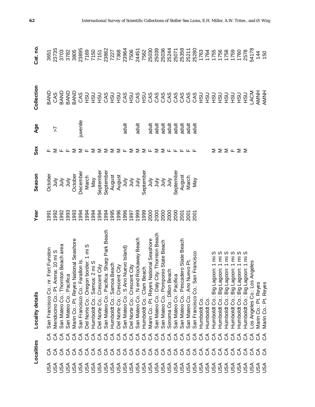|            | Localities |      | <b>Locality details</b>                           | Year | Season                      | Sex                                 | <b>Age</b> | Collection                                           | Cat.no               |
|------------|------------|------|---------------------------------------------------|------|-----------------------------|-------------------------------------|------------|------------------------------------------------------|----------------------|
|            |            | ర్   | San Francisco Co.: nr. Fort Funston               | 1991 | October                     |                                     |            | BAND                                                 | 3651                 |
|            |            | ర    | 10 mi S<br>Mendocino Co.: Pt. Arer                | 1992 |                             | Σ                                   | 7          | <b>CAS</b>                                           | 23735                |
|            |            | ర్ ర | San Mateo Co.: Thornton Beach area                | 1992 | $\frac{2}{3}$ $\frac{2}{3}$ | ட்ட                                 |            | BAND                                                 | 3703                 |
|            |            |      | San Mateo Co.: Pacifica                           | 1993 | УInr                        |                                     |            | BAND                                                 | 3782                 |
|            |            |      | Marin Co.: Pt. Reyes National Seashore            | 1993 | October                     | Σ                                   |            | BAND                                                 | 3805                 |
|            |            |      | San Francisco Co.: Farallon Is.                   | 1994 | December                    | ∑ щ                                 | juvenile   | CAS                                                  | 23895                |
|            |            |      | Del Norte Co.: Oregon border: 1 mi S              | 1994 | March                       |                                     |            | <b>CSH</b>                                           | 7169<br>7150<br>7151 |
|            |            |      | Humboldt Co.: Samoa: 2 mi S                       | 1994 | Nay                         | Σ                                   |            | <b>CSH</b>                                           |                      |
|            |            |      | Del Norte Co.: Crescent City                      | 1994 | Septembe                    | Σ                                   |            | <b>CSH</b>                                           |                      |
|            |            |      | San Mateo Co.: Pacifica: Sharp Park Beach         | 1994 | September                   | ΣΣ                                  |            | OTTOTOTOOOOOOOOTTT<br>CONGRATICI<br>CONGRATICIOOOOOO | 23862                |
|            |            |      | <b>beach</b><br>Humboldt Co.: Samoa B             | 1995 | August                      |                                     |            |                                                      | 7227                 |
|            |            |      | City<br>Del Norte Co.: Crescent                   | 1996 | August                      | Σ∟                                  |            |                                                      | 7368                 |
|            |            |      | San Mateo Co.: S Ano Nuevo Island)                | 1996 | Š                           |                                     | adult      |                                                      | 23964                |
|            |            |      | City<br>Del Norte Co.: Crescent                   | 1997 | $\frac{1}{3}$ $\frac{3}{1}$ | Σ                                   |            |                                                      | 7506                 |
|            |            |      | San Mateo Co.: N end Rockaway Beach               | 1999 |                             | ⋝                                   | adult      |                                                      | 24451                |
|            |            |      | ach<br>Humboldt Co.: Clam Bea                     | 1999 | September                   | ∑ ⊬                                 |            |                                                      | 7562                 |
|            |            |      | Marin Co.: Pt. Reyes National Seashore            | 2000 |                             |                                     | adult      |                                                      | 25030                |
|            |            |      | San Mateo Co.: Daly City: Thornton Beach          | 2000 |                             |                                     | adult      |                                                      | 25039                |
|            |            |      | nio State Beach<br>San Mateo Co.: Pompor          | 2000 | <b>うちょう</b>                 |                                     | adult      |                                                      | 25036                |
|            |            |      | Sonoma Co.: Dillon Beach                          | 2000 | yin                         | $\Sigma$ $\Sigma$ $\mu$ $\mu$ $\mu$ | adult      |                                                      | 25244                |
|            |            |      | San Mateo Co.: Pacifica                           | 2000 | September                   |                                     | adult      |                                                      | 25071                |
|            |            |      | ero State Beach<br>San Mateo Co.: Pescad          | 2001 | August                      |                                     | adult      |                                                      | 25358                |
|            |            |      | evo Pt.<br>San Mateo Co.: Ano Nu                  | 2001 | March                       |                                     | adult      |                                                      | 25211                |
|            |            |      | Francisco<br>Co.: San<br>San Francisco            | 2001 | Nay                         | ட                                   | adult      |                                                      | 25280                |
|            |            |      | Humboldt Co                                       |      |                             |                                     |            |                                                      | 1763                 |
|            |            |      | Humboldt Co.                                      |      |                             |                                     |            |                                                      | 1764                 |
|            |            |      | on: 1 mi<br>Humboldt Co.: Big Lago                |      |                             | ⋝                                   |            |                                                      | 1755                 |
|            |            |      | ഗ<br>Έ<br>pon: 1<br>Humboldt Co.: Big Lago        |      |                             | $\Sigma \Sigma \cup \Sigma \Sigma$  |            | <b>CSH</b>                                           | 1756                 |
|            |            |      | Έ<br>$\overline{1}$<br>popel<br>Humboldt Co.: Big |      |                             |                                     |            | <b>CSH</b>                                           | 1758                 |
|            |            |      | Έ<br>Humboldt Co.: Big Lagoon: 1                  |      |                             |                                     |            | <b>CSH</b>                                           | 1759                 |
|            |            |      | Ē<br>on:1<br>Humboldt Co.: Big Lago               |      |                             |                                     |            | <b>USH</b>                                           | 1760<br>2578         |
|            |            |      | ၯ<br>on: 1 mi<br>Humboldt Co.: Big Lago           |      |                             |                                     |            | <b>USH</b>                                           |                      |
| USA        | ర          | రే   | ngeles<br>Los Angeles Co.: Los A                  |      |                             |                                     |            | LACM                                                 | 54178                |
| <b>ASL</b> | ర్ ర       | రే   | Marin Co.: Pt. Reyes                              |      |                             |                                     |            | HNNA                                                 | 144                  |
|            |            |      | Reyes<br>نہ<br>Marin Co.:                         |      |                             |                                     |            | HNNA                                                 | 150                  |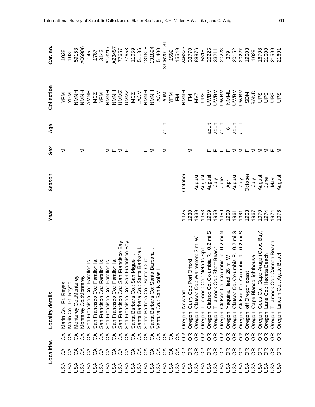|                         | Localities                        |               | <b>Locality details</b>                                                                | Year         | Season   | Sex                                         | Age     | Collection               | Cat.no           |
|-------------------------|-----------------------------------|---------------|----------------------------------------------------------------------------------------|--------------|----------|---------------------------------------------|---------|--------------------------|------------------|
| $\mathsf{S} \mathsf{A}$ | ర్                                | ర్            | Reyes<br>Marin Co.: Pt.                                                                |              |          | Σ                                           |         |                          | 1028             |
| λsυ                     | ర్                                | ర             | Marin Co.: Pt. Reyes                                                                   |              |          |                                             |         | <b>NdA</b><br>NdA        | 1039             |
| JSA                     |                                   | రే            | Monterey Co.:Monterey                                                                  |              |          |                                             |         | HN<br>N<br>N<br>N        | 59153            |
| JSA                     |                                   | $\delta$      | Monterey Co.:Monterey                                                                  |              |          | Σ                                           |         |                          | A06906           |
| <b>ASU</b>              |                                   |               | $\frac{1}{10}$<br>San Francisco Co.: Faral                                             |              |          |                                             |         | H<br>NNNH<br>A<br>A<br>A | 145              |
| JSA                     |                                   |               | lon ls.<br>San Francisco Co.: Faral                                                    |              |          |                                             |         |                          | 1767             |
| JSA                     | 666666666666666666666666666666666 | 888888888     | lon Is.<br>San Francisco Co.: Faral                                                    |              |          |                                             |         | MCZ<br>YPM               | 3143             |
|                         |                                   |               | lon ls.<br>San Francisco Co.: Faral                                                    |              |          |                                             |         | HNNH                     | A13217           |
|                         |                                   |               | lon Is.<br>San Francisco Co.: Faral                                                    |              |          | $\Sigma$ $\mathsf{L}$ $\Sigma$ $\mathsf{L}$ |         | HNNH                     | A23457           |
|                         |                                   |               | San Francisco Co.: San Francisco Bay                                                   |              |          |                                             |         | <b>JMMZ</b>              | 77657            |
|                         |                                   |               | San Francisco Co.: San Francisco Bay                                                   |              |          |                                             |         | <b>UMMZ</b>              | 77658            |
|                         |                                   |               | Co.: San Miguel I.<br>Santa Barbara                                                    |              |          |                                             |         | <b>MCZ</b>               | 11059            |
|                         |                                   |               | Santa Barbara Co.: Santa Barbara                                                       |              |          |                                             |         | LACM                     | 51186            |
|                         |                                   |               | Santa Barbara Co.: Santa Cruz I.                                                       |              |          | ட                                           |         | HNNN                     | 131895<br>131894 |
|                         |                                   | $\mathcal{L}$ | Barbara<br>Santa Barbara Co: Santa                                                     |              |          | Σ                                           |         |                          |                  |
| USA                     |                                   | රි            | Ventura Co.: San Nicolas                                                               |              |          |                                             |         | NOWNH<br>LACM            | 51400            |
| <b>ASU</b>              |                                   | 38            |                                                                                        |              |          | Σ                                           | adult   | <b>ROM</b><br>YPM        | 3306200031       |
| <b>ASU</b>              |                                   |               |                                                                                        |              |          |                                             |         |                          | 1592             |
|                         |                                   | <b>2888</b>   |                                                                                        |              |          |                                             |         | $\mathbb{E}$             | 15549            |
|                         |                                   |               | Oregon: Newport                                                                        | 1925         | October  |                                             |         | HNNH                     | 246323           |
|                         |                                   |               | Oregon: Curry Co.: Port Orford                                                         | 1930         |          | Σ                                           |         | $\mathbb{E}$             | 33770            |
|                         |                                   |               | Oregon: Clatsop Co.: Warrenton: 2 mi W                                                 | 1939         | August   |                                             |         | <b>NVZ</b>               | 88876            |
|                         |                                   | E R           | letarts Spit<br>Oregon: Tillamook Co.: N                                               | 1953         | August   |                                             |         | <b>San</b>               | 5315             |
|                         |                                   |               | Clatsop Co. Columbia R.: 0.2 mi S<br>Oregon:                                           | 1959         | August   |                                             | adult   | <b>NBMD</b>              | 20226            |
| USA                     |                                   | 56            | Tillamook Co.: Short Beach<br>Oregon:                                                  | 1959         | Š        |                                             | adult   | <b>NBMD</b>              | 33211            |
| <b>ASU</b>              |                                   |               | Clatsop Co. Columbia R.: 0.2 mi N<br>Oregon:                                           | 1959         | June     |                                             | adult   | <b>NBM</b>               | 20223            |
| <b>ASU</b>              |                                   | g             | Oregon: Yaquina Head: 26 mi W                                                          | 1960         | April    | ட                                           | $\circ$ | NMML                     | 379              |
| <b>ASU</b>              |                                   | g             | Oregon: Clatsop Co. Columbia R.: 0.2 mi S<br>Oregon: Clatsop Co. Columbia R.: 0.2 mi S | 1961         | August   | Σ                                           | adult   | <b>NBWC</b>              | 20152            |
| <b>ASU</b>              |                                   | g             |                                                                                        | 1961         | Š        | Σ╙                                          | adult   | <b>NBM</b>               | 20227            |
| <b>ASU</b>              |                                   | g             | Oregon: off Oregon coast                                                               | 1963         | October  |                                             |         | <b>NGS</b>               | 19603            |
| JSA                     |                                   | g             | Oregon: Cape Blanco lighthouse                                                         | 1967         | <b>∖</b> | Σ                                           |         | BAND                     | 1029             |
| JSA                     |                                   | g             | Arago (Coos Bay)<br>Oregon: Coos Co.: Cape                                             | 1970         | August   | Σ                                           |         | SdN                      | 16708            |
| SA                      |                                   | g             | Oregon: Lane Co.: Heceta Beach                                                         | 1974         | June     | Σ                                           |         | San                      | 21600            |
| S∕S∪                    | E g                               | g             | Tillamook Co.: Cannon Beach<br>Oregon:                                                 | 1974<br>1976 | Nay      | ⊾ Σ                                         |         | San<br>San               | 21599<br>21601   |
| ∫SN                     |                                   | g             | Oregon: Lincoln Co.: Agate Beach                                                       |              | August   |                                             |         |                          |                  |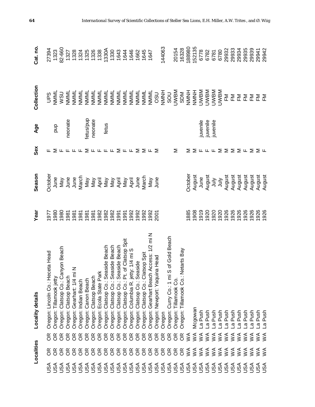|            | Localities     |                                                      | Locality details                              | Year | Season          | Sex                                                                     | Age      | Collection                                     | Cat.no               |
|------------|----------------|------------------------------------------------------|-----------------------------------------------|------|-----------------|-------------------------------------------------------------------------|----------|------------------------------------------------|----------------------|
| USA        |                | E.                                                   | ceta Head<br>Oregon: Lincoln Co.: He          | 1977 | Octobe          |                                                                         |          | San                                            | 27394                |
| USA        |                |                                                      | Oregon: Tillamook jetty                       | 1980 | June            |                                                                         | qnd      | NMML                                           | 1323                 |
| USA        |                |                                                      | Oregon: Clatsop Co.: Canyon Beach             | 1980 | Vay             |                                                                         |          | <b>NININI</b><br>NININI                        | 82-660               |
| USA        |                |                                                      | Oregon: Clatsop Beach                         | 1981 | June            |                                                                         | neonate  |                                                | 1327                 |
| USA        |                |                                                      | Oregon: Gearhart: 1/4 mi N                    | 1981 |                 |                                                                         |          | NNNL                                           | 1328                 |
| USA        |                |                                                      | Oregon: Indian Beach                          | 1981 | June<br>March   |                                                                         |          |                                                | 1324                 |
|            |                | <b>&amp;&amp;&amp;&amp;&amp;&amp;&amp;&amp;&amp;</b> | Oregon: Canon Beach                           | 1981 |                 | <b>F ∑ F F F F ∑ F F F F ∑ F F ∑ ∑ F ∑</b>                              | etus/pup | NNNI<br>KNNI<br>KNNI<br>KNNI<br>KNNI<br>KNNI L |                      |
|            |                |                                                      | Oregon: Clatsop Beach                         | 1981 |                 |                                                                         | neonate  |                                                | 1325<br>1326         |
|            |                |                                                      | Oregon: Ecola State Pa                        | 1982 |                 |                                                                         |          |                                                | 1338                 |
|            |                |                                                      | Oregon: Clatsop Co.: Seaside Beach            | 1982 |                 |                                                                         | fetus    |                                                | 1330A                |
|            |                |                                                      | Oregon: Clatsop Co.: Seaside Beach            | 982  |                 |                                                                         |          |                                                | 1330                 |
|            |                | $\frac{1}{2}$                                        | Oregon: Clatsop Co.: Seaside Beach            | 991  |                 |                                                                         |          |                                                | 1643                 |
|            |                | $\frac{1}{2}$                                        | Oregon: Clatsop Co.: Pt. of Clatsop Spit      | 1991 |                 |                                                                         |          |                                                | 1644                 |
|            |                |                                                      | Oregon: Columbia R. jetty: 1/4 mi S           | 992  |                 |                                                                         |          | NNNIT<br>NNNIT<br>NNNIT<br>NNNIT               | 1646                 |
|            |                |                                                      | Oregon: Clatsop Co.: Seaside                  | 992  |                 |                                                                         |          |                                                |                      |
|            |                | <b>888888888</b>                                     | latsop Spit<br>Oregon: Clatsop Co.: Cl        | 1992 |                 |                                                                         |          | NMML                                           | 1662<br>1645<br>1647 |
|            |                |                                                      | n Access: 1/2 mi N<br>Oregon: Gearhart Beach  | 1992 | Vay             |                                                                         |          | NMML                                           |                      |
|            |                |                                                      | Oregon: Newport: Yaquina Head                 | 2001 | June            |                                                                         |          | <b>USO</b>                                     |                      |
|            |                |                                                      | Oregon                                        |      |                 |                                                                         |          | HNNH                                           | 144063               |
|            |                |                                                      | S of Gold Beach<br>Oregon: Curry Co.: 1 m     |      |                 |                                                                         |          | <b>UOS</b>                                     |                      |
|            |                |                                                      | Oregon: Tillamook Co.                         |      |                 | Σ                                                                       |          | <b>UWBM</b>                                    | 20154                |
|            |                |                                                      | Netarts Bay<br>.<br>S<br>Tillamook<br>Oregon: |      |                 |                                                                         |          | <b>NGS</b>                                     | 16328                |
|            | ≶              | ≶                                                    |                                               | 885  | <b>D</b> ctobel | Σ                                                                       |          | HNNH                                           | 188980               |
|            | $\lessgtr$     | $\leq$                                               | Mcgowan                                       | 1908 | August          |                                                                         |          | HNNH                                           | 152135               |
|            | $\lessgtr$     | $\overset{\triangleleft}{\ge}$                       | La Push                                       | 919  | June            |                                                                         | uvenile  | <b>NBWC</b>                                    | 6778                 |
|            | $\tilde{\leq}$ | $\leq$                                               | La Push                                       | 920  | August          |                                                                         | juvenile | <b>NBWD</b>                                    | 6782                 |
|            | $\tilde{\leq}$ | $\mathbb{X}^\mathsf{A}$                              | La Push                                       | 1920 | yluly           |                                                                         | juvenile | <b>UWBM</b>                                    | 6781                 |
|            | $\tilde{\leq}$ | $\stackrel{\triangle}{\sim}$                         | Push<br>്ഥ                                    | 1920 | <b>Surt</b>     |                                                                         |          | <b>UWBM</b>                                    | 6780                 |
|            | $\tilde{\leq}$ | $\stackrel{\triangle}{\geq}$                         | Push<br>്വ                                    | 1926 | August          |                                                                         |          | ΣĚ                                             | 29932                |
|            | $\leq$         | $\leq$                                               | Push<br>്വ                                    | 1926 | August          |                                                                         |          | 동                                              | 29933                |
|            | $\leq$         | $\stackrel{\triangle}{\geq}$                         | Push<br>്ഥ                                    | 1926 | August          | $\Sigma \vdash \vdash \vdash \Sigma \Sigma \Sigma \Sigma \vdash \Sigma$ |          | 옶                                              | 29934                |
| USA        | $\leq$         | $\leq$                                               | Push<br>$\mathbb{C}$                          | 1926 | August          |                                                                         |          | 준                                              | 29935                |
| USA        | ≶              | $\leq$                                               | Push<br>٩                                     | 1926 | August          |                                                                         |          | ΣF                                             | 29939                |
| <b>ASU</b> | ≶              | $\begin{array}{c}\n 3 \\  \times \n \end{array}$     | Push<br>ത്                                    | 1926 | August          | ∑ ⊥                                                                     |          | 조도                                             | 29941                |
|            | $\leq$         |                                                      | Push<br>ത്                                    | 1926 | August          |                                                                         |          |                                                | 29942                |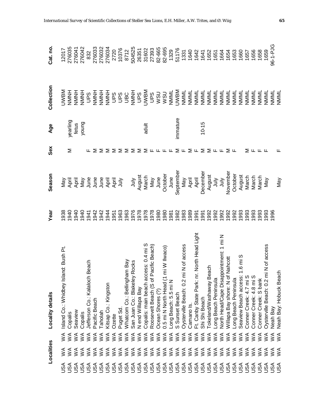|            | Localities                                       |                                                  | Locality details                                 | Year | Season                                                                           | Sex                                          | Age       | Collection              | Cat. no  |
|------------|--------------------------------------------------|--------------------------------------------------|--------------------------------------------------|------|----------------------------------------------------------------------------------|----------------------------------------------|-----------|-------------------------|----------|
| <b>ASU</b> | ≶                                                | $\leq$                                           | nd: Bush Pt.<br>Island Co.: Whidbey Isla         | 938  |                                                                                  |                                              |           | <b>NBWD</b>             | 12017    |
| JSA        | $\leq$                                           | $\leq$                                           | Copalis                                          | 940  |                                                                                  | Σ                                            | yearling  | HNNH                    | 276035   |
| ASU        | $\leq$                                           | $\leq$                                           | Seaview                                          | 940  |                                                                                  |                                              | fetus     | HNNH                    | 276041   |
| <b>ASU</b> | $\tilde{\leq}$                                   | $\leq$                                           | Copalis                                          | 940  |                                                                                  |                                              | young     | HNNH                    | 276042   |
| JSA        | $\leq$                                           | $\leq$                                           | Beach<br>Jefferson Co.: Kalaloch                 | 1941 |                                                                                  |                                              |           | San                     | 832      |
| JSA        | $\leq$                                           | $\leq$                                           | Pacific Beach                                    | 942  |                                                                                  |                                              |           | HNNH                    | 276033   |
| JSA        | $\leq$                                           | $\leq$                                           | Taholah                                          | 942  | Naviera Republica<br>Naviera Republica<br>Naviera Republica<br>Naviera Republica |                                              |           | HNNH                    | 276032   |
|            | $\leq$                                           | $\leq$                                           | Kitsap Co.: Kingston                             | 944  |                                                                                  |                                              |           | HNNNH                   | 276034   |
|            | $\leq$                                           | $\leq$                                           | Ozette                                           | 951  |                                                                                  |                                              |           | SdN                     | 2720     |
|            |                                                  | $\begin{array}{c}\n 4 \\  3 \\  6\n \end{array}$ | Puget Sd                                         | 963  |                                                                                  | Σ                                            |           | <b>San</b>              | 10376    |
|            |                                                  |                                                  | m Bay<br>Whatcom Co.: Bellingha                  | 963  |                                                                                  | Σ                                            |           | <b>UBC</b><br>NMNH      | 8712     |
|            | $\begin{array}{c}\n 4 \\  3 \\  6\n \end{array}$ |                                                  | San Juan Co.: Blakeley Rocks                     | 976  | ylnr                                                                             | ≅                                            |           |                         | 504525   |
|            | $\tilde{\ge}$                                    | $\leq$                                           | N end Willapa Bay                                | 1978 | August                                                                           | Σ                                            |           | <b>San</b>              | 26351    |
|            | $\tilde{\mathsf{z}}$                             | $\lesssim$                                       | Copalis: main beach access: 0.4 mi S             | 978  | March                                                                            | Σ                                            | adult     | <b>UWBM</b>             | 31602    |
|            | <b>ARRARA</b><br>SSSSS                           | $\lesssim$                                       | of Pacific Beach)<br>Roosevelt Beach (S          | 1978 | Nay                                                                              | $\mathbf{L}$                                 |           | SdN                     | 27393    |
|            |                                                  | $\lesssim$                                       | Ocean Shores (?)                                 | 980  | June                                                                             |                                              |           | USM                     | 82-665   |
|            |                                                  | $\leq$                                           | mi W Ilwaco)<br>0.5 mi N North Head (1           | 980  | October                                                                          | டடட                                          |           | <b>NININI</b><br>NININI | 82-695   |
|            |                                                  | $\leq$                                           | Long Beach: 5.5 mi N                             | 981  | June                                                                             |                                              |           |                         | 1329     |
|            |                                                  | $\leq$                                           | S Sunset Beach                                   | 982  | September                                                                        | Σ                                            | inmature  | <b>UWBM</b>             | 51176    |
|            | $\lessgtr$                                       | $\leq$                                           | N of access<br>Oysterville Beach: 0.2 m          | 983  | Nay                                                                              | $\mathsf{L}\mathsf{L}$                       |           | NININIL                 | 1331     |
|            | $\lessgtr$                                       | $\leq$                                           | Camano Is.                                       | 989  | April                                                                            | Σ                                            |           | NMML                    | 1640     |
|            | ≶                                                | $\leq$                                           | North Head Light<br>Park: nr.<br>Ft. Canby State | 991  | April                                                                            | Щ                                            |           | NMML                    | 1642     |
| <b>ASU</b> | $\leq$                                           | $\mathbb{X}^\mathsf{A}$                          | Shi Shi Beach                                    | 991  | December                                                                         | $\geq$ $\geq$                                | $10 - 15$ | NMML                    | 1641     |
|            | $\lessgtr$                                       | $\stackrel{\triangle}{\geq}$                     | ach<br>Tokeland/Washaway Be                      | 992  | August                                                                           |                                              |           | NNNL                    | 1652     |
| USA        | $\leq$                                           | $\mathbb{X}^\mathsf{A}$                          | Long Beach Peninsula                             | 992  | yluly                                                                            | $\mathsf{L}\mathsf{L}\ \mathsf{L}\mathsf{L}$ |           | NNNL                    | 1651     |
| USA        | $\lessgtr$                                       | $\mathbb{X}^\mathsf{A}$                          | pointment: 1 mi N<br>North Head/Cape Disapp      | 992  | July                                                                             |                                              |           | NNNL                    | 1664     |
| <b>ASU</b> | $\leq$                                           | $\leq$                                           | Nahcott<br>Willapa Bay shore: N of               | 992  | November                                                                         | ⋝                                            |           | NMML                    | 1654     |
| <b>ASU</b> | $\leq$                                           | $\leq$                                           | Long Beach Peninsula                             | 992  | October                                                                          | ட                                            |           | NNNL                    | 1653     |
| <b>ASU</b> | $\leq$                                           | $\leq$                                           | 1.6 mi S<br>Seaview Beach access:                | 993  | August                                                                           |                                              |           | NMML                    | 1660     |
| <b>ASU</b> | $\leq$                                           | $\leq$                                           | Conner Creek: 4.7 mi S                           | 993  | March                                                                            | Σ                                            |           | NMML                    | 1657     |
| <b>ASU</b> | $\leq$                                           | $\leq$                                           | Conner Creek: 4.8 mi S                           | 993  | March                                                                            | ட                                            |           | NMML                    | 1656     |
| JSA        | $\widetilde{\leq}$                               | $\leq$                                           | Conner Creek: S bank                             | 993  | March                                                                            | ட்ட                                          |           | NNNNL                   | 1658     |
| SA         | ≶                                                | $\leq$                                           | N of access<br>Oysterville Beach: 0.2 m          | 993  | Vay                                                                              |                                              |           | NNNL                    | 1659     |
| usa<br>Sa  | $\lessgtr$                                       | $\leq$                                           | Neah Bay                                         | 996  |                                                                                  |                                              |           | NMML                    | 96-1-PJG |
|            | $\leq$                                           | $\leq$                                           | Neah Bay: Hobuck Beach                           |      | Nay                                                                              |                                              |           | NMML                    |          |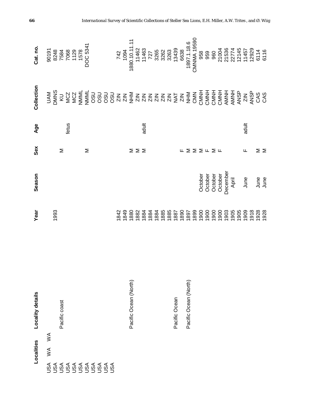| Localities                          | Locality details      | Year                                                                                                                                                                                                                                                                                                          | Season                       | Sex                                             | Age   | Collection | Cat. no.                                                                                                  |
|-------------------------------------|-----------------------|---------------------------------------------------------------------------------------------------------------------------------------------------------------------------------------------------------------------------------------------------------------------------------------------------------------|------------------------------|-------------------------------------------------|-------|------------|-----------------------------------------------------------------------------------------------------------|
| $\mathbb{X}^{\mathsf{A}}$<br>$\leq$ |                       | 1993                                                                                                                                                                                                                                                                                                          |                              |                                                 |       |            | 90191<br>8248<br>7584<br>7688<br>1578<br>1578<br>1578                                                     |
|                                     | Pacific coast         |                                                                                                                                                                                                                                                                                                               |                              | Σ                                               | fetus |            |                                                                                                           |
|                                     |                       |                                                                                                                                                                                                                                                                                                               |                              |                                                 |       |            |                                                                                                           |
|                                     |                       |                                                                                                                                                                                                                                                                                                               |                              |                                                 |       |            |                                                                                                           |
|                                     |                       |                                                                                                                                                                                                                                                                                                               |                              | Σ                                               |       |            |                                                                                                           |
|                                     |                       |                                                                                                                                                                                                                                                                                                               |                              |                                                 |       |            |                                                                                                           |
|                                     |                       |                                                                                                                                                                                                                                                                                                               |                              |                                                 |       |            |                                                                                                           |
|                                     |                       |                                                                                                                                                                                                                                                                                                               |                              |                                                 |       |            |                                                                                                           |
|                                     |                       |                                                                                                                                                                                                                                                                                                               |                              |                                                 |       |            |                                                                                                           |
|                                     | Pacific Ocean (North) | $\begin{array}{l} 1842 \\ 1849 \\ 1880 \\ 1880 \\ 1884 \\ 1844 \\ 1845 \\ 1855 \\ 1850 \\ 1890 \\ 1890 \\ 1890 \\ 1890 \\ 1890 \\ 1890 \\ 1890 \\ 1890 \\ 1890 \\ 1890 \\ 1890 \\ 1890 \\ 1890 \\ 1890 \\ 1890 \\ 1890 \\ 1890 \\ 1890 \\ 1890 \\ 1890 \\ 1890 \\ 1890 \\ 1890 \\ 1890 \\ 1890 \\ 1890 \\ 18$ |                              | Σ                                               |       |            | 742<br>1094<br>1094<br>11462<br>11462<br>11463<br>11463<br>1263<br>3263<br>3263<br>3263<br>13439<br>13439 |
|                                     |                       |                                                                                                                                                                                                                                                                                                               |                              | ΣΣ                                              |       |            |                                                                                                           |
|                                     |                       |                                                                                                                                                                                                                                                                                                               |                              |                                                 | adult |            |                                                                                                           |
|                                     |                       |                                                                                                                                                                                                                                                                                                               |                              |                                                 |       |            |                                                                                                           |
|                                     |                       |                                                                                                                                                                                                                                                                                                               |                              |                                                 |       |            |                                                                                                           |
|                                     |                       |                                                                                                                                                                                                                                                                                                               |                              |                                                 |       |            |                                                                                                           |
|                                     |                       |                                                                                                                                                                                                                                                                                                               |                              |                                                 |       |            |                                                                                                           |
|                                     | Pacific Ocean         |                                                                                                                                                                                                                                                                                                               |                              |                                                 |       |            |                                                                                                           |
|                                     |                       | 1890                                                                                                                                                                                                                                                                                                          |                              | Щ.                                              |       |            |                                                                                                           |
|                                     | Pacific Ocean (North) | 1897<br>1899                                                                                                                                                                                                                                                                                                  |                              | $\Sigma$ $\Sigma$ $\Sigma$ $\mu$ $\Sigma$ $\mu$ |       |            |                                                                                                           |
|                                     |                       |                                                                                                                                                                                                                                                                                                               |                              |                                                 |       |            |                                                                                                           |
|                                     |                       |                                                                                                                                                                                                                                                                                                               | October                      |                                                 |       |            | 958                                                                                                       |
|                                     |                       | 0061                                                                                                                                                                                                                                                                                                          | October                      |                                                 |       |            | 959                                                                                                       |
|                                     |                       | 1900                                                                                                                                                                                                                                                                                                          | October                      |                                                 |       |            |                                                                                                           |
|                                     |                       | 1900                                                                                                                                                                                                                                                                                                          | October<br>December<br>April |                                                 |       |            |                                                                                                           |
|                                     |                       | 1903                                                                                                                                                                                                                                                                                                          |                              |                                                 |       |            |                                                                                                           |
|                                     |                       | 1905                                                                                                                                                                                                                                                                                                          |                              |                                                 |       |            |                                                                                                           |
|                                     |                       | 1905                                                                                                                                                                                                                                                                                                          |                              |                                                 |       |            |                                                                                                           |
|                                     |                       | 1909                                                                                                                                                                                                                                                                                                          | June                         | ட                                               | adult |            |                                                                                                           |
|                                     |                       | 1918                                                                                                                                                                                                                                                                                                          |                              |                                                 |       |            |                                                                                                           |
|                                     |                       | 1928<br>1928                                                                                                                                                                                                                                                                                                  | June<br>June                 | ∑ ∑                                             |       |            | 960<br>0003 7745<br>0003 77450<br>0003 77450<br>0000 77450<br>0000                                        |
|                                     |                       |                                                                                                                                                                                                                                                                                                               |                              |                                                 |       |            |                                                                                                           |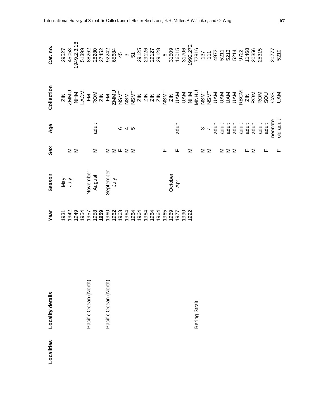| ocalities | Locality details      | Year | Season                                         | Sex                                      | Age                                                                                                                                                                                                                                                                                                                                                                            | Collection                                                                                                                                                                                                                                                                                                                                                                                                                                                                                    | Cat. no. |
|-----------|-----------------------|------|------------------------------------------------|------------------------------------------|--------------------------------------------------------------------------------------------------------------------------------------------------------------------------------------------------------------------------------------------------------------------------------------------------------------------------------------------------------------------------------|-----------------------------------------------------------------------------------------------------------------------------------------------------------------------------------------------------------------------------------------------------------------------------------------------------------------------------------------------------------------------------------------------------------------------------------------------------------------------------------------------|----------|
|           |                       |      | May<br>July<br>November<br>August<br>September |                                          |                                                                                                                                                                                                                                                                                                                                                                                | $\begin{array}{l} \mathbb{Z} \overset{\mathsf{>}}{\supseteq} \mathbb{Z} \overset{\mathsf{>}}{\supseteq} \mathbb{Z} \overset{\mathsf{>}}{\supseteq} \mathbb{Z} \overset{\mathsf{>}}{\supseteq} \mathbb{Z} \overset{\mathsf{>}}{\supseteq} \mathbb{Z} \overset{\mathsf{>}}{\supseteq} \mathbb{Z} \overset{\mathsf{>}}{\supseteq} \mathbb{Z} \overset{\mathsf{>}}{\supseteq} \mathbb{Z} \overset{\mathsf{>}}{\supseteq} \mathbb{Z} \overset{\mathsf{>}}{\supseteq} \mathbb{Z} \overset{\mathsf{$ |          |
|           |                       |      |                                                |                                          |                                                                                                                                                                                                                                                                                                                                                                                |                                                                                                                                                                                                                                                                                                                                                                                                                                                                                               |          |
|           |                       |      |                                                | $\geq$ $\geq$                            |                                                                                                                                                                                                                                                                                                                                                                                |                                                                                                                                                                                                                                                                                                                                                                                                                                                                                               |          |
|           |                       |      |                                                |                                          |                                                                                                                                                                                                                                                                                                                                                                                |                                                                                                                                                                                                                                                                                                                                                                                                                                                                                               |          |
|           | Pacific Ocean (North) |      |                                                |                                          |                                                                                                                                                                                                                                                                                                                                                                                |                                                                                                                                                                                                                                                                                                                                                                                                                                                                                               |          |
|           |                       |      |                                                | Σ                                        | adult                                                                                                                                                                                                                                                                                                                                                                          |                                                                                                                                                                                                                                                                                                                                                                                                                                                                                               |          |
|           |                       |      |                                                |                                          |                                                                                                                                                                                                                                                                                                                                                                                |                                                                                                                                                                                                                                                                                                                                                                                                                                                                                               |          |
|           | Pacific Ocean (North) |      |                                                |                                          |                                                                                                                                                                                                                                                                                                                                                                                |                                                                                                                                                                                                                                                                                                                                                                                                                                                                                               |          |
|           |                       |      |                                                | $\Sigma \Sigma$ $\vdash$ $\Sigma \Sigma$ |                                                                                                                                                                                                                                                                                                                                                                                |                                                                                                                                                                                                                                                                                                                                                                                                                                                                                               |          |
|           |                       |      |                                                |                                          |                                                                                                                                                                                                                                                                                                                                                                                |                                                                                                                                                                                                                                                                                                                                                                                                                                                                                               |          |
|           |                       |      |                                                |                                          | <b>645</b>                                                                                                                                                                                                                                                                                                                                                                     |                                                                                                                                                                                                                                                                                                                                                                                                                                                                                               |          |
|           |                       |      |                                                |                                          |                                                                                                                                                                                                                                                                                                                                                                                |                                                                                                                                                                                                                                                                                                                                                                                                                                                                                               |          |
|           |                       |      |                                                |                                          |                                                                                                                                                                                                                                                                                                                                                                                |                                                                                                                                                                                                                                                                                                                                                                                                                                                                                               |          |
|           |                       |      |                                                |                                          |                                                                                                                                                                                                                                                                                                                                                                                |                                                                                                                                                                                                                                                                                                                                                                                                                                                                                               |          |
|           |                       |      |                                                |                                          |                                                                                                                                                                                                                                                                                                                                                                                |                                                                                                                                                                                                                                                                                                                                                                                                                                                                                               |          |
|           |                       |      |                                                |                                          |                                                                                                                                                                                                                                                                                                                                                                                |                                                                                                                                                                                                                                                                                                                                                                                                                                                                                               |          |
|           |                       |      |                                                | ட                                        |                                                                                                                                                                                                                                                                                                                                                                                |                                                                                                                                                                                                                                                                                                                                                                                                                                                                                               |          |
|           |                       |      |                                                |                                          |                                                                                                                                                                                                                                                                                                                                                                                |                                                                                                                                                                                                                                                                                                                                                                                                                                                                                               |          |
|           |                       |      | October<br>April                               |                                          |                                                                                                                                                                                                                                                                                                                                                                                |                                                                                                                                                                                                                                                                                                                                                                                                                                                                                               |          |
|           |                       |      |                                                |                                          |                                                                                                                                                                                                                                                                                                                                                                                |                                                                                                                                                                                                                                                                                                                                                                                                                                                                                               |          |
|           |                       |      |                                                | Σ                                        | adult                                                                                                                                                                                                                                                                                                                                                                          |                                                                                                                                                                                                                                                                                                                                                                                                                                                                                               |          |
|           | Bering Strait         |      |                                                |                                          |                                                                                                                                                                                                                                                                                                                                                                                |                                                                                                                                                                                                                                                                                                                                                                                                                                                                                               |          |
|           |                       |      |                                                |                                          |                                                                                                                                                                                                                                                                                                                                                                                |                                                                                                                                                                                                                                                                                                                                                                                                                                                                                               |          |
|           |                       |      |                                                | ΣΣ                                       |                                                                                                                                                                                                                                                                                                                                                                                |                                                                                                                                                                                                                                                                                                                                                                                                                                                                                               |          |
|           |                       |      |                                                |                                          |                                                                                                                                                                                                                                                                                                                                                                                |                                                                                                                                                                                                                                                                                                                                                                                                                                                                                               |          |
|           |                       |      |                                                | Σ                                        |                                                                                                                                                                                                                                                                                                                                                                                |                                                                                                                                                                                                                                                                                                                                                                                                                                                                                               |          |
|           |                       |      |                                                | $\geq$                                   |                                                                                                                                                                                                                                                                                                                                                                                |                                                                                                                                                                                                                                                                                                                                                                                                                                                                                               |          |
|           |                       |      |                                                |                                          |                                                                                                                                                                                                                                                                                                                                                                                |                                                                                                                                                                                                                                                                                                                                                                                                                                                                                               |          |
|           |                       |      |                                                |                                          |                                                                                                                                                                                                                                                                                                                                                                                |                                                                                                                                                                                                                                                                                                                                                                                                                                                                                               |          |
|           |                       |      |                                                |                                          |                                                                                                                                                                                                                                                                                                                                                                                |                                                                                                                                                                                                                                                                                                                                                                                                                                                                                               |          |
|           |                       |      |                                                | ⋝                                        |                                                                                                                                                                                                                                                                                                                                                                                |                                                                                                                                                                                                                                                                                                                                                                                                                                                                                               |          |
|           |                       |      |                                                |                                          |                                                                                                                                                                                                                                                                                                                                                                                |                                                                                                                                                                                                                                                                                                                                                                                                                                                                                               |          |
|           |                       |      |                                                |                                          |                                                                                                                                                                                                                                                                                                                                                                                |                                                                                                                                                                                                                                                                                                                                                                                                                                                                                               |          |
|           |                       |      |                                                |                                          | $\begin{array}{ccccccc}\n\circ & 4 & \frac{11}{10} & \frac{11}{10} & \frac{11}{10} & \frac{11}{10} & \frac{11}{10} & \frac{11}{10} & \frac{11}{10} & \frac{11}{10} & \frac{11}{10} & \frac{11}{10} & \frac{11}{10} & \frac{11}{10} & \frac{11}{10} & \frac{11}{10} & \frac{11}{10} & \frac{11}{10} & \frac{11}{10} & \frac{11}{10} & \frac{11}{10} & \frac{11}{10} & \frac{11$ |                                                                                                                                                                                                                                                                                                                                                                                                                                                                                               |          |
|           |                       |      |                                                |                                          |                                                                                                                                                                                                                                                                                                                                                                                |                                                                                                                                                                                                                                                                                                                                                                                                                                                                                               |          |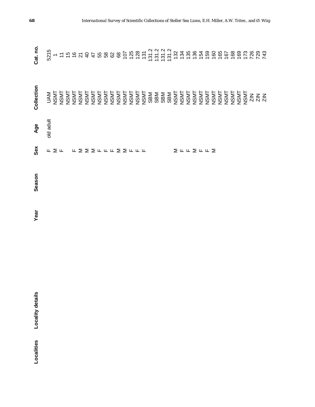| Localities | Locality details | Year | Season | Sex                                                | Age       | Collection | Cat. no. |
|------------|------------------|------|--------|----------------------------------------------------|-----------|------------|----------|
|            |                  |      |        |                                                    | old adult |            |          |
|            |                  |      |        | $\mathbb{L} \ \Sigma \ \mathbb{L}$                 |           |            |          |
|            |                  |      |        |                                                    |           |            |          |
|            |                  |      |        |                                                    |           |            |          |
|            |                  |      |        |                                                    |           |            |          |
|            |                  |      |        |                                                    |           |            |          |
|            |                  |      |        | <b>LYNULLYSELLE</b>                                |           |            |          |
|            |                  |      |        |                                                    |           |            |          |
|            |                  |      |        |                                                    |           |            |          |
|            |                  |      |        |                                                    |           |            |          |
|            |                  |      |        |                                                    |           |            |          |
|            |                  |      |        |                                                    |           |            |          |
|            |                  |      |        |                                                    |           |            |          |
|            |                  |      |        |                                                    |           |            |          |
|            |                  |      |        |                                                    |           |            |          |
|            |                  |      |        |                                                    |           |            |          |
|            |                  |      |        |                                                    |           |            |          |
|            |                  |      |        |                                                    |           |            |          |
|            |                  |      |        |                                                    |           |            |          |
|            |                  |      |        |                                                    |           |            |          |
|            |                  |      |        |                                                    |           |            |          |
|            |                  |      |        |                                                    |           |            |          |
|            |                  |      |        |                                                    |           |            |          |
|            |                  |      |        |                                                    |           |            |          |
|            |                  |      |        |                                                    |           |            |          |
|            |                  |      |        | $\Sigma \sqcap \sqcap \Sigma \sqcap \sqcap \Sigma$ |           |            |          |
|            |                  |      |        |                                                    |           |            |          |
|            |                  |      |        |                                                    |           |            |          |
|            |                  |      |        |                                                    |           |            |          |
|            |                  |      |        |                                                    |           |            |          |
|            |                  |      |        |                                                    |           |            |          |
|            |                  |      |        |                                                    |           |            |          |
|            |                  |      |        |                                                    |           |            |          |
|            |                  |      |        |                                                    |           |            |          |
|            |                  |      |        |                                                    |           |            |          |